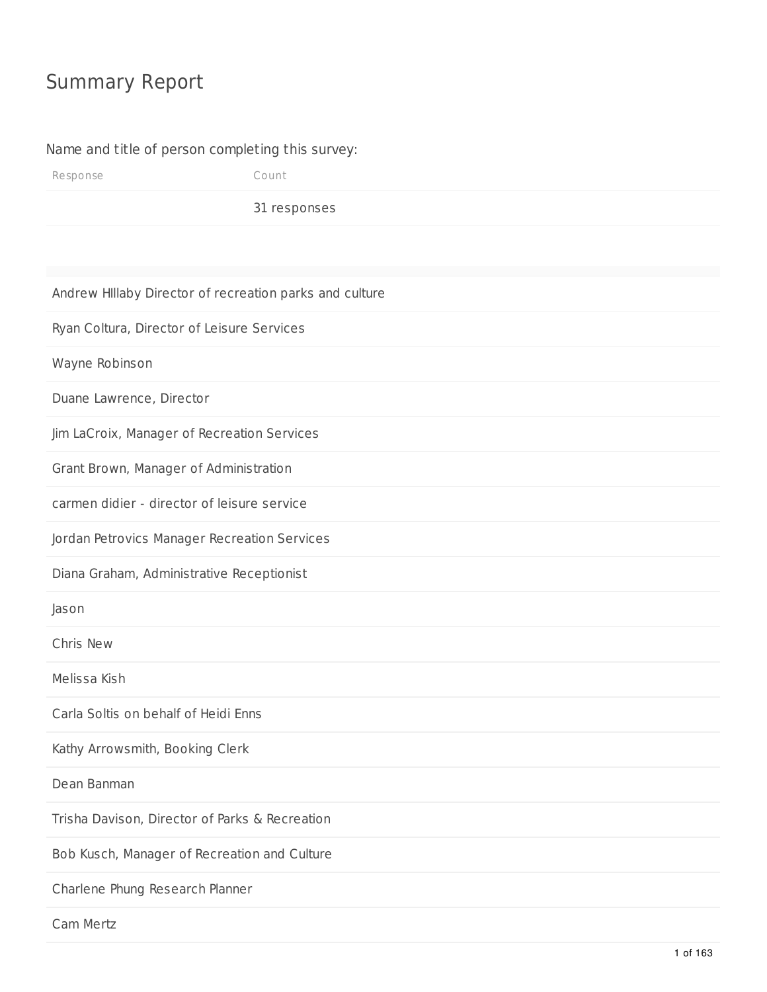## Summary Report

#### Name and title of person completing this survey:

Response Count

31 responses

Andrew HIllaby Director of recreation parks and culture

Ryan Coltura, Director of Leisure Services

Wayne Robinson

Duane Lawrence, Director

Jim LaCroix, Manager of Recreation Services

Grant Brown, Manager of Administration

carmen didier - director of leisure service

Jordan Petrovics Manager Recreation Services

Diana Graham, Administrative Receptionist

Jason

Chris New

Melissa Kish

Carla Soltis on behalf of Heidi Enns

Kathy Arrowsmith, Booking Clerk

Dean Banman

Trisha Davison, Director of Parks & Recreation

Bob Kusch, Manager of Recreation and Culture

Charlene Phung Research Planner

Cam Mertz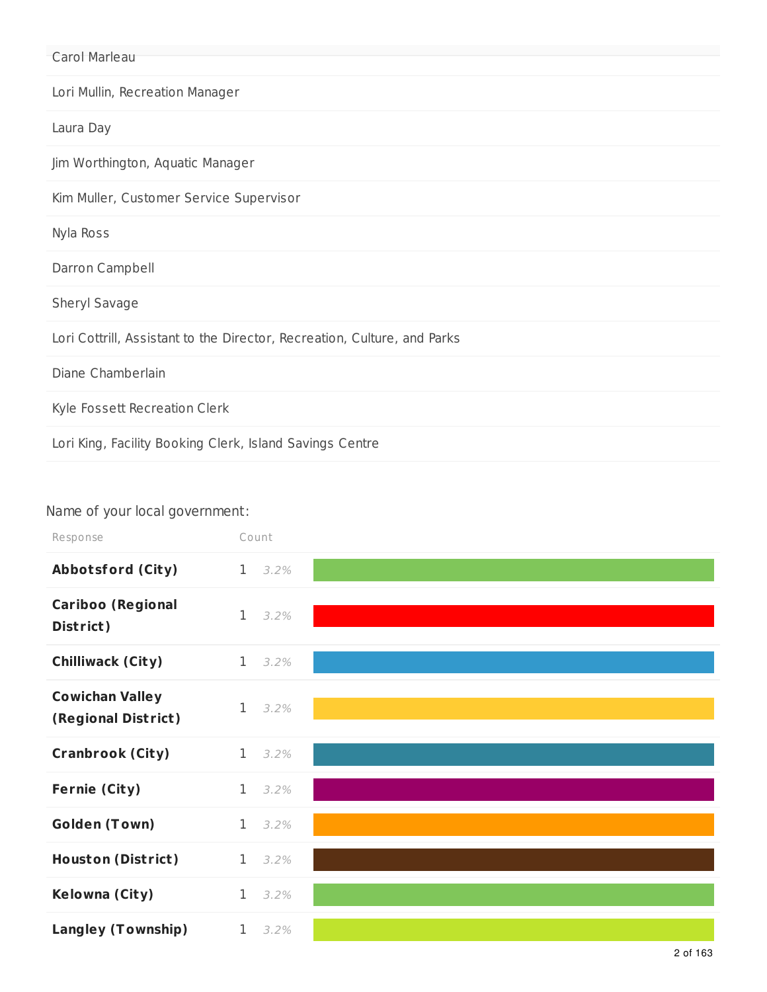| Carol Marleau                                                            |
|--------------------------------------------------------------------------|
| Lori Mullin, Recreation Manager                                          |
| Laura Day                                                                |
| Jim Worthington, Aquatic Manager                                         |
| Kim Muller, Customer Service Supervisor                                  |
| Nyla Ross                                                                |
| Darron Campbell                                                          |
| Sheryl Savage                                                            |
| Lori Cottrill, Assistant to the Director, Recreation, Culture, and Parks |
| Diane Chamberlain                                                        |
| Kyle Fossett Recreation Clerk                                            |
| Lori King, Facility Booking Clerk, Island Savings Centre                 |

## Name of your local government:

| Response                                      | Count        |                 |  |
|-----------------------------------------------|--------------|-----------------|--|
| <b>Abbotsford (City)</b>                      |              | $1 \quad 3.2\%$ |  |
| <b>Cariboo (Regional</b><br>District)         | $\mathbf{1}$ | 3.2%            |  |
| <b>Chilliwack (City)</b>                      | 1            | 3.2%            |  |
| <b>Cowichan Valley</b><br>(Regional District) | 1            | 3.2%            |  |
| <b>Cranbrook (City)</b>                       | 1            | 3.2%            |  |
| <b>Fernie (City)</b>                          | $\mathbf{1}$ | 3.2%            |  |
| <b>Golden (Town)</b>                          | 1            | 3.2%            |  |
| <b>Houston (District)</b>                     | 1            | 3.2%            |  |
| Kelowna (City)                                | $\mathbf{1}$ | 3.2%            |  |
| <b>Langley (Township)</b>                     | $\mathbf 1$  | 3.2%            |  |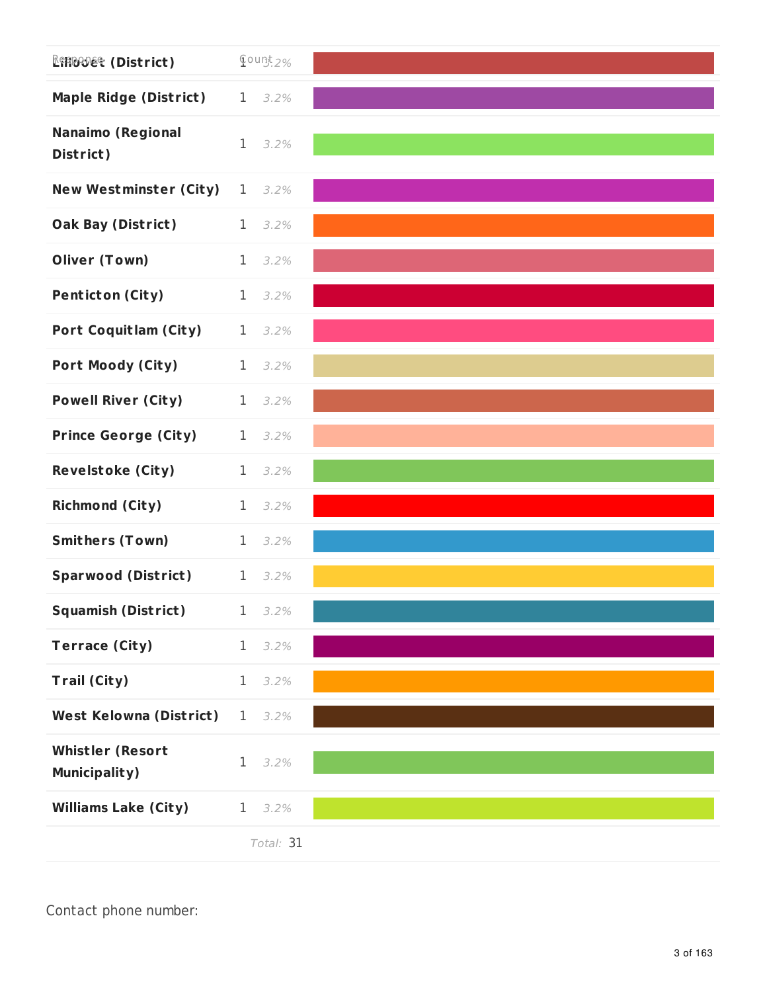| <b>REFIGUDES (District)</b>                     | $Q$ ount 2%     |                 |  |
|-------------------------------------------------|-----------------|-----------------|--|
| <b>Maple Ridge (District)</b>                   | $1 \quad 3.2\%$ |                 |  |
| <b>Nanaimo (Regional</b><br>District)           | $\mathbf{1}$    | 3.2%            |  |
| <b>New Westminster (City)</b>                   | $\mathbf 1$     | 3.2%            |  |
| <b>Oak Bay (District)</b>                       | $\mathbf 1$     | 3.2%            |  |
| <b>Oliver (Town)</b>                            | $\mathbf{1}$    | 3.2%            |  |
| <b>Penticton (City)</b>                         | $\mathbf{1}$    | 3.2%            |  |
| <b>Port Coquitlam (City)</b>                    |                 | $1 \quad 3.2\%$ |  |
| <b>Port Moody (City)</b>                        | $\mathbf{1}$    | 3.2%            |  |
| <b>Powell River (City)</b>                      | $\mathbf{1}$    | 3.2%            |  |
| <b>Prince George (City)</b>                     | $\mathbf 1$     | 3.2%            |  |
| <b>Revelstoke (City)</b>                        | $\mathbf 1$     | 3.2%            |  |
| <b>Richmond (City)</b>                          | $\mathbf 1$     | 3.2%            |  |
| <b>Smithers (Town)</b>                          | $\mathbf 1$     | 3.2%            |  |
| <b>Sparwood (District)</b>                      | $1 \quad 3.2\%$ |                 |  |
| <b>Squamish (District)</b> 1 3.2%               |                 |                 |  |
| <b>Terrace (City)</b>                           | $\mathbf 1$     | 3.2%            |  |
| Trail (City)                                    | $\mathbf 1$     | 3.2%            |  |
| <b>West Kelowna (District)</b>                  | 1               | 3.2%            |  |
| <b>Whistler (Resort</b><br><b>Municipality)</b> | 1               | 3.2%            |  |
| <b>Williams Lake (City)</b>                     | $\mathbf 1$     | 3.2%            |  |
|                                                 |                 | Total: 31       |  |

Contact phone number: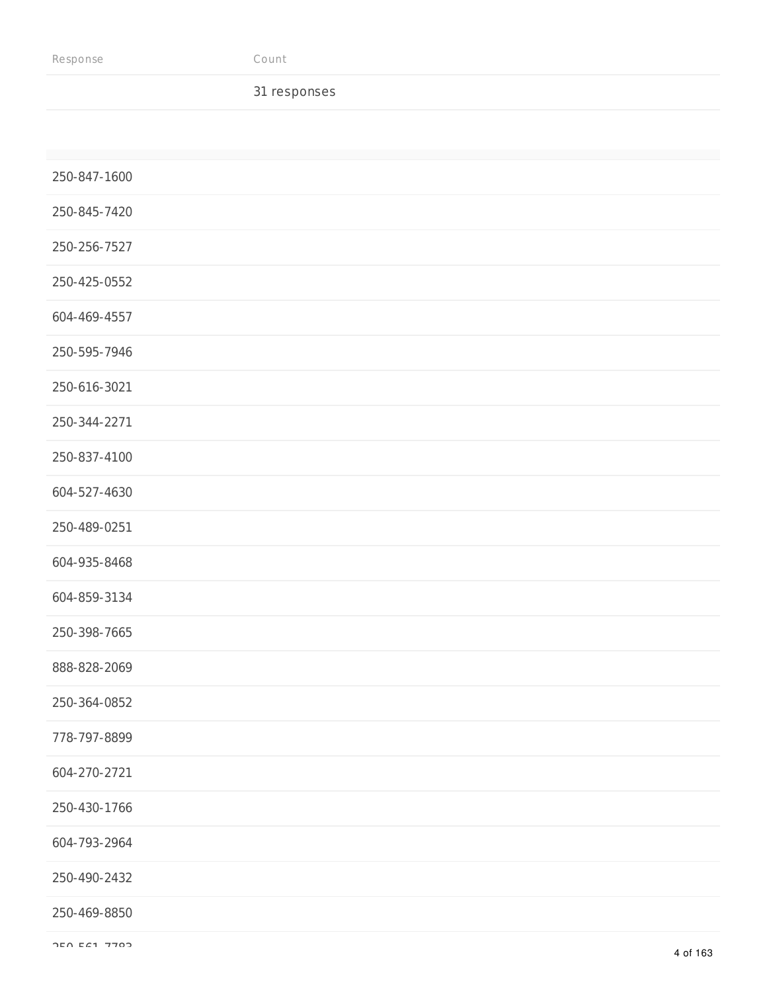#### 31 responses

| 250-847-1600 |
|--------------|
| 250-845-7420 |
| 250-256-7527 |
| 250-425-0552 |
| 604-469-4557 |
| 250-595-7946 |
| 250-616-3021 |
| 250-344-2271 |
| 250-837-4100 |
| 604-527-4630 |
| 250-489-0251 |
| 604-935-8468 |
| 604-859-3134 |
| 250-398-7665 |
| 888-828-2069 |
| 250-364-0852 |
| 778-797-8899 |
| 604-270-2721 |
| 250-430-1766 |
| 604-793-2964 |
| 250-490-2432 |
| 250-469-8850 |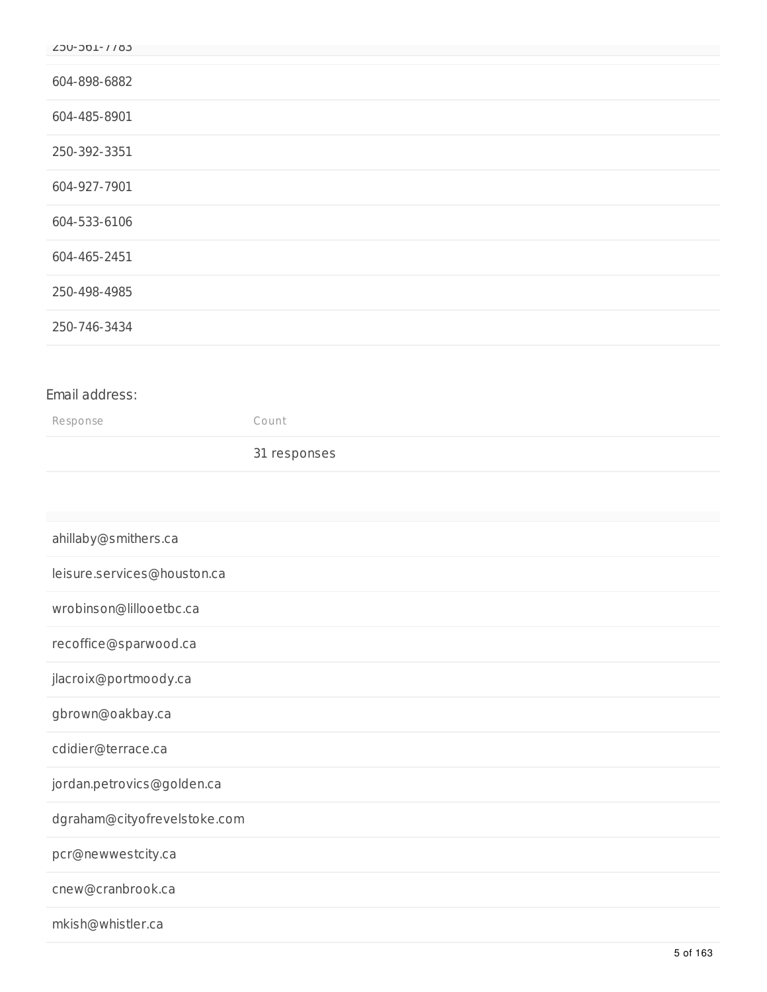| Y20-301-1102                 |              |
|------------------------------|--------------|
|                              |              |
| 604-898-6882                 |              |
| 604-485-8901                 |              |
| 250-392-3351                 |              |
| 604-927-7901                 |              |
| 604-533-6106                 |              |
| 604-465-2451                 |              |
| 250-498-4985                 |              |
| 250-746-3434                 |              |
|                              |              |
| Email address:               |              |
| Response                     | Count        |
|                              | 31 responses |
|                              |              |
|                              |              |
| ahillaby@smithers.ca         |              |
| leisure.services@houston.ca  |              |
| wrobinson@lillooetbc.ca      |              |
| recoffice@sparwood.ca        |              |
| jlacroix@portmoody.ca        |              |
| gbrown@oakbay.ca             |              |
| cdidier@terrace.ca           |              |
| jordan.petrovics@golden.ca   |              |
| dgraham@cityofrevelstoke.com |              |
| pcr@newwestcity.ca           |              |
| cnew@cranbrook.ca            |              |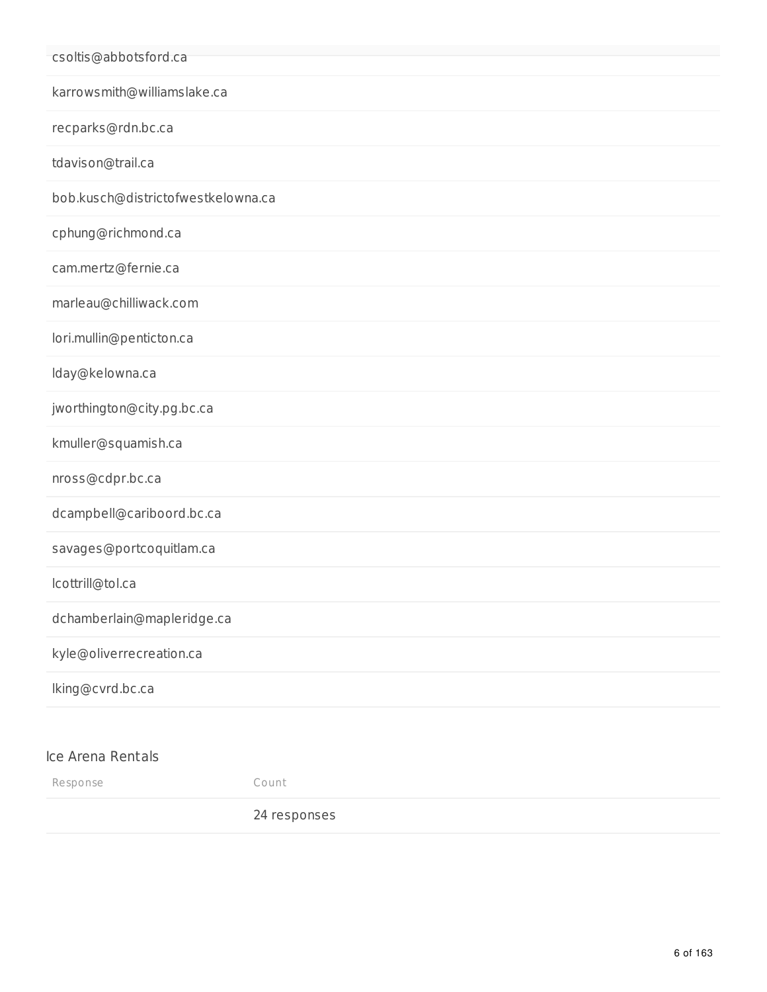| csoltis@abbotsford.ca              |              |
|------------------------------------|--------------|
| karrowsmith@williamslake.ca        |              |
| recparks@rdn.bc.ca                 |              |
| tdavison@trail.ca                  |              |
| bob.kusch@districtofwestkelowna.ca |              |
| cphung@richmond.ca                 |              |
| cam.mertz@fernie.ca                |              |
| marleau@chilliwack.com             |              |
| lori.mullin@penticton.ca           |              |
| lday@kelowna.ca                    |              |
| jworthington@city.pg.bc.ca         |              |
| kmuller@squamish.ca                |              |
| nross@cdpr.bc.ca                   |              |
| dcampbell@cariboord.bc.ca          |              |
| savages@portcoquitlam.ca           |              |
| lcottrill@tol.ca                   |              |
| dchamberlain@mapleridge.ca         |              |
| kyle@oliverrecreation.ca           |              |
| lking@cvrd.bc.ca                   |              |
|                                    |              |
| Ice Arena Rentals                  |              |
| Response                           | Count        |
|                                    | 24 responses |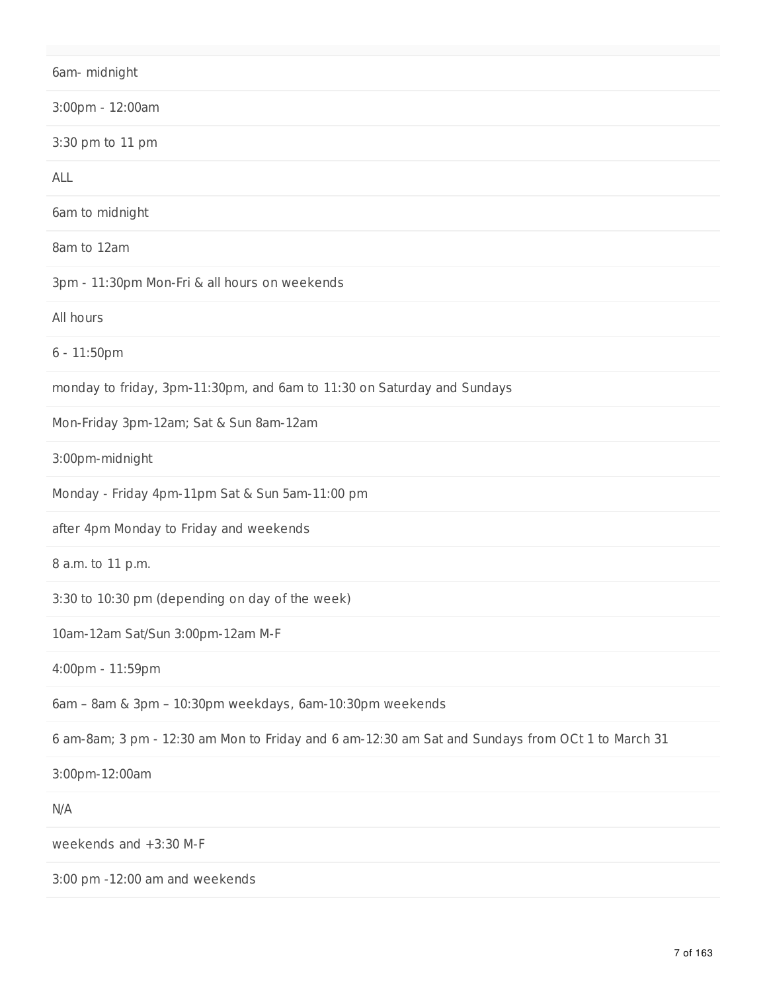6am- midnight 3:00pm - 12:00am 3:30 pm to 11 pm ALL 6am to midnight 8am to 12am 3pm - 11:30pm Mon-Fri & all hours on weekends All hours 6 - 11:50pm monday to friday, 3pm-11:30pm, and 6am to 11:30 on Saturday and Sundays Mon-Friday 3pm-12am; Sat & Sun 8am-12am 3:00pm-midnight Monday - Friday 4pm-11pm Sat & Sun 5am-11:00 pm after 4pm Monday to Friday and weekends 8 a.m. to 11 p.m. 3:30 to 10:30 pm (depending on day of the week) 10am-12am Sat/Sun 3:00pm-12am M-F 4:00pm - 11:59pm 6am – 8am & 3pm – 10:30pm weekdays, 6am-10:30pm weekends 6 am-8am; 3 pm - 12:30 am Mon to Friday and 6 am-12:30 am Sat and Sundays from OCt 1 to March 31 3:00pm-12:00am N/A weekends and +3:30 M-F

3:00 pm -12:00 am and weekends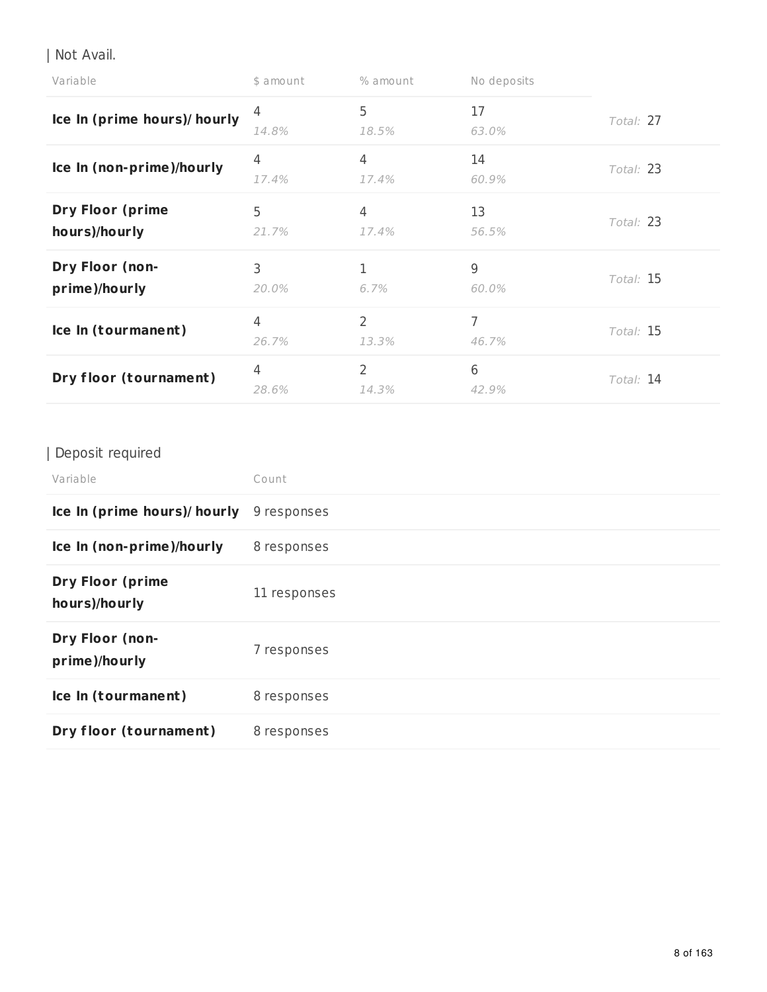| Not Avail.

| Variable                                 | \$ amount               | % amount                | No deposits |           |
|------------------------------------------|-------------------------|-------------------------|-------------|-----------|
| Ice In (prime hours)/ hourly             | 4<br>14.8%              | 5<br>18.5%              | 17<br>63.0% | Total: 27 |
| Ice In (non-prime)/hourly                | 4<br>17.4%              | 4<br>17.4%              | 14<br>60.9% | Total: 23 |
| <b>Dry Floor (prime</b><br>hours)/hourly | 5<br>21.7%              | 4<br>17.4%              | 13<br>56.5% | Total: 23 |
| Dry Floor (non-<br>prime)/hourly         | 3<br>20.0%              | 6.7%                    | 9<br>60.0%  | Total: 15 |
| Ice In (tourmanent)                      | $\overline{4}$<br>26.7% | $\overline{2}$<br>13.3% | 7<br>46.7%  | Total: 15 |
| Dry floor (tournament)                   | $\overline{4}$<br>28.6% | $\overline{2}$<br>14.3% | 6<br>42.9%  | Total: 14 |

## | Deposit required

| Variable                                 | Count        |
|------------------------------------------|--------------|
| Ice In (prime hours)/ hourly             | 9 responses  |
| Ice In (non-prime)/hourly                | 8 responses  |
| <b>Dry Floor (prime</b><br>hours)/hourly | 11 responses |
| Dry Floor (non-<br>prime)/hourly         | 7 responses  |
| Ice In (tourmanent)                      | 8 responses  |
| Dry floor (tournament)                   | 8 responses  |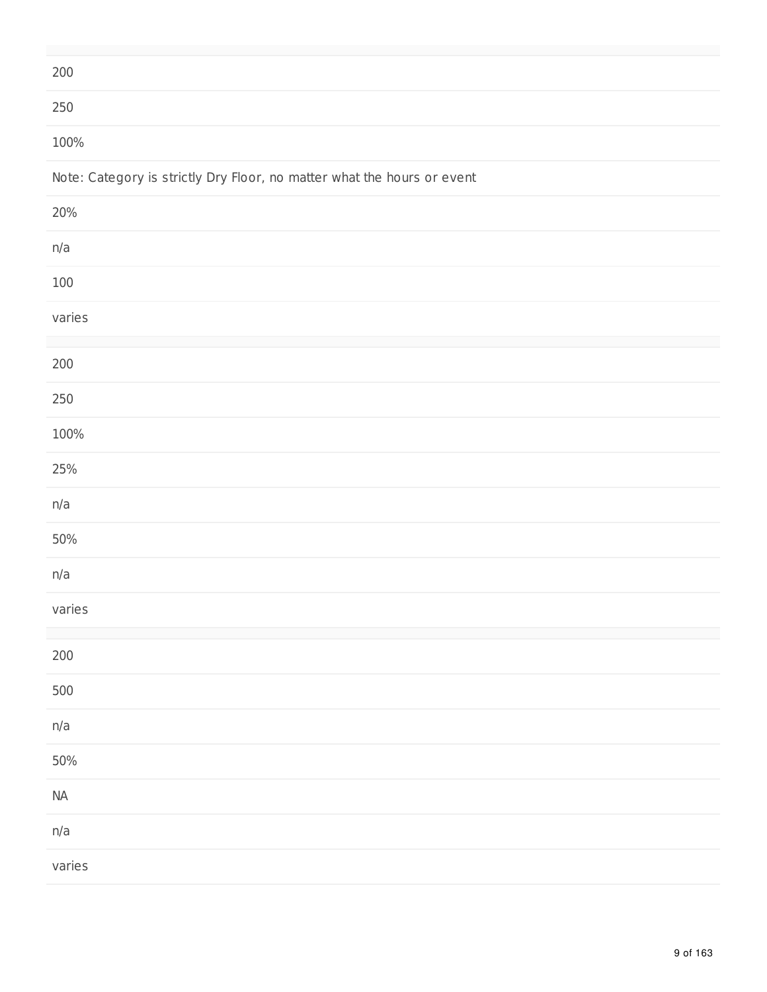| 200                                                                     |
|-------------------------------------------------------------------------|
| $250\,$                                                                 |
| 100%                                                                    |
| Note: Category is strictly Dry Floor, no matter what the hours or event |
| 20%                                                                     |
| n/a                                                                     |
| $100\,$                                                                 |
| varies                                                                  |
|                                                                         |
| $200\,$                                                                 |
| $250\,$                                                                 |
| 100%                                                                    |
| 25%                                                                     |
| n/a                                                                     |
| 50%                                                                     |
| n/a                                                                     |
| varies                                                                  |
|                                                                         |
| $200\,$                                                                 |
| 500                                                                     |
| n/a                                                                     |
| $50\%$                                                                  |
| $\sf{NA}$                                                               |
| n/a                                                                     |
| varies                                                                  |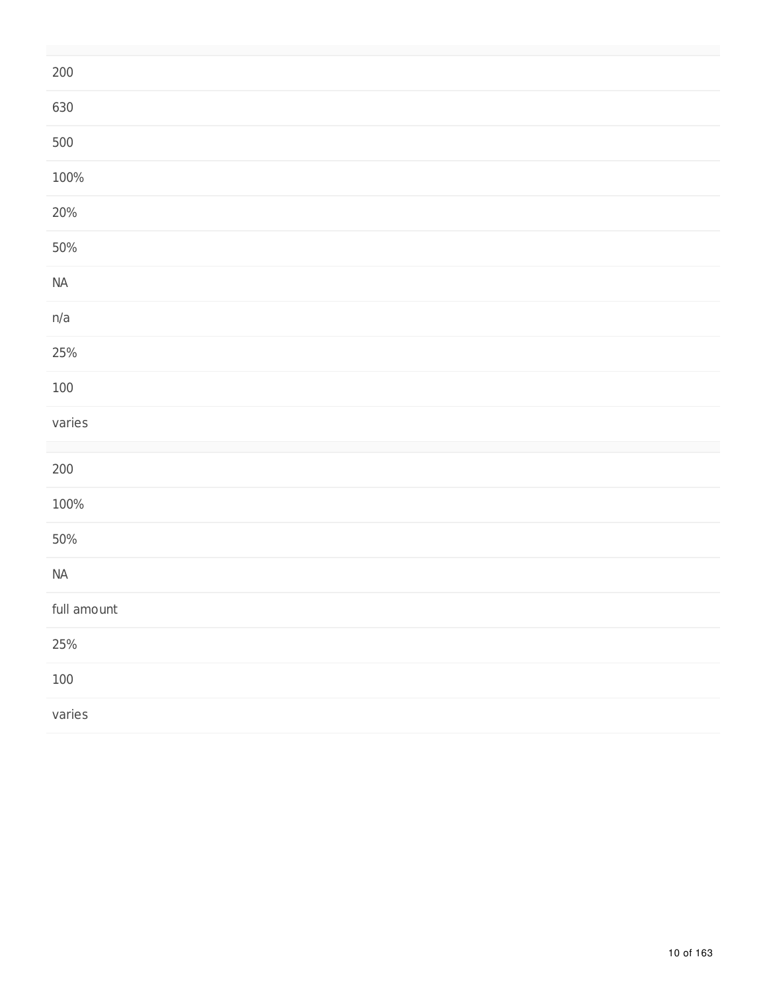| $200\,$     |  |  |  |
|-------------|--|--|--|
| 630         |  |  |  |
| 500         |  |  |  |
| 100%        |  |  |  |
| 20%         |  |  |  |
| $50\%$      |  |  |  |
| $\sf{NA}$   |  |  |  |
| n/a         |  |  |  |
| $25%$       |  |  |  |
| $100\,$     |  |  |  |
| varies      |  |  |  |
|             |  |  |  |
| $200\,$     |  |  |  |
| 100%        |  |  |  |
| $50\%$      |  |  |  |
| $\sf{NA}$   |  |  |  |
| full amount |  |  |  |
| $25%$       |  |  |  |
| $100\,$     |  |  |  |
| varies      |  |  |  |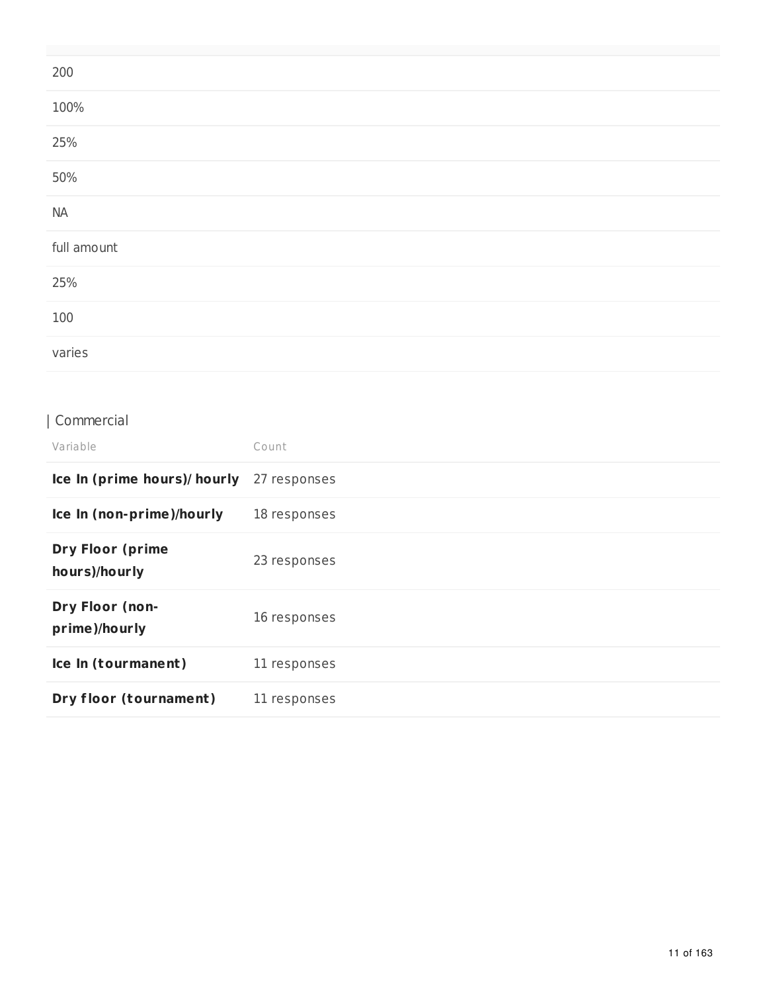| 200         |  |
|-------------|--|
| 100%        |  |
| 25%         |  |
| 50%         |  |
| <b>NA</b>   |  |
| full amount |  |
| 25%         |  |
| 100         |  |
| varies      |  |

## | Commercial

| Variable                                 | Count        |
|------------------------------------------|--------------|
| Ice In (prime hours)/ hourly             | 27 responses |
| Ice In (non-prime)/hourly                | 18 responses |
| <b>Dry Floor (prime</b><br>hours)/hourly | 23 responses |
| Dry Floor (non-<br>prime)/hourly         | 16 responses |
| Ice In (tourmanent)                      | 11 responses |
| Dry floor (tournament)                   | 11 responses |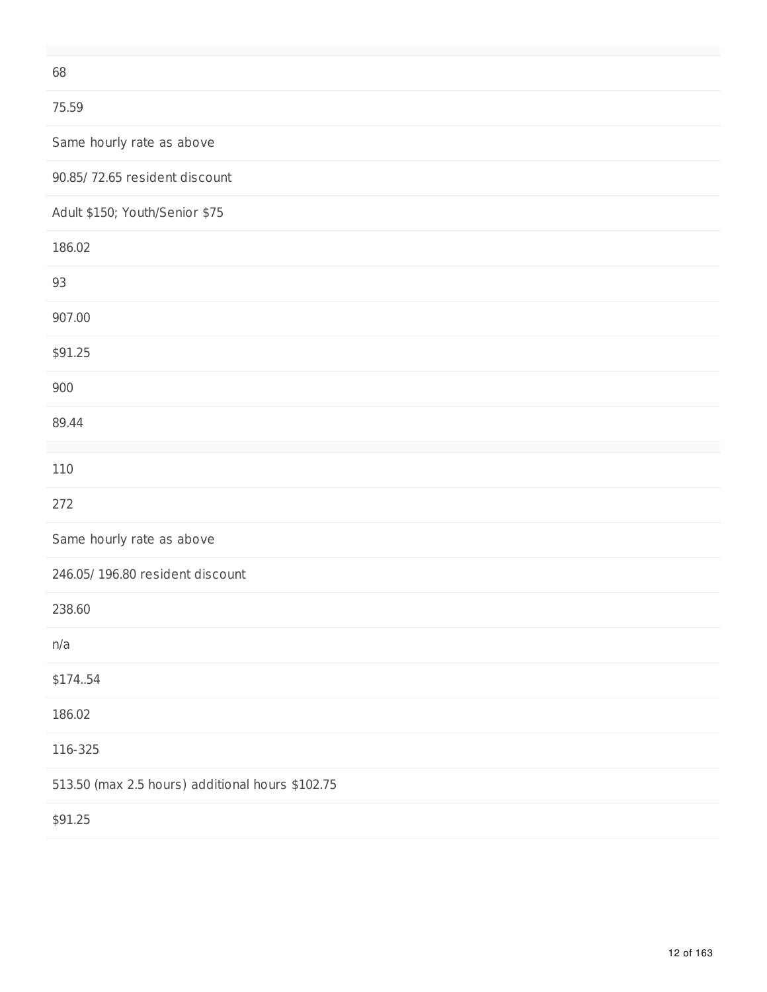68

### 75.59

Same hourly rate as above

90.85/ 72.65 resident discount

Adult \$150; Youth/Senior \$75

| 186.02                                           |
|--------------------------------------------------|
| 93                                               |
| 907.00                                           |
| \$91.25                                          |
| 900                                              |
| 89.44                                            |
|                                                  |
| 110                                              |
| 272                                              |
| Same hourly rate as above                        |
| 246.05/ 196.80 resident discount                 |
| 238.60                                           |
| n/a                                              |
| \$174.54                                         |
| 186.02                                           |
| 116-325                                          |
| 513.50 (max 2.5 hours) additional hours \$102.75 |
| \$91.25                                          |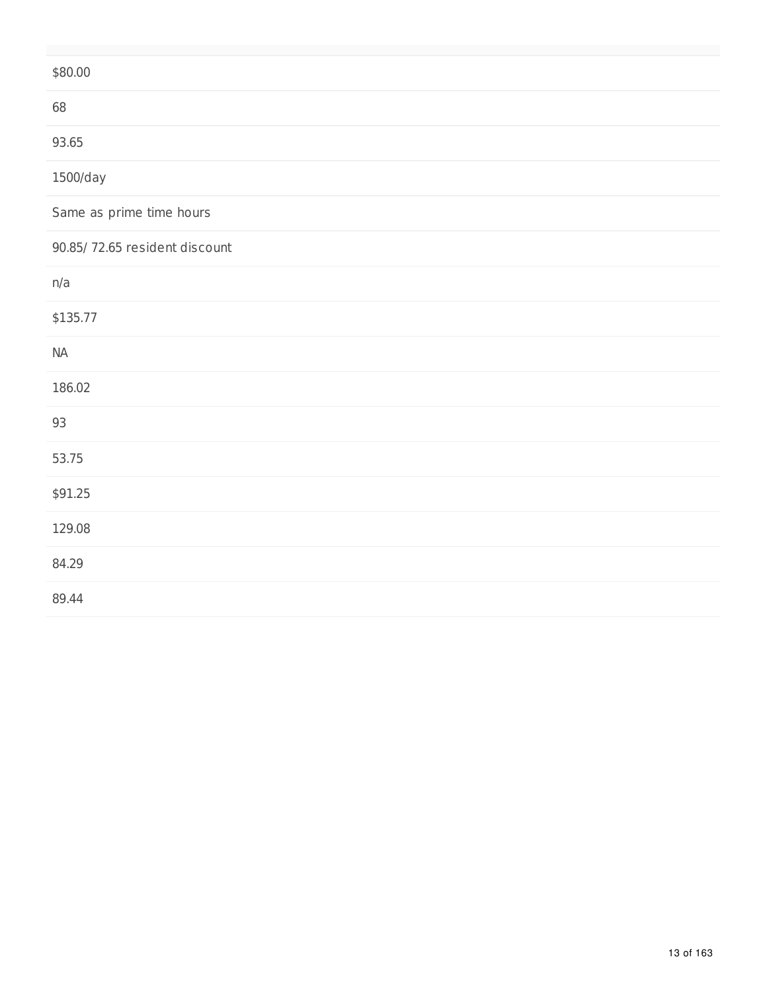| \$80.00                       |
|-------------------------------|
| 68                            |
| 93.65                         |
| 1500/day                      |
| Same as prime time hours      |
| 90.85/72.65 resident discount |
| n/a                           |
| \$135.77                      |
| $\sf NA$                      |
| 186.02                        |
| 93                            |
| 53.75                         |
| \$91.25                       |
| 129.08                        |
| 84.29                         |
| 89.44                         |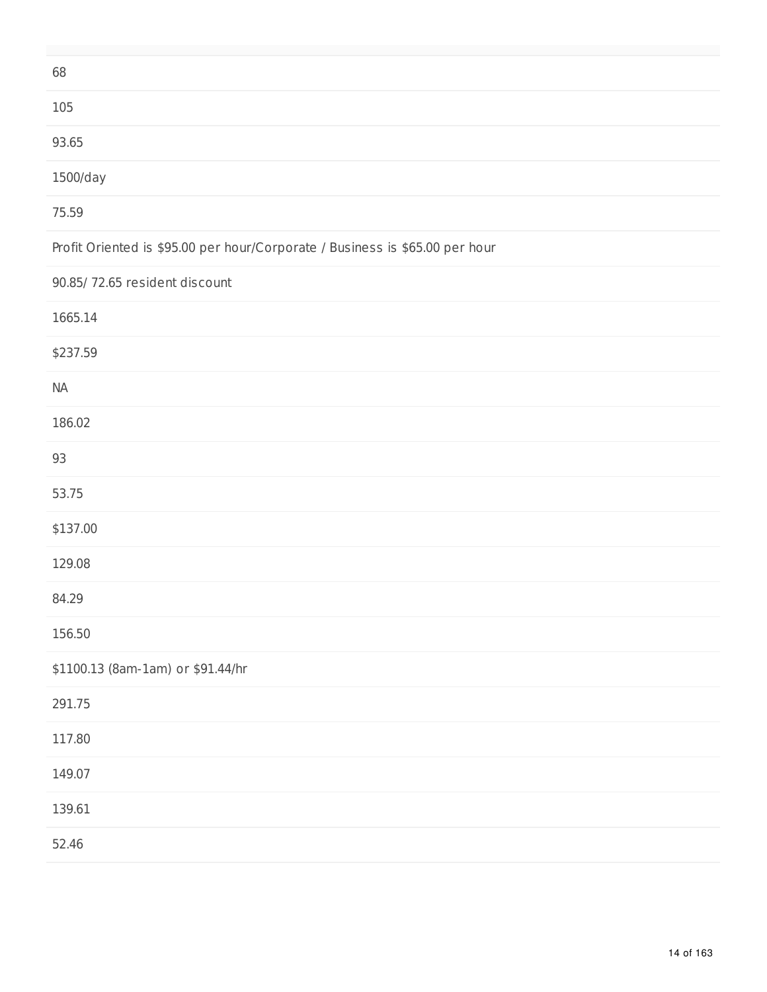| 68                                                                           |
|------------------------------------------------------------------------------|
| 105                                                                          |
| 93.65                                                                        |
| 1500/day                                                                     |
| 75.59                                                                        |
| Profit Oriented is \$95.00 per hour/Corporate / Business is \$65.00 per hour |
| 90.85/72.65 resident discount                                                |
| 1665.14                                                                      |
| \$237.59                                                                     |
| <b>NA</b>                                                                    |
| 186.02                                                                       |
| 93                                                                           |
| 53.75                                                                        |
| \$137.00                                                                     |
| 129.08                                                                       |
| 84.29                                                                        |
| 156.50                                                                       |
| \$1100.13 (8am-1am) or \$91.44/hr                                            |
| 291.75                                                                       |
| 117.80                                                                       |
| 149.07                                                                       |
| 139.61                                                                       |
| 52.46                                                                        |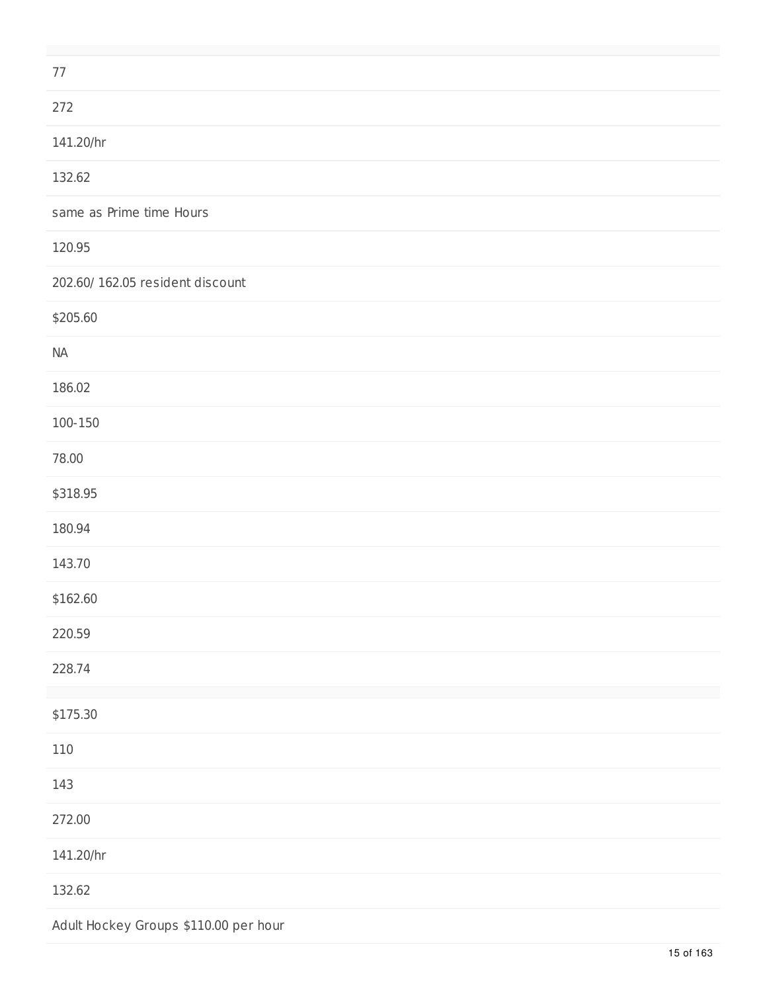| 77                                    |
|---------------------------------------|
| 272                                   |
| 141.20/hr                             |
| 132.62                                |
| same as Prime time Hours              |
| 120.95                                |
| 202.60/ 162.05 resident discount      |
| \$205.60                              |
| <b>NA</b>                             |
| 186.02                                |
| 100-150                               |
| 78.00                                 |
| \$318.95                              |
| 180.94                                |
| 143.70                                |
| \$162.60                              |
| 220.59                                |
| 228.74                                |
| \$175.30                              |
| 110                                   |
| 143                                   |
| 272.00                                |
| 141.20/hr                             |
| 132.62                                |
| Adult Hockey Groups \$110.00 per hour |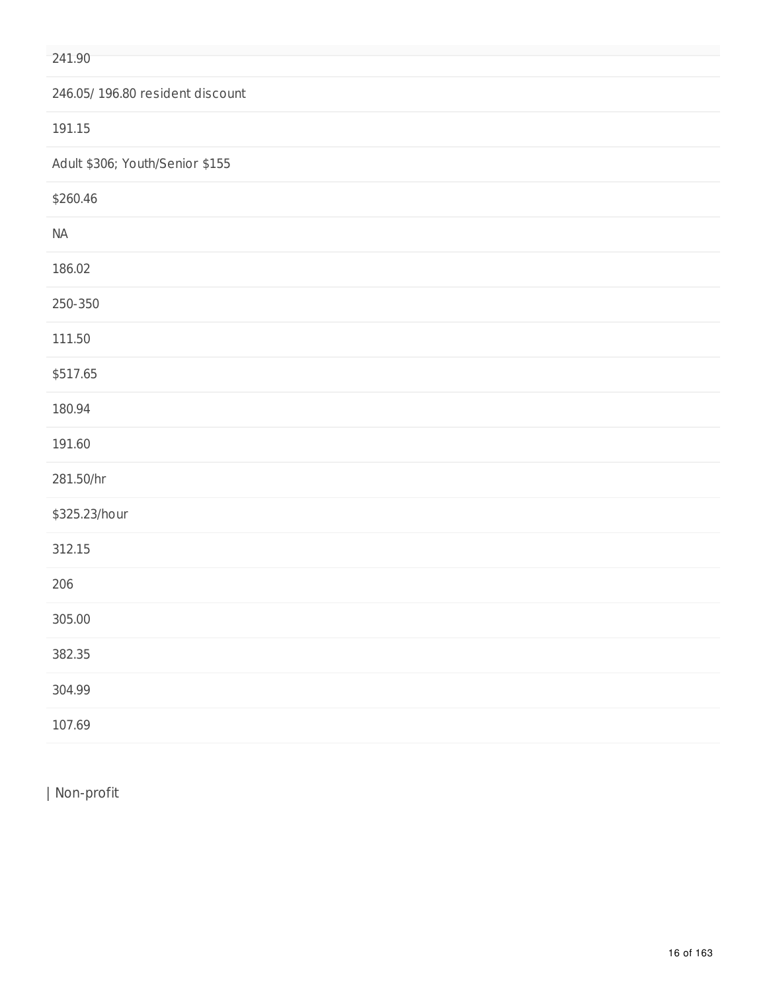#### 241.90

|  |  | 246.05/196.80 resident discount |  |
|--|--|---------------------------------|--|
|--|--|---------------------------------|--|

191.15

Adult \$306; Youth/Senior \$155

| \$260.46      |
|---------------|
| $\sf NA$      |
| 186.02        |
| 250-350       |
| 111.50        |
| \$517.65      |
| 180.94        |
| 191.60        |
| 281.50/hr     |
| \$325.23/hour |
| 312.15        |
| 206           |
| 305.00        |
| 382.35        |
| 304.99        |
| 107.69        |

| Non-profit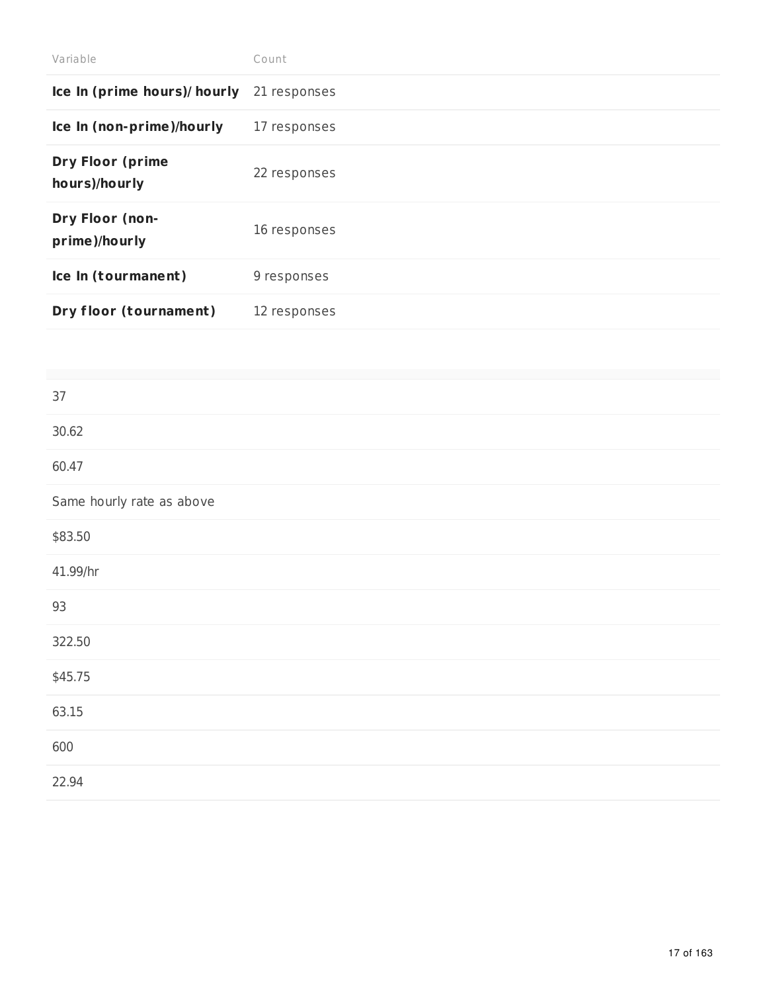| Variable                                 | Count        |
|------------------------------------------|--------------|
| Ice In (prime hours)/ hourly             | 21 responses |
| Ice In (non-prime)/hourly                | 17 responses |
| <b>Dry Floor (prime</b><br>hours)/hourly | 22 responses |
| Dry Floor (non-<br>prime)/hourly         | 16 responses |
| Ice In (tourmanent)                      | 9 responses  |
| Dry floor (tournament)                   | 12 responses |

| 37                        |
|---------------------------|
| 30.62                     |
| 60.47                     |
| Same hourly rate as above |
| \$83.50                   |
| 41.99/hr                  |
| 93                        |
| 322.50                    |
| \$45.75                   |
| 63.15                     |
| 600                       |
| 22.94                     |
|                           |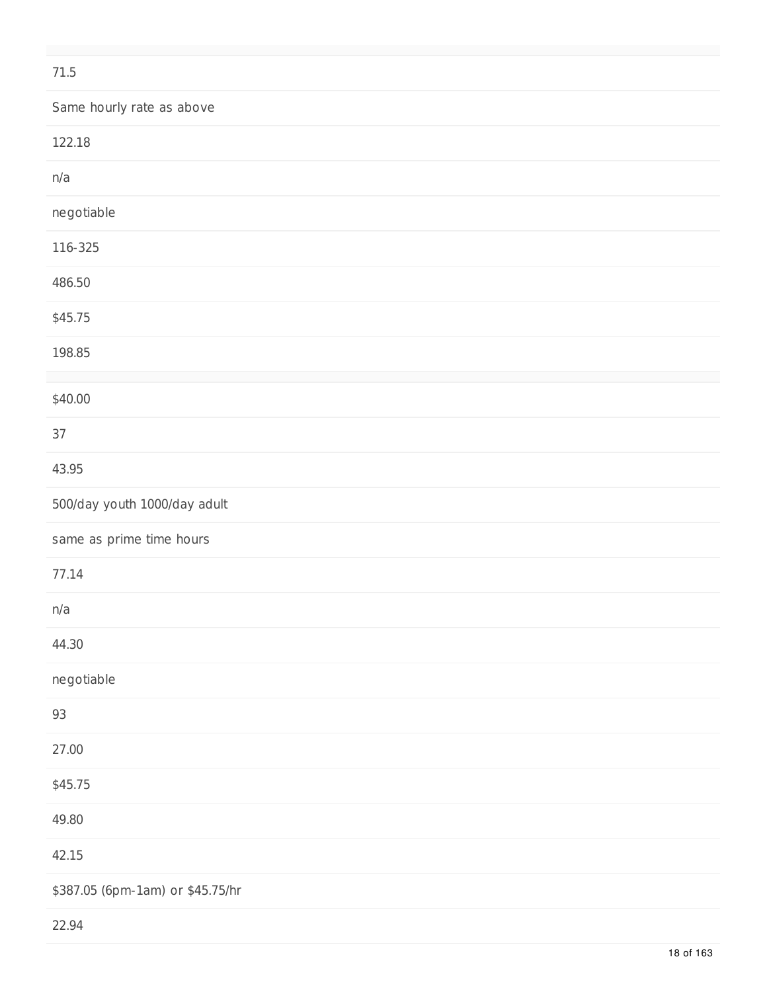| 71.5                             |
|----------------------------------|
| Same hourly rate as above        |
| 122.18                           |
| n/a                              |
| negotiable                       |
| 116-325                          |
| 486.50                           |
| \$45.75                          |
| 198.85                           |
| \$40.00                          |
| 37                               |
| 43.95                            |
| 500/day youth 1000/day adult     |
| same as prime time hours         |
| 77.14                            |
| n/a                              |
| 44.30                            |
| negotiable                       |
| 93                               |
| 27.00                            |
| \$45.75                          |
| 49.80                            |
| 42.15                            |
| \$387.05 (6pm-1am) or \$45.75/hr |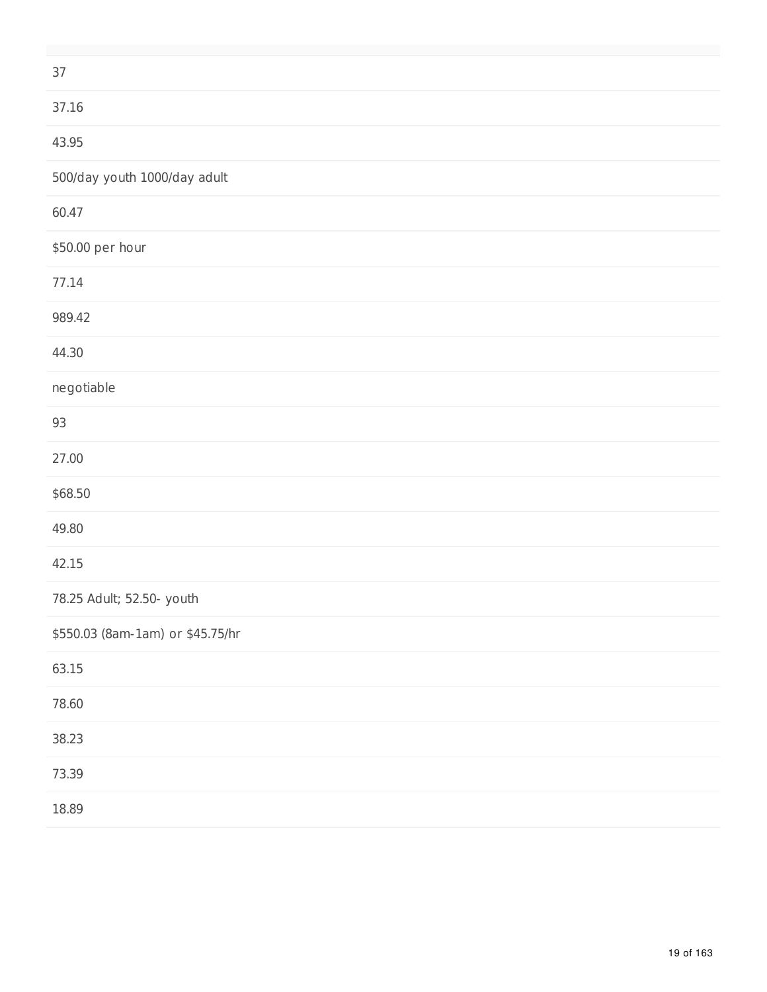| 37                               |
|----------------------------------|
| 37.16                            |
| 43.95                            |
| 500/day youth 1000/day adult     |
| 60.47                            |
| \$50.00 per hour                 |
| 77.14                            |
| 989.42                           |
| 44.30                            |
| negotiable                       |
| 93                               |
| 27.00                            |
| \$68.50                          |
| 49.80                            |
| 42.15                            |
| 78.25 Adult; 52.50- youth        |
| \$550.03 (8am-1am) or \$45.75/hr |
| 63.15                            |
| 78.60                            |
| 38.23                            |
| 73.39                            |
| 18.89                            |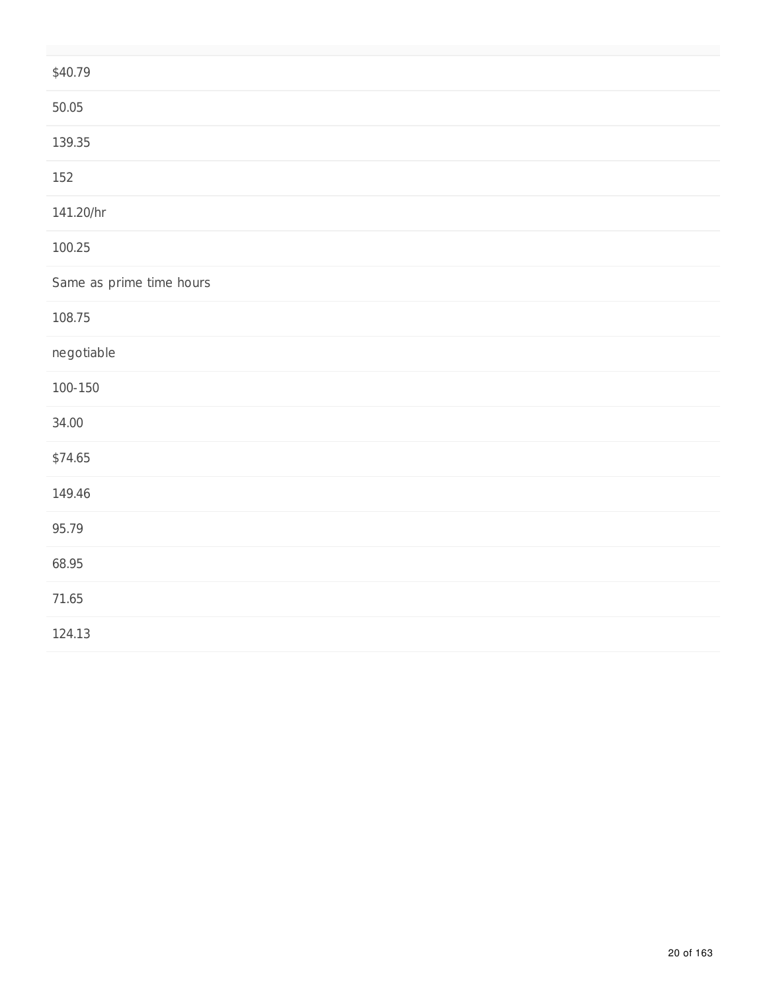| \$40.79                  |
|--------------------------|
| 50.05                    |
| 139.35                   |
| 152                      |
| 141.20/hr                |
| 100.25                   |
| Same as prime time hours |
| 108.75                   |
| negotiable               |
| $100 - 150$              |
| 34.00                    |
| \$74.65                  |
| 149.46                   |
| 95.79                    |
| 68.95                    |
| 71.65                    |
| 124.13                   |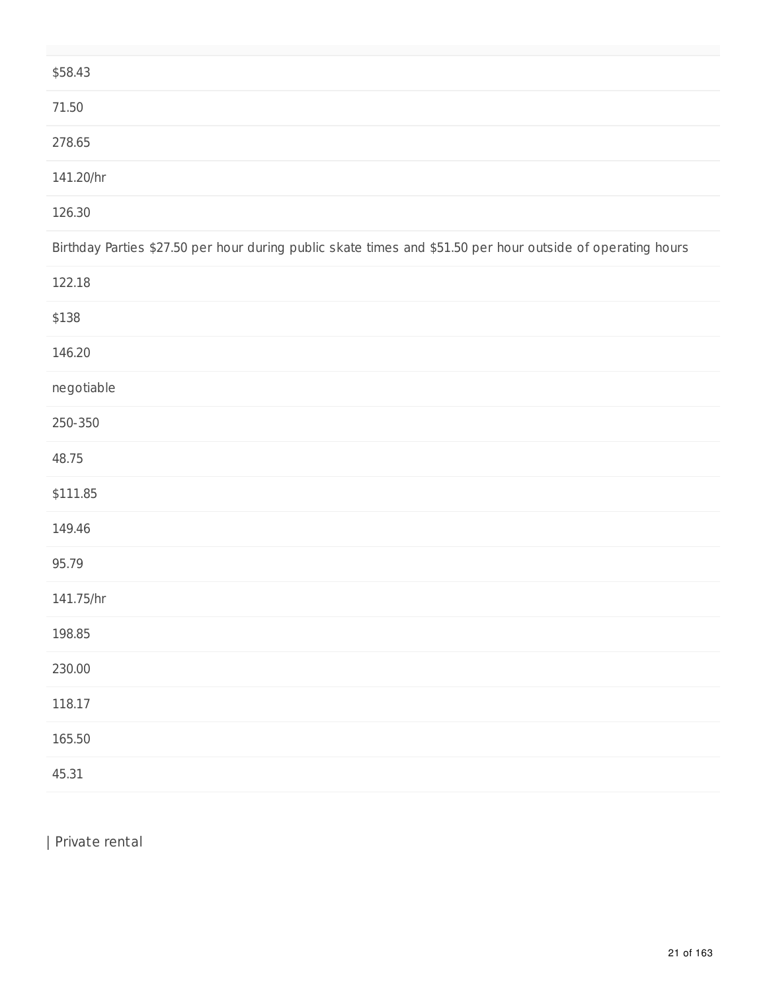| \$58.43                                                                                                     |
|-------------------------------------------------------------------------------------------------------------|
| 71.50                                                                                                       |
| 278.65                                                                                                      |
| 141.20/hr                                                                                                   |
| 126.30                                                                                                      |
| Birthday Parties \$27.50 per hour during public skate times and \$51.50 per hour outside of operating hours |
| 122.18                                                                                                      |
| \$138                                                                                                       |
| 146.20                                                                                                      |
| negotiable                                                                                                  |
| 250-350                                                                                                     |
| 48.75                                                                                                       |
| \$111.85                                                                                                    |
| 149.46                                                                                                      |
| 95.79                                                                                                       |
| 141.75/hr                                                                                                   |
| 198.85                                                                                                      |
| 230.00                                                                                                      |
| 118.17                                                                                                      |
| 165.50                                                                                                      |
| 45.31                                                                                                       |

| Private rental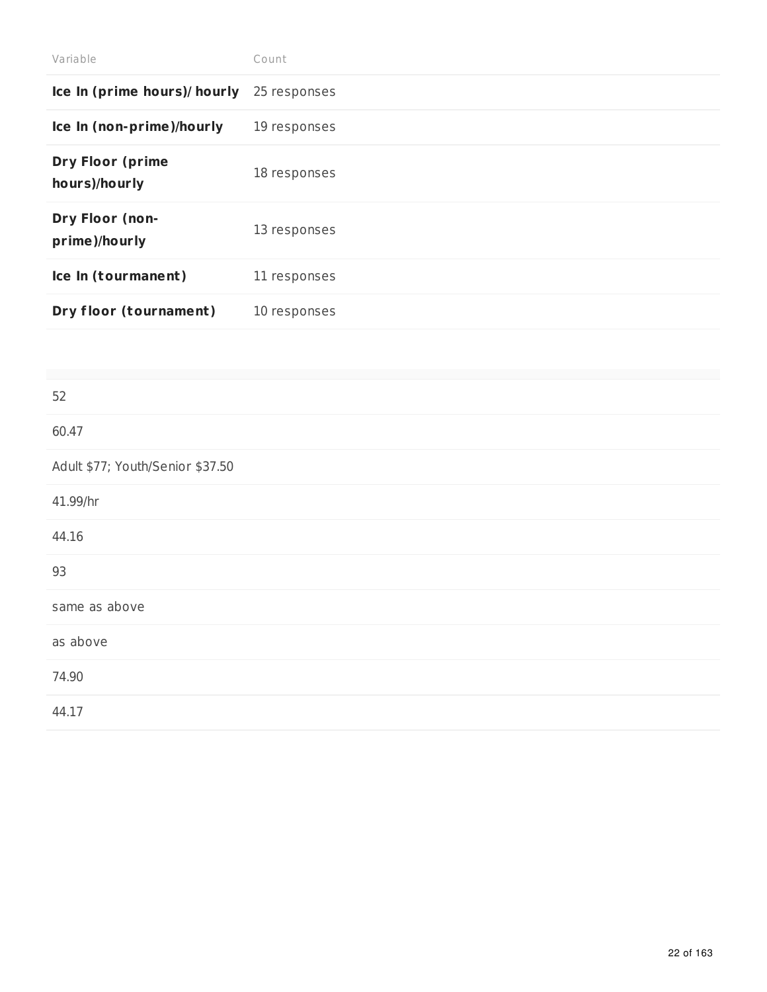| Variable                                 | Count        |
|------------------------------------------|--------------|
| Ice In (prime hours)/ hourly             | 25 responses |
| Ice In (non-prime)/hourly                | 19 responses |
| <b>Dry Floor (prime</b><br>hours)/hourly | 18 responses |
| Dry Floor (non-<br>prime)/hourly         | 13 responses |
| Ice In (tourmanent)                      | 11 responses |
| Dry floor (tournament)                   | 10 responses |

| 52                               |
|----------------------------------|
| 60.47                            |
| Adult \$77; Youth/Senior \$37.50 |
| 41.99/hr                         |
| 44.16                            |
| 93                               |
| same as above                    |
| as above                         |
| 74.90                            |
| 44.17                            |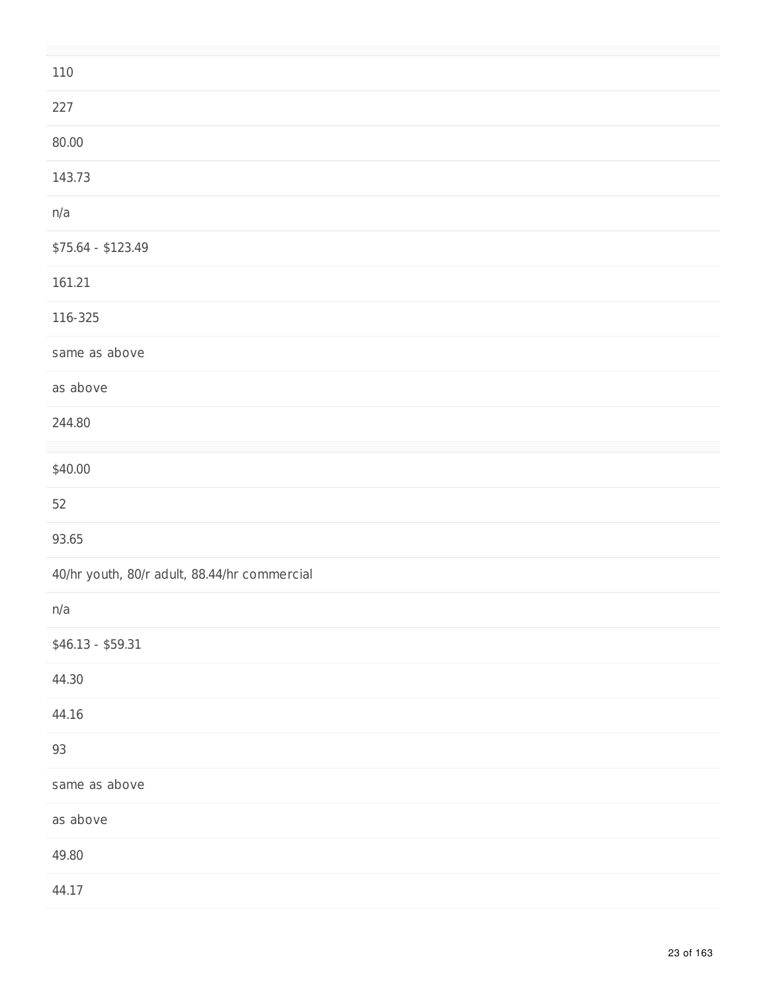| 110                                          |
|----------------------------------------------|
| 227                                          |
| 80.00                                        |
| 143.73                                       |
| n/a                                          |
| \$75.64 - \$123.49                           |
| 161.21                                       |
| 116-325                                      |
| same as above                                |
| as above                                     |
| 244.80                                       |
| \$40.00                                      |
| 52                                           |
| 93.65                                        |
| 40/hr youth, 80/r adult, 88.44/hr commercial |
| n/a                                          |
| $$46.13 - $59.31$                            |
| 44.30                                        |
| 44.16                                        |
| 93                                           |
| same as above                                |
| as above                                     |
| 49.80                                        |
| 44.17                                        |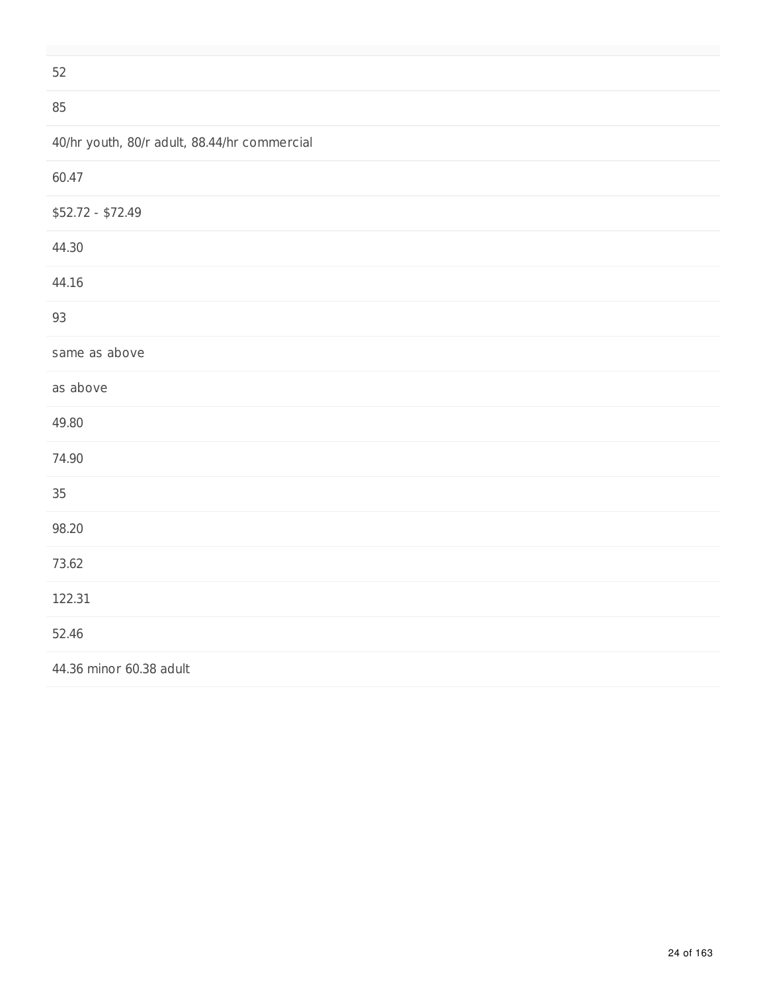52

#### 85

|  |  |  |  | 40/hr youth, 80/r adult, 88.44/hr commercial |
|--|--|--|--|----------------------------------------------|
|--|--|--|--|----------------------------------------------|

| 60.47                   |
|-------------------------|
| \$52.72 - \$72.49       |
| 44.30                   |
| 44.16                   |
| 93                      |
| same as above           |
| as above                |
| 49.80                   |
| 74.90                   |
| 35                      |
| 98.20                   |
| 73.62                   |
| 122.31                  |
| 52.46                   |
| 44.36 minor 60.38 adult |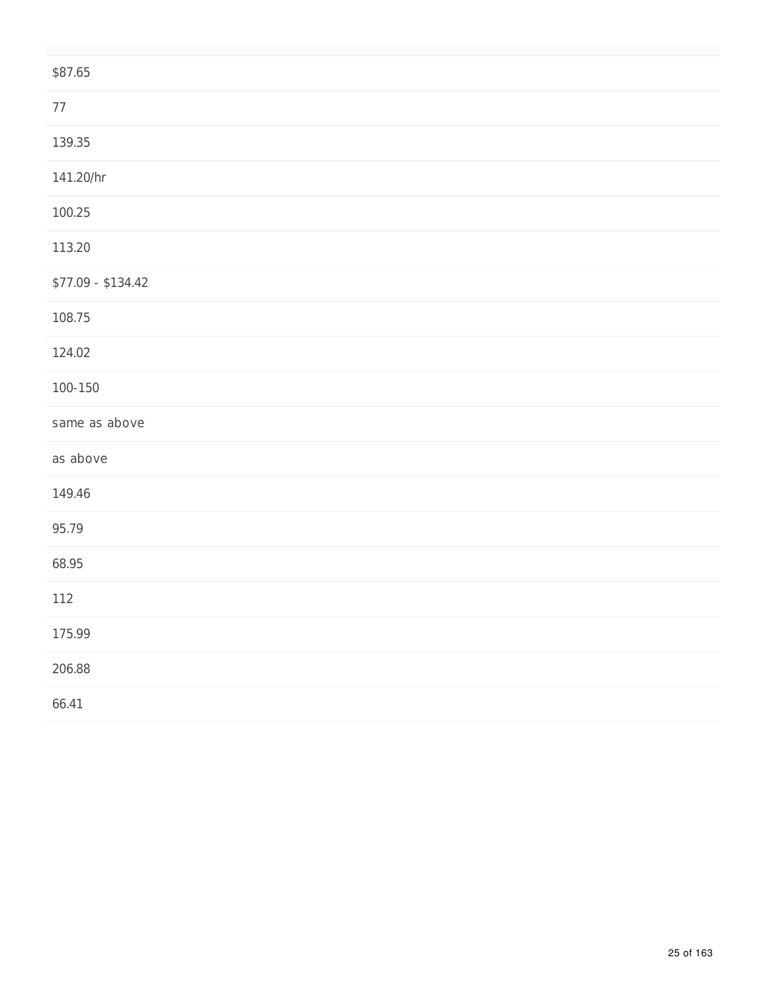| \$87.65            |
|--------------------|
| $77\,$             |
| 139.35             |
| 141.20/hr          |
| 100.25             |
| 113.20             |
| $$77.09 - $134.42$ |
| 108.75             |
| 124.02             |
| $100 - 150$        |
| same as above      |
| as above           |
| 149.46             |
| 95.79              |
| 68.95              |
| 112                |
| 175.99             |
| 206.88             |
| 66.41              |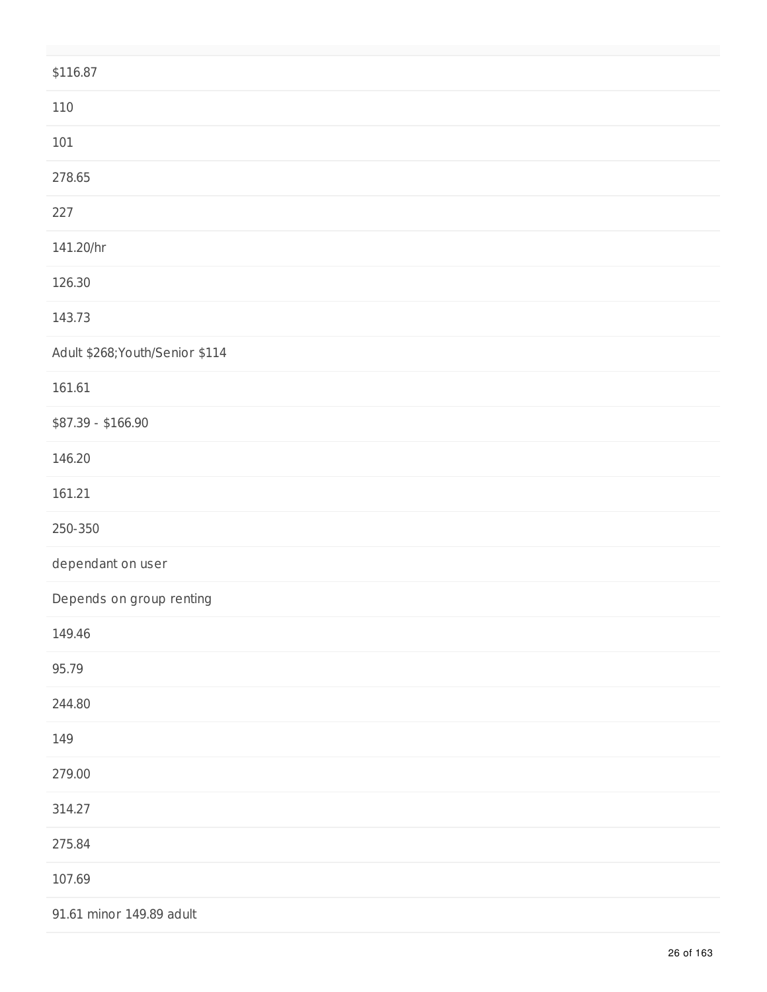| \$116.87                        |
|---------------------------------|
| 110                             |
| $101\,$                         |
| 278.65                          |
| 227                             |
| 141.20/hr                       |
| 126.30                          |
| 143.73                          |
| Adult \$268; Youth/Senior \$114 |
| 161.61                          |
| \$87.39 - \$166.90              |
| 146.20                          |
| 161.21                          |
| 250-350                         |
| dependant on user               |
| Depends on group renting        |
| 149.46                          |
| 95.79                           |
| 244.80                          |
| 149                             |
| 279.00                          |
| 314.27                          |
| 275.84                          |
| 107.69                          |
| 91.61 minor 149.89 adult        |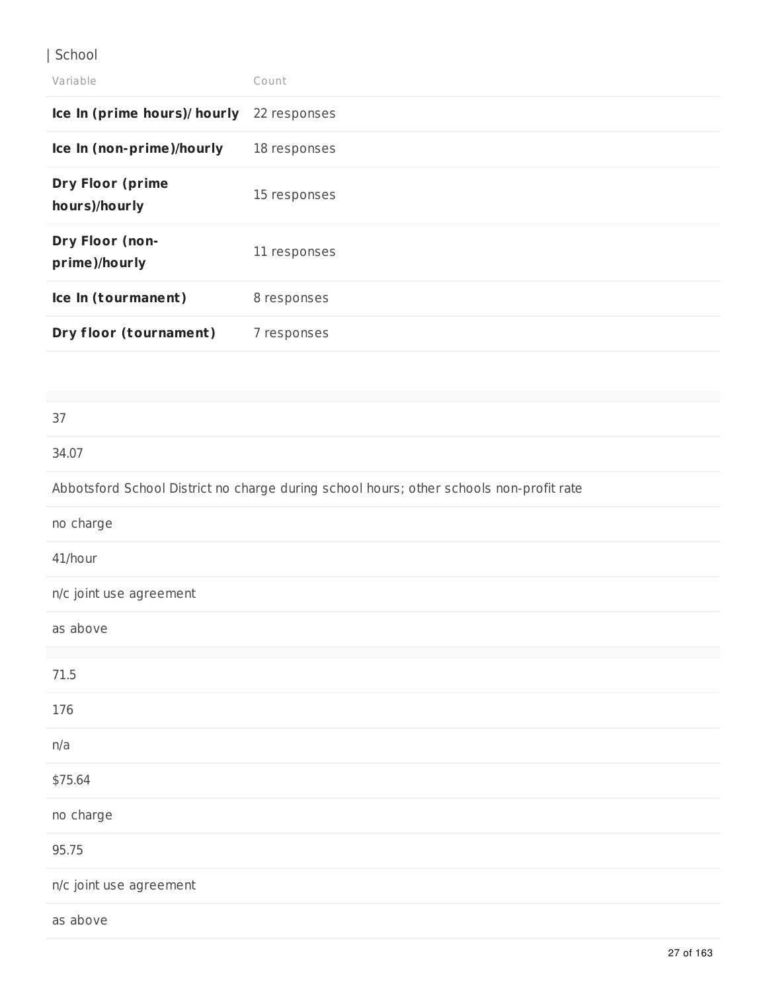### | School

| Variable                                 | Count        |
|------------------------------------------|--------------|
| Ice In (prime hours)/ hourly             | 22 responses |
| Ice In (non-prime)/hourly                | 18 responses |
| <b>Dry Floor (prime</b><br>hours)/hourly | 15 responses |
| Dry Floor (non-<br>prime)/hourly         | 11 responses |
| Ice In (tourmanent)                      | 8 responses  |
| Dry floor (tournament)                   | 7 responses  |
|                                          |              |
| 37                                       |              |

# 34.07 Abbotsford School District no charge during school hours; other schools non-profit rate no charge 41/hour n/c joint use agreement as above 71.5 176 n/a \$75.64 no charge

95.75

n/c joint use agreement

as above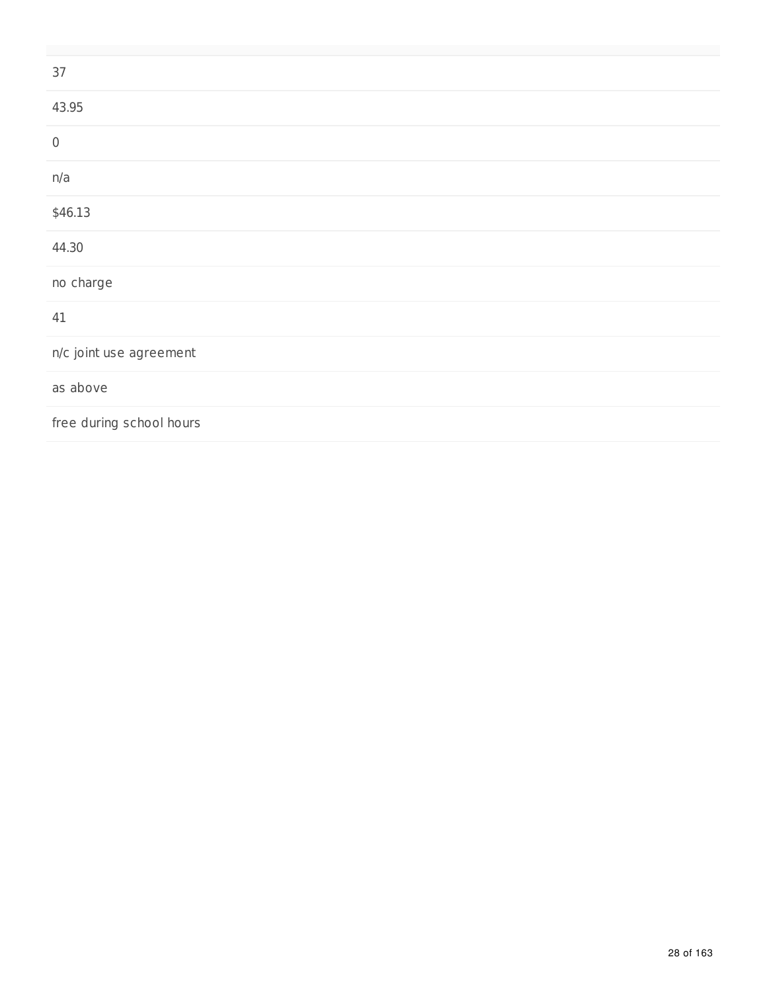| 37                       |
|--------------------------|
| 43.95                    |
|                          |
| n/a                      |
| \$46.13                  |
| 44.30                    |
| no charge                |
| 41                       |
| n/c joint use agreement  |
| as above                 |
| free during school hours |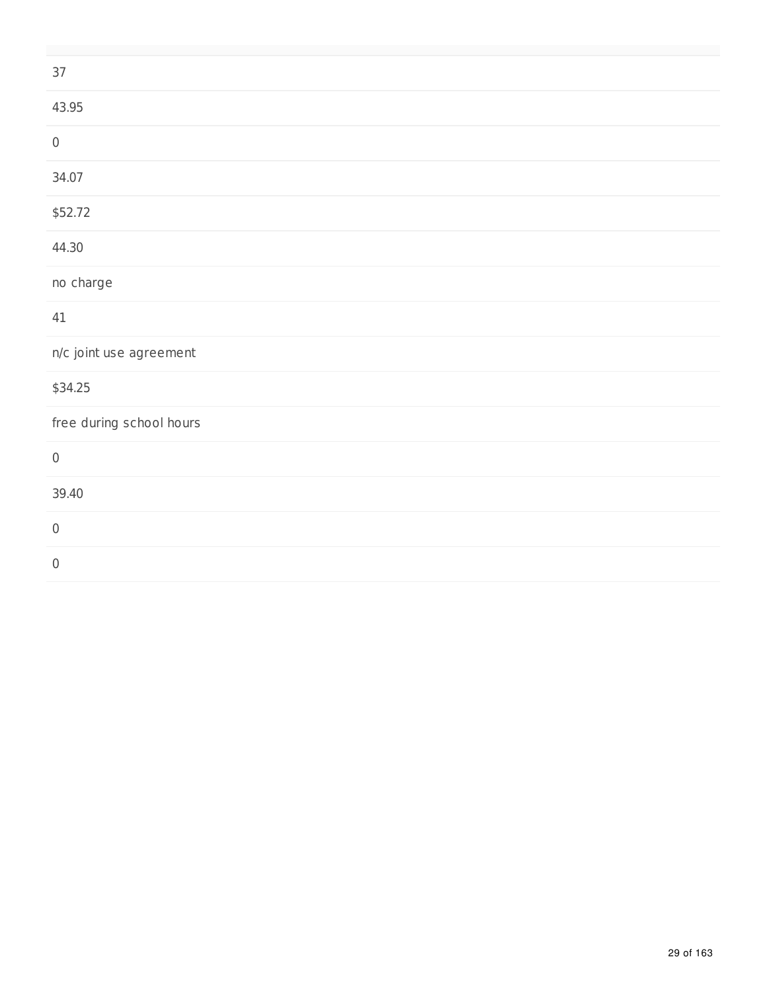| $37\,$                   |
|--------------------------|
| 43.95                    |
| $\,0\,$                  |
| 34.07                    |
| \$52.72                  |
| 44.30                    |
| no charge                |
| 41                       |
| n/c joint use agreement  |
| \$34.25                  |
| free during school hours |
| $\,0\,$                  |
| 39.40                    |
| $\,0\,$                  |
| $\,0\,$                  |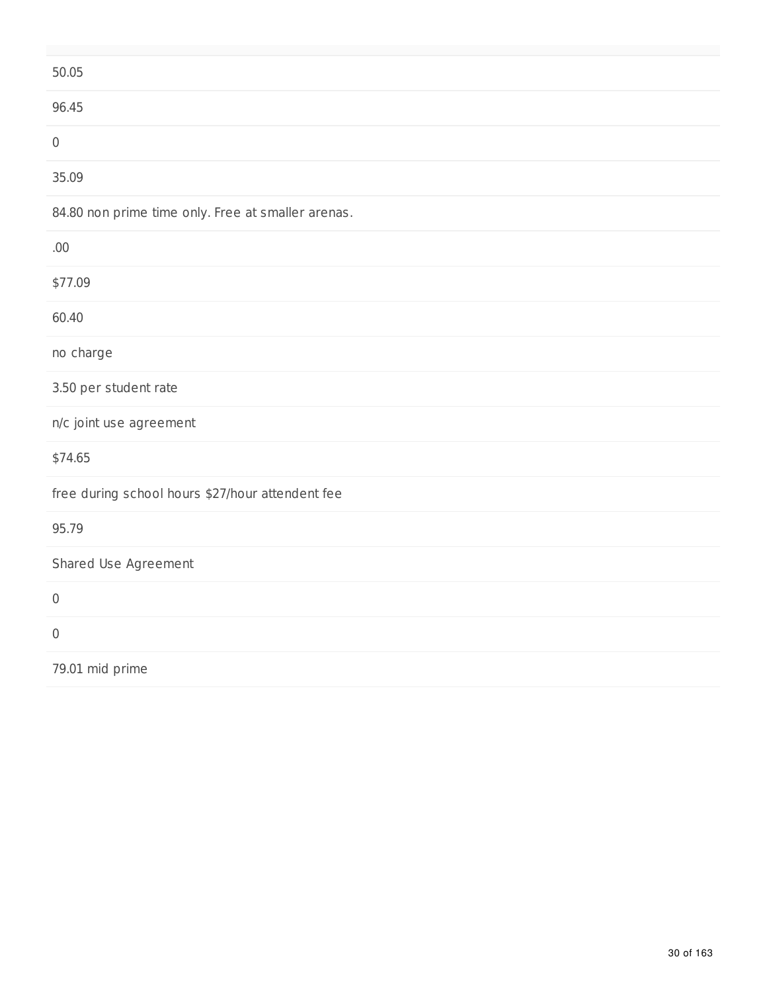| 50.05                                              |
|----------------------------------------------------|
| 96.45                                              |
| $\mathbf 0$                                        |
| 35.09                                              |
| 84.80 non prime time only. Free at smaller arenas. |
| .00.                                               |
| \$77.09                                            |
| 60.40                                              |
| no charge                                          |
| 3.50 per student rate                              |
| n/c joint use agreement                            |
| \$74.65                                            |
| free during school hours \$27/hour attendent fee   |
| 95.79                                              |
| Shared Use Agreement                               |
| $\mathbf 0$                                        |
| $\mathbf 0$                                        |
| 79.01 mid prime                                    |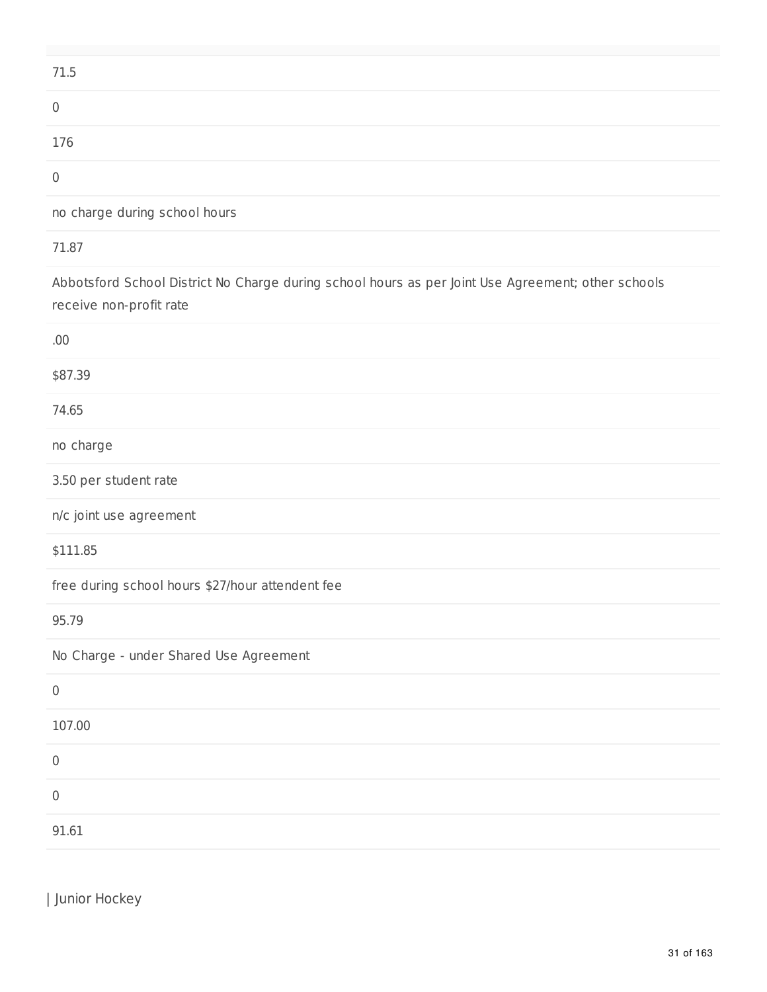| 71.5 |  |  |  |
|------|--|--|--|
|      |  |  |  |
| 176  |  |  |  |
|      |  |  |  |

no charge during school hours

#### 71.87

Abbotsford School District No Charge during school hours as per Joint Use Agreement; other schools receive non-profit rate

| Junior Hockey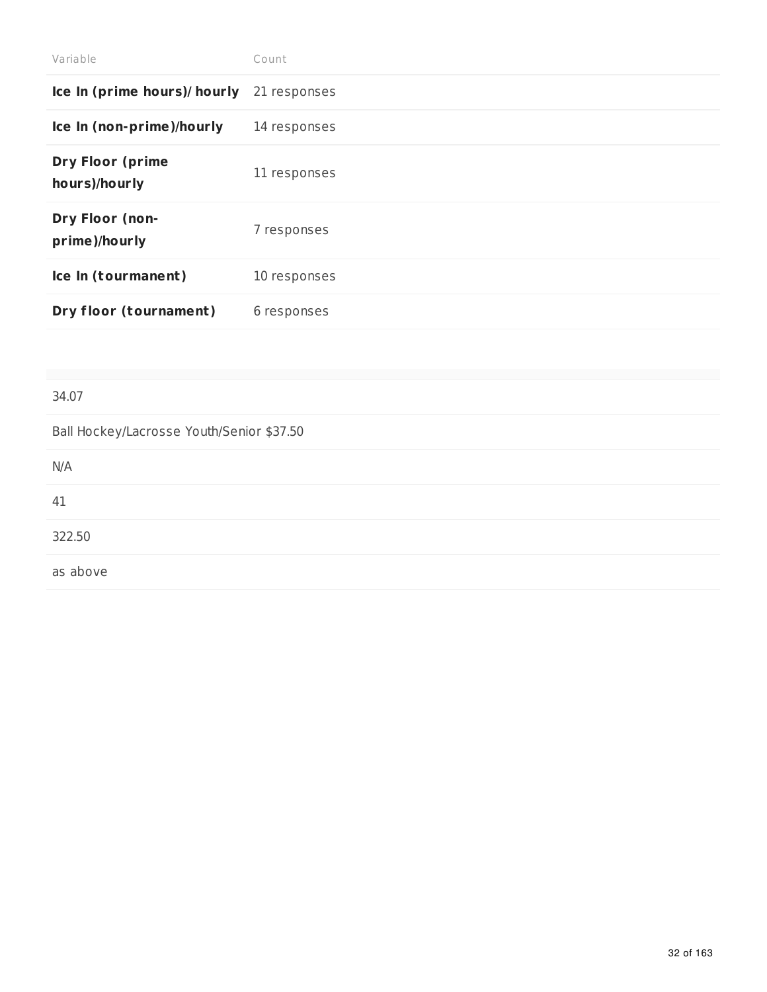| Count        |
|--------------|
| 21 responses |
| 14 responses |
| 11 responses |
| 7 responses  |
| 10 responses |
| 6 responses  |
|              |

#### 34.07

Ball Hockey/Lacrosse Youth/Senior \$37.50

| N/A      |  |  |  |
|----------|--|--|--|
| 41       |  |  |  |
| 322.50   |  |  |  |
| as above |  |  |  |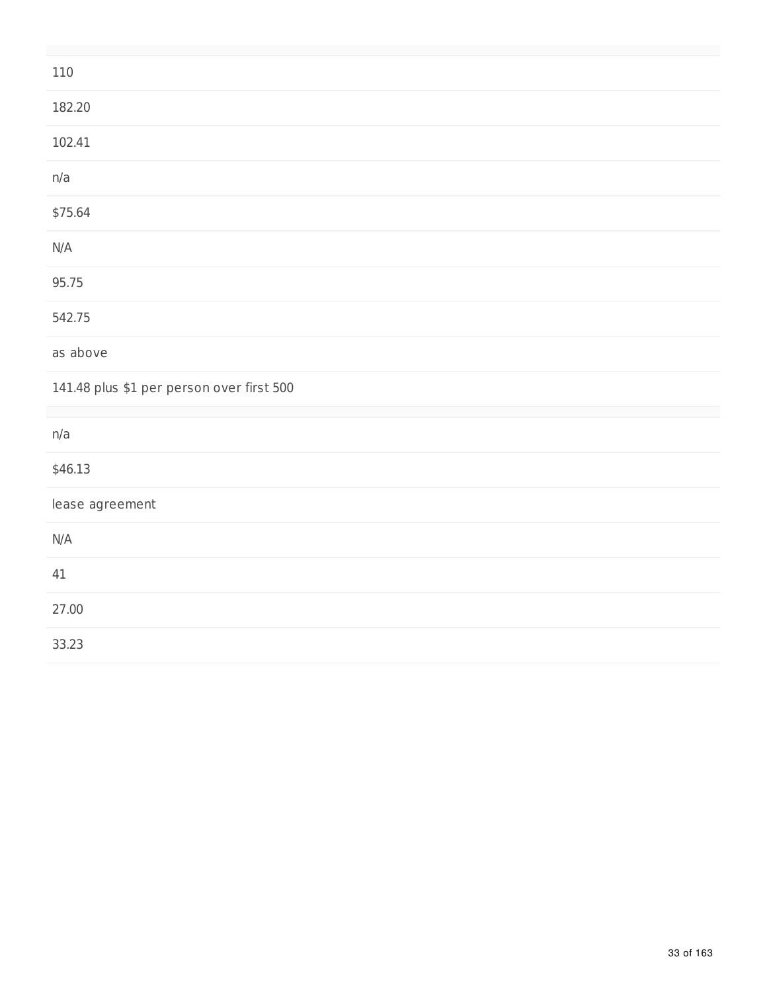| 110                                       |
|-------------------------------------------|
| 182.20                                    |
| 102.41                                    |
| n/a                                       |
| \$75.64                                   |
| N/A                                       |
| 95.75                                     |
| 542.75                                    |
| as above                                  |
| 141.48 plus \$1 per person over first 500 |
| n/a                                       |
| \$46.13                                   |
| lease agreement                           |
| N/A                                       |
| 41                                        |
| 27.00                                     |
| 33.23                                     |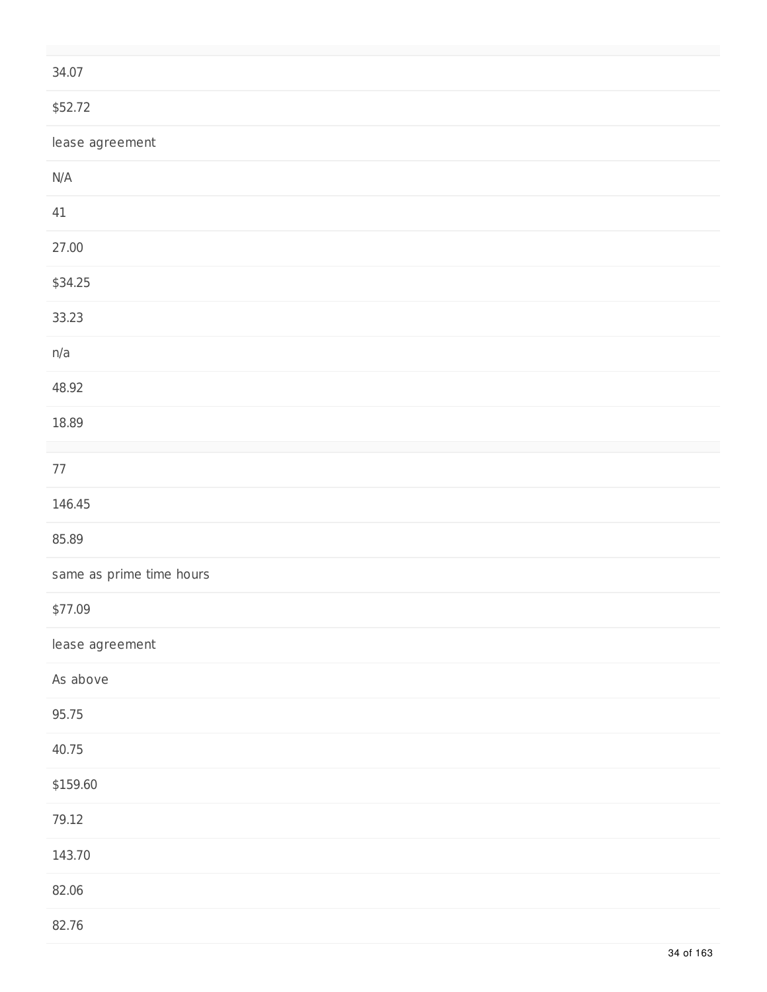| 34.07                    |
|--------------------------|
| \$52.72                  |
| lease agreement          |
| $\mathsf{N}/\mathsf{A}$  |
| 41                       |
| 27.00                    |
| \$34.25                  |
| 33.23                    |
| n/a                      |
| 48.92                    |
| 18.89                    |
| $77\,$                   |
| 146.45                   |
| 85.89                    |
| same as prime time hours |
| \$77.09                  |
| lease agreement          |
| As above                 |
| 95.75                    |
| 40.75                    |
| \$159.60                 |
| 79.12                    |
| 143.70                   |
| 82.06                    |
| 82.76                    |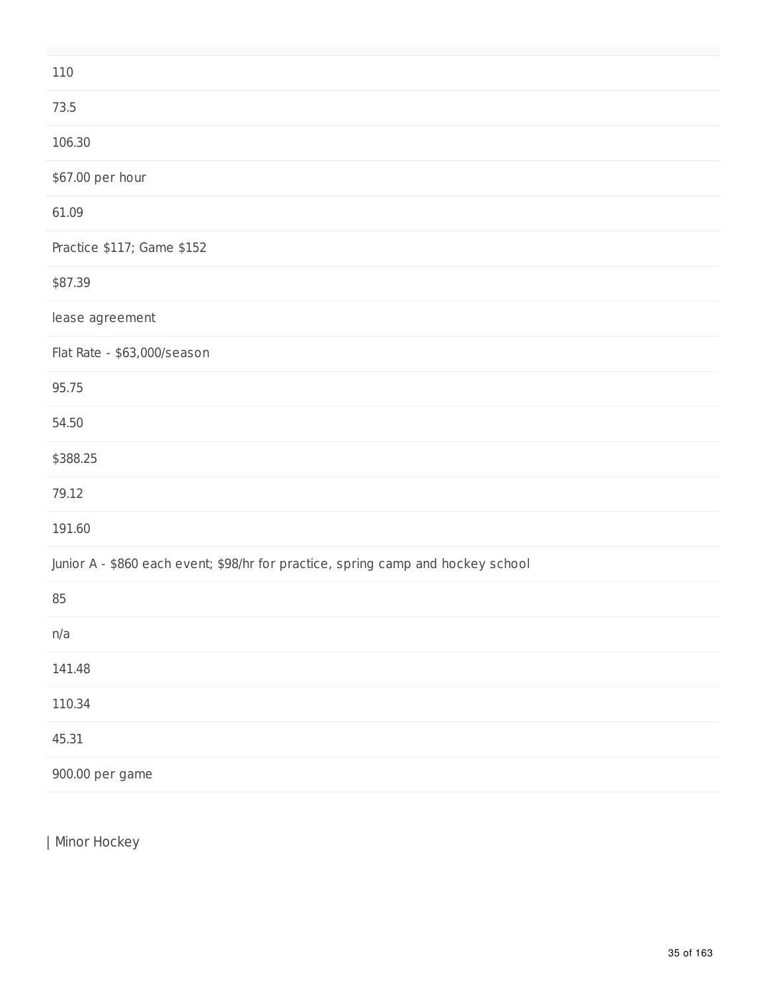| 110                                                                              |
|----------------------------------------------------------------------------------|
| 73.5                                                                             |
| 106.30                                                                           |
| \$67.00 per hour                                                                 |
| 61.09                                                                            |
| Practice \$117; Game \$152                                                       |
| \$87.39                                                                          |
| lease agreement                                                                  |
| Flat Rate - \$63,000/season                                                      |
| 95.75                                                                            |
| 54.50                                                                            |
| \$388.25                                                                         |
| 79.12                                                                            |
| 191.60                                                                           |
| Junior A - \$860 each event; \$98/hr for practice, spring camp and hockey school |
| 85                                                                               |
| n/a                                                                              |
| 141.48                                                                           |
| 110.34                                                                           |
| 45.31                                                                            |
| 900.00 per game                                                                  |

| Minor Hockey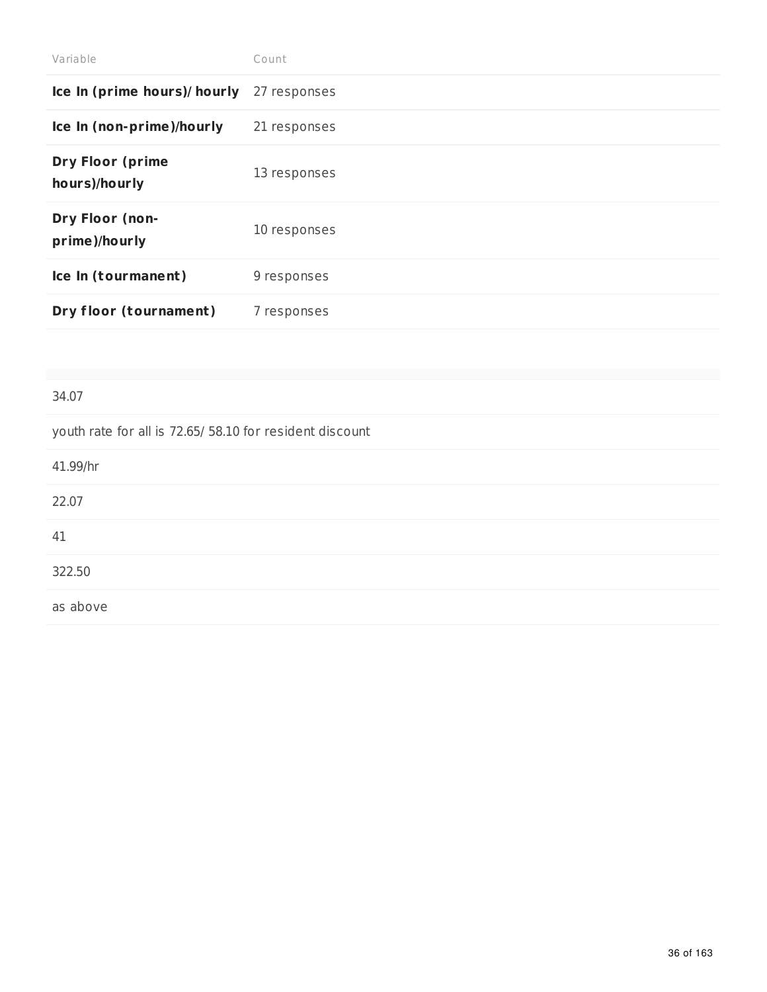| Variable                                 | Count        |
|------------------------------------------|--------------|
| Ice In (prime hours)/ hourly             | 27 responses |
| Ice In (non-prime)/hourly                | 21 responses |
| <b>Dry Floor (prime</b><br>hours)/hourly | 13 responses |
| Dry Floor (non-<br>prime)/hourly         | 10 responses |
| Ice In (tourmanent)                      | 9 responses  |
| Dry floor (tournament)                   | 7 responses  |

#### 34.07

| youth rate for all is 72.65/ 58.10 for resident discount |
|----------------------------------------------------------|
| 41.99/hr                                                 |
| 22.07                                                    |
| 41                                                       |
| 322.50                                                   |
| as above                                                 |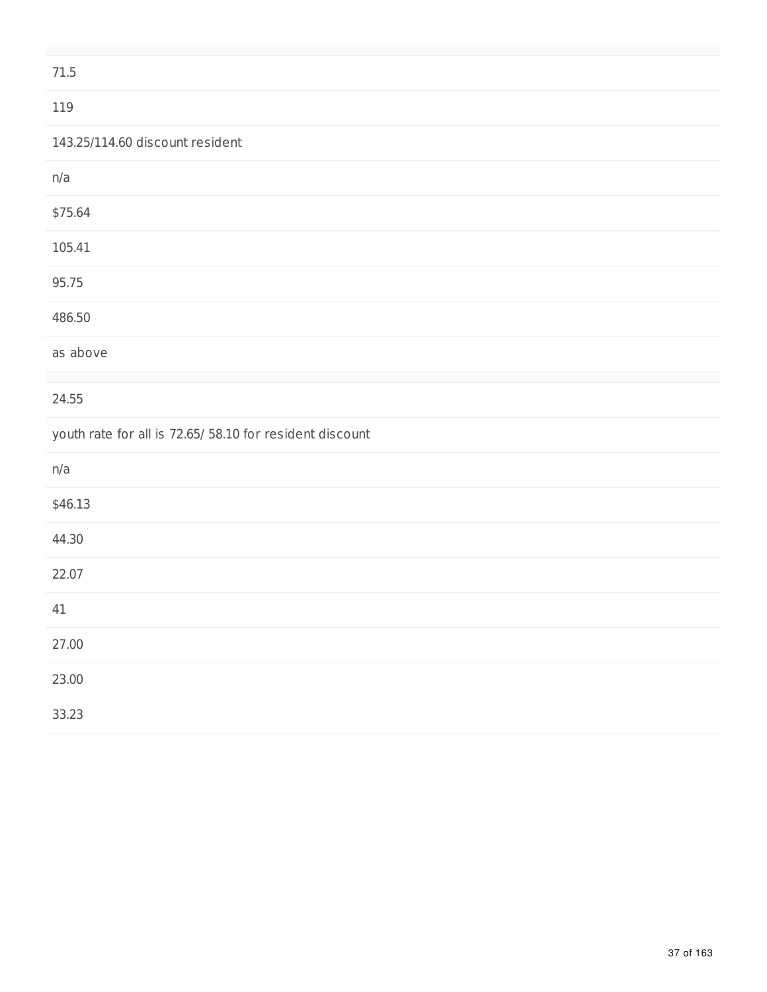| 71.5                                                     |  |
|----------------------------------------------------------|--|
| 119                                                      |  |
| 143.25/114.60 discount resident                          |  |
| n/a                                                      |  |
| \$75.64                                                  |  |
| 105.41                                                   |  |
| 95.75                                                    |  |
| 486.50                                                   |  |
| as above                                                 |  |
|                                                          |  |
| 24.55                                                    |  |
| youth rate for all is 72.65/ 58.10 for resident discount |  |
| n/a                                                      |  |
| \$46.13                                                  |  |
| 44.30                                                    |  |
| 22.07                                                    |  |
| 41                                                       |  |
| 27.00                                                    |  |
| 23.00                                                    |  |
| 33.23                                                    |  |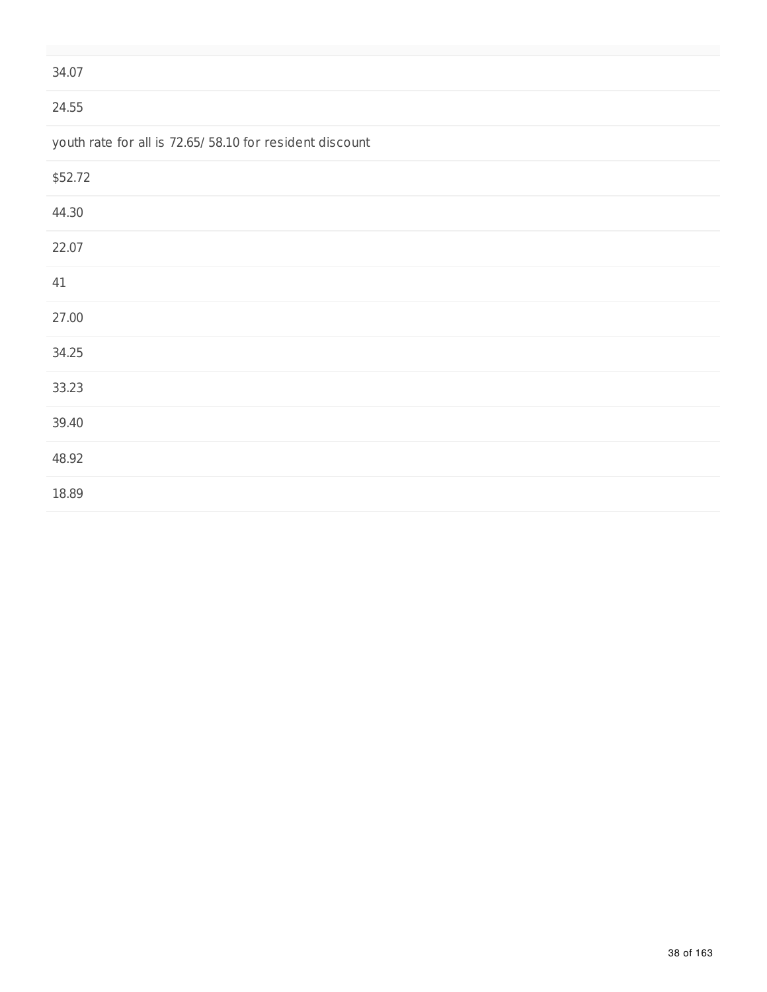#### 24.55

youth rate for all is 72.65/ 58.10 for resident discount

| \$52.72 |  |  |
|---------|--|--|
| 44.30   |  |  |
| 22.07   |  |  |
| 41      |  |  |
| 27.00   |  |  |
| 34.25   |  |  |
| 33.23   |  |  |
| 39.40   |  |  |
| 48.92   |  |  |
| 18.89   |  |  |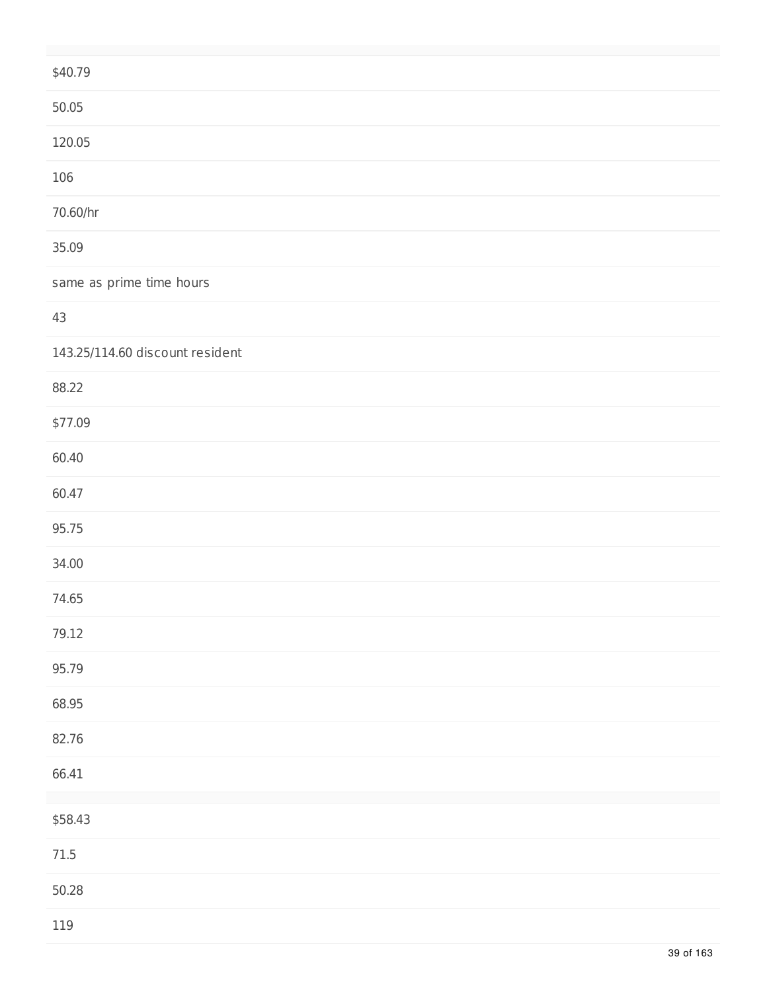| \$40.79                         |
|---------------------------------|
| 50.05                           |
| 120.05                          |
| 106                             |
| 70.60/hr                        |
| 35.09                           |
| same as prime time hours        |
| 43                              |
| 143.25/114.60 discount resident |
| 88.22                           |
| \$77.09                         |
| 60.40                           |
| 60.47                           |
| 95.75                           |
| 34.00                           |
| 74.65                           |
| 79.12                           |
| 95.79                           |
| 68.95                           |
| 82.76                           |
| 66.41                           |
| \$58.43                         |
| $71.5\,$                        |
| 50.28                           |
| 119                             |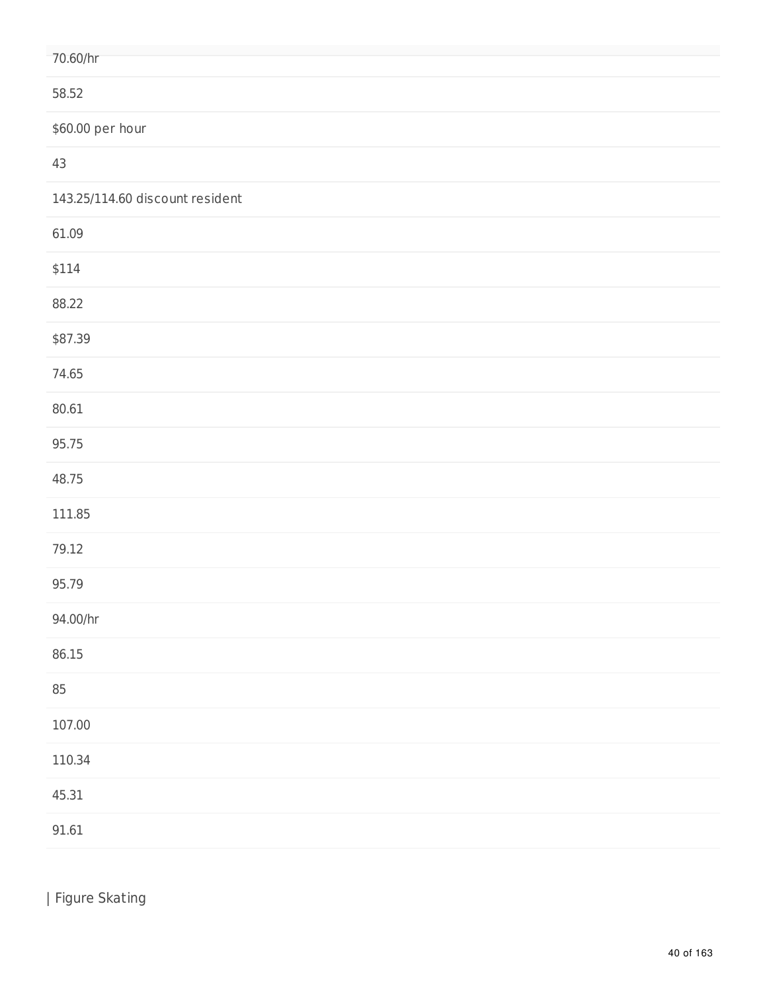| 70.60/hr                        |
|---------------------------------|
| 58.52                           |
| \$60.00 per hour                |
| 43                              |
| 143.25/114.60 discount resident |
| 61.09                           |
| \$114                           |
| 88.22                           |
| \$87.39                         |
| 74.65                           |
| 80.61                           |
| 95.75                           |
| 48.75                           |
| 111.85                          |
| 79.12                           |
| 95.79                           |
| 94.00/hr                        |
| 86.15                           |
| 85                              |
| 107.00                          |
| 110.34                          |
| 45.31                           |
| 91.61                           |

| Figure Skating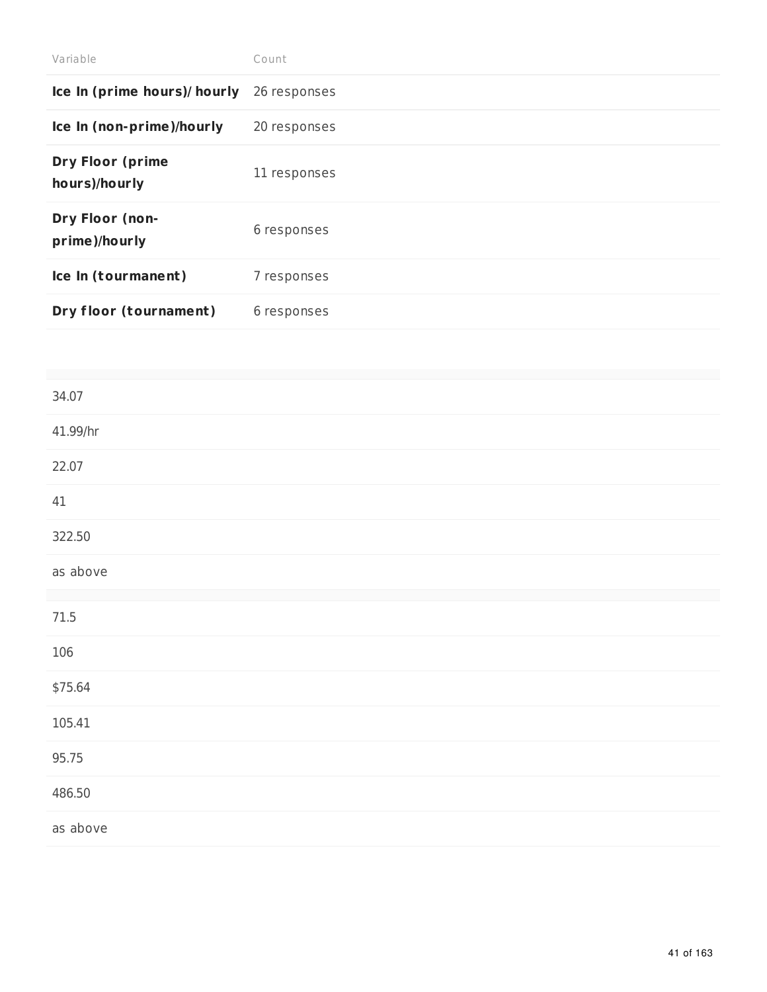| Variable                                 | Count        |
|------------------------------------------|--------------|
| Ice In (prime hours)/ hourly             | 26 responses |
| Ice In (non-prime)/hourly                | 20 responses |
| <b>Dry Floor (prime</b><br>hours)/hourly | 11 responses |
| Dry Floor (non-<br>prime)/hourly         | 6 responses  |
| Ice In (tourmanent)                      | 7 responses  |
| Dry floor (tournament)                   | 6 responses  |

| 41.99/hr<br>22.07<br>$41\,$<br>322.50<br>as above<br>$71.5\,$<br>106<br>\$75.64<br>105.41<br>95.75<br>486.50<br>as above | 34.07 |  |
|--------------------------------------------------------------------------------------------------------------------------|-------|--|
|                                                                                                                          |       |  |
|                                                                                                                          |       |  |
|                                                                                                                          |       |  |
|                                                                                                                          |       |  |
|                                                                                                                          |       |  |
|                                                                                                                          |       |  |
|                                                                                                                          |       |  |
|                                                                                                                          |       |  |
|                                                                                                                          |       |  |
|                                                                                                                          |       |  |
|                                                                                                                          |       |  |
|                                                                                                                          |       |  |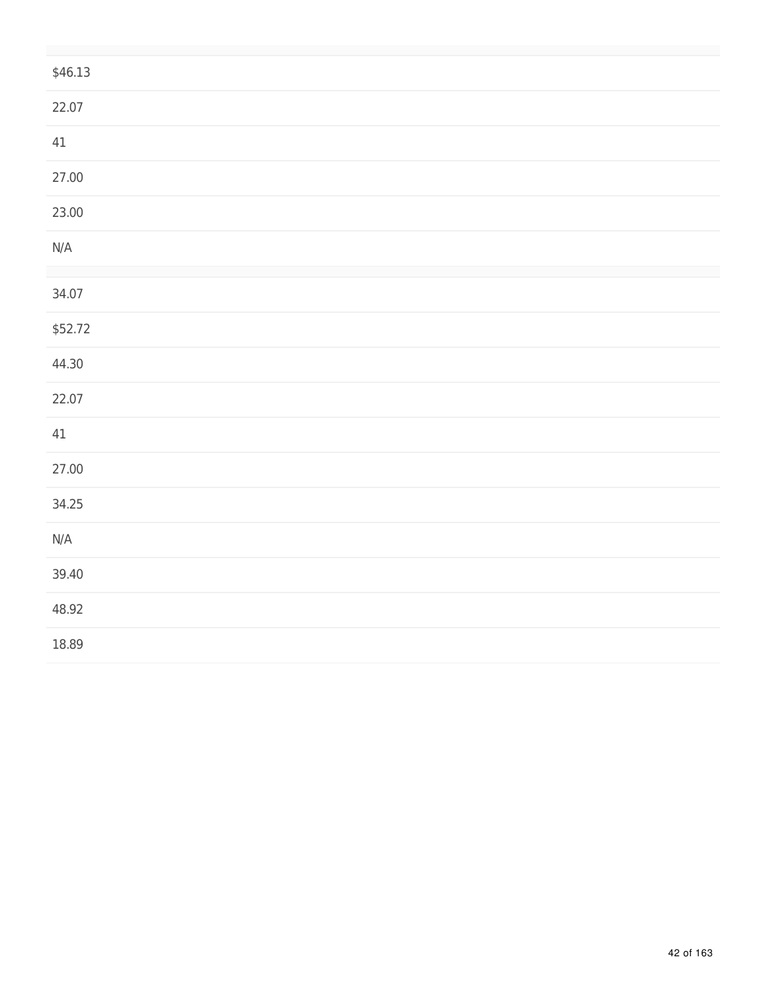| \$46.13                 |  |
|-------------------------|--|
| 22.07                   |  |
| 41                      |  |
| 27.00                   |  |
| 23.00                   |  |
| $\mathsf{N}/\mathsf{A}$ |  |
|                         |  |
| 34.07                   |  |
| \$52.72                 |  |
| 44.30                   |  |
| 22.07                   |  |
| $41\,$                  |  |
| 27.00                   |  |
| 34.25                   |  |
| $\mathsf{N}/\mathsf{A}$ |  |
| 39.40                   |  |
| 48.92                   |  |
| 18.89                   |  |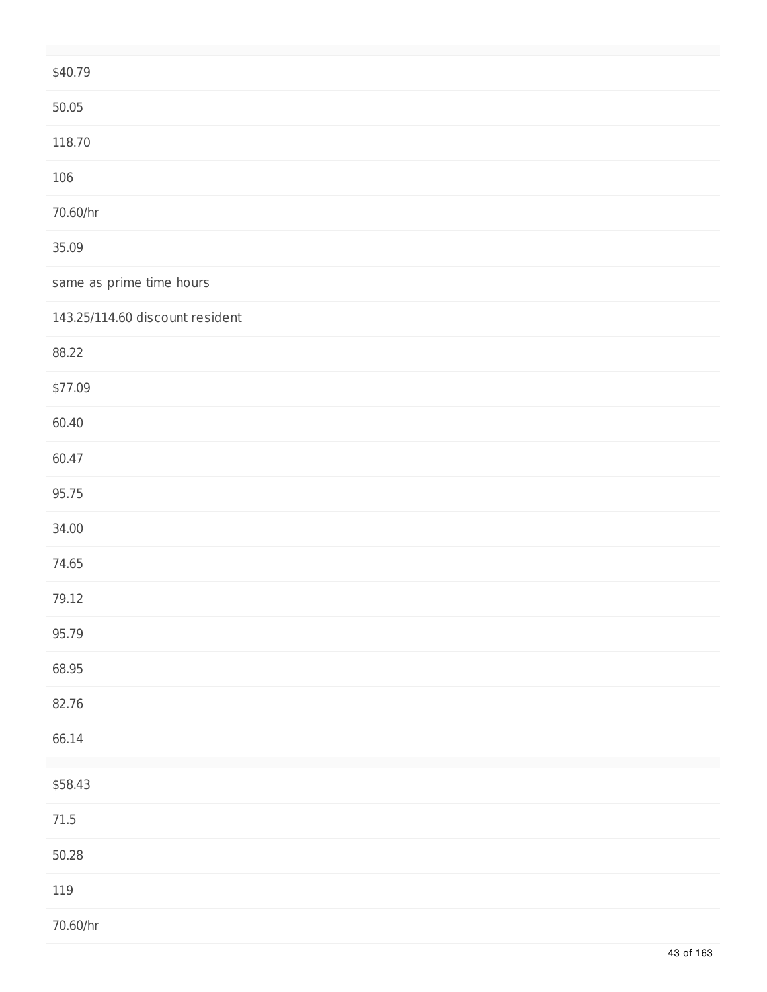| \$40.79                         |
|---------------------------------|
| 50.05                           |
| 118.70                          |
| 106                             |
| 70.60/hr                        |
| 35.09                           |
| same as prime time hours        |
| 143.25/114.60 discount resident |
| 88.22                           |
| \$77.09                         |
| 60.40                           |
| 60.47                           |
| 95.75                           |
| 34.00                           |
| 74.65                           |
| 79.12                           |
| 95.79                           |
| 68.95                           |
| 82.76                           |
| 66.14                           |
| \$58.43                         |
| $71.5\,$                        |
| 50.28                           |
| 119                             |
| 70.60/hr                        |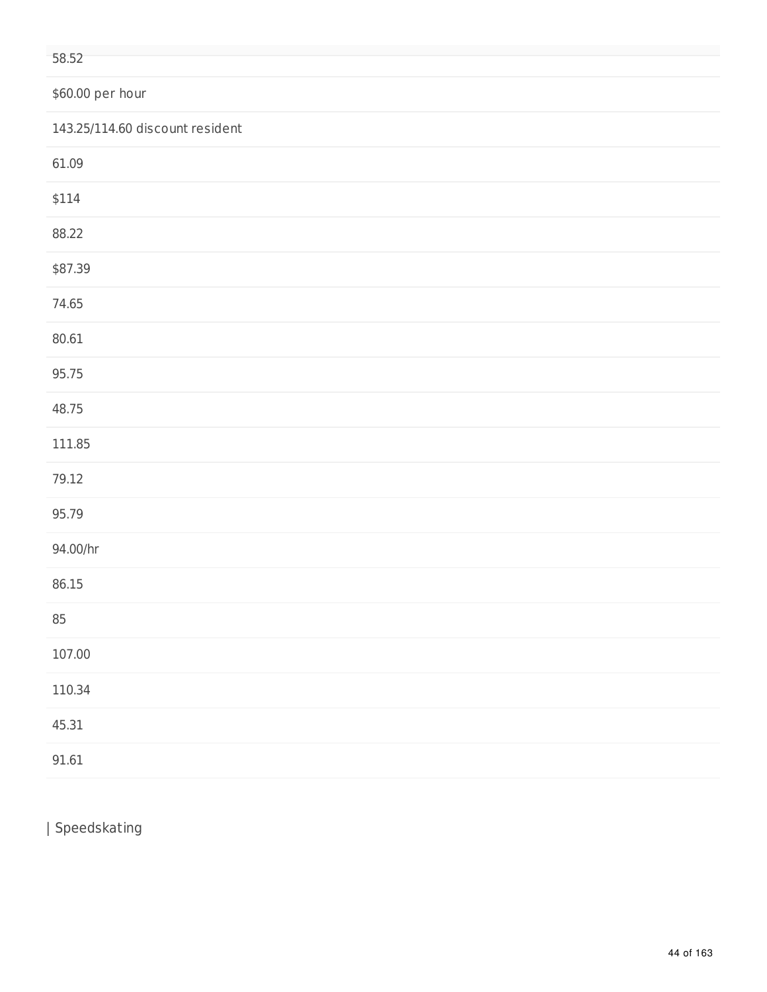#### \$60.00 per hour

| 143.25/114.60 discount resident |
|---------------------------------|
| 61.09                           |
| \$114                           |
| 88.22                           |
| \$87.39                         |
| 74.65                           |
| 80.61                           |
| 95.75                           |
| 48.75                           |
| 111.85                          |
| 79.12                           |
| 95.79                           |
| 94.00/hr                        |
| 86.15                           |
| 85                              |
| 107.00                          |
| 110.34                          |
| 45.31                           |
| 91.61                           |

| Speedskating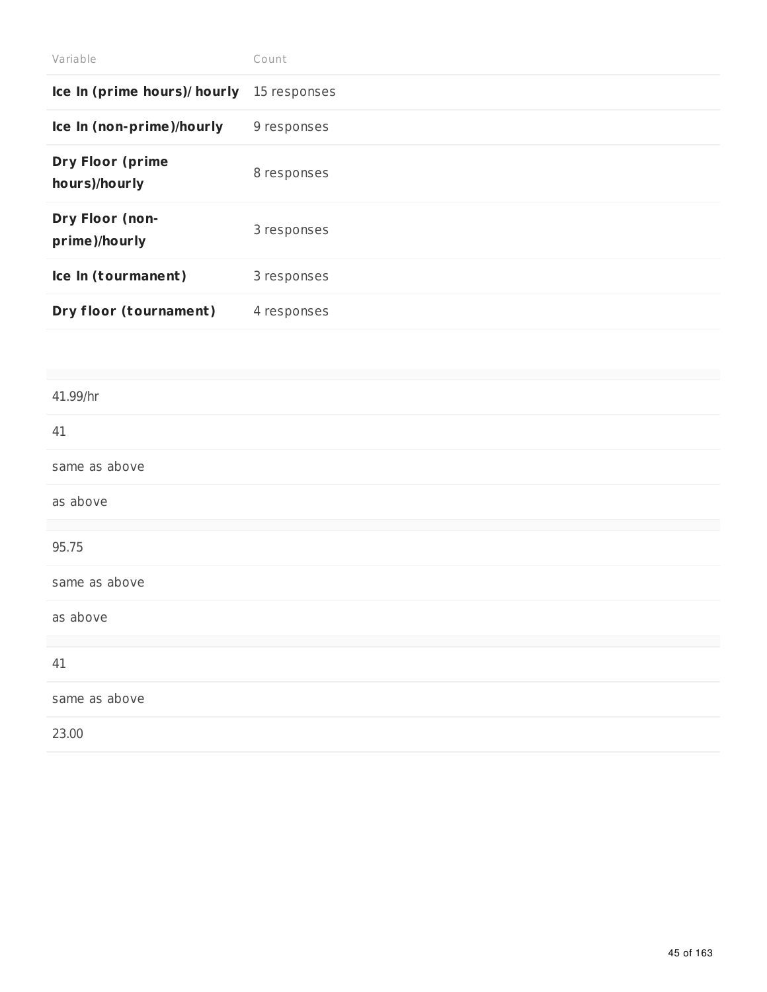| Variable                                 | Count        |
|------------------------------------------|--------------|
| Ice In (prime hours)/ hourly             | 15 responses |
| Ice In (non-prime)/hourly                | 9 responses  |
| <b>Dry Floor (prime</b><br>hours)/hourly | 8 responses  |
| Dry Floor (non-<br>prime)/hourly         | 3 responses  |
| Ice In (tourmanent)                      | 3 responses  |
| Dry floor (tournament)                   | 4 responses  |

# 41.99/hr 41 same as above as above 95.75 same as above as above 41 same as above 23.00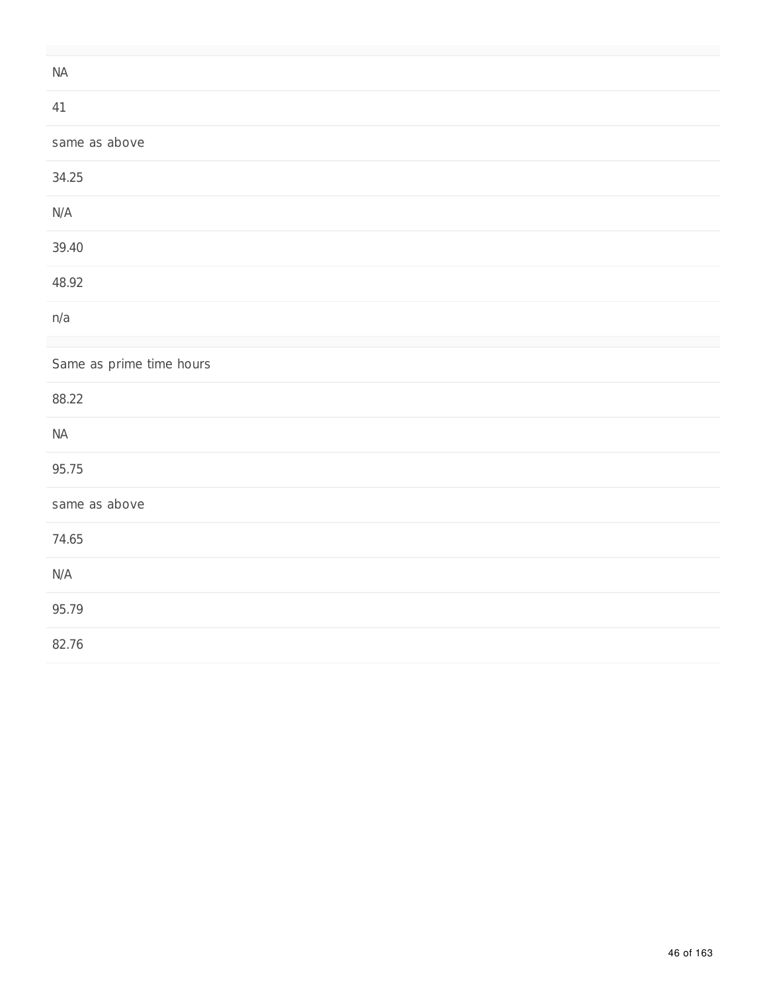| $\sf{NA}$                |
|--------------------------|
| 41                       |
| same as above            |
| 34.25                    |
| $\mathsf{N}/\mathsf{A}$  |
| 39.40                    |
| 48.92                    |
| n/a                      |
| Same as prime time hours |
| 88.22                    |
| $\sf{NA}$                |
| 95.75                    |
| same as above            |
| 74.65                    |
| $\mathsf{N}/\mathsf{A}$  |
| 95.79                    |
| 82.76                    |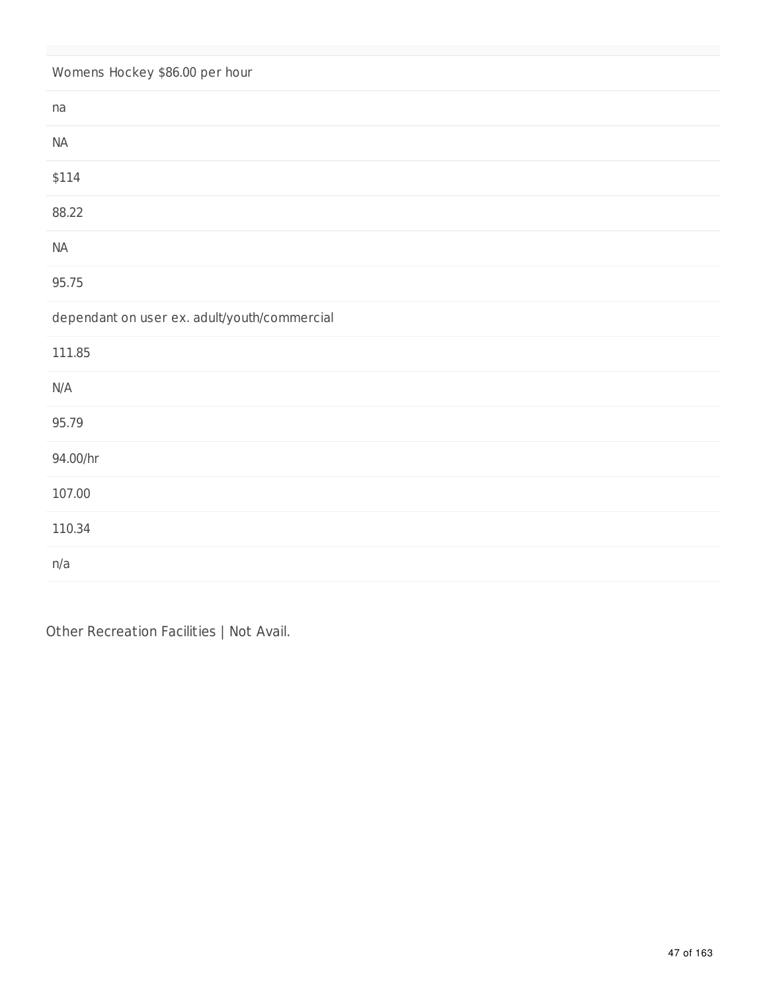# Womens Hockey \$86.00 per hour

| na                                           |
|----------------------------------------------|
| $\sf NA$                                     |
| \$114                                        |
| 88.22                                        |
| $\sf NA$                                     |
| 95.75                                        |
| dependant on user ex. adult/youth/commercial |
| 111.85                                       |
| N/A                                          |
| 95.79                                        |
| 94.00/hr                                     |
|                                              |
| 107.00                                       |
| 110.34                                       |

Other Recreation Facilities | Not Avail.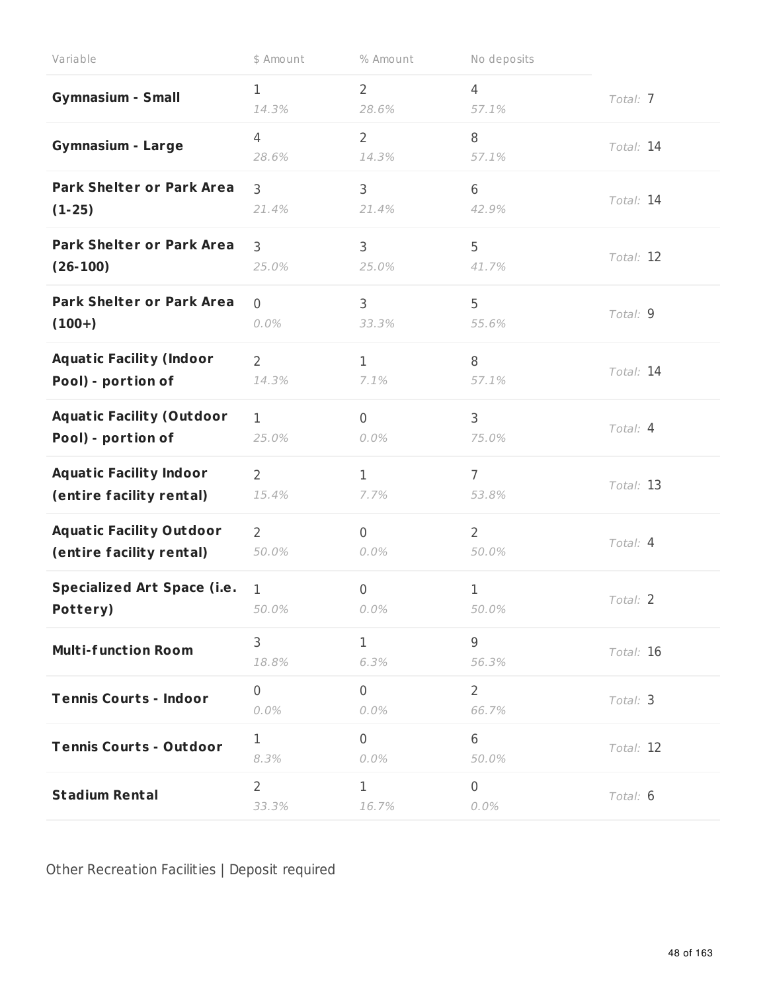| Variable                           | \$ Amount               | % Amount                | No deposits             |           |
|------------------------------------|-------------------------|-------------------------|-------------------------|-----------|
| <b>Gymnasium - Small</b>           | 1<br>14.3%              | $\overline{2}$<br>28.6% | $\overline{4}$<br>57.1% | Total: 7  |
| <b>Gymnasium - Large</b>           | 4<br>28.6%              | $\overline{2}$<br>14.3% | 8<br>57.1%              | Total: 14 |
| <b>Park Shelter or Park Area</b>   | $\overline{3}$          | 3                       | 6                       | Total: 14 |
| $(1-25)$                           | 21.4%                   | 21.4%                   | 42.9%                   |           |
| <b>Park Shelter or Park Area</b>   | 3                       | 3                       | 5                       | Total: 12 |
| $(26-100)$                         | 25.0%                   | 25.0%                   | 41.7%                   |           |
| <b>Park Shelter or Park Area</b>   | $\overline{0}$          | 3                       | 5                       | Total: 9  |
| $(100+)$                           | 0.0%                    | 33.3%                   | 55.6%                   |           |
| <b>Aquatic Facility (Indoor</b>    | $\overline{2}$          | $\mathbf{1}$            | 8                       | Total: 14 |
| Pool) - portion of                 | 14.3%                   | 7.1%                    | 57.1%                   |           |
| <b>Aquatic Facility (Outdoor</b>   | $\mathbf{1}$            | $\overline{0}$          | 3                       | Total: 4  |
| Pool) - portion of                 | 25.0%                   | 0.0%                    | 75.0%                   |           |
| <b>Aquatic Facility Indoor</b>     | $\overline{2}$          | $\mathbf{1}$            | $\overline{7}$          | Total: 13 |
| (entire facility rental)           | 15.4%                   | 7.7%                    | 53.8%                   |           |
| <b>Aquatic Facility Outdoor</b>    | $\overline{2}$          | $\overline{0}$          | $\overline{2}$          | Total: 4  |
| (entire facility rental)           | 50.0%                   | 0.0%                    | 50.0%                   |           |
| <b>Specialized Art Space (i.e.</b> | 1                       | $\mathbf 0$             | $\mathbf 1$             | Total: 2  |
| Pottery)                           | 50.0%                   | 0.0%                    | 50.0%                   |           |
| <b>Multi-function Room</b>         | 3<br>18.8%              | $\mathbf{1}$<br>6.3%    | $\overline{9}$<br>56.3% | Total: 16 |
| <b>Tennis Courts - Indoor</b>      | $\overline{0}$<br>0.0%  | $\overline{0}$<br>0.0%  | $\overline{2}$<br>66.7% | Total: 3  |
| <b>Tennis Courts - Outdoor</b>     | $\mathbf{1}$<br>8.3%    | $\overline{0}$<br>0.0%  | 6<br>50.0%              | Total: 12 |
| <b>Stadium Rental</b>              | $\overline{2}$<br>33.3% | $\mathbf{1}$<br>16.7%   | $\overline{0}$<br>0.0%  | Total: 6  |

Other Recreation Facilities | Deposit required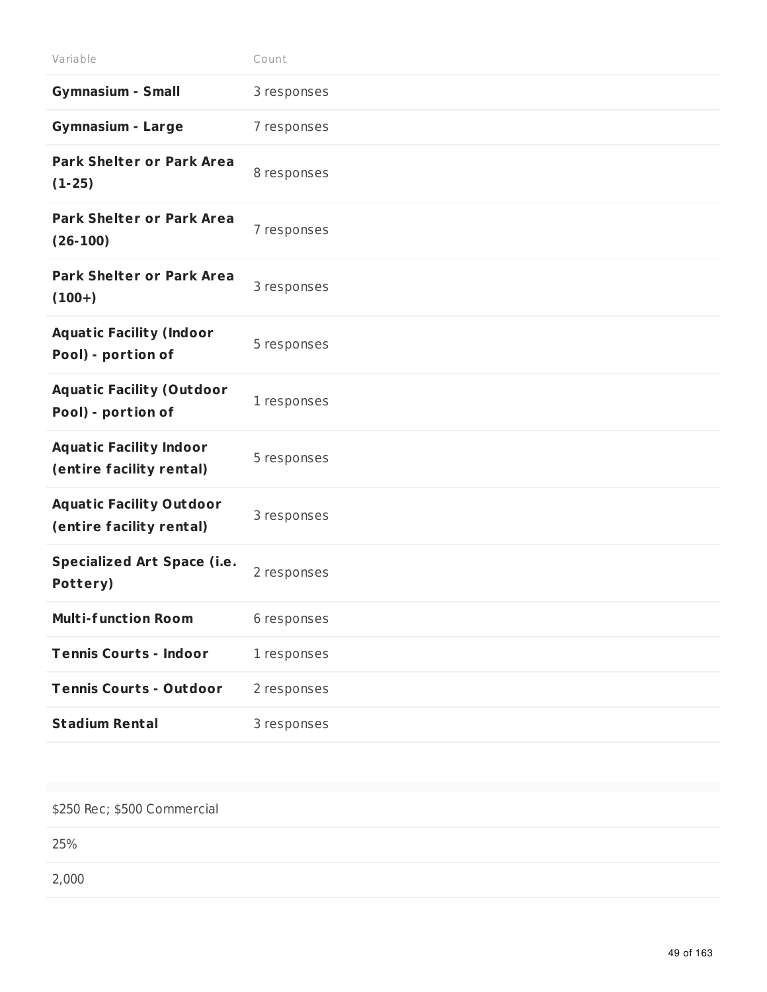| Variable                                                    | Count       |
|-------------------------------------------------------------|-------------|
| <b>Gymnasium - Small</b>                                    | 3 responses |
| <b>Gymnasium - Large</b>                                    | 7 responses |
| <b>Park Shelter or Park Area</b><br>$(1-25)$                | 8 responses |
| <b>Park Shelter or Park Area</b><br>$(26-100)$              | 7 responses |
| <b>Park Shelter or Park Area</b><br>$(100+)$                | 3 responses |
| <b>Aquatic Facility (Indoor</b><br>Pool) - portion of       | 5 responses |
| <b>Aquatic Facility (Outdoor</b><br>Pool) - portion of      | 1 responses |
| <b>Aquatic Facility Indoor</b><br>(entire facility rental)  | 5 responses |
| <b>Aquatic Facility Outdoor</b><br>(entire facility rental) | 3 responses |
| <b>Specialized Art Space (i.e.</b><br>Pottery)              | 2 responses |
| <b>Multi-function Room</b>                                  | 6 responses |
| <b>Tennis Courts - Indoor</b>                               | 1 responses |
| <b>Tennis Courts - Outdoor</b>                              | 2 responses |
| <b>Stadium Rental</b>                                       | 3 responses |
|                                                             |             |

#### \$250 Rec; \$500 Commercial

25%

2,000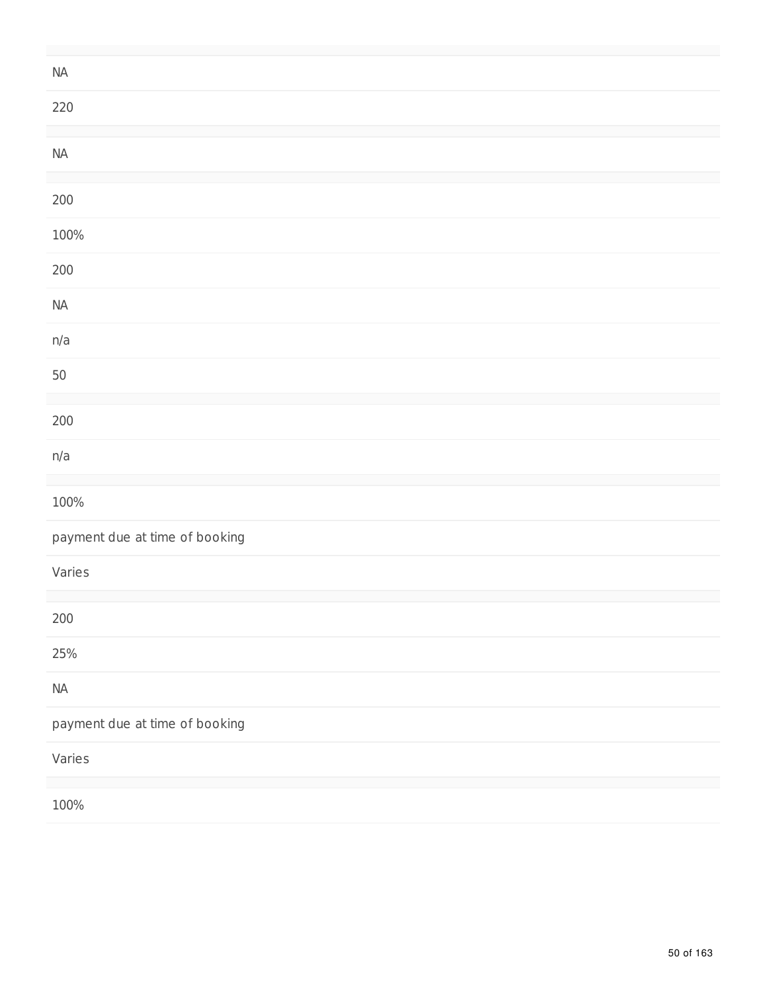| $\sf NA$                       |
|--------------------------------|
| 220                            |
|                                |
| $\sf NA$                       |
|                                |
| $200\,$                        |
| 100%                           |
| $200\,$                        |
| $\sf NA$                       |
| n/a                            |
| $50\,$                         |
|                                |
| $200\,$                        |
| n/a                            |
|                                |
| 100%                           |
| payment due at time of booking |
| Varies                         |
|                                |
| 200                            |
| 25%                            |
| $\sf NA$                       |
| payment due at time of booking |
| Varies                         |
|                                |
| 100%                           |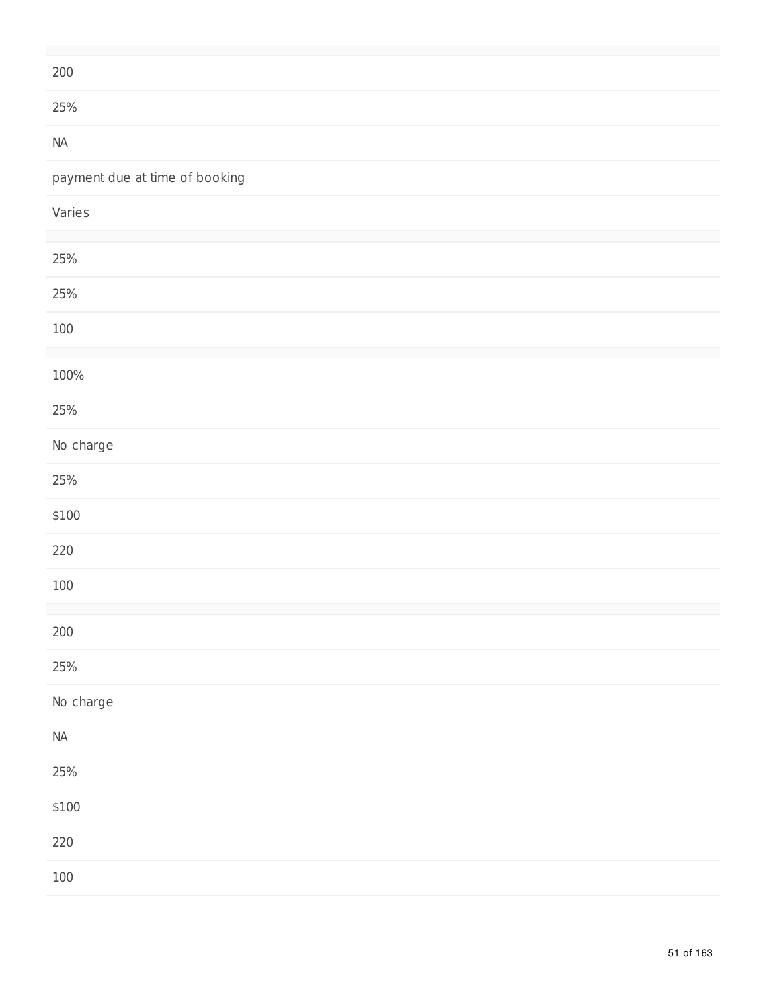| $200\,$                        |
|--------------------------------|
| 25%                            |
| $\sf{NA}$                      |
| payment due at time of booking |
| Varies                         |
| 25%                            |
| 25%                            |
| $100\,$                        |
| 100%                           |
| 25%                            |
| No charge                      |
| 25%                            |
| \$100                          |
| 220                            |
| $100\,$                        |
| $200\,$                        |
| $25%$                          |
| No charge                      |
| $\sf{NA}$                      |
| 25%                            |
| \$100                          |
| 220                            |
| $100\,$                        |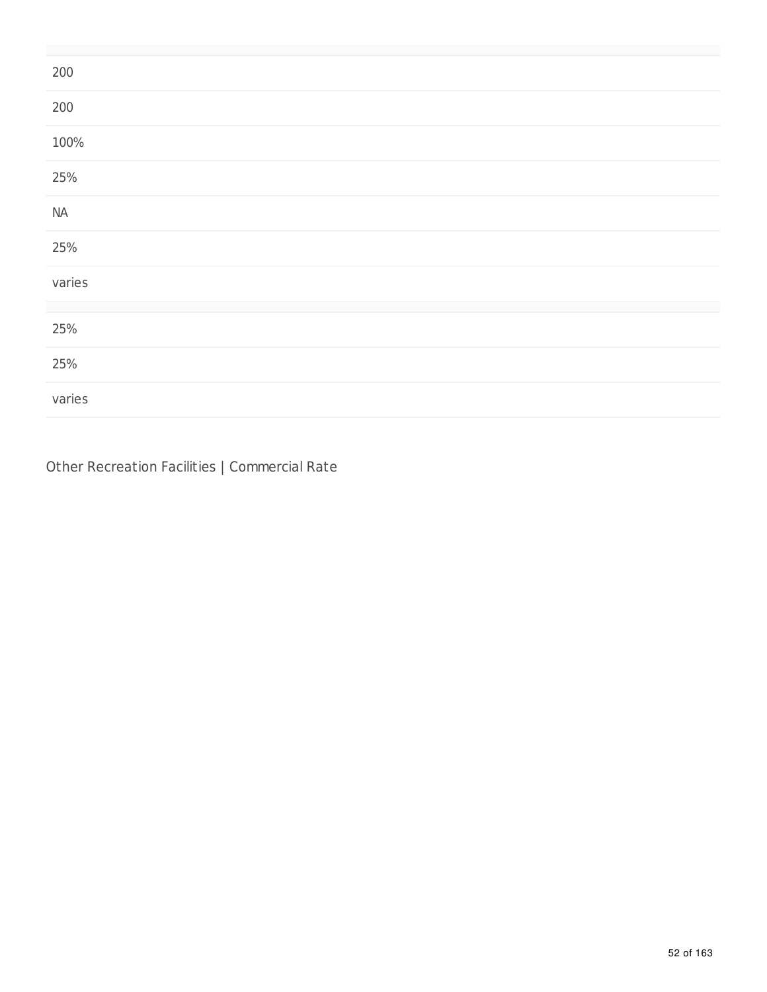| 200      |  |
|----------|--|
| 200      |  |
| 100%     |  |
| 25%      |  |
| $\sf NA$ |  |
| 25%      |  |
| varies   |  |
| 25%      |  |
|          |  |
| 25%      |  |
| varies   |  |

Other Recreation Facilities | Commercial Rate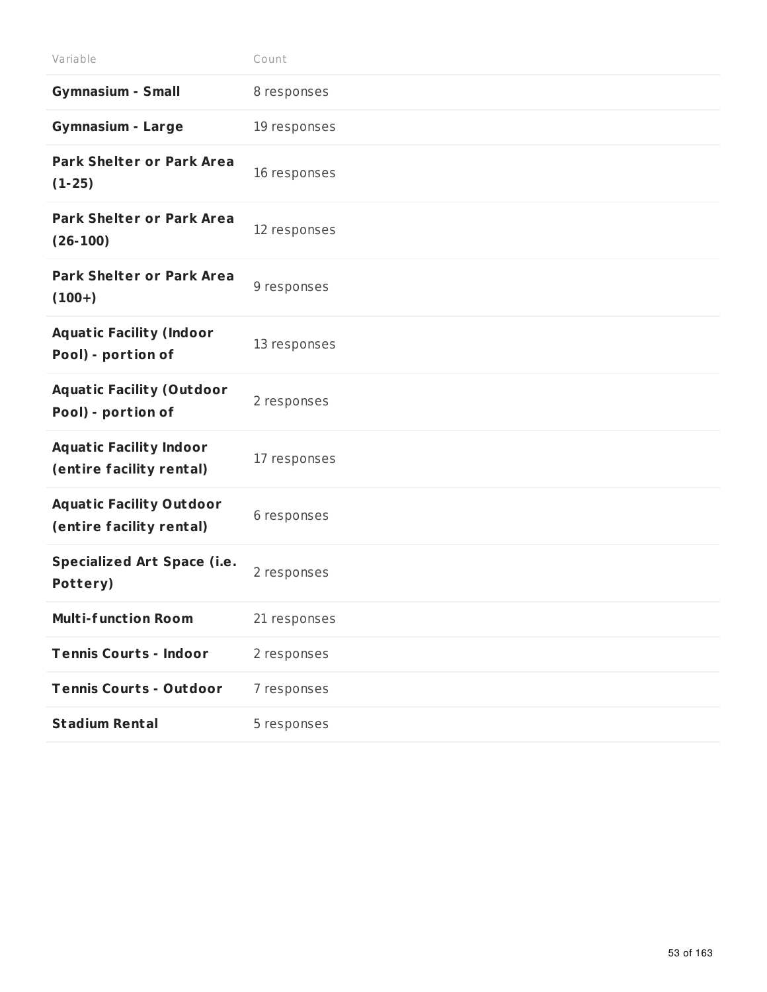| Variable                                                    | Count        |
|-------------------------------------------------------------|--------------|
| <b>Gymnasium - Small</b>                                    | 8 responses  |
| <b>Gymnasium - Large</b>                                    | 19 responses |
| <b>Park Shelter or Park Area</b><br>$(1-25)$                | 16 responses |
| <b>Park Shelter or Park Area</b><br>$(26-100)$              | 12 responses |
| <b>Park Shelter or Park Area</b><br>$(100+)$                | 9 responses  |
| <b>Aquatic Facility (Indoor</b><br>Pool) - portion of       | 13 responses |
| <b>Aquatic Facility (Outdoor</b><br>Pool) - portion of      | 2 responses  |
| <b>Aquatic Facility Indoor</b><br>(entire facility rental)  | 17 responses |
| <b>Aquatic Facility Outdoor</b><br>(entire facility rental) | 6 responses  |
| <b>Specialized Art Space (i.e.</b><br>Pottery)              | 2 responses  |
| <b>Multi-function Room</b>                                  | 21 responses |
| <b>Tennis Courts - Indoor</b>                               | 2 responses  |
| <b>Tennis Courts - Outdoor</b>                              | 7 responses  |
| <b>Stadium Rental</b>                                       | 5 responses  |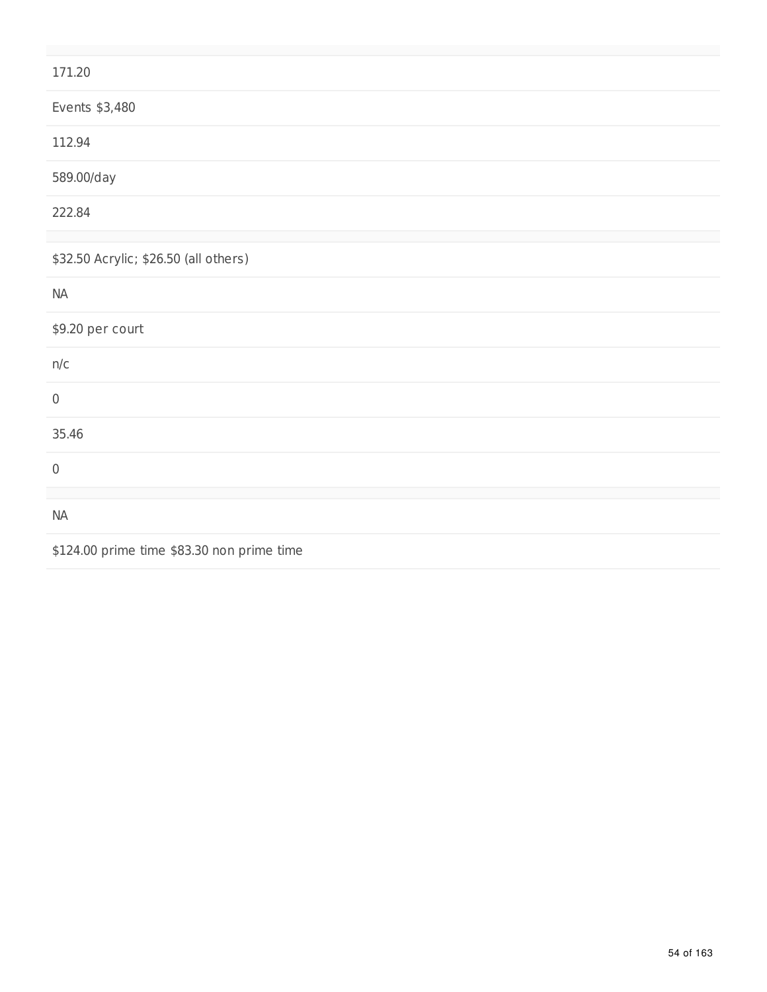| 171.20                                     |
|--------------------------------------------|
| Events \$3,480                             |
| 112.94                                     |
| 589.00/day                                 |
| 222.84                                     |
|                                            |
| \$32.50 Acrylic; \$26.50 (all others)      |
| $\sf NA$                                   |
| \$9.20 per court                           |
| n/c                                        |
| $\mathbf 0$                                |
| 35.46                                      |
| $\,0\,$                                    |
|                                            |
| NA                                         |
| \$124.00 prime time \$83.30 non prime time |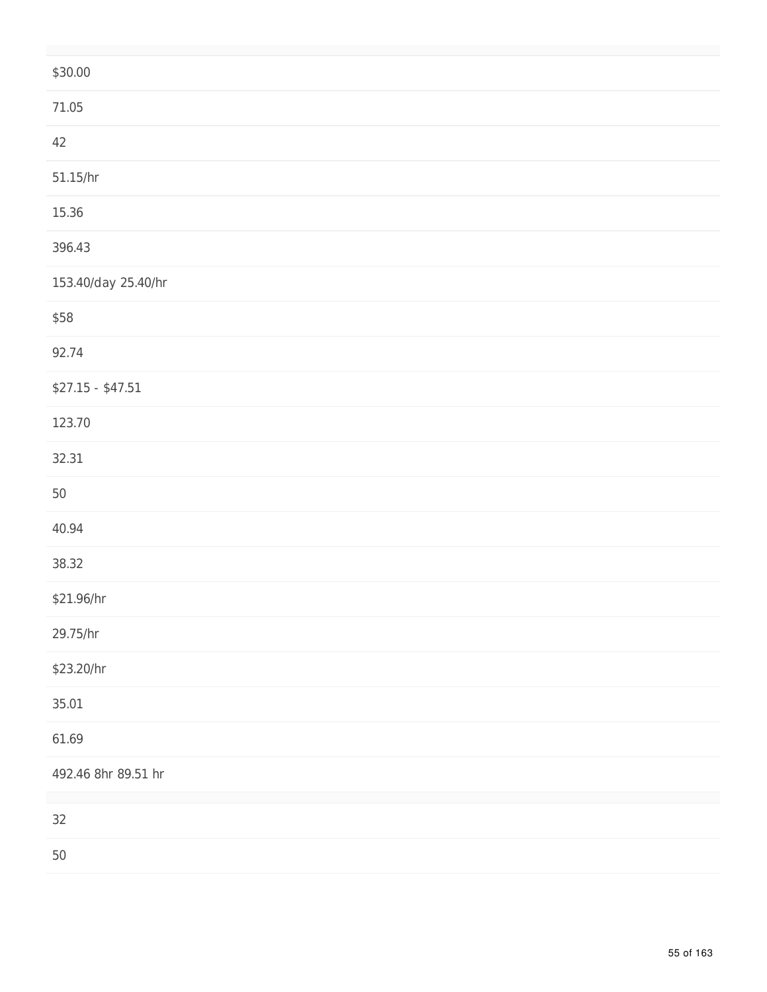| \$30.00             |
|---------------------|
| 71.05               |
| 42                  |
| 51.15/hr            |
| 15.36               |
| 396.43              |
| 153.40/day 25.40/hr |
| \$58                |
| 92.74               |
| $$27.15 - $47.51$   |
| 123.70              |
| 32.31               |
| $50\,$              |
| 40.94               |
| 38.32               |
| \$21.96/hr          |
| 29.75/hr            |
| \$23.20/hr          |
| 35.01               |
| 61.69               |
| 492.46 8hr 89.51 hr |
| 32                  |
| $50\,$              |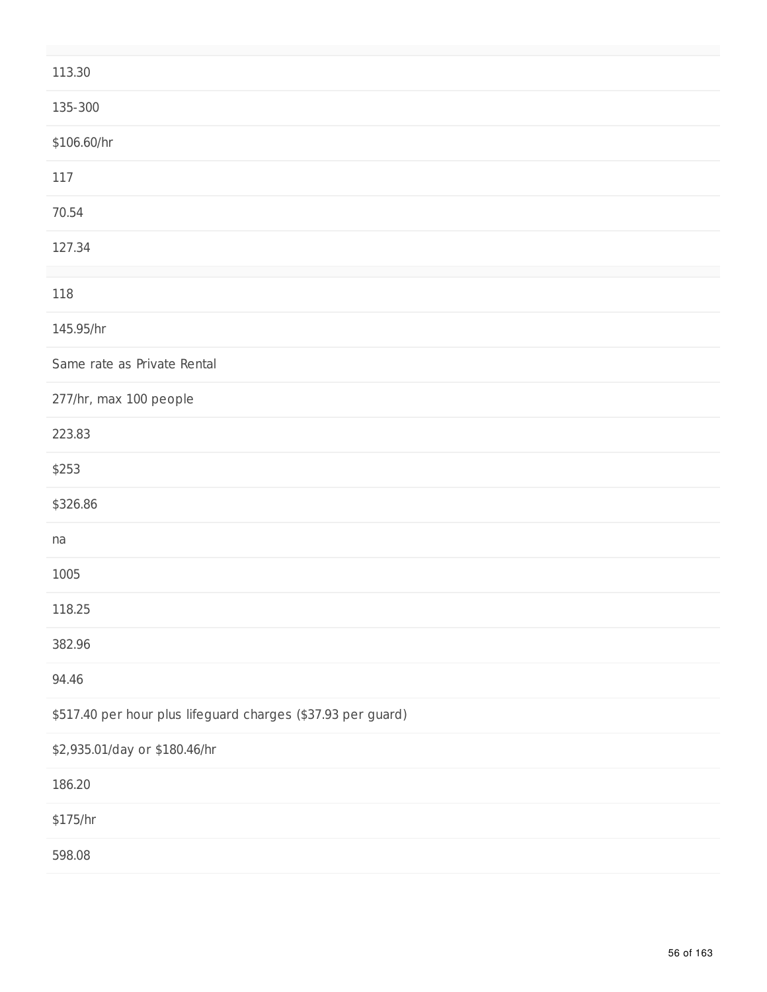| 113.30                                                       |
|--------------------------------------------------------------|
| 135-300                                                      |
| \$106.60/hr                                                  |
| 117                                                          |
| 70.54                                                        |
| 127.34                                                       |
| 118                                                          |
| 145.95/hr                                                    |
| Same rate as Private Rental                                  |
| 277/hr, max 100 people                                       |
| 223.83                                                       |
| \$253                                                        |
| \$326.86                                                     |
| na                                                           |
| 1005                                                         |
| 118.25                                                       |
| 382.96                                                       |
| 94.46                                                        |
| \$517.40 per hour plus lifeguard charges (\$37.93 per guard) |
| \$2,935.01/day or \$180.46/hr                                |
| 186.20                                                       |
| \$175/hr                                                     |
| 598.08                                                       |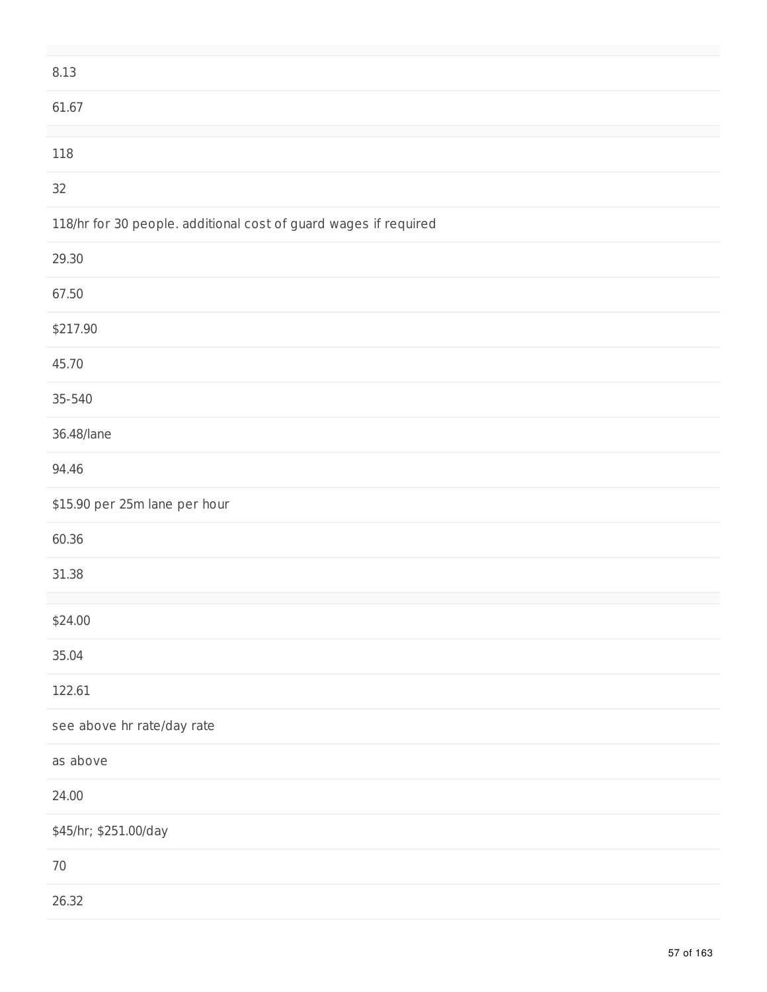| 8.13                                                             |
|------------------------------------------------------------------|
| 61.67                                                            |
| 118                                                              |
|                                                                  |
| 32                                                               |
| 118/hr for 30 people. additional cost of guard wages if required |
| 29.30                                                            |
| 67.50                                                            |
| \$217.90                                                         |
| 45.70                                                            |
| 35-540                                                           |
| 36.48/lane                                                       |
| 94.46                                                            |
| \$15.90 per 25m lane per hour                                    |
| 60.36                                                            |
| 31.38                                                            |
|                                                                  |
| \$24.00                                                          |
| 35.04                                                            |
| 122.61                                                           |
| see above hr rate/day rate                                       |
| as above                                                         |
| 24.00                                                            |
| \$45/hr; \$251.00/day                                            |
| $70\,$                                                           |
| 26.32                                                            |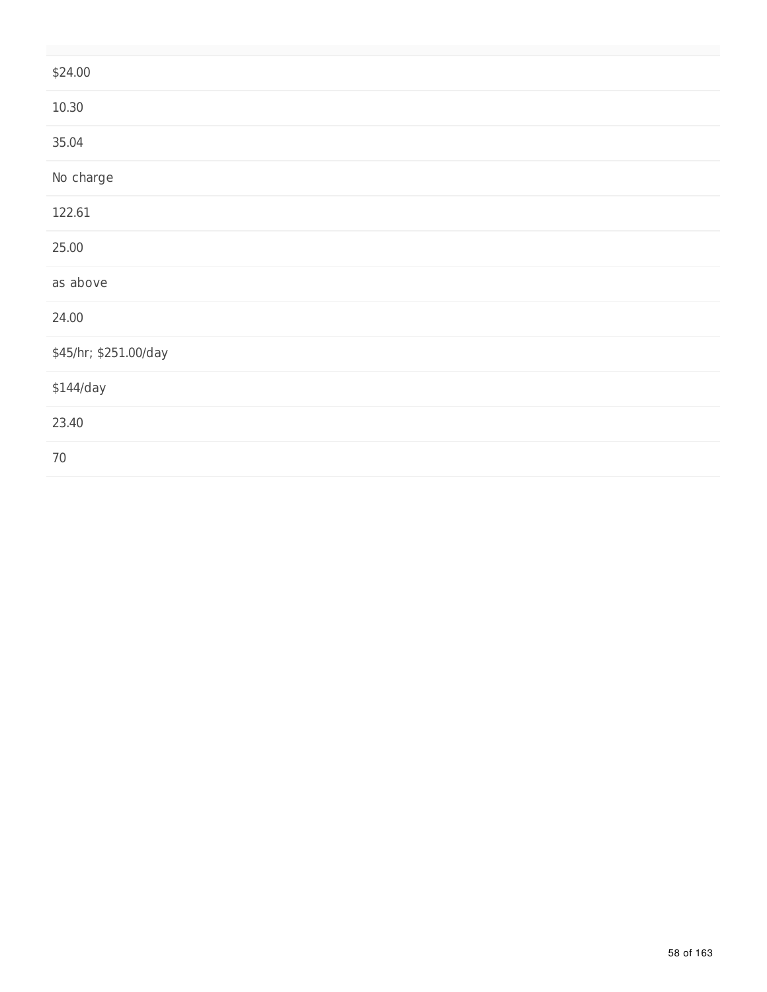| \$24.00               |  |
|-----------------------|--|
| 10.30                 |  |
| 35.04                 |  |
| No charge             |  |
| 122.61                |  |
| 25.00                 |  |
| as above              |  |
| 24.00                 |  |
| \$45/hr; \$251.00/day |  |
| \$144/day             |  |
| 23.40                 |  |
| 70                    |  |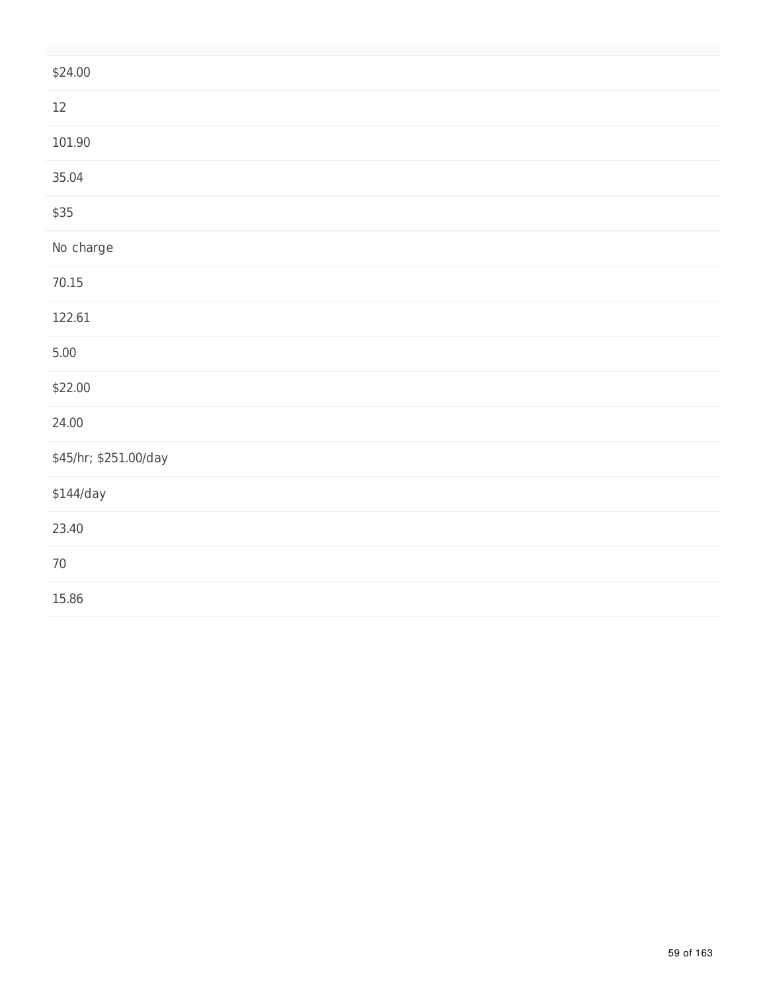| \$24.00               |
|-----------------------|
| $12\,$                |
| 101.90                |
| 35.04                 |
| \$35                  |
| No charge             |
| 70.15                 |
| 122.61                |
| $5.00$                |
| \$22.00               |
| 24.00                 |
| \$45/hr; \$251.00/day |
| $$144$ /day           |
| 23.40                 |
| $70\,$                |
| 15.86                 |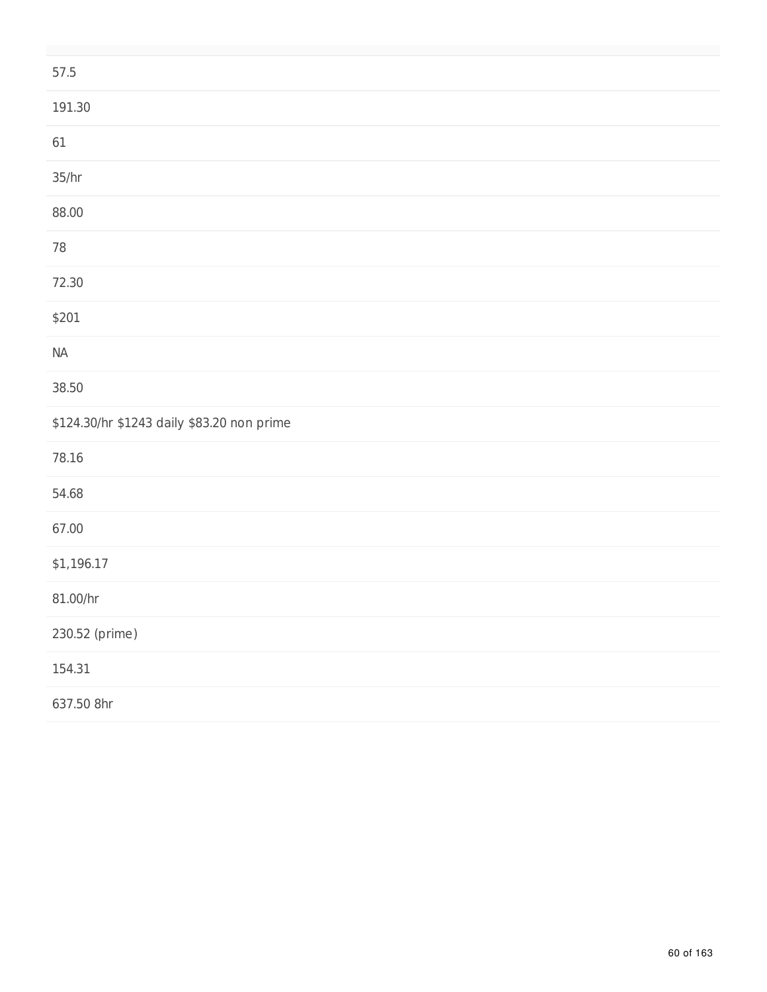| 57.5                                       |
|--------------------------------------------|
| 191.30                                     |
| 61                                         |
| 35/hr                                      |
| 88.00                                      |
| $78\,$                                     |
| 72.30                                      |
| \$201                                      |
| $\sf NA$                                   |
| 38.50                                      |
| \$124.30/hr \$1243 daily \$83.20 non prime |
| 78.16                                      |
| 54.68                                      |
| 67.00                                      |
| \$1,196.17                                 |
| 81.00/hr                                   |
| 230.52 (prime)                             |
| 154.31                                     |
| 637.50 8hr                                 |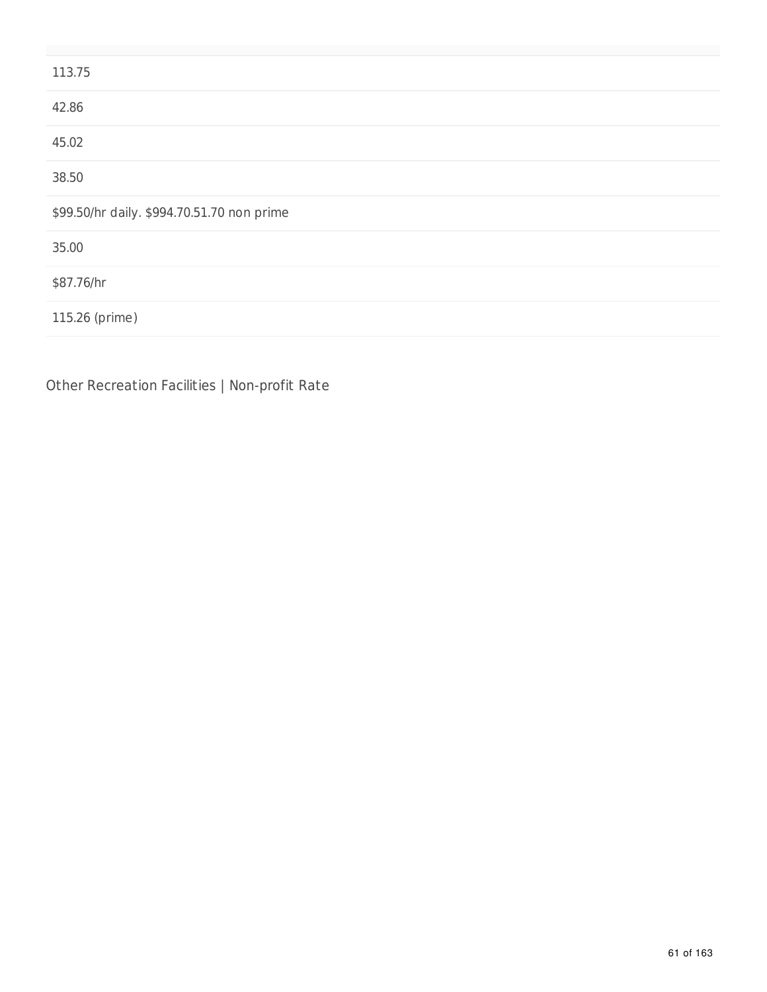| 113.75                                     |
|--------------------------------------------|
| 42.86                                      |
| 45.02                                      |
| 38.50                                      |
| \$99.50/hr daily. \$994.70.51.70 non prime |
| 35.00                                      |
| \$87.76/hr                                 |
| 115.26 (prime)                             |
|                                            |

Other Recreation Facilities | Non-profit Rate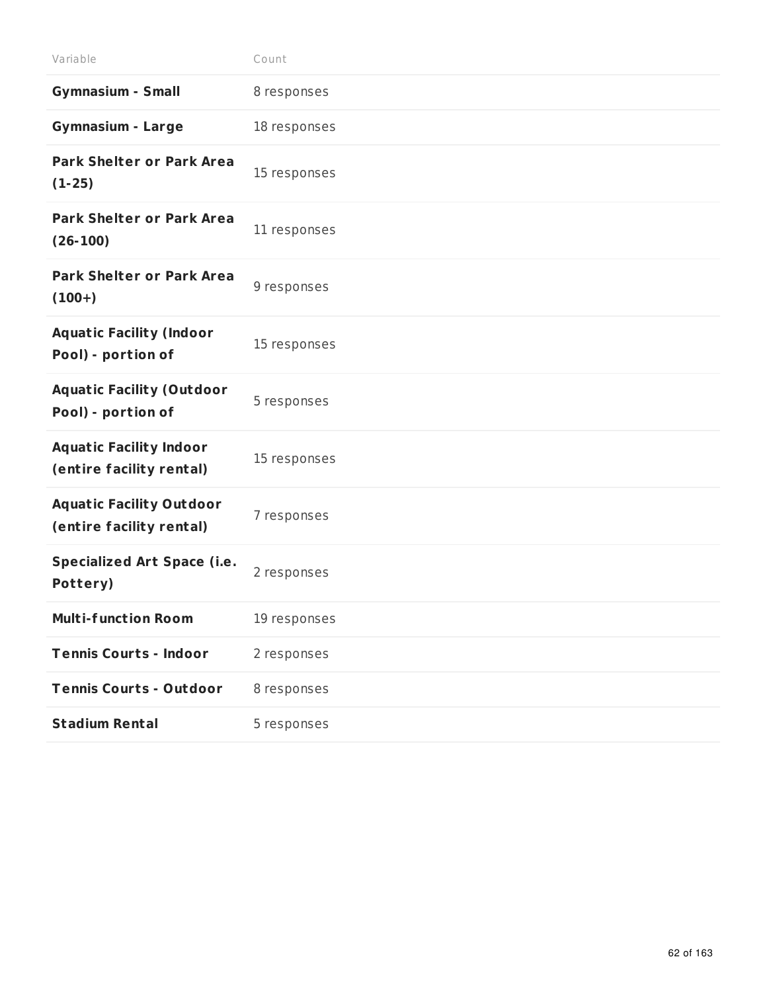| Variable                                                    | Count        |
|-------------------------------------------------------------|--------------|
| <b>Gymnasium - Small</b>                                    | 8 responses  |
| <b>Gymnasium - Large</b>                                    | 18 responses |
| <b>Park Shelter or Park Area</b><br>$(1-25)$                | 15 responses |
| <b>Park Shelter or Park Area</b><br>$(26-100)$              | 11 responses |
| <b>Park Shelter or Park Area</b><br>$(100+)$                | 9 responses  |
| <b>Aquatic Facility (Indoor</b><br>Pool) - portion of       | 15 responses |
| <b>Aquatic Facility (Outdoor</b><br>Pool) - portion of      | 5 responses  |
| <b>Aquatic Facility Indoor</b><br>(entire facility rental)  | 15 responses |
| <b>Aquatic Facility Outdoor</b><br>(entire facility rental) | 7 responses  |
| <b>Specialized Art Space (i.e.</b><br>Pottery)              | 2 responses  |
| <b>Multi-function Room</b>                                  | 19 responses |
| <b>Tennis Courts - Indoor</b>                               | 2 responses  |
| <b>Tennis Courts - Outdoor</b>                              | 8 responses  |
| <b>Stadium Rental</b>                                       | 5 responses  |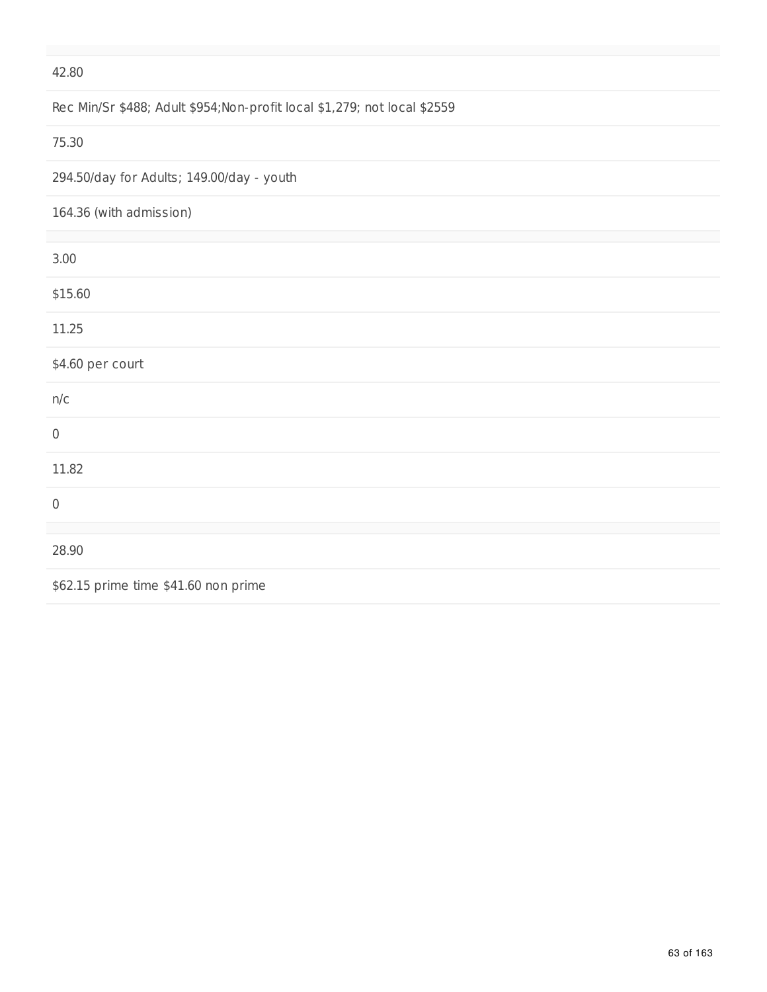### Rec Min/Sr \$488; Adult \$954;Non-profit local \$1,279; not local \$2559

#### 75.30

294.50/day for Adults; 149.00/day - youth

| 164.36 (with admission) |  |  |
|-------------------------|--|--|
|                         |  |  |

| 3.00                                 |
|--------------------------------------|
| \$15.60                              |
| 11.25                                |
| \$4.60 per court                     |
| n/c                                  |
| $\boldsymbol{0}$                     |
| 11.82                                |
| $\mathbf 0$                          |
|                                      |
| 28.90                                |
| \$62.15 prime time \$41.60 non prime |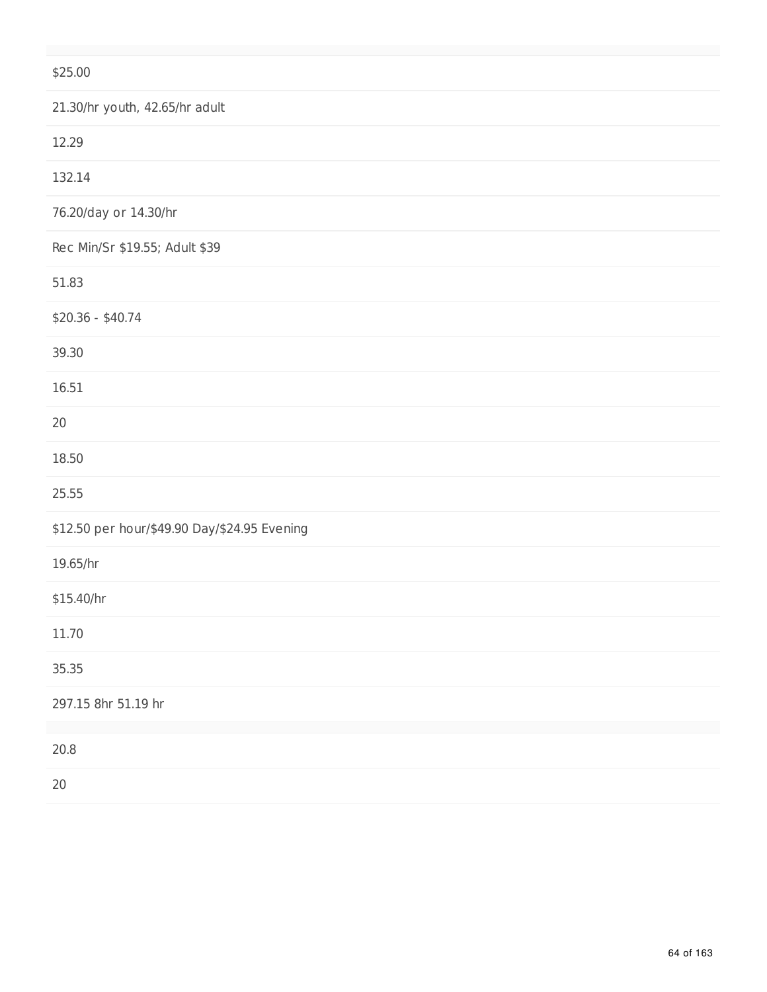| \$25.00                                      |
|----------------------------------------------|
| 21.30/hr youth, 42.65/hr adult               |
| 12.29                                        |
| 132.14                                       |
| 76.20/day or 14.30/hr                        |
| Rec Min/Sr \$19.55; Adult \$39               |
| 51.83                                        |
| $$20.36 - $40.74$                            |
| 39.30                                        |
| 16.51                                        |
| 20                                           |
| 18.50                                        |
| 25.55                                        |
| \$12.50 per hour/\$49.90 Day/\$24.95 Evening |
| 19.65/hr                                     |
| \$15.40/hr                                   |
| 11.70                                        |
| 35.35                                        |
| 297.15 8hr 51.19 hr                          |
| 20.8                                         |
| $20\,$                                       |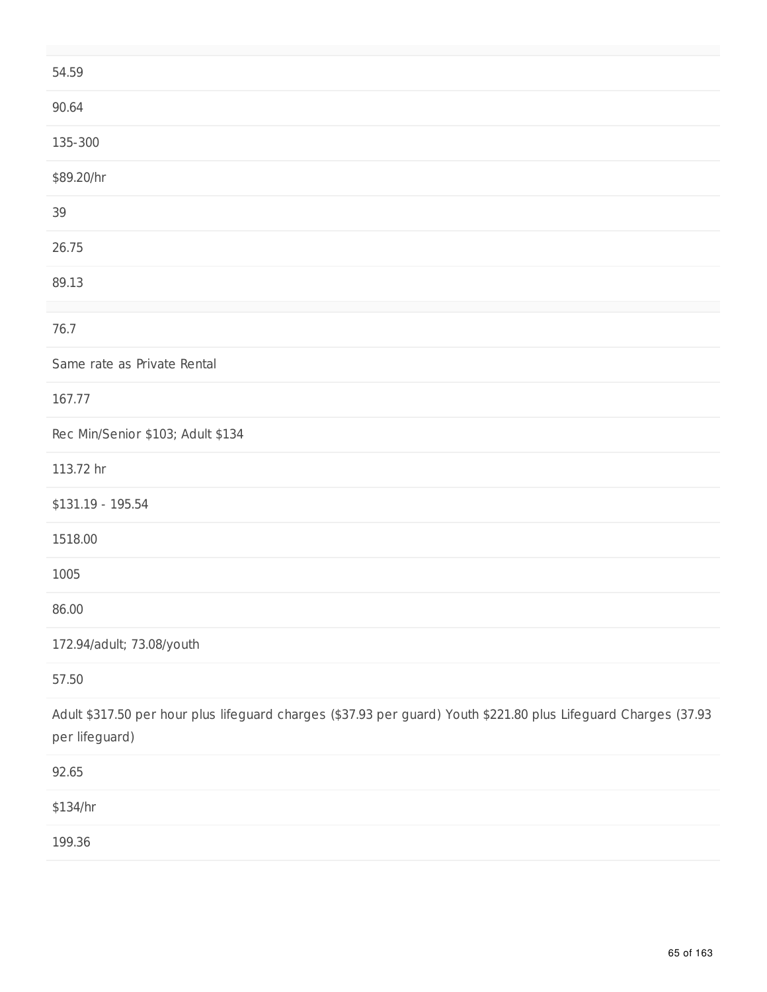| 54.59                                                                                                                             |
|-----------------------------------------------------------------------------------------------------------------------------------|
| 90.64                                                                                                                             |
| 135-300                                                                                                                           |
| \$89.20/hr                                                                                                                        |
| 39                                                                                                                                |
| 26.75                                                                                                                             |
| 89.13                                                                                                                             |
| 76.7                                                                                                                              |
| Same rate as Private Rental                                                                                                       |
| 167.77                                                                                                                            |
| Rec Min/Senior \$103; Adult \$134                                                                                                 |
| 113.72 hr                                                                                                                         |
| \$131.19 - 195.54                                                                                                                 |
| 1518.00                                                                                                                           |
| 1005                                                                                                                              |
| 86.00                                                                                                                             |
| 172.94/adult; 73.08/youth                                                                                                         |
| 57.50                                                                                                                             |
| Adult \$317.50 per hour plus lifeguard charges (\$37.93 per guard) Youth \$221.80 plus Lifeguard Charges (37.93<br>per lifeguard) |
| 92.65                                                                                                                             |
| \$134/hr                                                                                                                          |
| 199.36                                                                                                                            |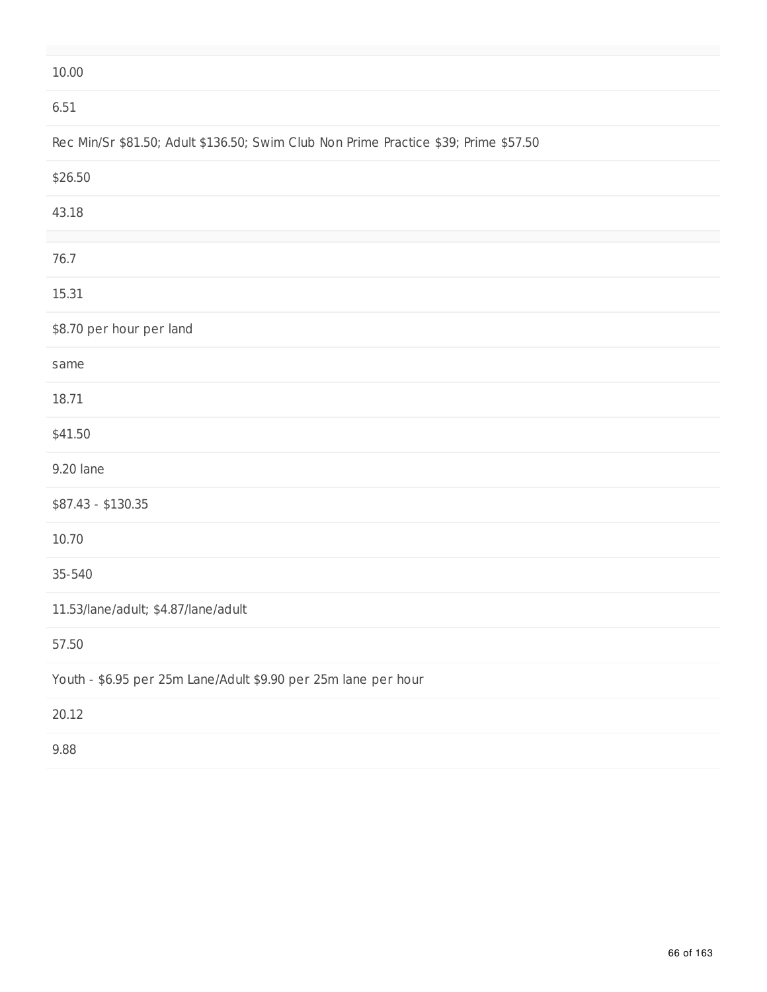#### 6.51

# Rec Min/Sr \$81.50; Adult \$136.50; Swim Club Non Prime Practice \$39; Prime \$57.50

| \$26.50                                                        |
|----------------------------------------------------------------|
| 43.18                                                          |
|                                                                |
| 76.7                                                           |
| 15.31                                                          |
| \$8.70 per hour per land                                       |
| same                                                           |
| 18.71                                                          |
| \$41.50                                                        |
| 9.20 lane                                                      |
| $$87.43 - $130.35$                                             |
| 10.70                                                          |
| 35-540                                                         |
| 11.53/lane/adult; \$4.87/lane/adult                            |
| 57.50                                                          |
| Youth - \$6.95 per 25m Lane/Adult \$9.90 per 25m lane per hour |
| 20.12                                                          |
| 9.88                                                           |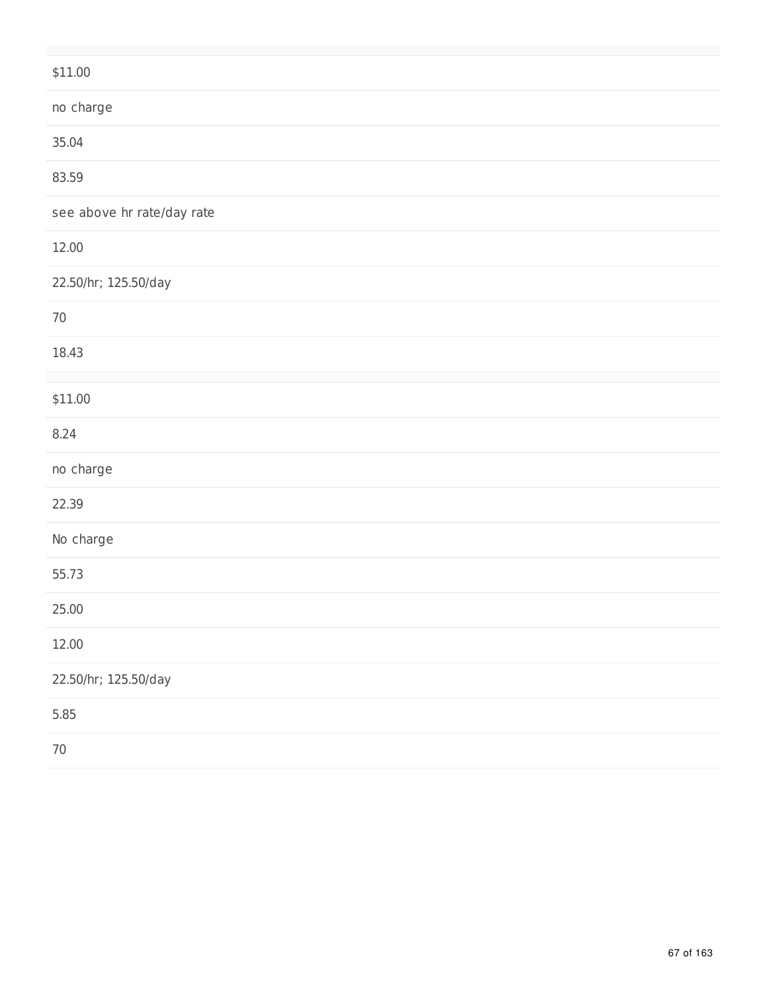| \$11.00                    |
|----------------------------|
| no charge                  |
| 35.04                      |
| 83.59                      |
| see above hr rate/day rate |
| 12.00                      |
| 22.50/hr; 125.50/day       |
| $70\,$                     |
| 18.43                      |
| \$11.00                    |
| 8.24                       |
| no charge                  |
| 22.39                      |
| No charge                  |
| 55.73                      |
| 25.00                      |
| 12.00                      |
| 22.50/hr; 125.50/day       |
| 5.85                       |
| $70\,$                     |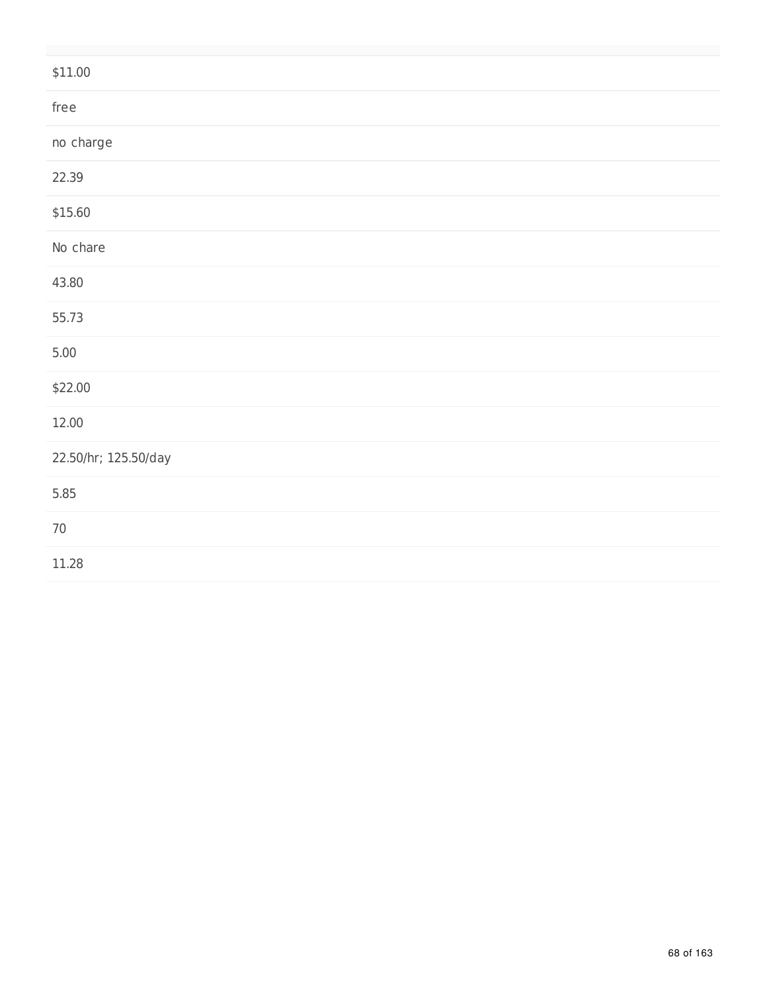| \$11.00              |
|----------------------|
| free                 |
| no charge            |
| 22.39                |
| \$15.60              |
| No chare             |
| 43.80                |
| 55.73                |
| 5.00                 |
| \$22.00              |
| 12.00                |
| 22.50/hr; 125.50/day |
| 5.85                 |
| $70\,$               |
| 11.28                |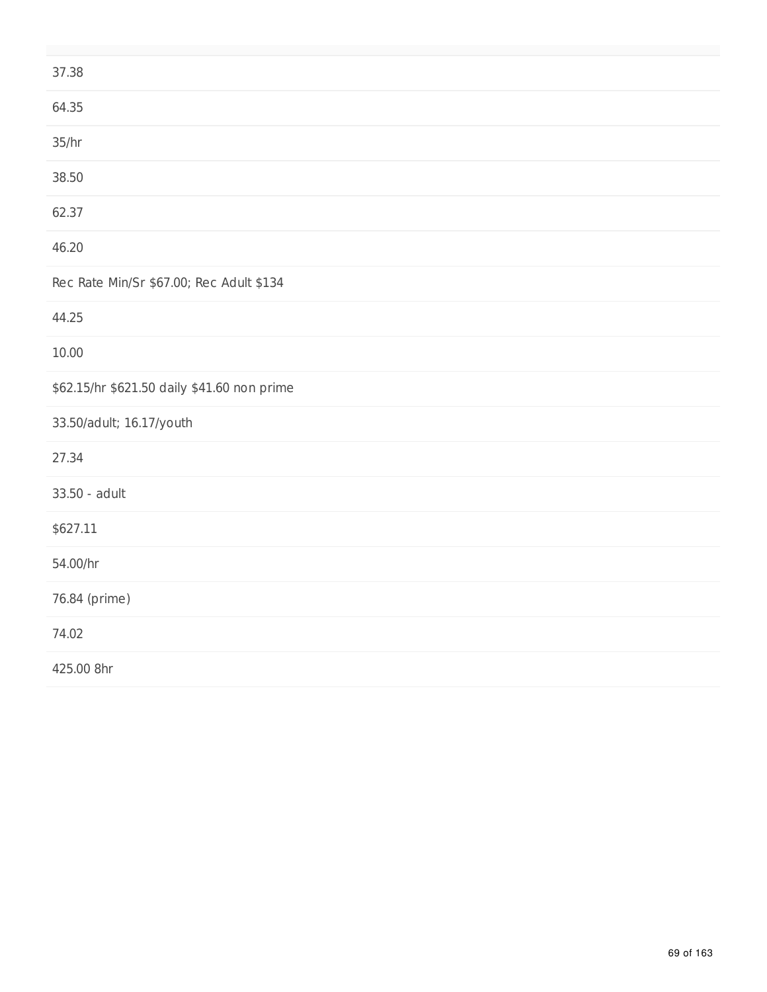| 37.38                                       |
|---------------------------------------------|
| 64.35                                       |
| 35/hr                                       |
| 38.50                                       |
| 62.37                                       |
| 46.20                                       |
| Rec Rate Min/Sr \$67.00; Rec Adult \$134    |
| 44.25                                       |
| 10.00                                       |
| \$62.15/hr \$621.50 daily \$41.60 non prime |
| 33.50/adult; 16.17/youth                    |
| 27.34                                       |
| 33.50 - adult                               |
| \$627.11                                    |
| 54.00/hr                                    |
| 76.84 (prime)                               |
| 74.02                                       |
| 425.00 8hr                                  |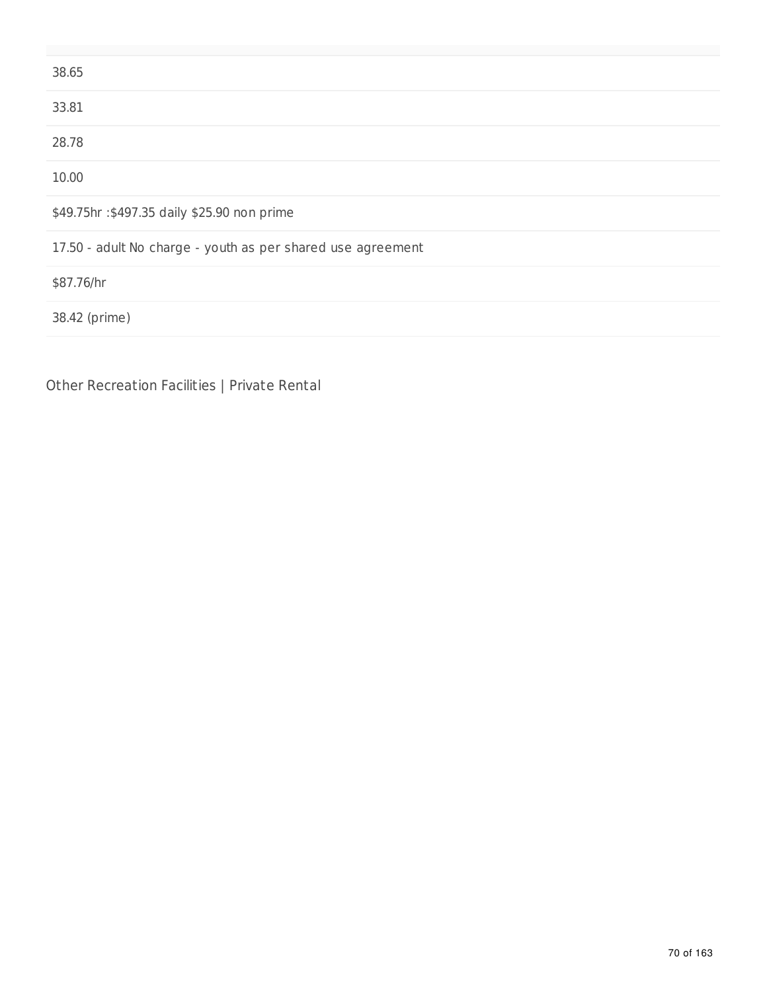| 38.65                                                       |
|-------------------------------------------------------------|
| 33.81                                                       |
| 28.78                                                       |
| 10.00                                                       |
| \$49.75hr: \$497.35 daily \$25.90 non prime                 |
| 17.50 - adult No charge - youth as per shared use agreement |
| \$87.76/hr                                                  |
| 38.42 (prime)                                               |
|                                                             |

Other Recreation Facilities | Private Rental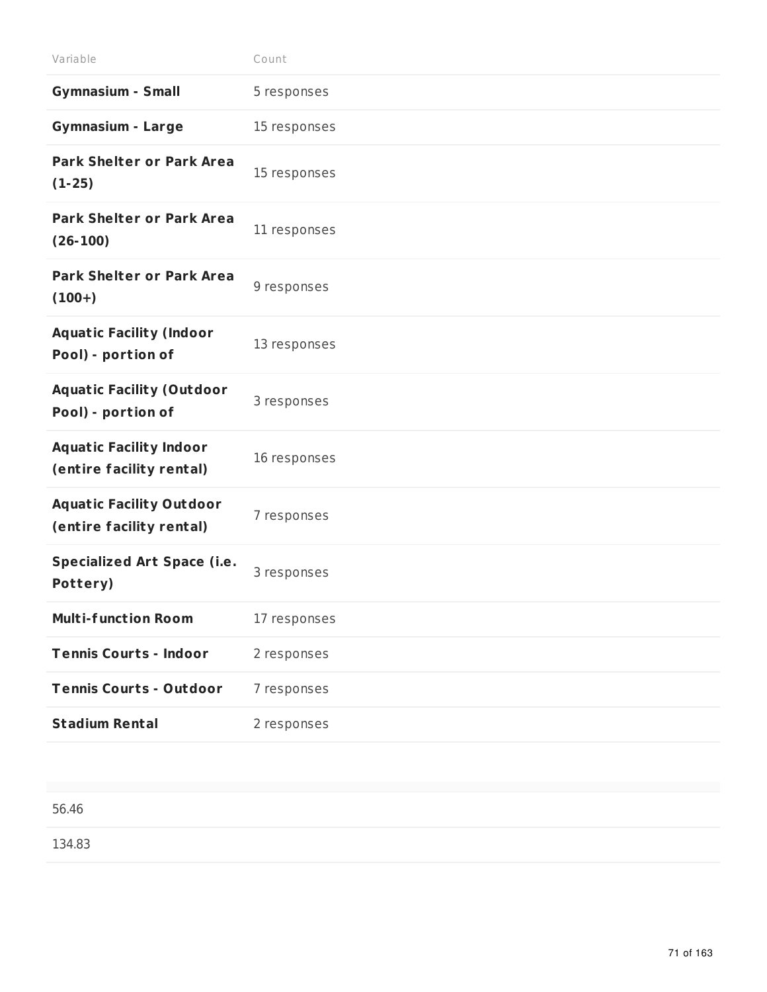| Variable                                                    | Count        |
|-------------------------------------------------------------|--------------|
| <b>Gymnasium - Small</b>                                    | 5 responses  |
| <b>Gymnasium - Large</b>                                    | 15 responses |
| <b>Park Shelter or Park Area</b><br>$(1-25)$                | 15 responses |
| <b>Park Shelter or Park Area</b><br>$(26-100)$              | 11 responses |
| <b>Park Shelter or Park Area</b><br>$(100+)$                | 9 responses  |
| <b>Aquatic Facility (Indoor</b><br>Pool) - portion of       | 13 responses |
| <b>Aquatic Facility (Outdoor</b><br>Pool) - portion of      | 3 responses  |
| <b>Aquatic Facility Indoor</b><br>(entire facility rental)  | 16 responses |
| <b>Aquatic Facility Outdoor</b><br>(entire facility rental) | 7 responses  |
| <b>Specialized Art Space (i.e.</b><br>Pottery)              | 3 responses  |
| <b>Multi-function Room</b>                                  | 17 responses |
| <b>Tennis Courts - Indoor</b>                               | 2 responses  |
| <b>Tennis Courts - Outdoor</b>                              | 7 responses  |
| <b>Stadium Rental</b>                                       | 2 responses  |

1 3 4.8 3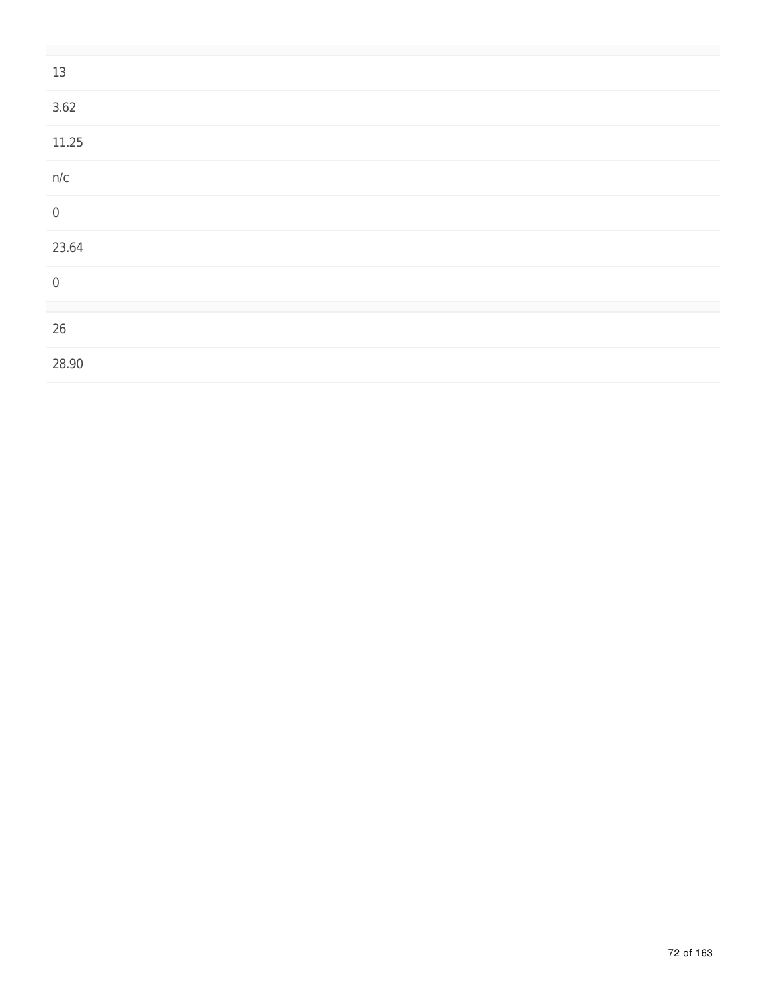| 13          |  |  |
|-------------|--|--|
| 3.62        |  |  |
| 11.25       |  |  |
| n/c         |  |  |
| $\mathbf 0$ |  |  |
| 23.64       |  |  |
| $\mathbf 0$ |  |  |
|             |  |  |
| 26          |  |  |
| 28.90       |  |  |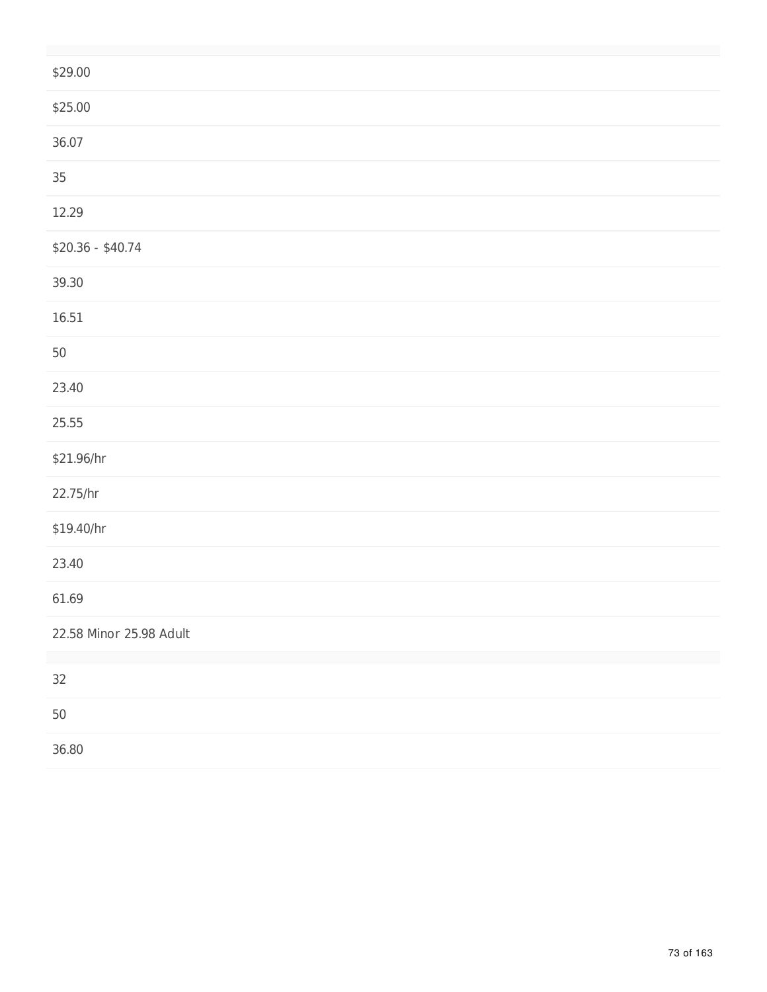| \$29.00                 |
|-------------------------|
| \$25.00                 |
| 36.07                   |
| $35\,$                  |
| 12.29                   |
| $$20.36 - $40.74$       |
| 39.30                   |
| 16.51                   |
| $50\,$                  |
| 23.40                   |
| 25.55                   |
| \$21.96/hr              |
| 22.75/hr                |
| \$19.40/hr              |
| 23.40                   |
| 61.69                   |
| 22.58 Minor 25.98 Adult |
| 32                      |
| 50                      |
| 36.80                   |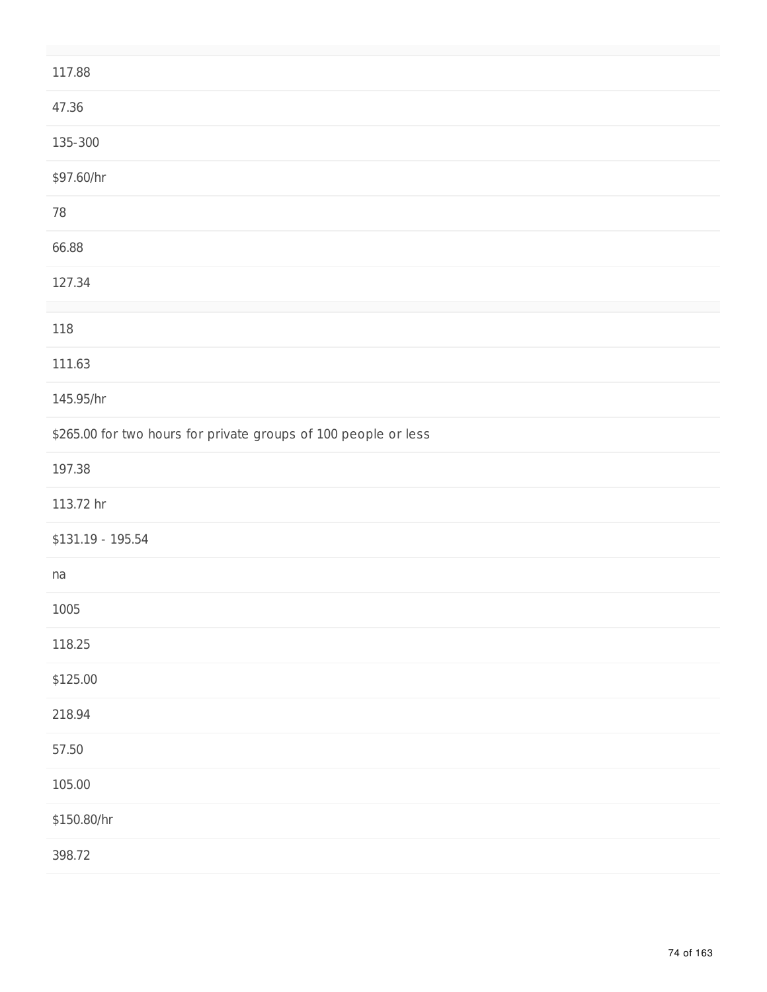| 117.88                                                          |
|-----------------------------------------------------------------|
| 47.36                                                           |
| 135-300                                                         |
| \$97.60/hr                                                      |
| $78\,$                                                          |
| 66.88                                                           |
| 127.34                                                          |
| 118                                                             |
| 111.63                                                          |
| 145.95/hr                                                       |
| \$265.00 for two hours for private groups of 100 people or less |
| 197.38                                                          |
| 113.72 hr                                                       |
| $$131.19 - 195.54$                                              |
| na                                                              |
| 1005                                                            |
| 118.25                                                          |
| \$125.00                                                        |
| 218.94                                                          |
| 57.50                                                           |
| 105.00                                                          |
| \$150.80/hr                                                     |
| 398.72                                                          |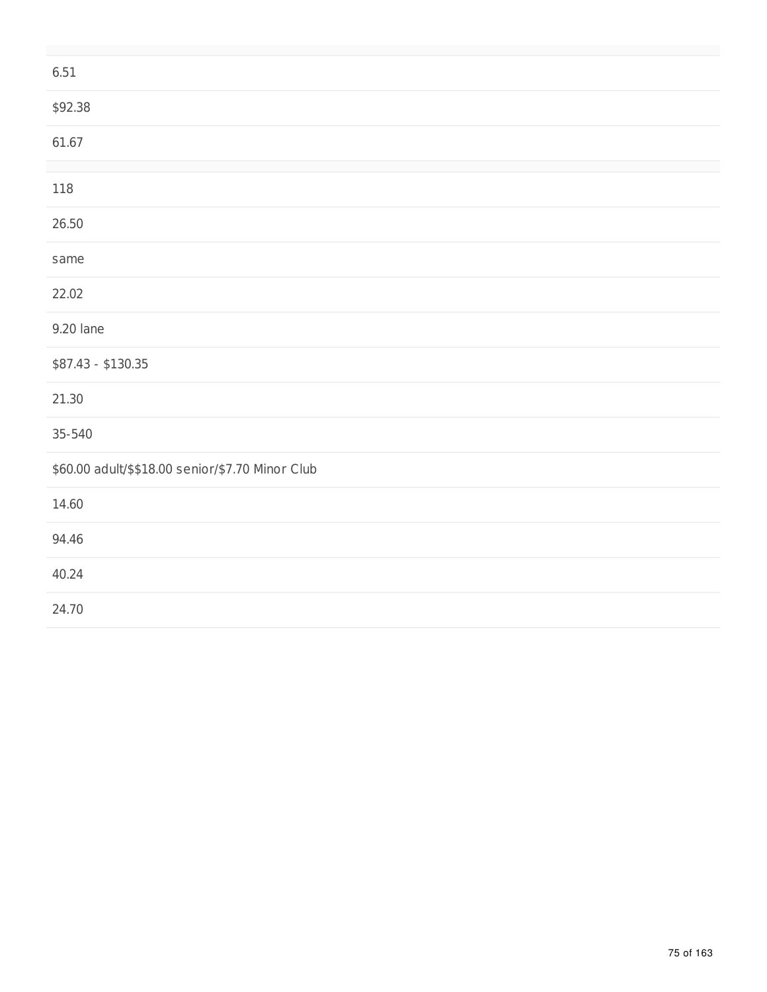| 6.51                                             |
|--------------------------------------------------|
| \$92.38                                          |
| 61.67                                            |
| 118                                              |
| 26.50                                            |
| same                                             |
| 22.02                                            |
| 9.20 lane                                        |
| \$87.43 - \$130.35                               |
| 21.30                                            |
| 35-540                                           |
| \$60.00 adult/\$\$18.00 senior/\$7.70 Minor Club |
| 14.60                                            |
| 94.46                                            |
| 40.24                                            |
| 24.70                                            |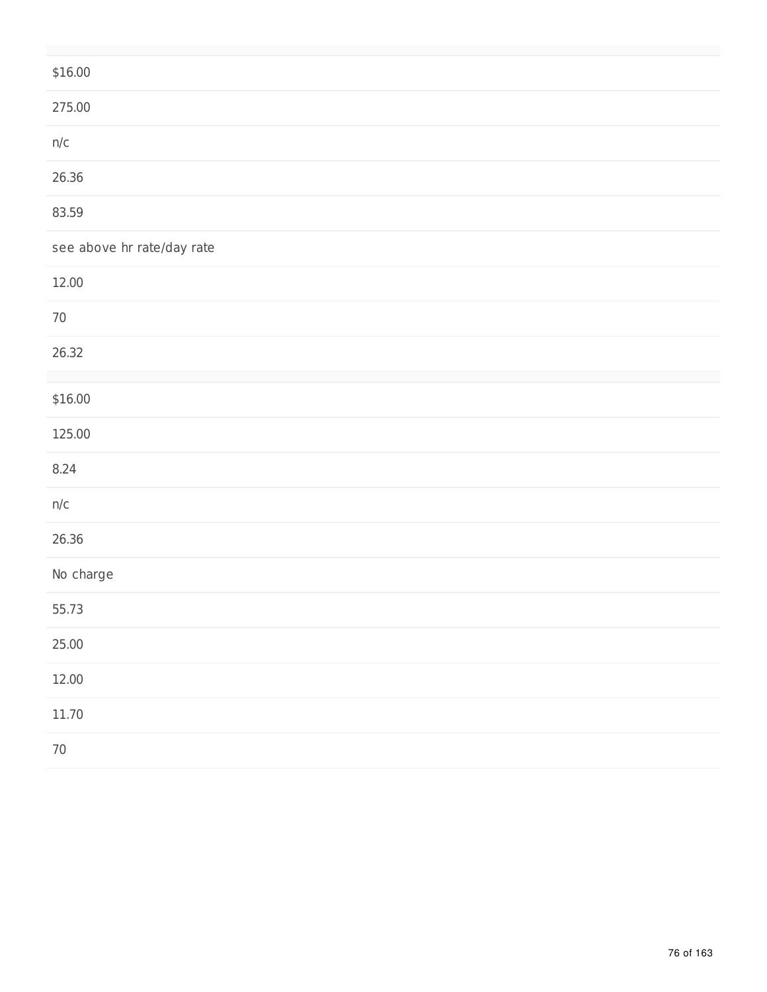| \$16.00                    |
|----------------------------|
| 275.00                     |
| n/c                        |
| 26.36                      |
| 83.59                      |
| see above hr rate/day rate |
| 12.00                      |
| $70\,$                     |
| 26.32                      |
| \$16.00                    |
| 125.00                     |
| 8.24                       |
| n/c                        |
| 26.36                      |
| No charge                  |
| 55.73                      |
| 25.00                      |
| 12.00                      |
| 11.70                      |
| $70\,$                     |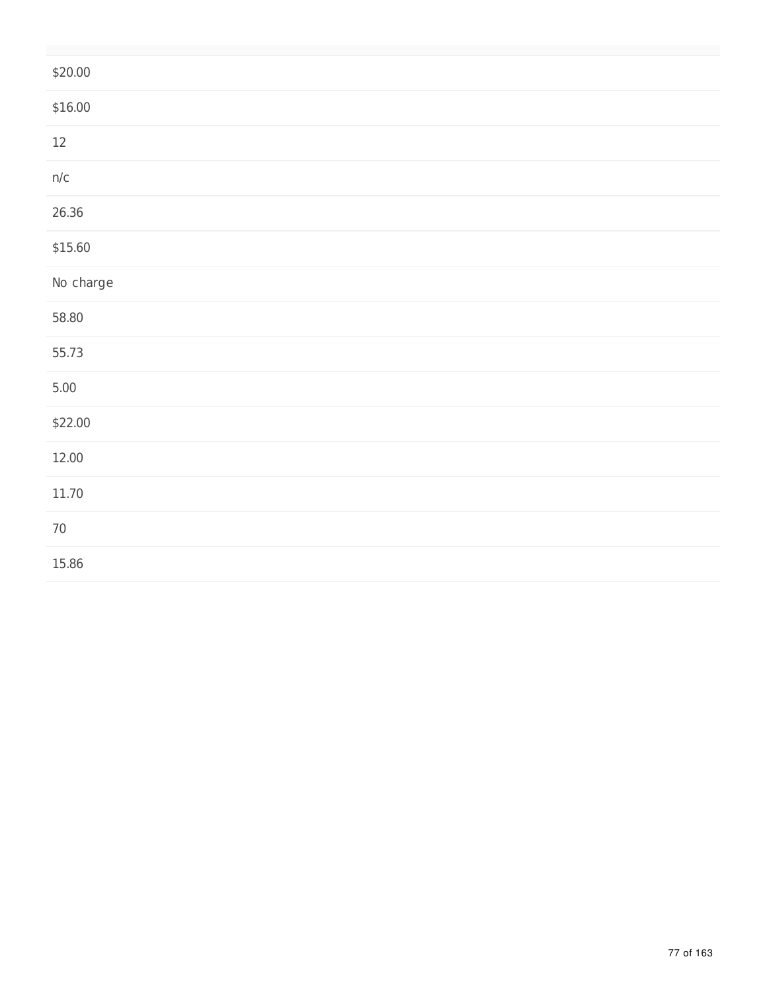| \$20.00   |
|-----------|
| \$16.00   |
| $12\,$    |
| $n/c$     |
| 26.36     |
| \$15.60   |
| No charge |
| 58.80     |
| 55.73     |
| $5.00$    |
| \$22.00   |
| 12.00     |
| 11.70     |
| $70\,$    |
| 15.86     |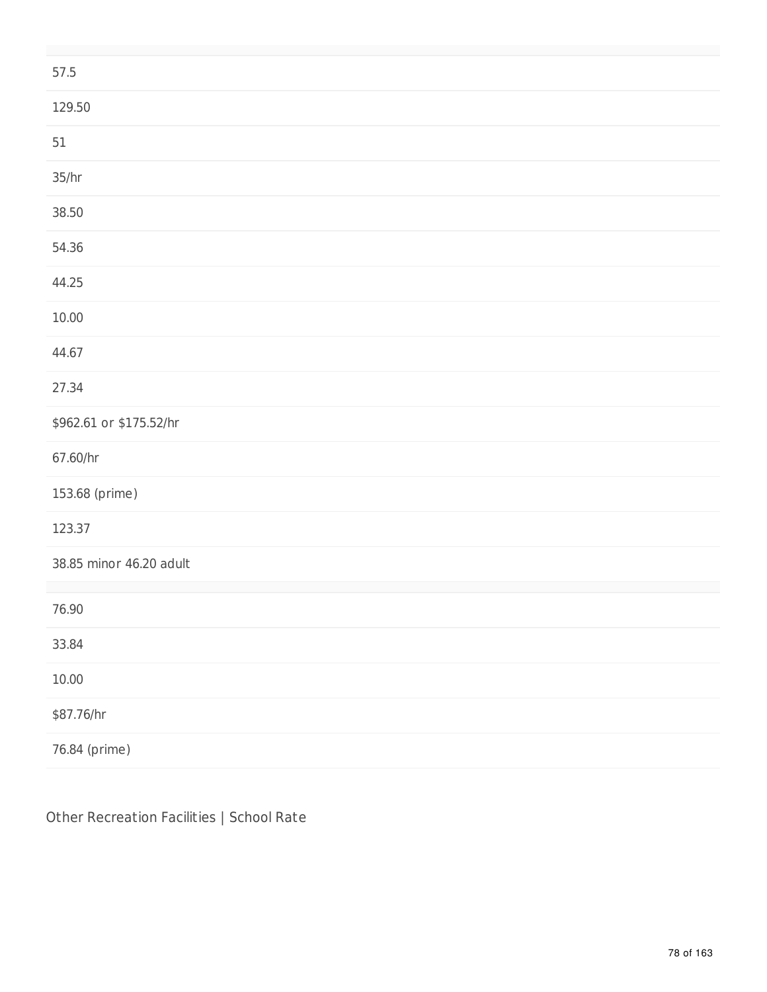| 57.5                    |
|-------------------------|
| 129.50                  |
| $51\,$                  |
| 35/hr                   |
| 38.50                   |
| 54.36                   |
| 44.25                   |
| 10.00                   |
| 44.67                   |
| 27.34                   |
| \$962.61 or \$175.52/hr |
| 67.60/hr                |
| 153.68 (prime)          |
| 123.37                  |
| 38.85 minor 46.20 adult |
| 76.90                   |
| 33.84                   |
| 10.00                   |
| \$87.76/hr              |
| 76.84 (prime)           |

Other Recreation Facilities | School Rate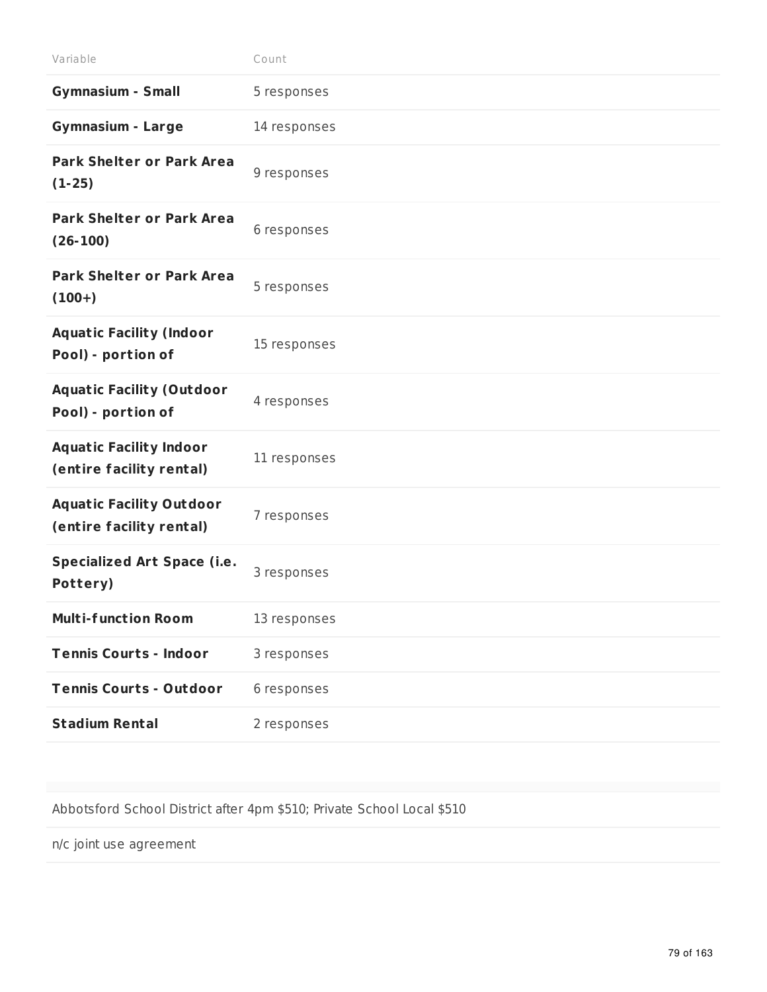| Variable                                                    | Count        |
|-------------------------------------------------------------|--------------|
| <b>Gymnasium - Small</b>                                    | 5 responses  |
| <b>Gymnasium - Large</b>                                    | 14 responses |
| <b>Park Shelter or Park Area</b><br>$(1-25)$                | 9 responses  |
| <b>Park Shelter or Park Area</b><br>$(26-100)$              | 6 responses  |
| <b>Park Shelter or Park Area</b><br>$(100+)$                | 5 responses  |
| <b>Aquatic Facility (Indoor</b><br>Pool) - portion of       | 15 responses |
| <b>Aquatic Facility (Outdoor</b><br>Pool) - portion of      | 4 responses  |
| <b>Aquatic Facility Indoor</b><br>(entire facility rental)  | 11 responses |
| <b>Aquatic Facility Outdoor</b><br>(entire facility rental) | 7 responses  |
| <b>Specialized Art Space (i.e.</b><br>Pottery)              | 3 responses  |
| <b>Multi-function Room</b>                                  | 13 responses |
| <b>Tennis Courts - Indoor</b>                               | 3 responses  |
| <b>Tennis Courts - Outdoor</b>                              | 6 responses  |
| <b>Stadium Rental</b>                                       | 2 responses  |

Abbotsford School District after 4pm \$510; Private School Local \$510

n/c joint use agreement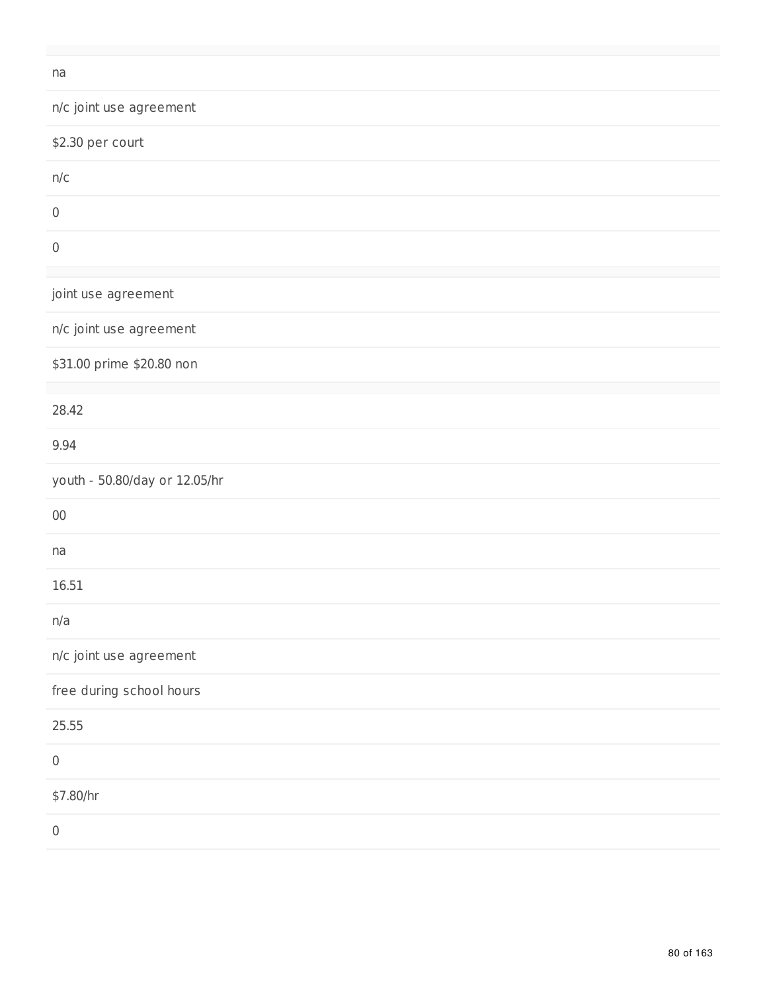#### na

| 110                           |
|-------------------------------|
| n/c joint use agreement       |
| \$2.30 per court              |
| n/c                           |
| $\boldsymbol{0}$              |
| $\mathbf 0$                   |
| joint use agreement           |
| n/c joint use agreement       |
| \$31.00 prime \$20.80 non     |
| 28.42                         |
| 9.94                          |
| youth - 50.80/day or 12.05/hr |
| $00\,$                        |
| na                            |
| 16.51                         |
| n/a                           |
| n/c joint use agreement       |
| free during school hours      |
| 25.55                         |
| $\mathbf 0$                   |
| \$7.80/hr                     |
|                               |

 $\,0$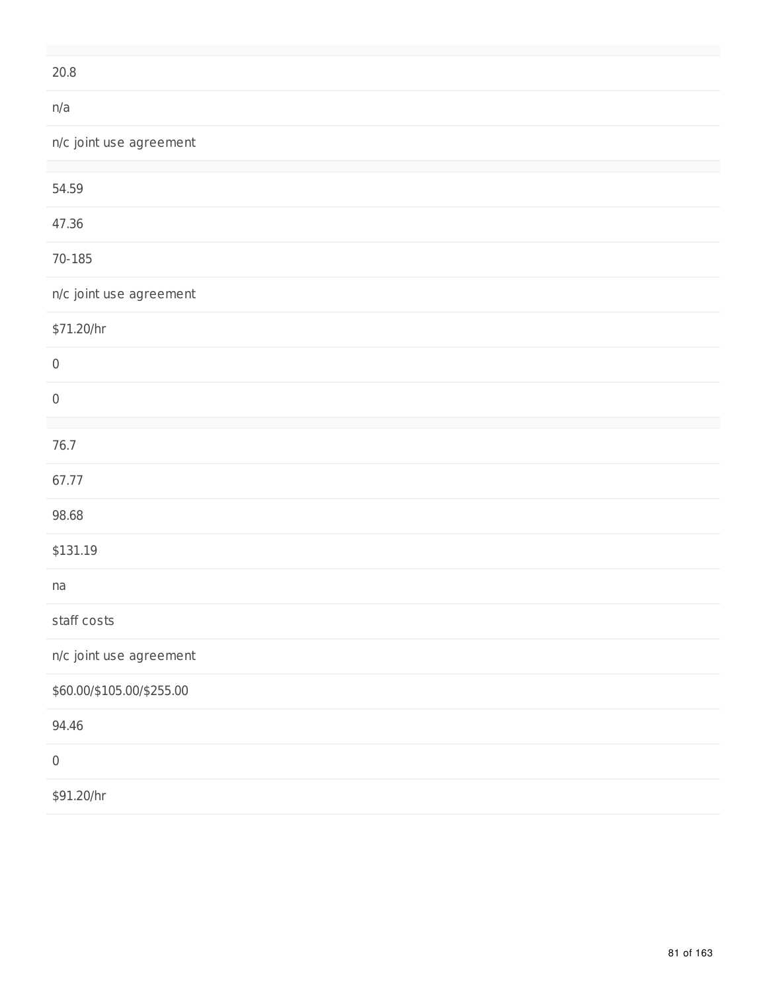| 20.8                      |  |
|---------------------------|--|
| n/a                       |  |
| n/c joint use agreement   |  |
|                           |  |
| 54.59                     |  |
| 47.36                     |  |
| $70 - 185$                |  |
| n/c joint use agreement   |  |
| \$71.20/hr                |  |
| $\mathbf 0$               |  |
| $\,0\,$                   |  |
|                           |  |
| 76.7                      |  |
| 67.77                     |  |
| 98.68                     |  |
| \$131.19                  |  |
| na                        |  |
| staff costs               |  |
| n/c joint use agreement   |  |
| \$60.00/\$105.00/\$255.00 |  |
| 94.46                     |  |
| $\,0\,$                   |  |
| \$91.20/hr                |  |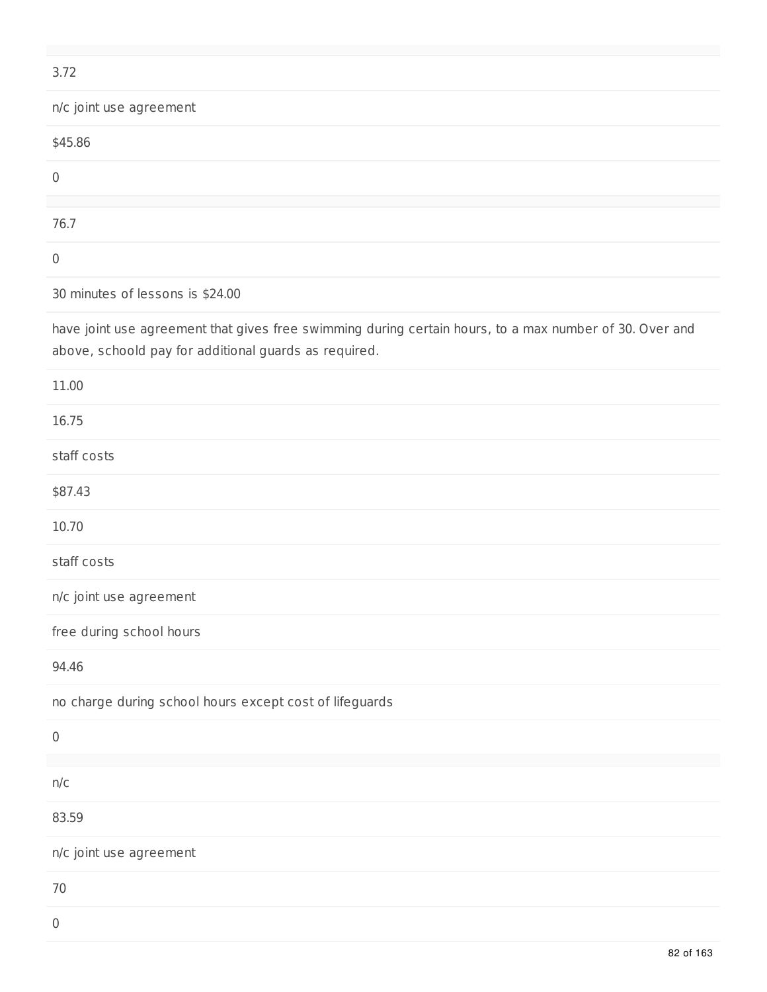| 3.72                    |  |  |
|-------------------------|--|--|
| n/c joint use agreement |  |  |
| \$45.86                 |  |  |
| $\mathbf 0$             |  |  |
|                         |  |  |
| 76.7                    |  |  |
| $\mathbf 0$             |  |  |

30 minutes of lessons is \$24.00

have joint use agreement that gives free swimming during certain hours, to a max number of 30. Over and above, schoold pay for additional guards as required.

| 11.00                                                   |
|---------------------------------------------------------|
| 16.75                                                   |
| staff costs                                             |
| \$87.43                                                 |
| 10.70                                                   |
| staff costs                                             |
| n/c joint use agreement                                 |
| free during school hours                                |
| 94.46                                                   |
| no charge during school hours except cost of lifeguards |
| $\mathbf 0$                                             |
| n/c                                                     |
| 83.59                                                   |
| n/c joint use agreement                                 |
| 70                                                      |
| $\,0\,$                                                 |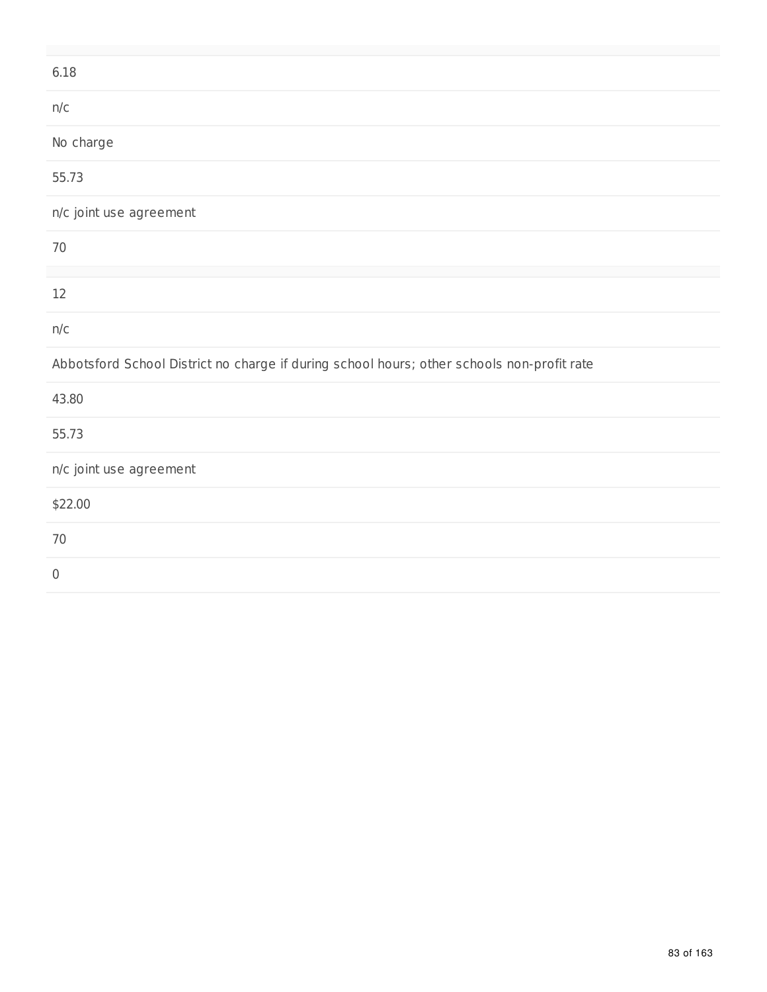| 6.18                                                                                       |
|--------------------------------------------------------------------------------------------|
| n/c                                                                                        |
| No charge                                                                                  |
| 55.73                                                                                      |
| n/c joint use agreement                                                                    |
| 70                                                                                         |
| 12                                                                                         |
| n/c                                                                                        |
| Abbotsford School District no charge if during school hours; other schools non-profit rate |
| 43.80                                                                                      |
| 55.73                                                                                      |
| n/c joint use agreement                                                                    |
| \$22.00                                                                                    |
| 70                                                                                         |
| $\boldsymbol{0}$                                                                           |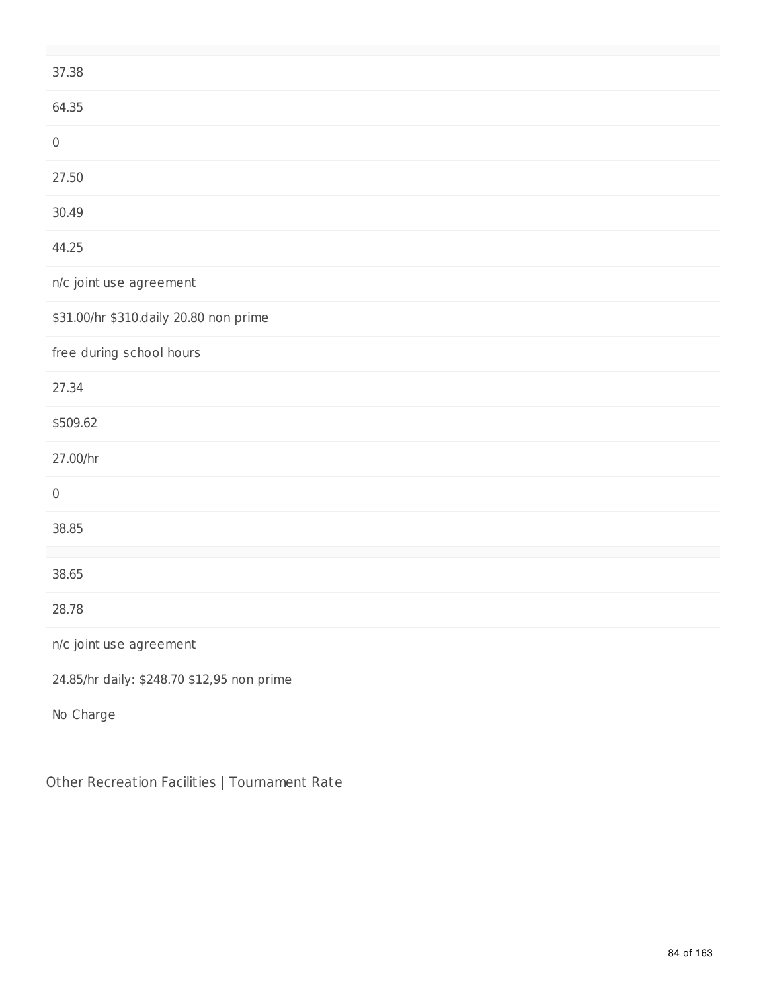| 37.38                                      |
|--------------------------------------------|
| 64.35                                      |
| $\mathsf{0}$                               |
| 27.50                                      |
| 30.49                                      |
| 44.25                                      |
| n/c joint use agreement                    |
| \$31.00/hr \$310.daily 20.80 non prime     |
| free during school hours                   |
| 27.34                                      |
| \$509.62                                   |
| 27.00/hr                                   |
| $\mathbf 0$                                |
| 38.85                                      |
| 38.65                                      |
| 28.78                                      |
| n/c joint use agreement                    |
| 24.85/hr daily: \$248.70 \$12,95 non prime |
| No Charge                                  |

Other Recreation Facilities | Tournament Rate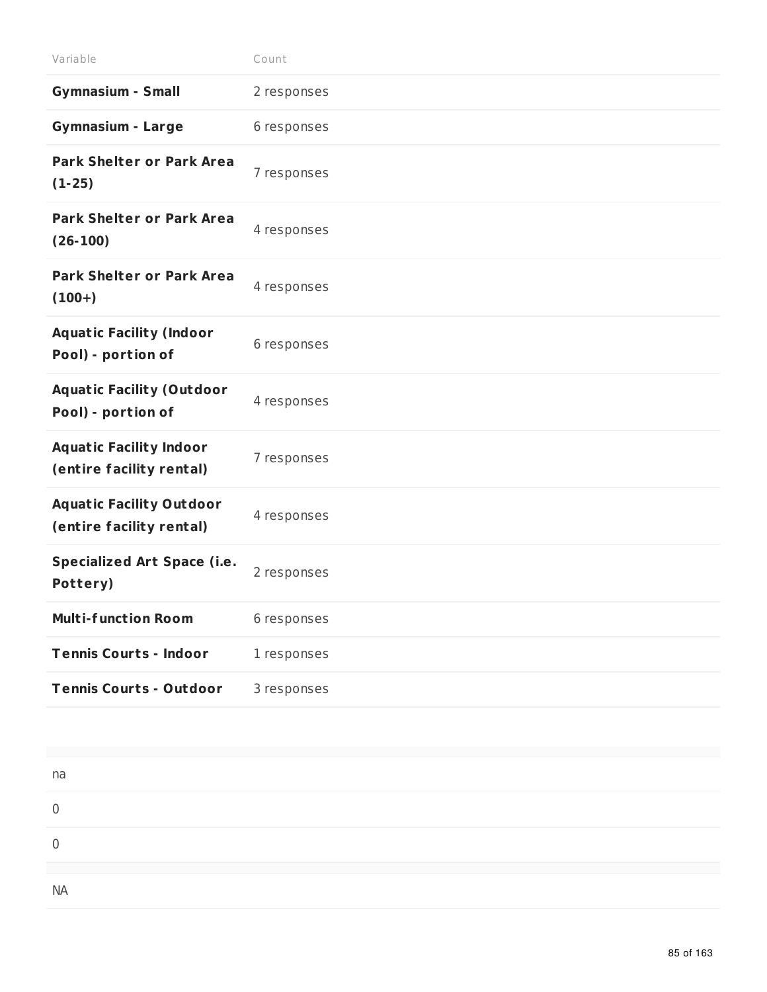| Variable                                                    | Count       |
|-------------------------------------------------------------|-------------|
| <b>Gymnasium - Small</b>                                    | 2 responses |
| <b>Gymnasium - Large</b>                                    | 6 responses |
| <b>Park Shelter or Park Area</b><br>$(1-25)$                | 7 responses |
| <b>Park Shelter or Park Area</b><br>$(26-100)$              | 4 responses |
| <b>Park Shelter or Park Area</b><br>$(100+)$                | 4 responses |
| <b>Aquatic Facility (Indoor</b><br>Pool) - portion of       | 6 responses |
| <b>Aquatic Facility (Outdoor</b><br>Pool) - portion of      | 4 responses |
| <b>Aquatic Facility Indoor</b><br>(entire facility rental)  | 7 responses |
| <b>Aquatic Facility Outdoor</b><br>(entire facility rental) | 4 responses |
| <b>Specialized Art Space (i.e.</b><br>Pottery)              | 2 responses |
| <b>Multi-function Room</b>                                  | 6 responses |
| <b>Tennis Courts - Indoor</b>                               | 1 responses |
| <b>Tennis Courts - Outdoor</b>                              | 3 responses |

| na        |  |  |  |
|-----------|--|--|--|
|           |  |  |  |
|           |  |  |  |
| <b>NA</b> |  |  |  |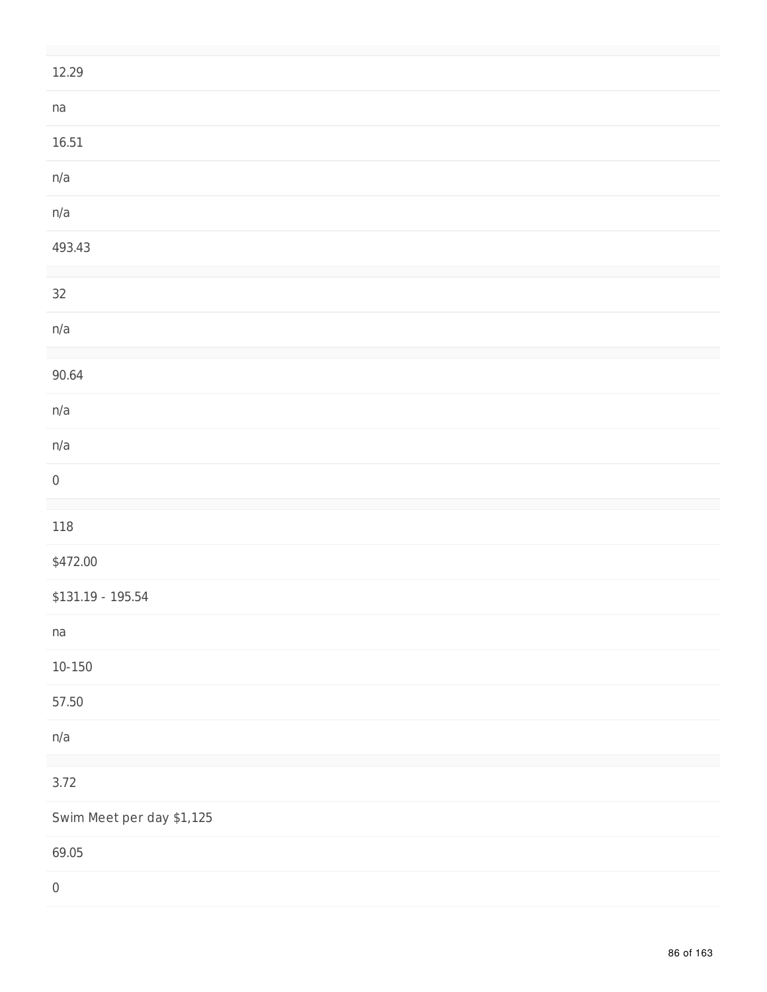| 12.29                     |
|---------------------------|
| na                        |
| 16.51                     |
| n/a                       |
| n/a                       |
| 493.43                    |
| $32\,$                    |
| n/a                       |
| 90.64                     |
| n/a                       |
| n/a                       |
| $\,0\,$                   |
| 118                       |
| \$472.00                  |
| $$131.19 - 195.54$        |
| na                        |
| $10 - 150$                |
| 57.50                     |
| n/a                       |
| 3.72                      |
| Swim Meet per day \$1,125 |
| 69.05                     |
| $\,0\,$                   |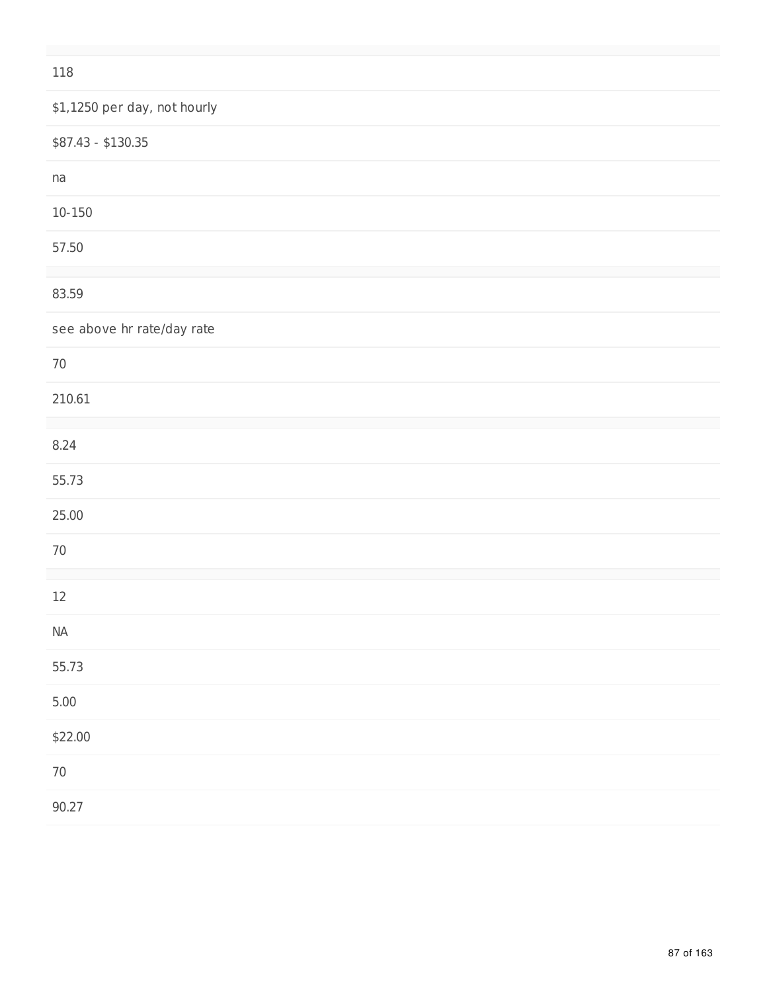#### 118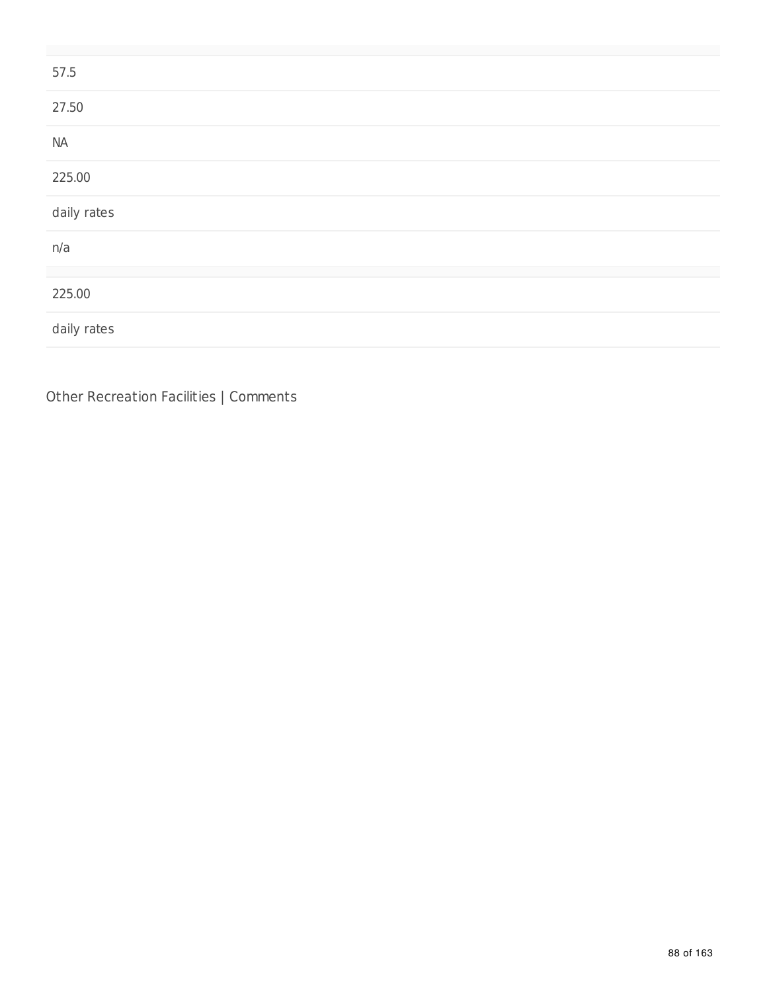| 57.5        |  |
|-------------|--|
| 27.50       |  |
| $\sf NA$    |  |
| 225.00      |  |
| daily rates |  |
| n/a         |  |
|             |  |
| 225.00      |  |
| daily rates |  |

Other Recreation Facilities | Comments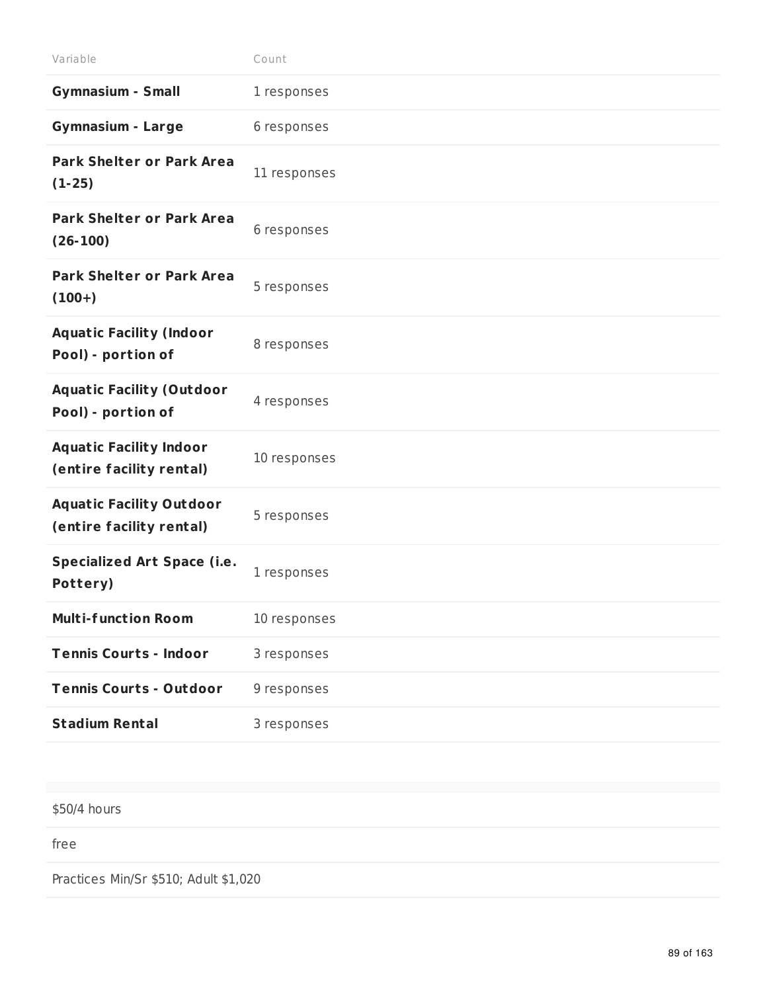| Variable                                                    | Count        |
|-------------------------------------------------------------|--------------|
| <b>Gymnasium - Small</b>                                    | 1 responses  |
| <b>Gymnasium - Large</b>                                    | 6 responses  |
| <b>Park Shelter or Park Area</b><br>$(1-25)$                | 11 responses |
| <b>Park Shelter or Park Area</b><br>$(26-100)$              | 6 responses  |
| <b>Park Shelter or Park Area</b><br>$(100+)$                | 5 responses  |
| <b>Aquatic Facility (Indoor</b><br>Pool) - portion of       | 8 responses  |
| <b>Aquatic Facility (Outdoor</b><br>Pool) - portion of      | 4 responses  |
| <b>Aquatic Facility Indoor</b><br>(entire facility rental)  | 10 responses |
| <b>Aquatic Facility Outdoor</b><br>(entire facility rental) | 5 responses  |
| <b>Specialized Art Space (i.e.</b><br>Pottery)              | 1 responses  |
| <b>Multi-function Room</b>                                  | 10 responses |
| <b>Tennis Courts - Indoor</b>                               | 3 responses  |
| <b>Tennis Courts - Outdoor</b>                              | 9 responses  |
| <b>Stadium Rental</b>                                       | 3 responses  |

\$50/4 hours

free

Practices Min/Sr \$510; Adult \$1,020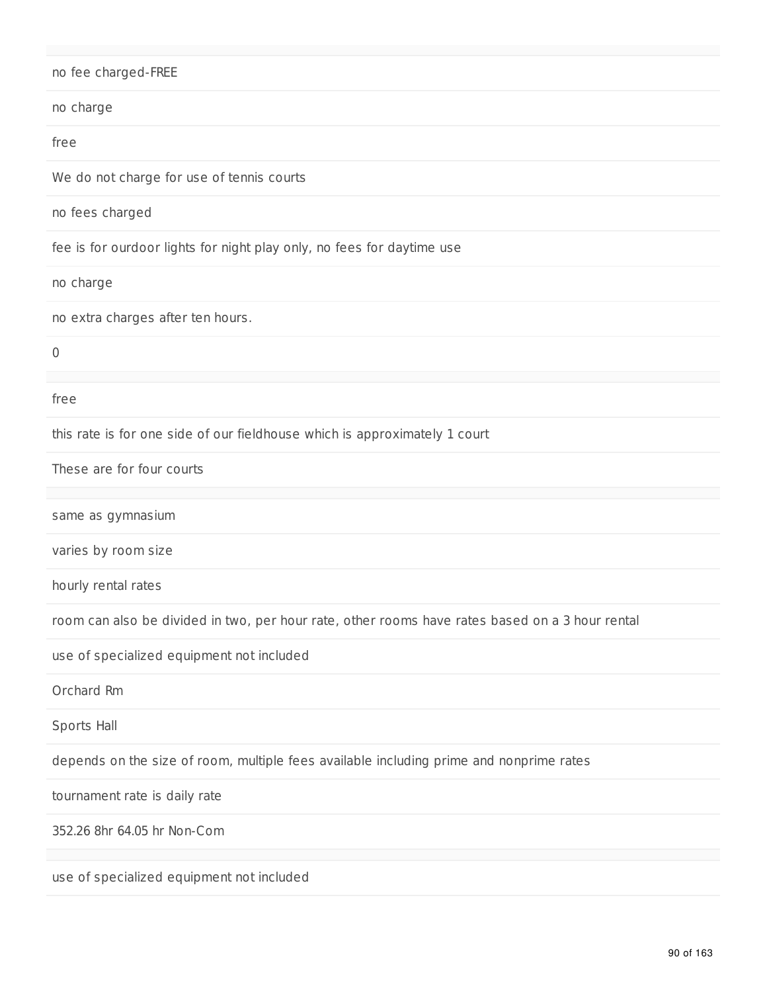| no fee charged-FREE                                                                             |
|-------------------------------------------------------------------------------------------------|
| no charge                                                                                       |
| free                                                                                            |
| We do not charge for use of tennis courts                                                       |
| no fees charged                                                                                 |
| fee is for ourdoor lights for night play only, no fees for daytime use                          |
| no charge                                                                                       |
| no extra charges after ten hours.                                                               |
| 0                                                                                               |
| free                                                                                            |
| this rate is for one side of our fieldhouse which is approximately 1 court                      |
| These are for four courts                                                                       |
| same as gymnasium                                                                               |
| varies by room size                                                                             |
| hourly rental rates                                                                             |
| room can also be divided in two, per hour rate, other rooms have rates based on a 3 hour rental |
| use of specialized equipment not included                                                       |
| Orchard Rm                                                                                      |
| Sports Hall                                                                                     |
| depends on the size of room, multiple fees available including prime and nonprime rates         |
| tournament rate is daily rate                                                                   |
| 352.26 8hr 64.05 hr Non-Com                                                                     |
| use of specialized equipment not included                                                       |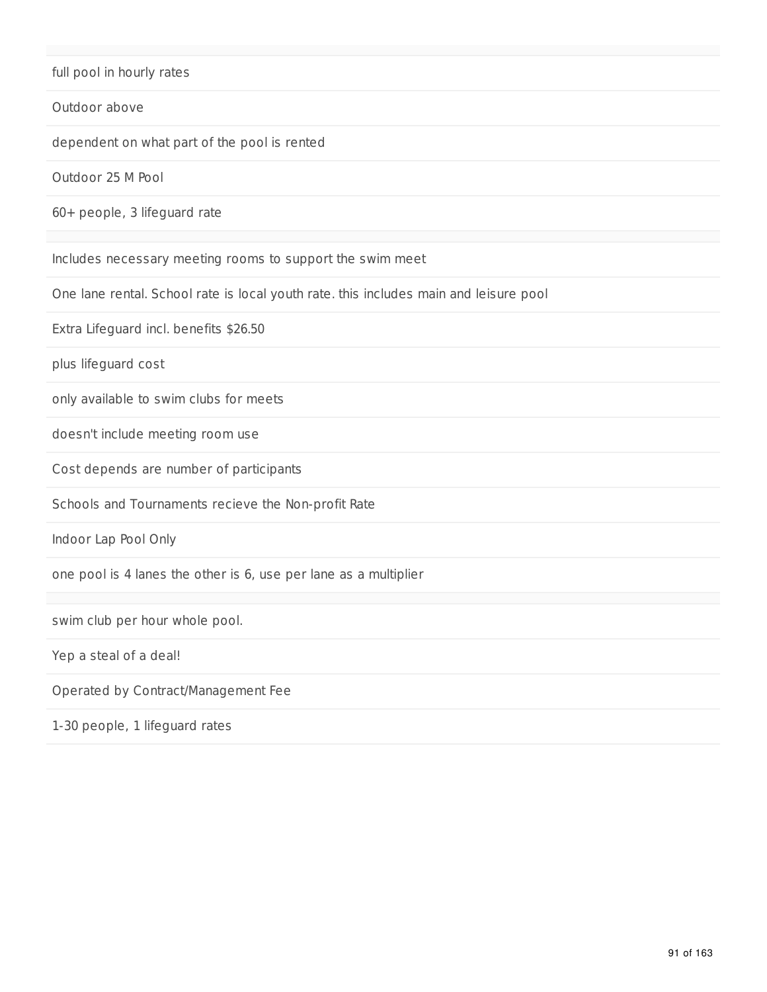#### full pool in hourly rates

#### Outdoor above

dependent on what part of the pool is rented

Outdoor 25 M Pool

60+ people, 3 lifeguard rate

Includes necessary meeting rooms to support the swim meet

One lane rental. School rate is local youth rate. this includes main and leisure pool

Extra Lifeguard incl. benefits \$26.50

plus lifeguard cost

only available to swim clubs for meets

doesn't include meeting room use

Cost depends are number of participants

Schools and Tournaments recieve the Non-profit Rate

Indoor Lap Pool Only

one pool is 4 lanes the other is 6, use per lane as a multiplier

swim club per hour whole pool.

Yep a steal of a deal!

Operated by Contract/Management Fee

1-30 people, 1 lifeguard rates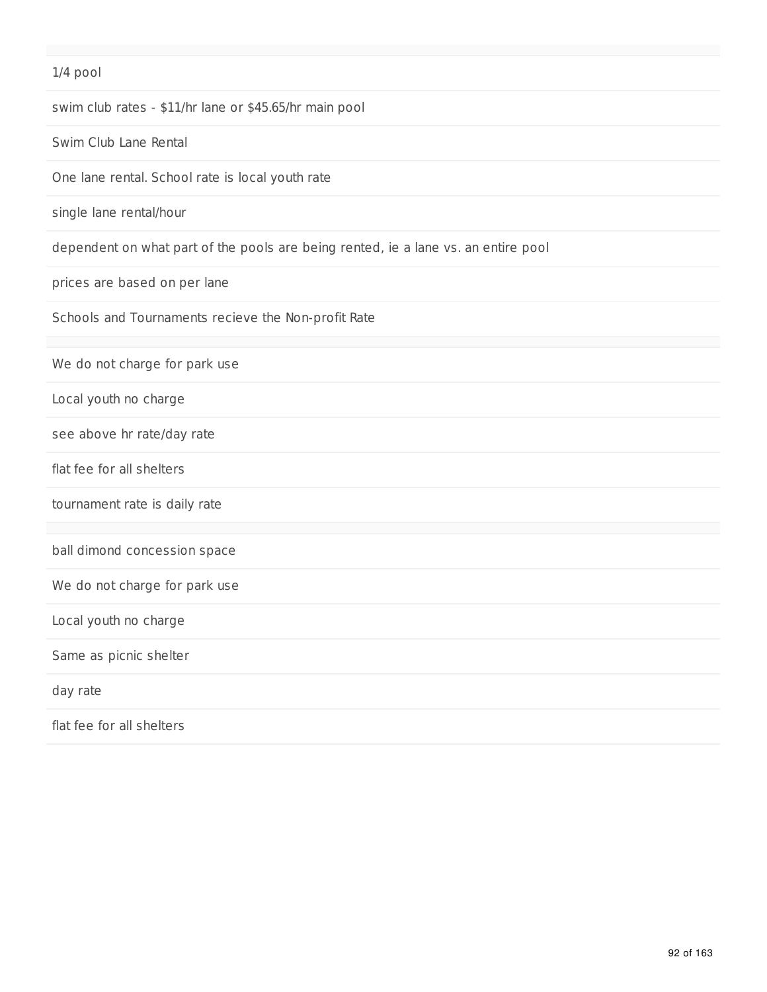# 1/4 pool swim club rates - \$11/hr lane or \$45.65/hr main pool Swim Club Lane Rental One lane rental. School rate is local youth rate single lane rental/hour dependent on what part of the pools are being rented, ie a lane vs. an entire pool prices are based on per lane Schools and Tournaments recieve the Non-profit Rate We do not charge for park use Local youth no charge see above hr rate/day rate flat fee for all shelters tournament rate is daily rate ball dimond concession space We do not charge for park use Local youth no charge Same as picnic shelter day rate flat fee for all shelters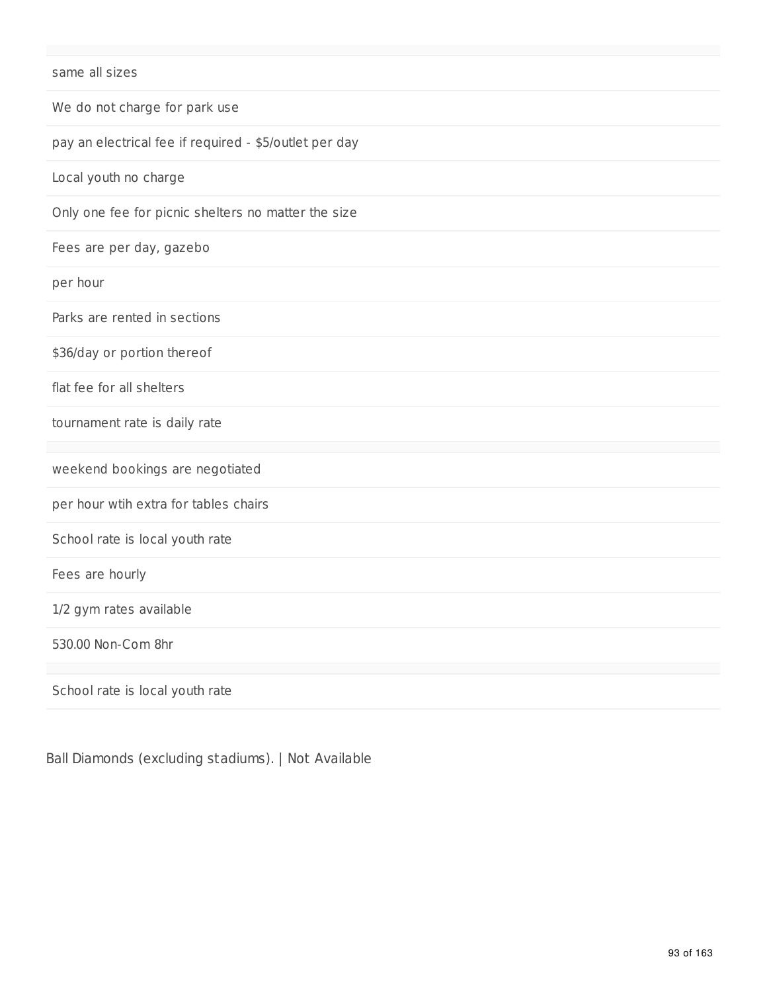| same all sizes                                         |
|--------------------------------------------------------|
| We do not charge for park use                          |
| pay an electrical fee if required - \$5/outlet per day |
| Local youth no charge                                  |
| Only one fee for picnic shelters no matter the size    |
| Fees are per day, gazebo                               |
| per hour                                               |
| Parks are rented in sections                           |
| \$36/day or portion thereof                            |
| flat fee for all shelters                              |
| tournament rate is daily rate                          |
| weekend bookings are negotiated                        |
| per hour wtih extra for tables chairs                  |
| School rate is local youth rate                        |
| Fees are hourly                                        |
| 1/2 gym rates available                                |
| 530.00 Non-Com 8hr                                     |
| School rate is local youth rate                        |

Ball Diamonds (excluding stadiums). | Not Available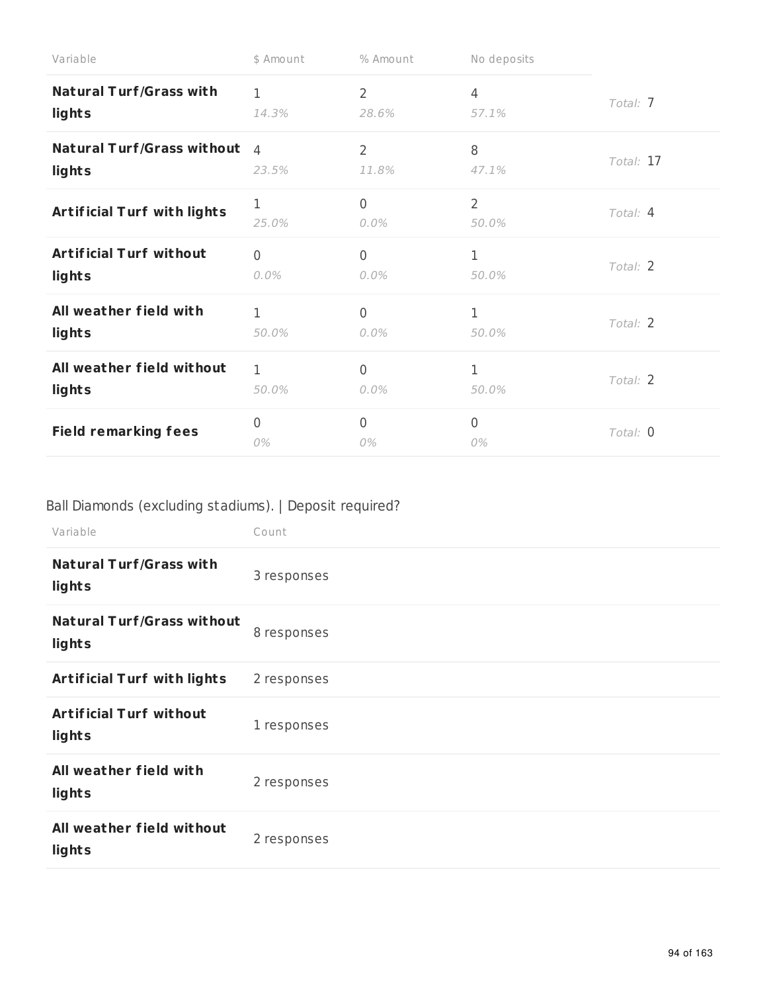| Variable                           | \$ Amount            | % Amount                  | No deposits             |           |
|------------------------------------|----------------------|---------------------------|-------------------------|-----------|
| <b>Natural Turf/Grass with</b>     | $\mathbf 1$          | $\overline{2}$            | 4                       | Total: 7  |
| lights                             | 14.3%                | 28.6%                     | 57.1%                   |           |
| <b>Natural Turf/Grass without</b>  | $\overline{4}$       | $\overline{2}$            | 8                       | Total: 17 |
| lights                             | 23.5%                | 11.8%                     | 47.1%                   |           |
| <b>Artificial Turf with lights</b> | 1<br>25.0%           | $\overline{0}$<br>$0.0\%$ | $\overline{2}$<br>50.0% | Total: 4  |
| <b>Artificial Turf without</b>     | $\overline{0}$       | $\mathbf 0$               | $\mathbf{1}$            | Total: 2  |
| lights                             | $0.0\%$              | $0.0\%$                   | 50.0%                   |           |
| All weather field with             | $\mathbf{1}$         | $\overline{0}$            | $\mathbf{1}$            | Total: 2  |
| lights                             | 50.0%                | $0.0\%$                   | 50.0%                   |           |
| All weather field without          | 1                    | $\overline{0}$            | 1                       | Total: 2  |
| lights                             | 50.0%                | $0.0\%$                   | 50.0%                   |           |
| <b>Field remarking fees</b>        | $\overline{0}$<br>0% | 0<br>0%                   | $\overline{0}$<br>0%    | Total: 0  |

# Ball Diamonds (excluding stadiums). | Deposit required?

| Variable                                    | Count       |
|---------------------------------------------|-------------|
| <b>Natural Turf/Grass with</b><br>lights    | 3 responses |
| <b>Natural Turf/Grass without</b><br>lights | 8 responses |
| <b>Artificial Turf with lights</b>          | 2 responses |
| <b>Artificial Turf without</b><br>lights    | 1 responses |
| All weather field with<br>lights            | 2 responses |
| All weather field without<br>lights         | 2 responses |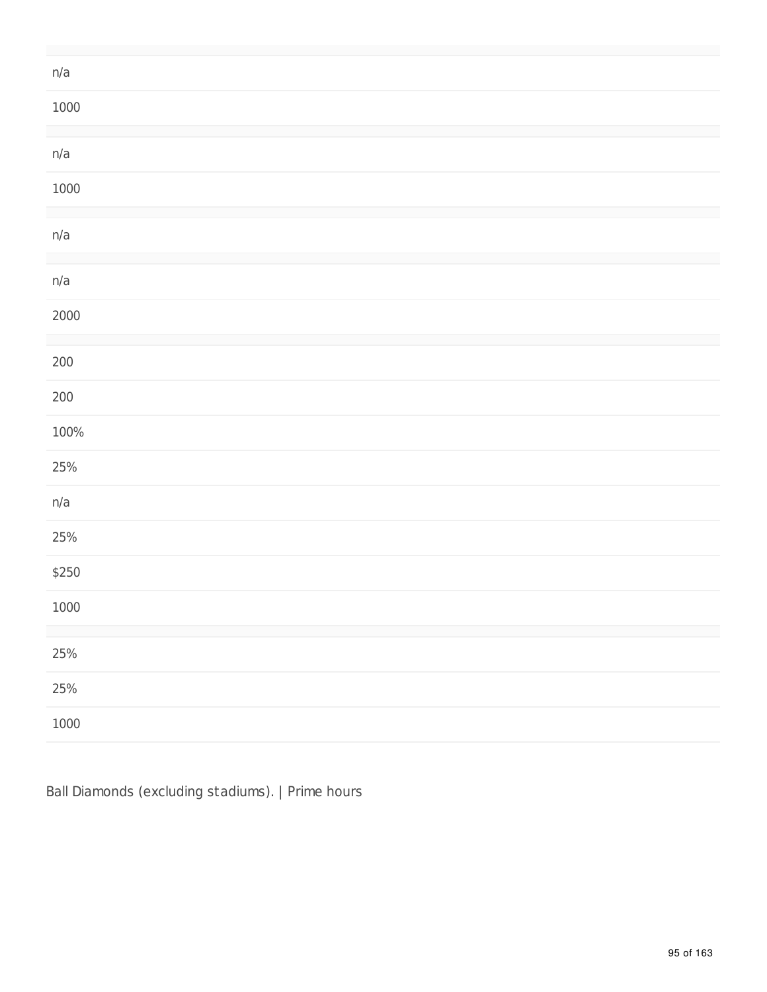| n/a     |  |
|---------|--|
| 1000    |  |
| n/a     |  |
| 1000    |  |
|         |  |
| n/a     |  |
|         |  |
| n/a     |  |
| 2000    |  |
|         |  |
| $200\,$ |  |
| $200\,$ |  |
| 100%    |  |
| $25%$   |  |
| n/a     |  |
| 25%     |  |
| \$250   |  |
| 1000    |  |
|         |  |
| 25%     |  |
| $25%$   |  |
| 1000    |  |

Ball Diamonds (excluding stadiums). | Prime hours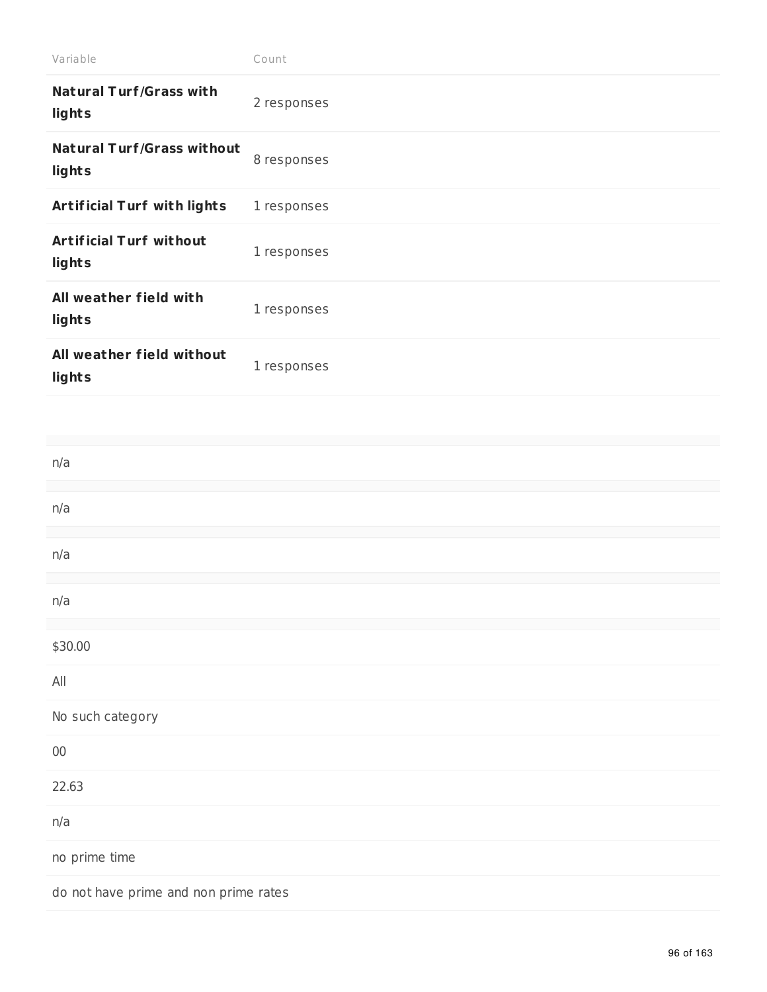| Variable                                    | Count       |
|---------------------------------------------|-------------|
| <b>Natural Turf/Grass with</b><br>lights    | 2 responses |
| <b>Natural Turf/Grass without</b><br>lights | 8 responses |
| Artificial Turf with lights                 | 1 responses |
| <b>Artificial Turf without</b><br>lights    | 1 responses |
| All weather field with<br>lights            | 1 responses |
| All weather field without<br>lights         | 1 responses |
|                                             |             |
| n/a                                         |             |
|                                             |             |
| n/a                                         |             |
| n/a                                         |             |
| n/a                                         |             |
|                                             |             |
| \$30.00                                     |             |
| $\mathsf{All}$                              |             |
| No such category                            |             |
| $00\,$                                      |             |
| 22.63                                       |             |
| n/a                                         |             |

no prime time

do not have prime and non prime rates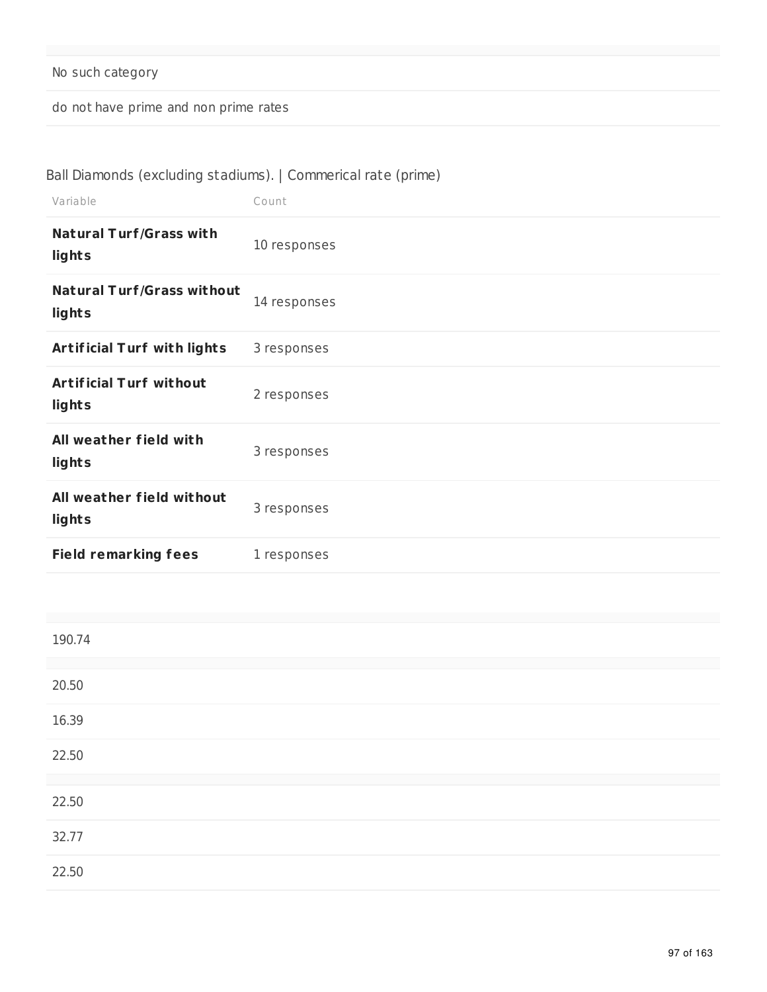## No such category

do not have prime and non prime rates

## Ball Diamonds (excluding stadiums). | Commerical rate (prime)

| Variable                                    | Count        |
|---------------------------------------------|--------------|
| <b>Natural Turf/Grass with</b><br>lights    | 10 responses |
| <b>Natural Turf/Grass without</b><br>lights | 14 responses |
| <b>Artificial Turf with lights</b>          | 3 responses  |
| <b>Artificial Turf without</b><br>lights    | 2 responses  |
| All weather field with<br>lights            | 3 responses  |
| All weather field without<br>lights         | 3 responses  |
| <b>Field remarking fees</b>                 | 1 responses  |

| 190.74 |  |  |
|--------|--|--|
|        |  |  |
| 20.50  |  |  |
| 16.39  |  |  |
| 22.50  |  |  |
|        |  |  |
| 22.50  |  |  |
| 32.77  |  |  |
| 22.50  |  |  |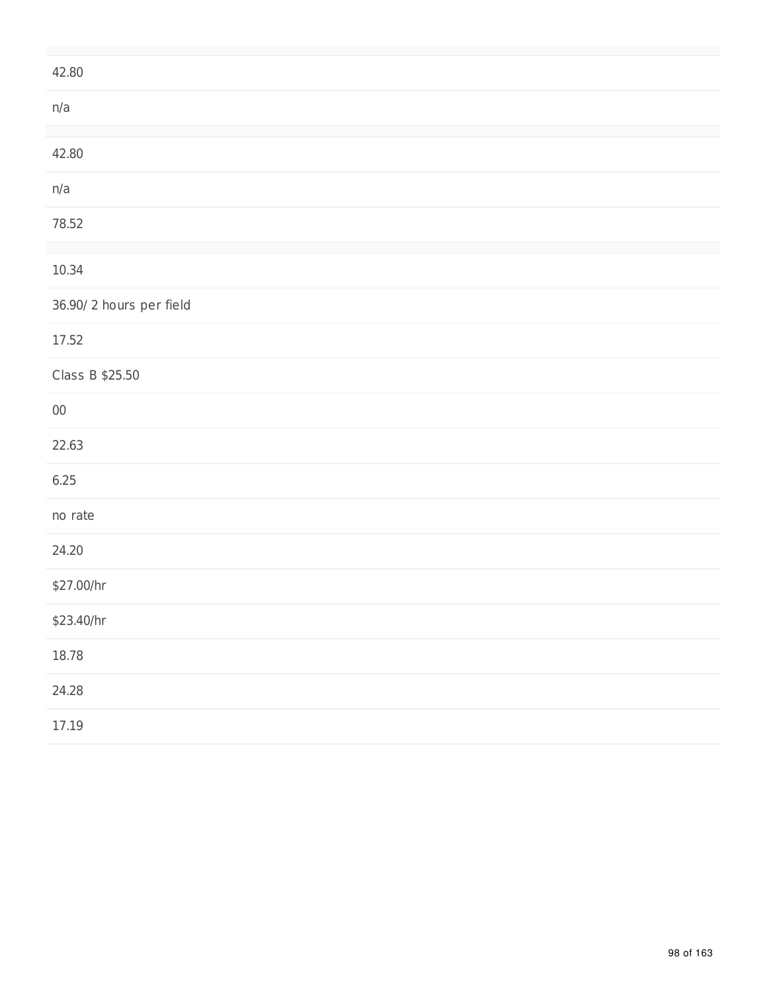| 42.80                   |
|-------------------------|
| n/a                     |
| 42.80                   |
| n/a                     |
| 78.52                   |
| 10.34                   |
| 36.90/2 hours per field |
| 17.52                   |
| Class B \$25.50         |
| $00\,$                  |
| 22.63                   |
| 6.25                    |
| no rate                 |
| 24.20                   |
| \$27.00/hr              |
| \$23.40/hr              |
| 18.78                   |
| 24.28                   |
| 17.19                   |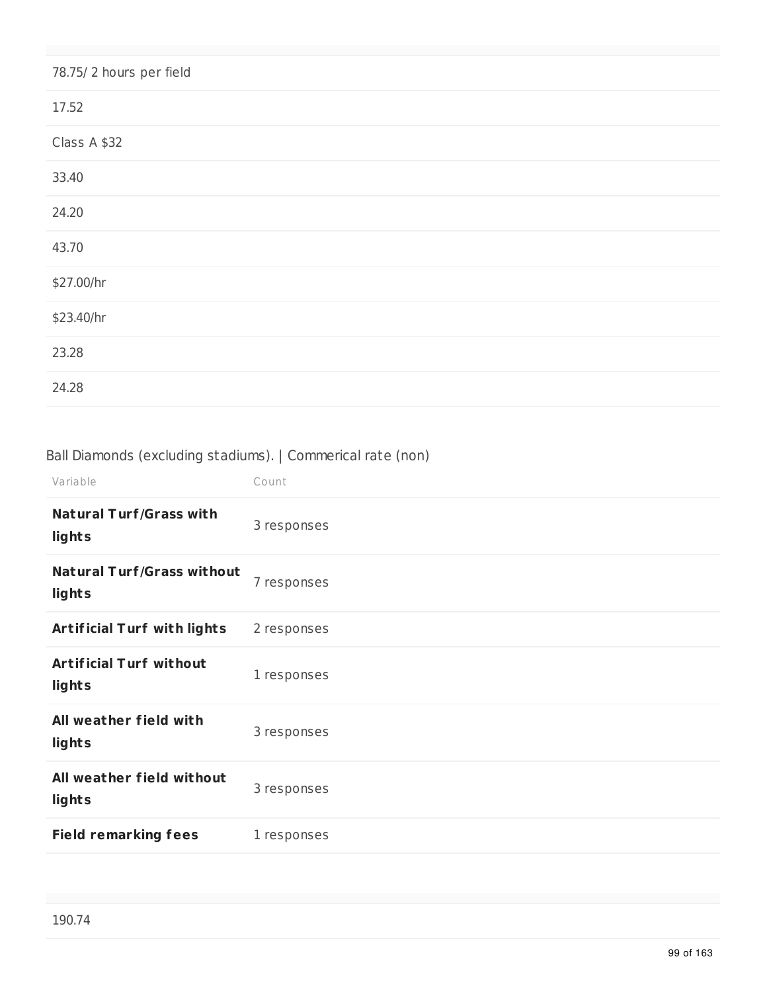| 78.75/2 hours per field |
|-------------------------|
| 17.52                   |
| Class A \$32            |
| 33.40                   |
| 24.20                   |
| 43.70                   |
| \$27.00/hr              |
| \$23.40/hr              |
| 23.28                   |
| 24.28                   |

## Ball Diamonds (excluding stadiums). | Commerical rate (non)

| Variable                                    | Count       |
|---------------------------------------------|-------------|
| <b>Natural Turf/Grass with</b><br>lights    | 3 responses |
| <b>Natural Turf/Grass without</b><br>lights | 7 responses |
| <b>Artificial Turf with lights</b>          | 2 responses |
| <b>Artificial Turf without</b><br>lights    | 1 responses |
| All weather field with<br>lights            | 3 responses |
| All weather field without<br>lights         | 3 responses |
| <b>Field remarking fees</b>                 | 1 responses |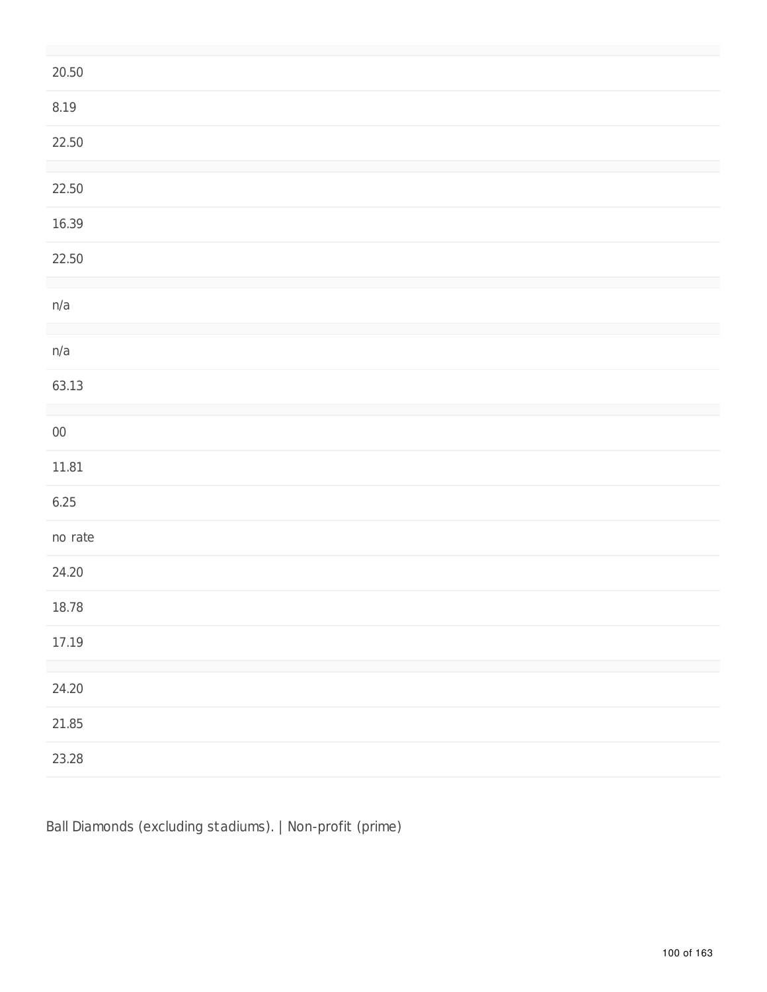| 20.50      |  |
|------------|--|
| $8.19\,$   |  |
| 22.50      |  |
| 22.50      |  |
| 16.39      |  |
| 22.50      |  |
|            |  |
| n/a        |  |
| n/a        |  |
| 63.13      |  |
|            |  |
| ${\bf 00}$ |  |
| $11.81\,$  |  |
| 6.25       |  |
| no rate    |  |
| 24.20      |  |
| 18.78      |  |
| 17.19      |  |
|            |  |
| 24.20      |  |
| 21.85      |  |
| 23.28      |  |

Ball Diamonds (excluding stadiums). | Non-profit (prime)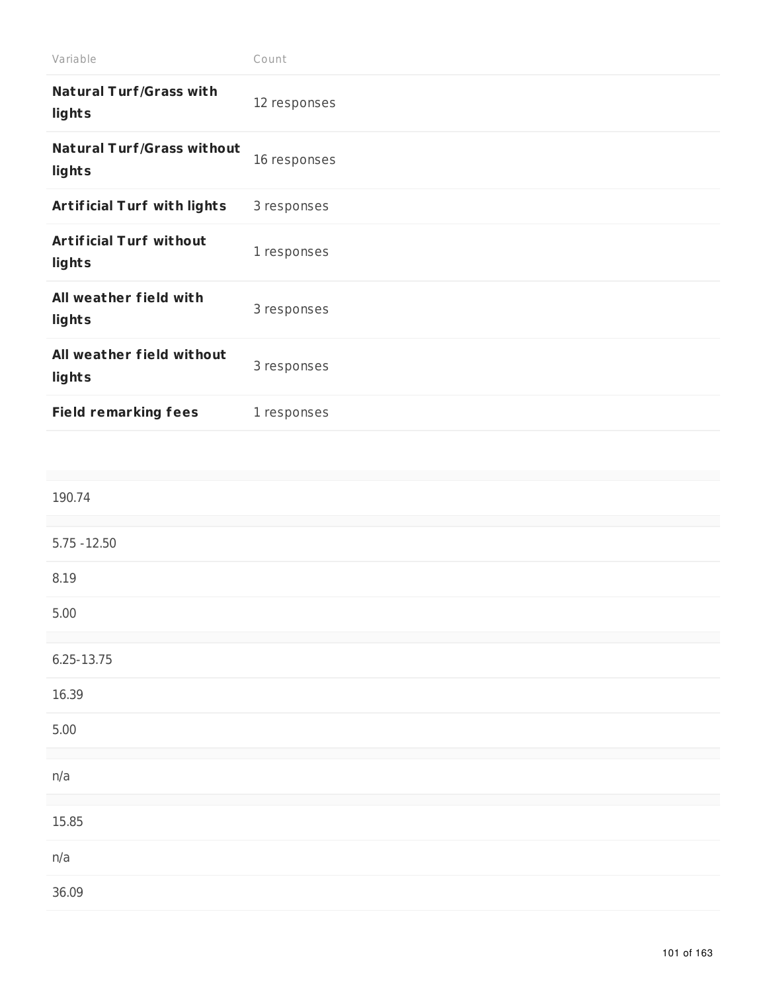| Variable                                    | Count        |
|---------------------------------------------|--------------|
| <b>Natural Turf/Grass with</b><br>lights    | 12 responses |
| <b>Natural Turf/Grass without</b><br>lights | 16 responses |
| <b>Artificial Turf with lights</b>          | 3 responses  |
| <b>Artificial Turf without</b><br>lights    | 1 responses  |
| All weather field with<br>lights            | 3 responses  |
| All weather field without<br>lights         | 3 responses  |
| <b>Field remarking fees</b>                 | 1 responses  |

| 190.74         |  |
|----------------|--|
|                |  |
| $5.75 - 12.50$ |  |
| 8.19           |  |
| 5.00           |  |
|                |  |
| 6.25-13.75     |  |
| 16.39          |  |
| 5.00           |  |
|                |  |
| n/a            |  |
|                |  |
| 15.85          |  |
| n/a            |  |
| 36.09          |  |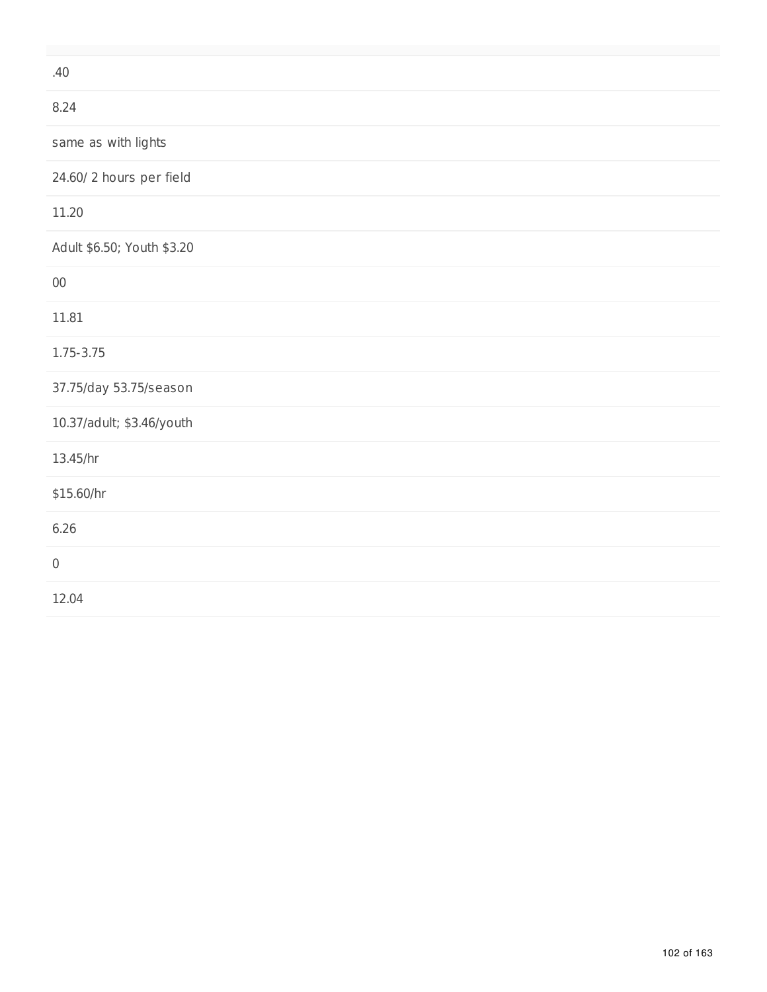| .40                        |
|----------------------------|
| 8.24                       |
| same as with lights        |
| 24.60/2 hours per field    |
| 11.20                      |
| Adult \$6.50; Youth \$3.20 |
| $00\,$                     |
| 11.81                      |
| 1.75-3.75                  |
| 37.75/day 53.75/season     |
| 10.37/adult; \$3.46/youth  |
| 13.45/hr                   |
| \$15.60/hr                 |
| 6.26                       |
| $\mathbf 0$                |
| 12.04                      |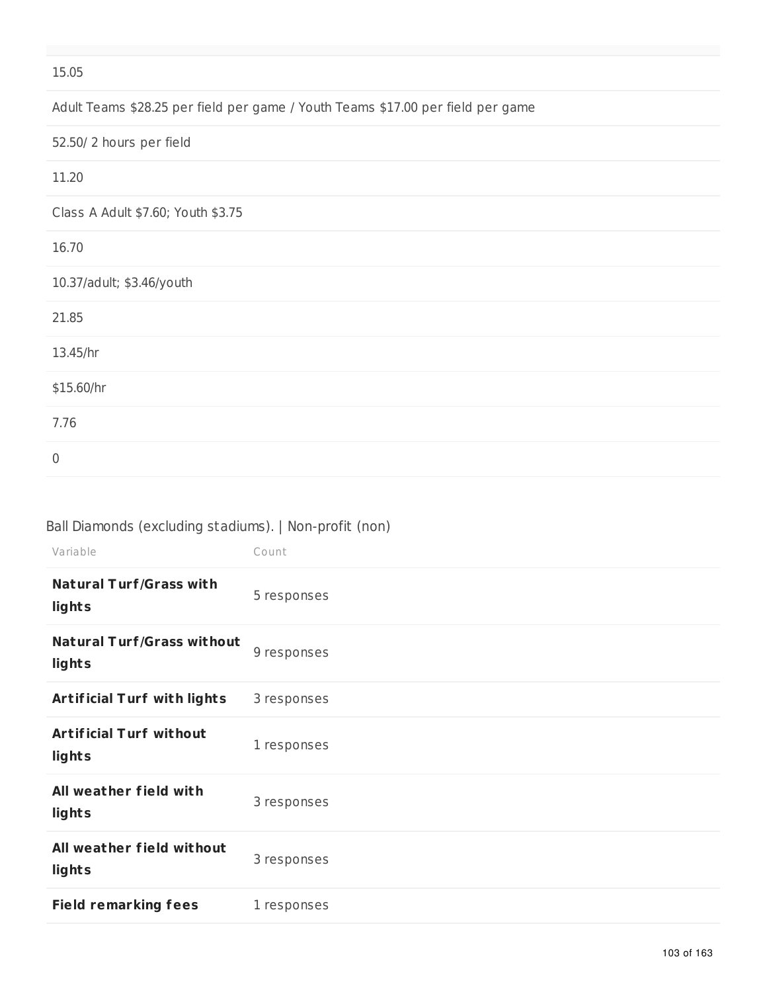#### 15.05

Adult Teams \$28.25 per field per game / Youth Teams \$17.00 per field per game

52.50/ 2 hours per field

| 11.20                              |  |  |
|------------------------------------|--|--|
| Class A Adult \$7.60; Youth \$3.75 |  |  |
| 16.70                              |  |  |
| 10.37/adult; \$3.46/youth          |  |  |
| 21.85                              |  |  |
| 13.45/hr                           |  |  |
| \$15.60/hr                         |  |  |
| 7.76                               |  |  |
| $\boldsymbol{0}$                   |  |  |

#### Ball Diamonds (excluding stadiums). | Non-profit (non)

| Variable                                    | Count       |
|---------------------------------------------|-------------|
| <b>Natural Turf/Grass with</b><br>lights    | 5 responses |
| <b>Natural Turf/Grass without</b><br>lights | 9 responses |
| <b>Artificial Turf with lights</b>          | 3 responses |
| <b>Artificial Turf without</b><br>lights    | 1 responses |
| All weather field with<br>lights            | 3 responses |
| All weather field without<br>lights         | 3 responses |
| <b>Field remarking fees</b>                 | 1 responses |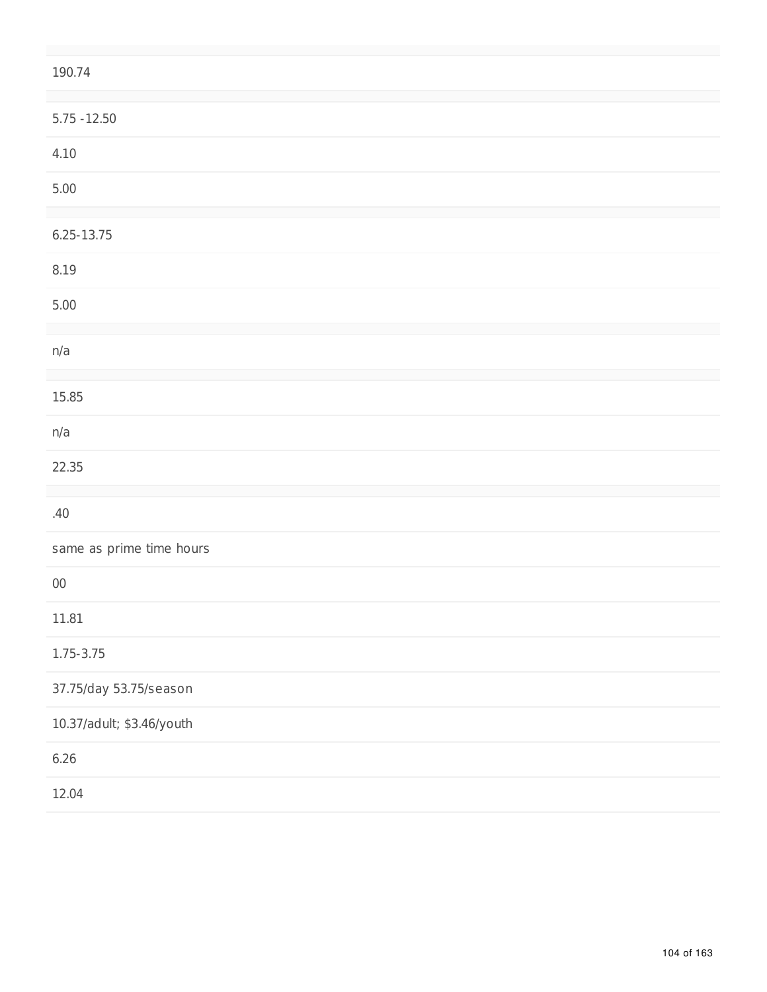| 190.74                    |
|---------------------------|
| $5.75 - 12.50$            |
| 4.10                      |
| $5.00$                    |
| $6.25 - 13.75$            |
| 8.19                      |
| 5.00                      |
| n/a                       |
| 15.85                     |
| n/a                       |
| 22.35                     |
| .40                       |
| same as prime time hours  |
| $00\,$                    |
| 11.81                     |
| $1.75 - 3.75$             |
| 37.75/day 53.75/season    |
| 10.37/adult; \$3.46/youth |
| 6.26                      |
| 12.04                     |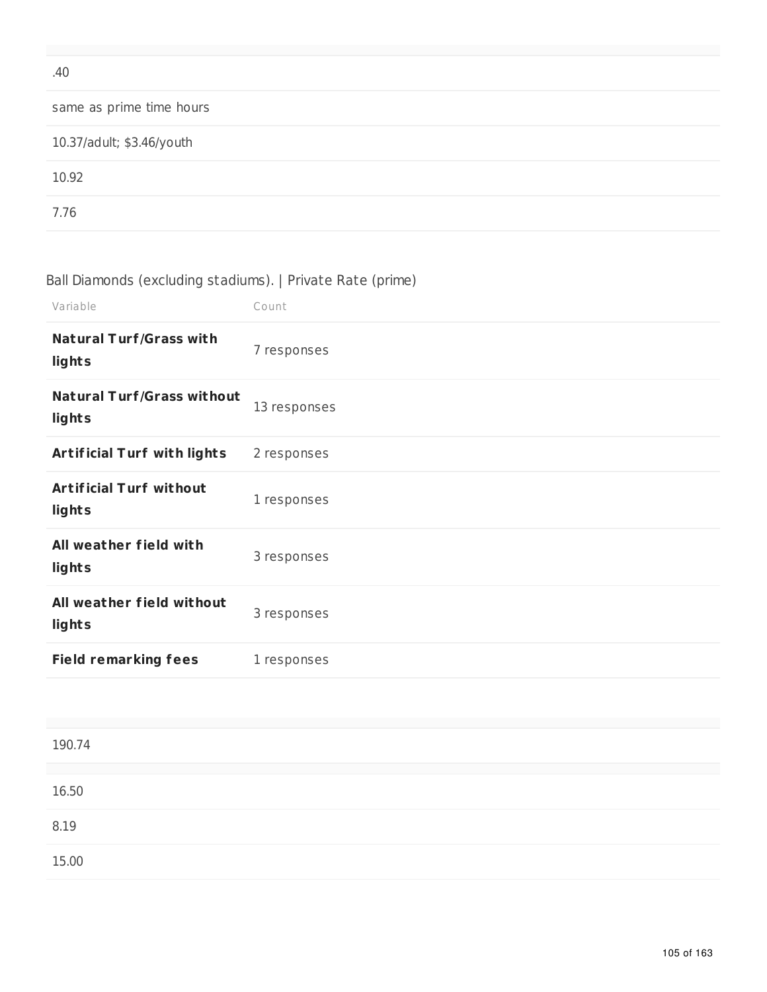| .40                       |
|---------------------------|
| same as prime time hours  |
| 10.37/adult; \$3.46/youth |
| 10.92                     |
| 7.76                      |

# Ball Diamonds (excluding stadiums). | Private Rate (prime)

| Variable                                    | Count        |
|---------------------------------------------|--------------|
| <b>Natural Turf/Grass with</b><br>lights    | 7 responses  |
| <b>Natural Turf/Grass without</b><br>lights | 13 responses |
| <b>Artificial Turf with lights</b>          | 2 responses  |
| <b>Artificial Turf without</b><br>lights    | 1 responses  |
| All weather field with<br>lights            | 3 responses  |
| All weather field without<br>lights         | 3 responses  |
| <b>Field remarking fees</b>                 | 1 responses  |

| 190.74 |  |  |
|--------|--|--|
|        |  |  |
| 16.50  |  |  |
|        |  |  |
| 8.19   |  |  |
|        |  |  |
|        |  |  |
| 15.00  |  |  |
|        |  |  |
|        |  |  |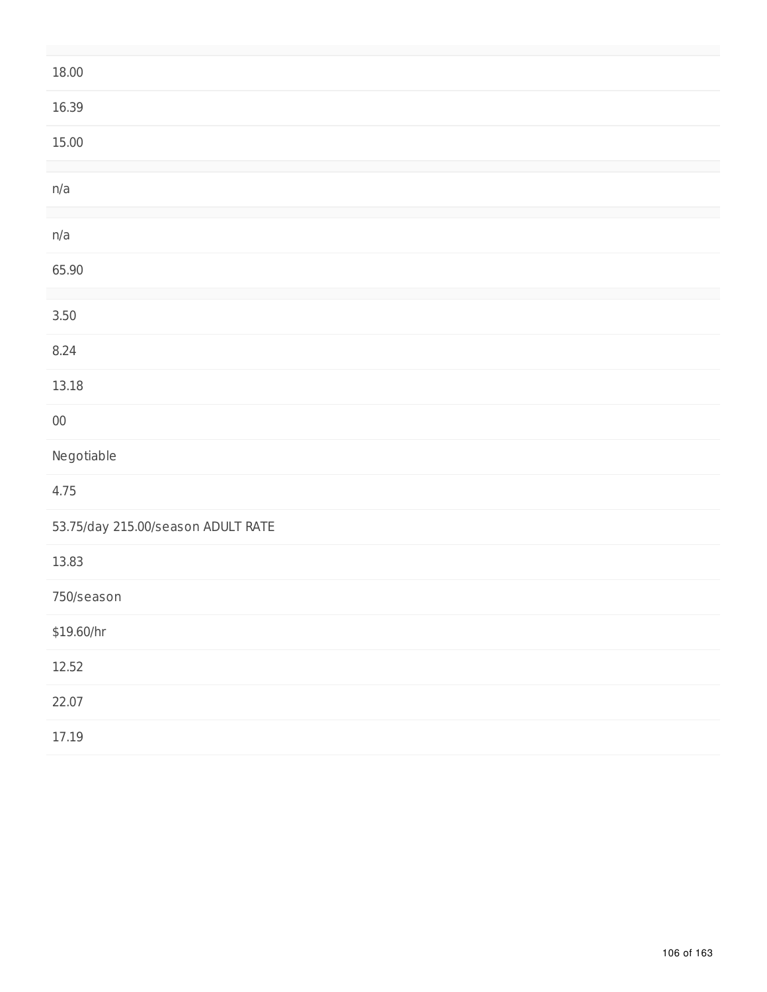| 18.00                              |
|------------------------------------|
| 16.39                              |
| 15.00                              |
|                                    |
| n/a                                |
|                                    |
| n/a                                |
| 65.90                              |
|                                    |
| $3.50$                             |
| 8.24                               |
| 13.18                              |
| ${\bf 00}$                         |
| Negotiable                         |
| 4.75                               |
| 53.75/day 215.00/season ADULT RATE |
| 13.83                              |
| 750/season                         |
| \$19.60/hr                         |
| 12.52                              |
| 22.07                              |
| 17.19                              |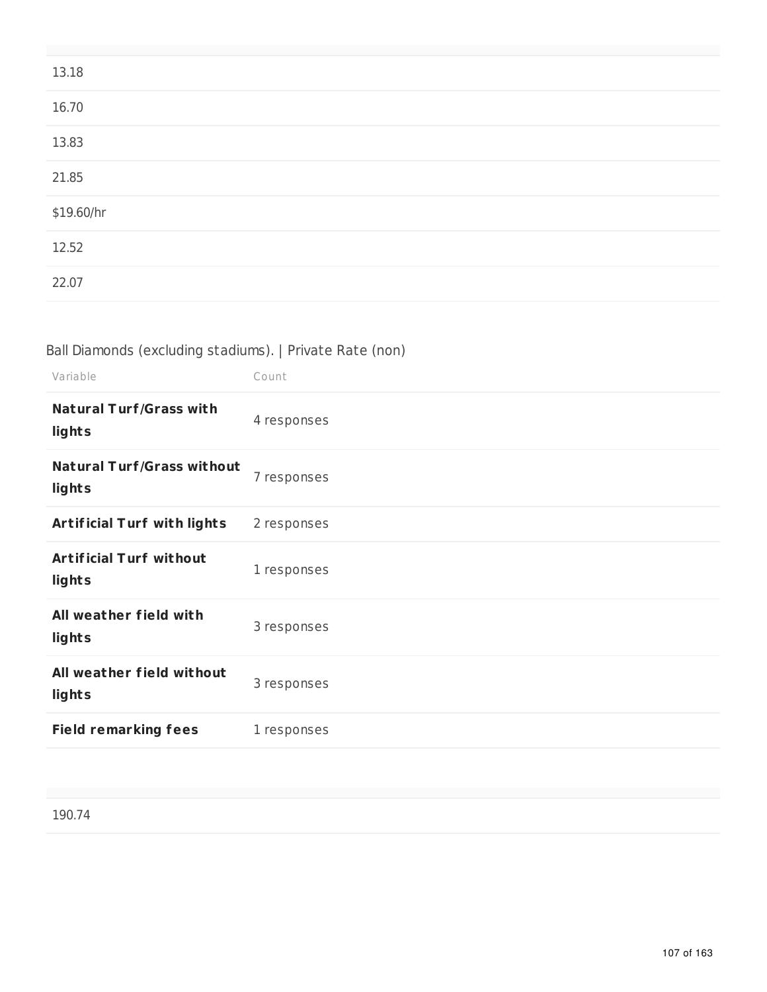| 13.18      |  |
|------------|--|
| 16.70      |  |
| 13.83      |  |
| 21.85      |  |
| \$19.60/hr |  |
| 12.52      |  |
| 22.07      |  |

## Ball Diamonds (excluding stadiums). | Private Rate (non)

| Variable                                    | Count       |
|---------------------------------------------|-------------|
| <b>Natural Turf/Grass with</b><br>lights    | 4 responses |
| <b>Natural Turf/Grass without</b><br>lights | 7 responses |
| <b>Artificial Turf with lights</b>          | 2 responses |
| <b>Artificial Turf without</b><br>lights    | 1 responses |
| All weather field with<br>lights            | 3 responses |
| All weather field without<br>lights         | 3 responses |
| <b>Field remarking fees</b>                 | 1 responses |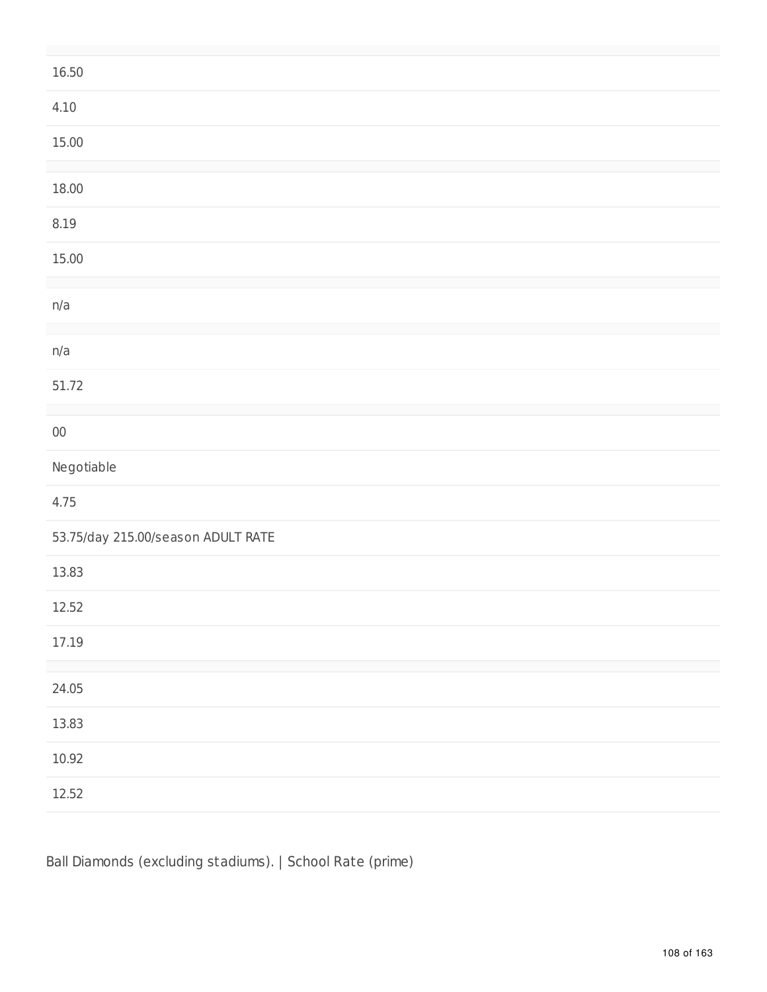| 16.50                              |
|------------------------------------|
| 4.10                               |
| 15.00                              |
| 18.00                              |
| 8.19                               |
| 15.00                              |
| n/a                                |
| n/a                                |
| 51.72                              |
| ${\bf 00}$                         |
| Negotiable                         |
| 4.75                               |
| 53.75/day 215.00/season ADULT RATE |
| 13.83                              |
| 12.52                              |
| 17.19                              |
| 24.05                              |
| 13.83                              |
| 10.92                              |
| 12.52                              |

Ball Diamonds (excluding stadiums). | School Rate (prime)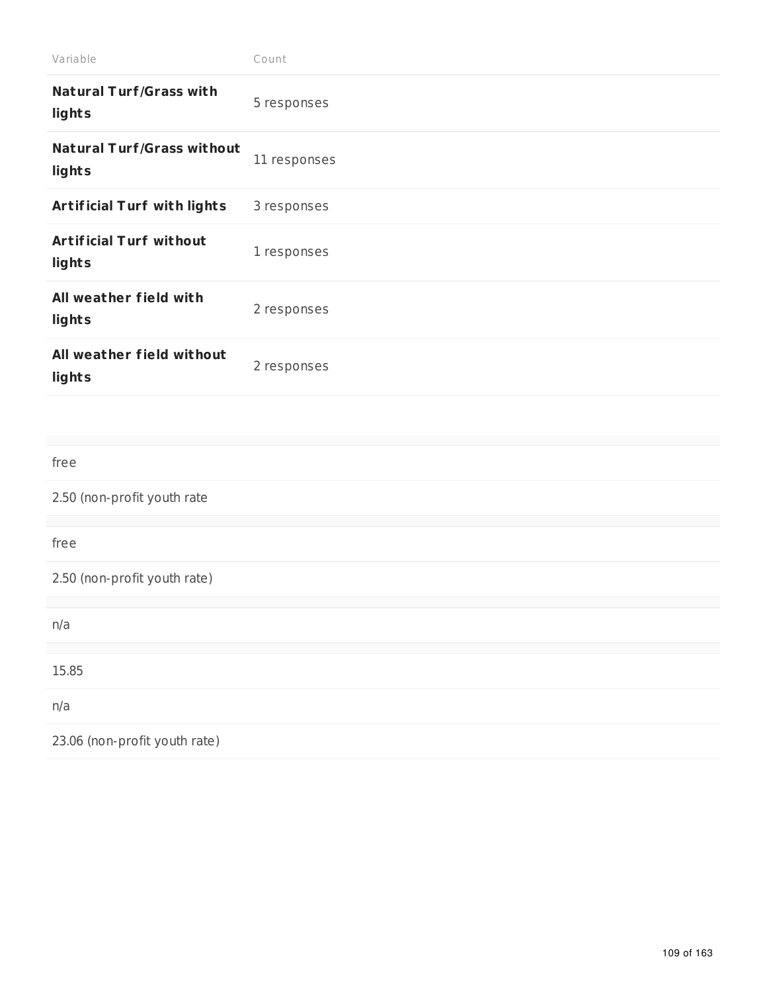| Variable                                    | Count        |
|---------------------------------------------|--------------|
| <b>Natural Turf/Grass with</b><br>lights    | 5 responses  |
| <b>Natural Turf/Grass without</b><br>lights | 11 responses |
| Artificial Turf with lights                 | 3 responses  |
| <b>Artificial Turf without</b><br>lights    | 1 responses  |
| All weather field with<br>lights            | 2 responses  |
| All weather field without<br>lights         | 2 responses  |
|                                             |              |
| free                                        |              |
| 2.50 (non-profit youth rate                 |              |
| free                                        |              |
| 2.50 (non-profit youth rate)                |              |
| n/a                                         |              |
| 15.85                                       |              |
| n/a                                         |              |
|                                             |              |
| 23.06 (non-profit youth rate)               |              |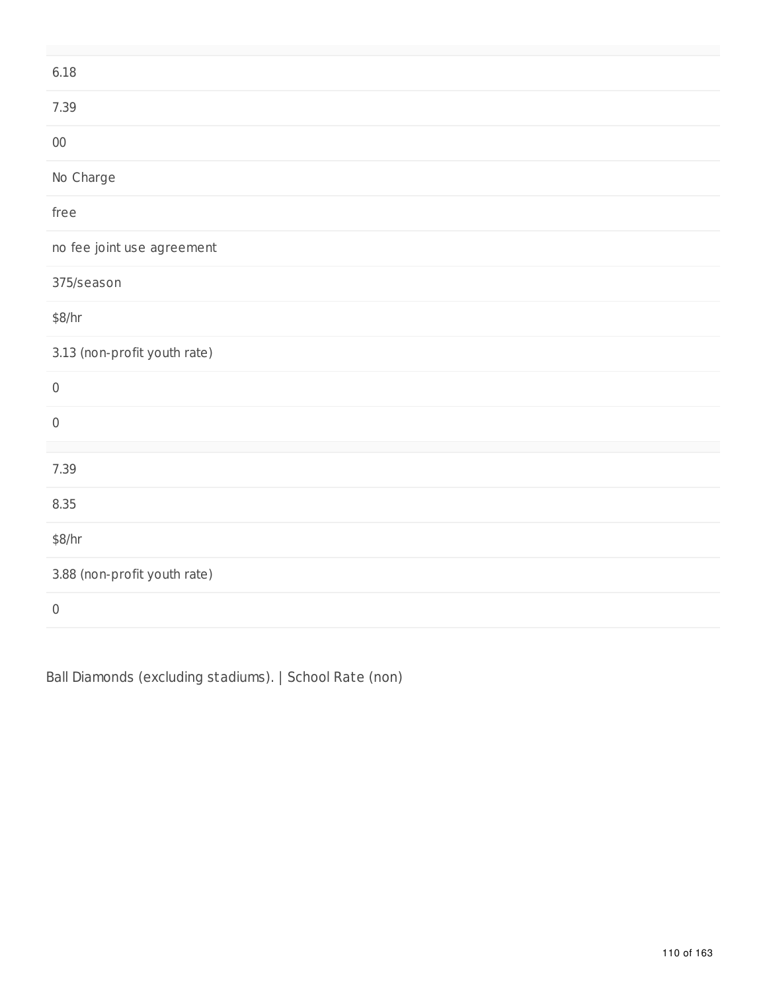| 6.18                         |
|------------------------------|
| 7.39                         |
| ${\bf 00}$                   |
| No Charge                    |
| free                         |
| no fee joint use agreement   |
| 375/season                   |
| \$8/hr                       |
| 3.13 (non-profit youth rate) |
|                              |
| $\,0\,$                      |
| $\boldsymbol{0}$             |
| 7.39                         |
| 8.35                         |
| \$8/hr                       |
| 3.88 (non-profit youth rate) |

Ball Diamonds (excluding stadiums). | School Rate (non)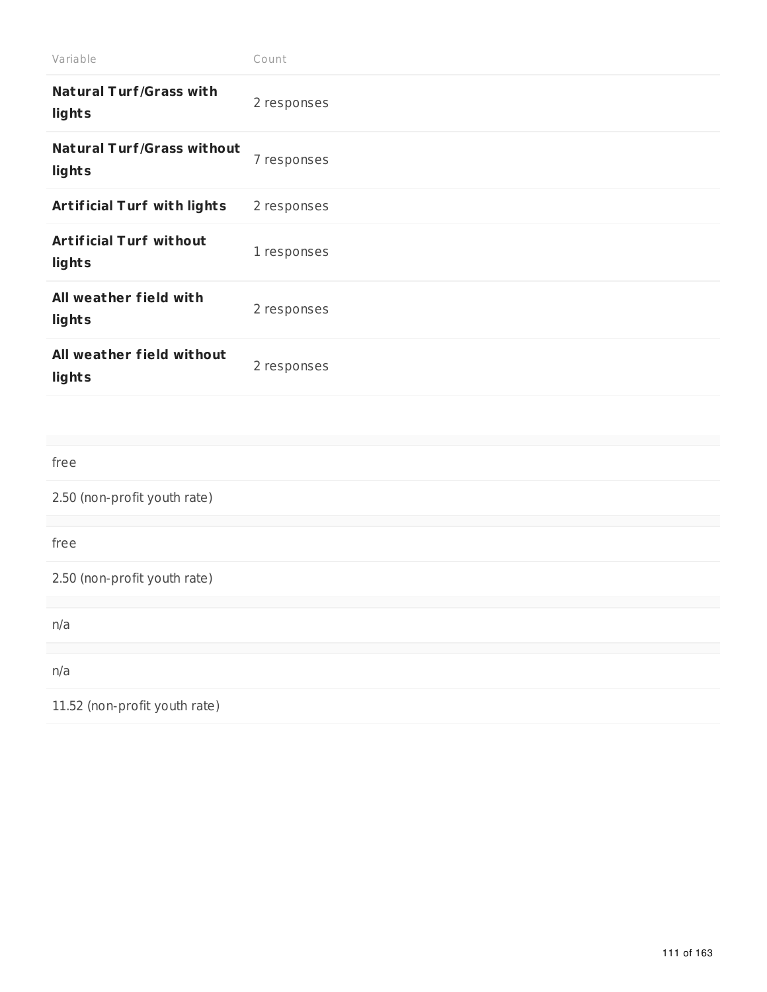| Variable                                    | Count       |
|---------------------------------------------|-------------|
| <b>Natural Turf/Grass with</b><br>lights    | 2 responses |
| <b>Natural Turf/Grass without</b><br>lights | 7 responses |
| Artificial Turf with lights                 | 2 responses |
| <b>Artificial Turf without</b><br>lights    | 1 responses |
| All weather field with<br>lights            | 2 responses |
| All weather field without<br>lights         | 2 responses |
|                                             |             |
| free                                        |             |
| 2.50 (non-profit youth rate)                |             |
| free                                        |             |
| 2.50 (non-profit youth rate)                |             |
| n/a                                         |             |
| n/a                                         |             |
| 11.52 (non-profit youth rate)               |             |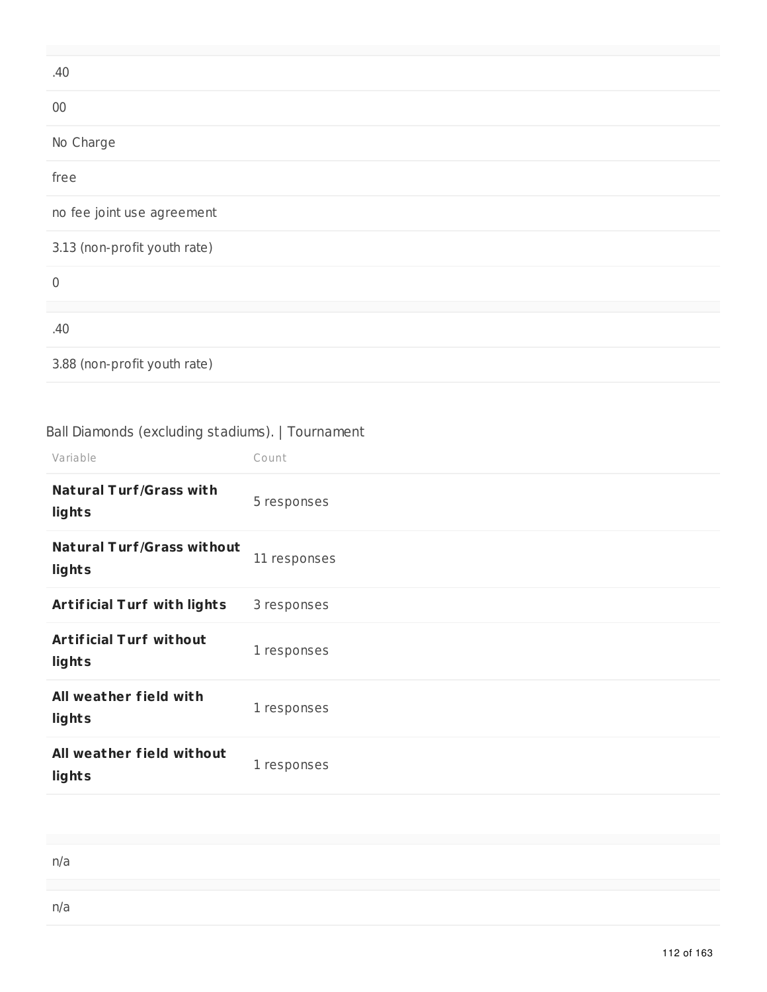| .40                          |
|------------------------------|
| $00\,$                       |
| No Charge                    |
| free                         |
| no fee joint use agreement   |
| 3.13 (non-profit youth rate) |
| $\mathbf 0$                  |
| .40                          |
| 3.88 (non-profit youth rate) |

# Ball Diamonds (excluding stadiums). | Tournament

| Variable                                    | Count        |
|---------------------------------------------|--------------|
| <b>Natural Turf/Grass with</b><br>lights    | 5 responses  |
| <b>Natural Turf/Grass without</b><br>lights | 11 responses |
| <b>Artificial Turf with lights</b>          | 3 responses  |
| <b>Artificial Turf without</b><br>lights    | 1 responses  |
| All weather field with<br>lights            | 1 responses  |
| All weather field without<br>lights         | 1 responses  |

| n/a |  |  |  |
|-----|--|--|--|
|     |  |  |  |
| n/a |  |  |  |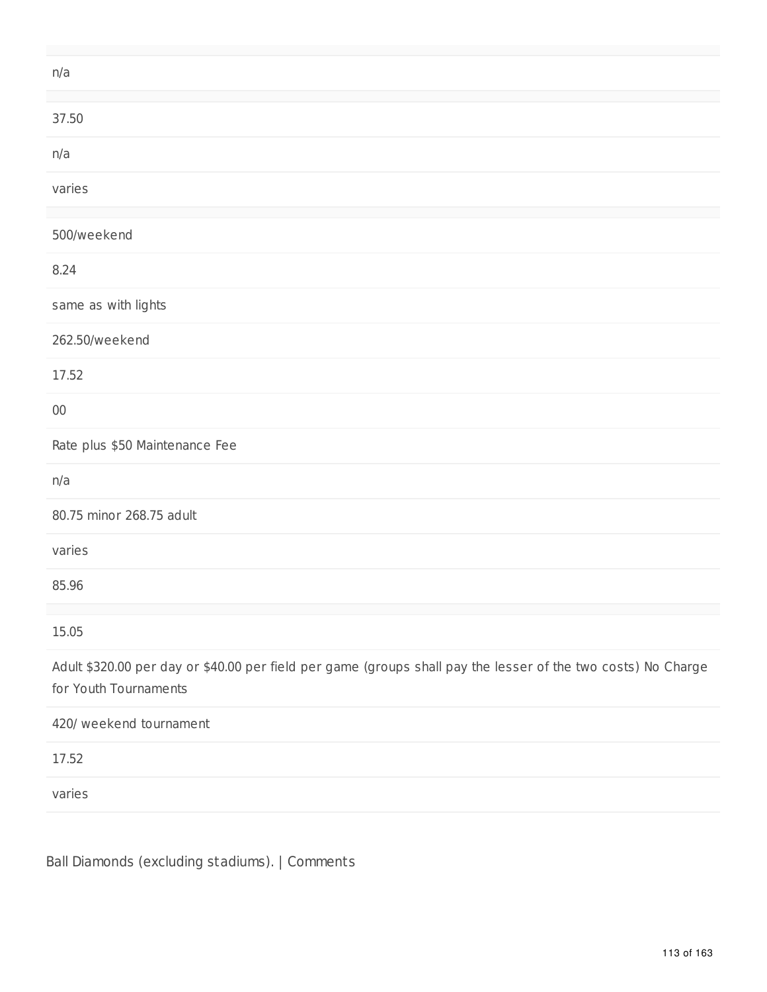| n/a                                                                                                                                    |
|----------------------------------------------------------------------------------------------------------------------------------------|
| 37.50                                                                                                                                  |
| n/a                                                                                                                                    |
| varies                                                                                                                                 |
| 500/weekend                                                                                                                            |
| 8.24                                                                                                                                   |
| same as with lights                                                                                                                    |
| 262.50/weekend                                                                                                                         |
| 17.52                                                                                                                                  |
| $00\,$                                                                                                                                 |
| Rate plus \$50 Maintenance Fee                                                                                                         |
| n/a                                                                                                                                    |
| 80.75 minor 268.75 adult                                                                                                               |
| varies                                                                                                                                 |
| 85.96                                                                                                                                  |
| 15.05                                                                                                                                  |
| Adult \$320.00 per day or \$40.00 per field per game (groups shall pay the lesser of the two costs) No Charge<br>for Youth Tournaments |
| 420/ weekend tournament                                                                                                                |
| 17.52                                                                                                                                  |
| varies                                                                                                                                 |

Ball Diamonds (excluding stadiums). | Comments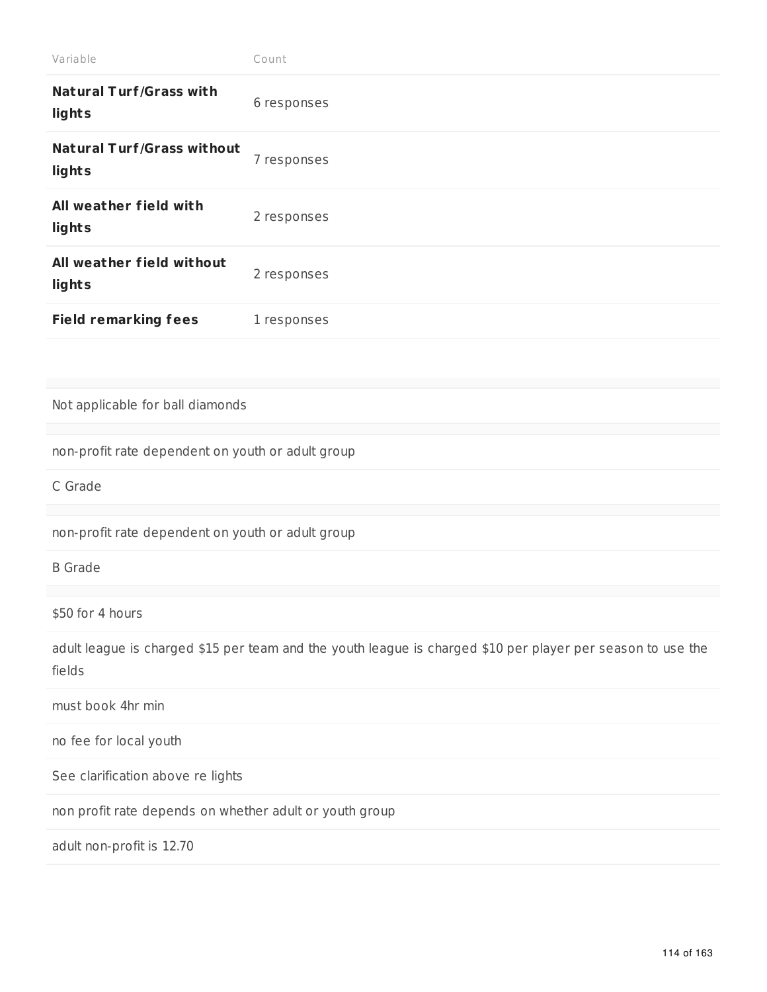| Variable                                                | Count                                                                                                       |  |  |
|---------------------------------------------------------|-------------------------------------------------------------------------------------------------------------|--|--|
| <b>Natural Turf/Grass with</b><br>lights                | 6 responses                                                                                                 |  |  |
| <b>Natural Turf/Grass without</b><br>lights             | 7 responses                                                                                                 |  |  |
| All weather field with<br>lights                        | 2 responses                                                                                                 |  |  |
| All weather field without<br>lights                     | 2 responses                                                                                                 |  |  |
| <b>Field remarking fees</b>                             | 1 responses                                                                                                 |  |  |
|                                                         |                                                                                                             |  |  |
| Not applicable for ball diamonds                        |                                                                                                             |  |  |
| non-profit rate dependent on youth or adult group       |                                                                                                             |  |  |
| C Grade                                                 |                                                                                                             |  |  |
| non-profit rate dependent on youth or adult group       |                                                                                                             |  |  |
| <b>B</b> Grade                                          |                                                                                                             |  |  |
| \$50 for 4 hours                                        |                                                                                                             |  |  |
|                                                         |                                                                                                             |  |  |
| fields                                                  | adult league is charged \$15 per team and the youth league is charged \$10 per player per season to use the |  |  |
| must book 4hr min                                       |                                                                                                             |  |  |
| no fee for local youth                                  |                                                                                                             |  |  |
| See clarification above re lights                       |                                                                                                             |  |  |
| non profit rate depends on whether adult or youth group |                                                                                                             |  |  |
| adult non-profit is 12.70                               |                                                                                                             |  |  |
|                                                         |                                                                                                             |  |  |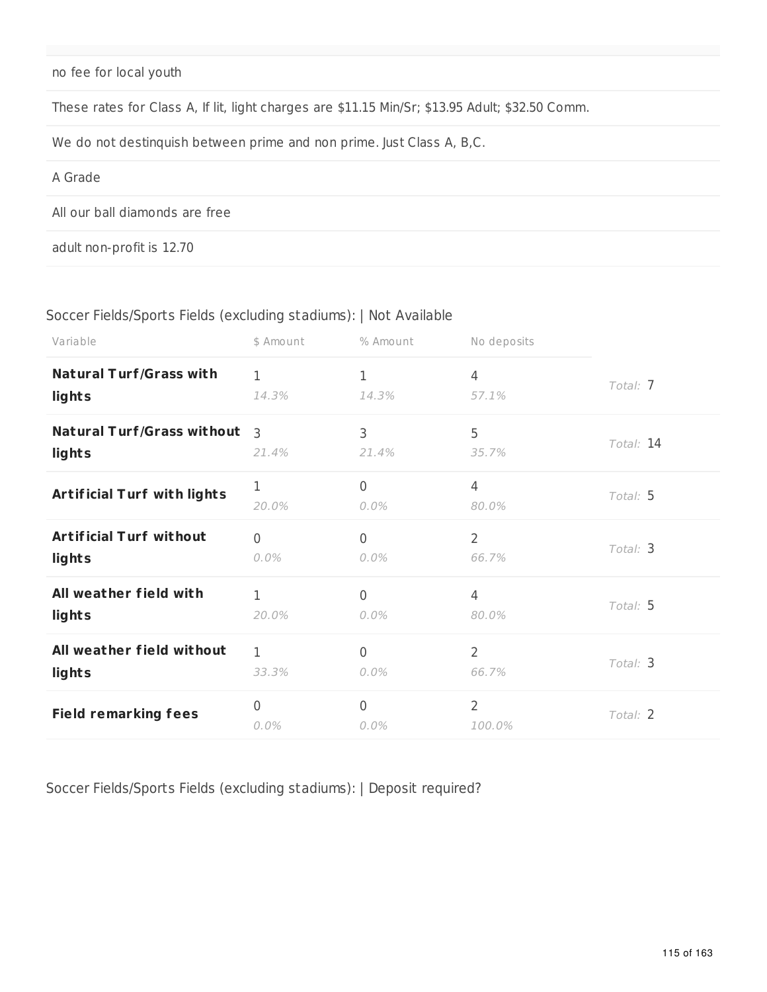no fee for local youth

These rates for Class A, If lit, light charges are \$11.15 Min/Sr; \$13.95 Adult; \$32.50 Comm.

We do not destinquish between prime and non prime. Just Class A, B,C.

#### A Grade

All our ball diamonds are free

adult non-profit is 12.70

#### Soccer Fields/Sports Fields (excluding stadiums): | Not Available

| Variable                           | \$ Amount                 | % Amount     | No deposits              |           |
|------------------------------------|---------------------------|--------------|--------------------------|-----------|
| <b>Natural Turf/Grass with</b>     | 1                         | 1            | $\overline{4}$           | Total: 7  |
| lights                             | 14.3%                     | 14.3%        | 57.1%                    |           |
| <b>Natural Turf/Grass without</b>  | 3                         | 3            | 5                        | Total: 14 |
| lights                             | 21.4%                     | 21.4%        | 35.7%                    |           |
| <b>Artificial Turf with lights</b> | 1<br>20.0%                | 0<br>$0.0\%$ | $\overline{4}$<br>80.0%  | Total: 5  |
| <b>Artificial Turf without</b>     | $\overline{0}$            | 0            | $\overline{2}$           | Total: 3  |
| lights                             | $0.0\%$                   | $0.0\%$      | 66.7%                    |           |
| All weather field with             | $\mathbf{1}$              | 0            | $\overline{4}$           | Total: 5  |
| lights                             | 20.0%                     | $0.0\%$      | 80.0%                    |           |
| All weather field without          | $\mathbf{1}$              | $\mathbf{0}$ | $\overline{2}$           | Total: 3  |
| lights                             | 33.3%                     | $0.0\%$      | 66.7%                    |           |
| <b>Field remarking fees</b>        | $\overline{0}$<br>$0.0\%$ | 0<br>$0.0\%$ | $\overline{2}$<br>100.0% | Total: 2  |

Soccer Fields/Sports Fields (excluding stadiums): | Deposit required?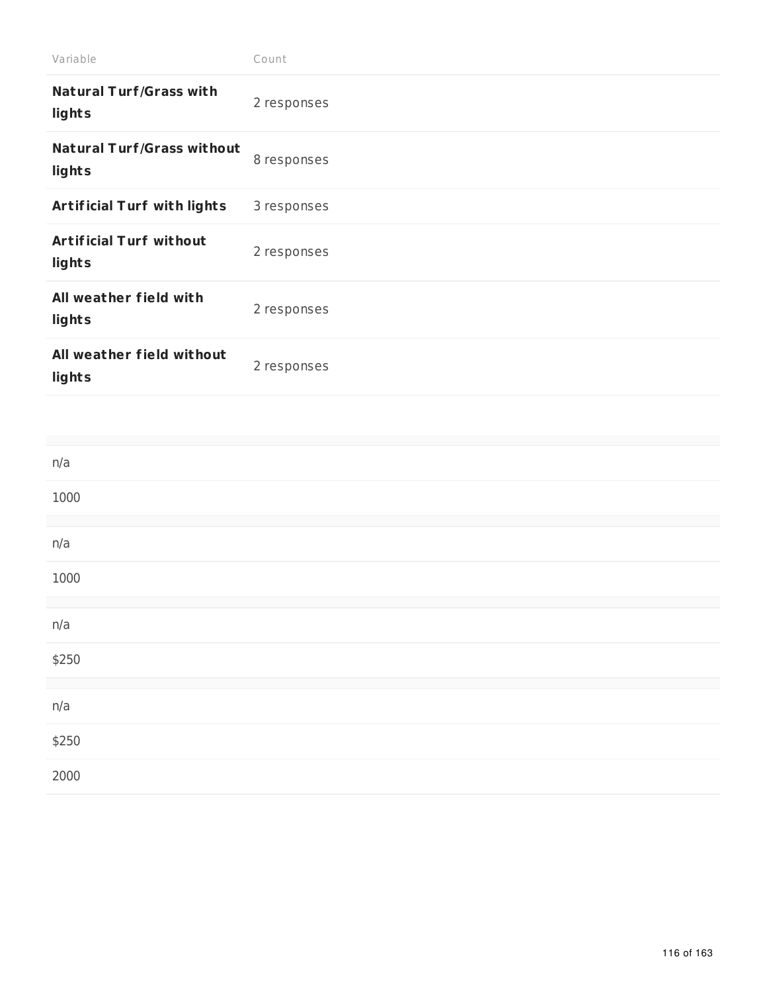| Variable                                    | Count       |
|---------------------------------------------|-------------|
| <b>Natural Turf/Grass with</b><br>lights    | 2 responses |
| <b>Natural Turf/Grass without</b><br>lights | 8 responses |
| <b>Artificial Turf with lights</b>          | 3 responses |
| <b>Artificial Turf without</b><br>lights    | 2 responses |
| All weather field with<br>lights            | 2 responses |
| All weather field without<br>lights         | 2 responses |
|                                             |             |
|                                             |             |
| n/a                                         |             |
| 1000                                        |             |

| 1000  |  |  |  |
|-------|--|--|--|
|       |  |  |  |
| n/a   |  |  |  |
| 1000  |  |  |  |
|       |  |  |  |
| n/a   |  |  |  |
| \$250 |  |  |  |
|       |  |  |  |
| n/a   |  |  |  |
| \$250 |  |  |  |
| 2000  |  |  |  |
|       |  |  |  |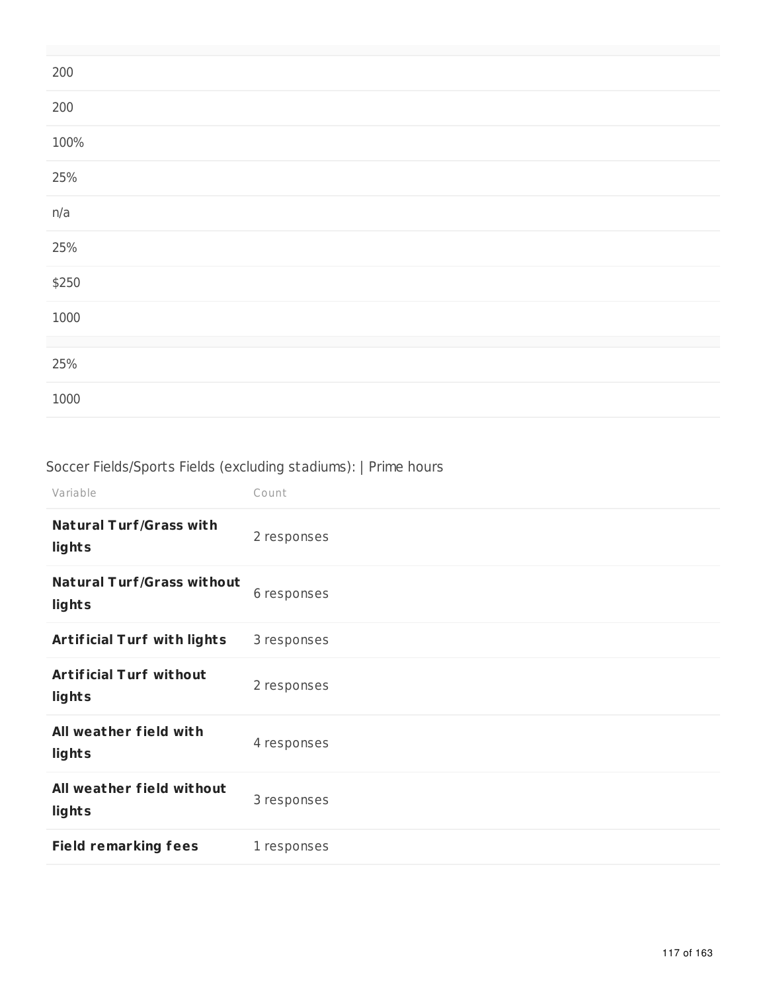| 200   |  |  |
|-------|--|--|
| 200   |  |  |
| 100%  |  |  |
| 25%   |  |  |
| n/a   |  |  |
| 25%   |  |  |
| \$250 |  |  |
| 1000  |  |  |
|       |  |  |
| 25%   |  |  |
| 1000  |  |  |

# Soccer Fields/Sports Fields (excluding stadiums): | Prime hours

| Variable                                    | Count       |
|---------------------------------------------|-------------|
| <b>Natural Turf/Grass with</b><br>lights    | 2 responses |
| <b>Natural Turf/Grass without</b><br>lights | 6 responses |
| <b>Artificial Turf with lights</b>          | 3 responses |
| <b>Artificial Turf without</b><br>lights    | 2 responses |
| All weather field with<br>lights            | 4 responses |
| All weather field without<br>lights         | 3 responses |
| <b>Field remarking fees</b>                 | 1 responses |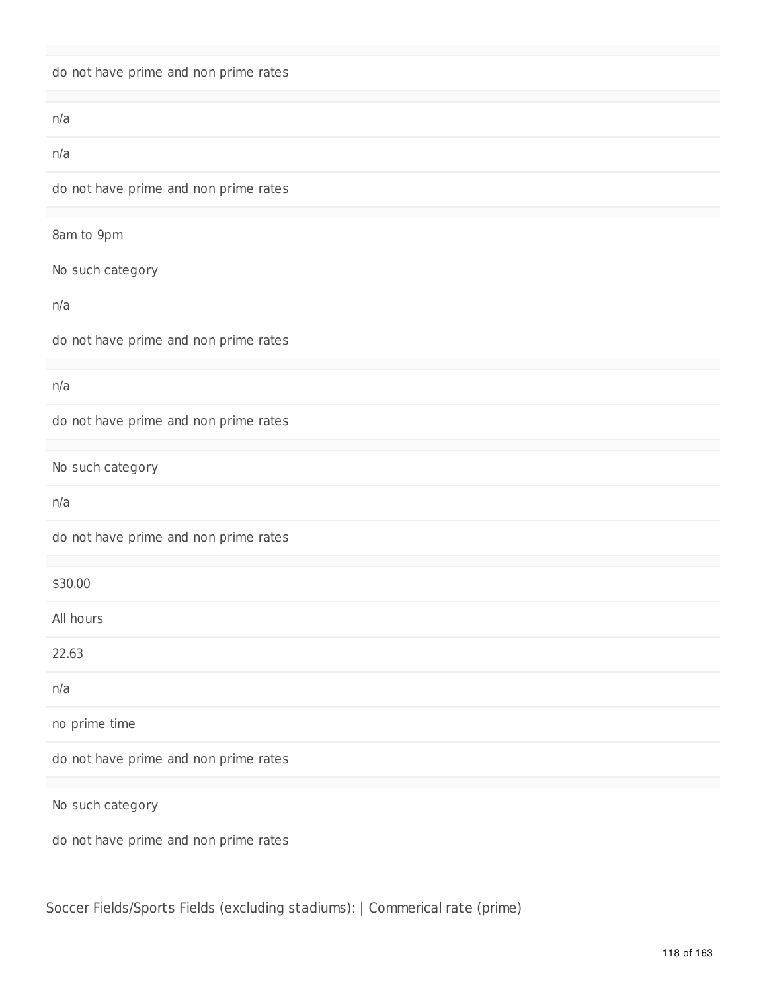|  |  |  | do not have prime and non prime rates |  |  |  |  |
|--|--|--|---------------------------------------|--|--|--|--|
|--|--|--|---------------------------------------|--|--|--|--|

| n/a                                   |
|---------------------------------------|
| n/a                                   |
| do not have prime and non prime rates |
|                                       |
| 8am to 9pm                            |
| No such category                      |
| n/a                                   |
| do not have prime and non prime rates |
|                                       |
| n/a                                   |
| do not have prime and non prime rates |
|                                       |
| No such category                      |
| n/a                                   |
| do not have prime and non prime rates |
|                                       |
| \$30.00                               |
| All hours                             |
| 22.63                                 |
| n/a                                   |
| no prime time                         |
| do not have prime and non prime rates |
|                                       |
| No such category                      |
| do not have prime and non prime rates |
|                                       |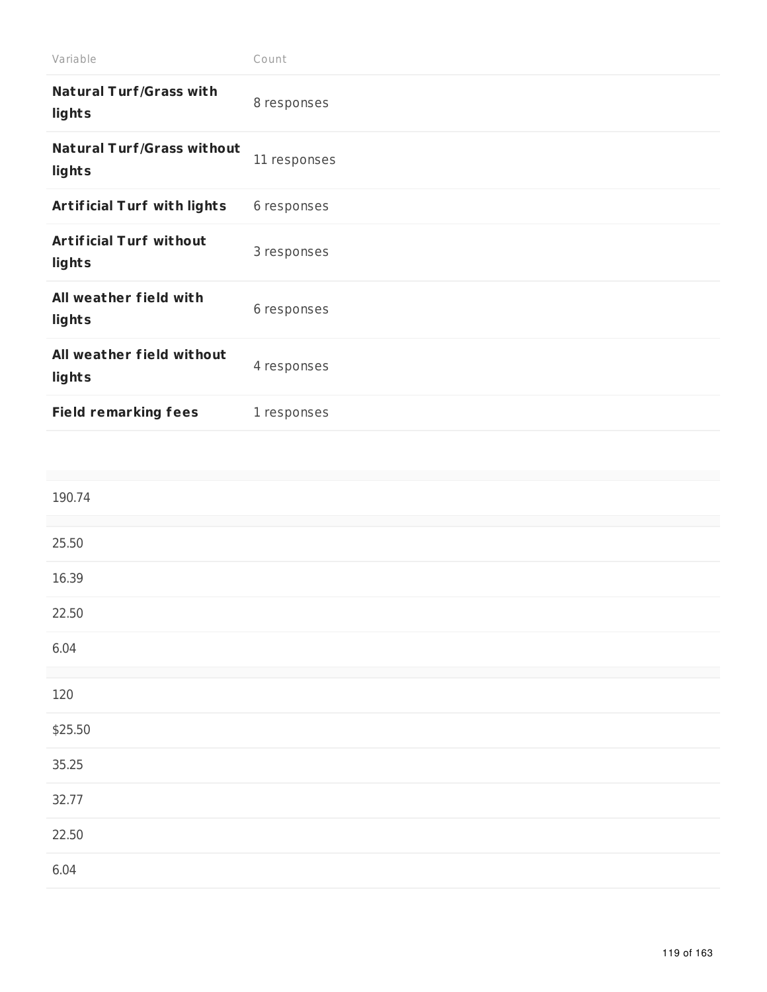| Variable                                    | Count        |
|---------------------------------------------|--------------|
| <b>Natural Turf/Grass with</b><br>lights    | 8 responses  |
| <b>Natural Turf/Grass without</b><br>lights | 11 responses |
| <b>Artificial Turf with lights</b>          | 6 responses  |
| <b>Artificial Turf without</b><br>lights    | 3 responses  |
| All weather field with<br>lights            | 6 responses  |
| All weather field without<br>lights         | 4 responses  |
| <b>Field remarking fees</b>                 | 1 responses  |

| 190.74  |  |
|---------|--|
| 25.50   |  |
| 16.39   |  |
| 22.50   |  |
| 6.04    |  |
| 120     |  |
| \$25.50 |  |
| 35.25   |  |
| 32.77   |  |
| 22.50   |  |
| 6.04    |  |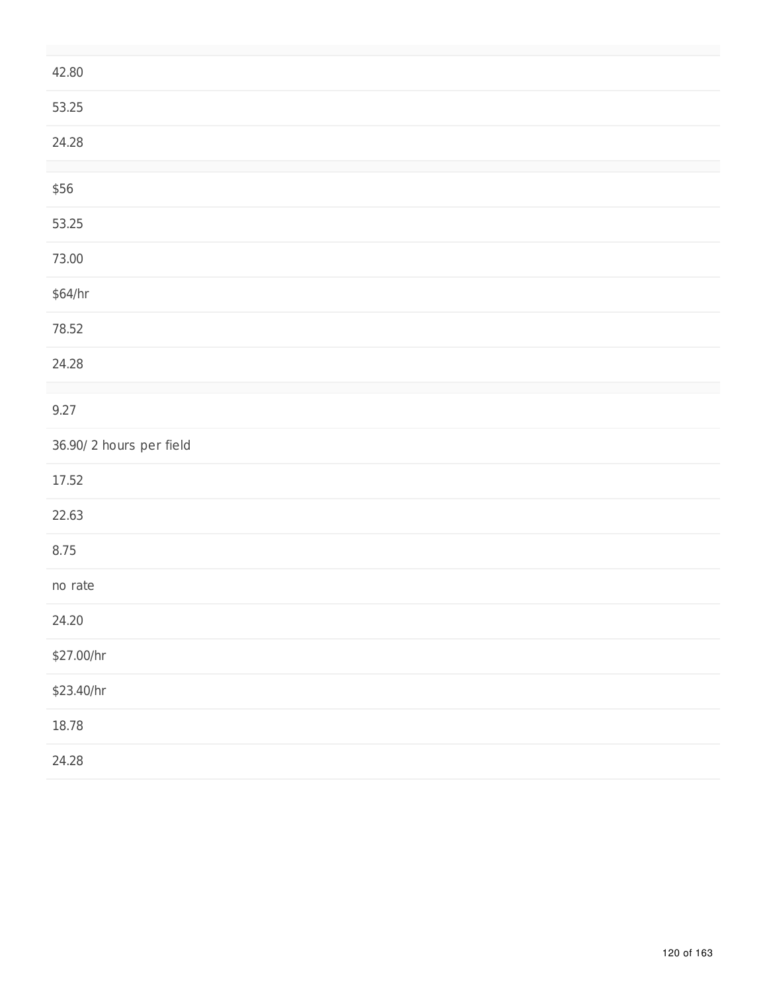| 42.80                   |
|-------------------------|
| 53.25                   |
| 24.28                   |
| \$56                    |
| 53.25                   |
| 73.00                   |
| \$64/hr                 |
| 78.52                   |
| 24.28                   |
| 9.27                    |
| 36.90/2 hours per field |
| 17.52                   |
| 22.63                   |
| 8.75                    |
| no rate                 |
| 24.20                   |
| \$27.00/hr              |
| \$23.40/hr              |
| 18.78                   |
| 24.28                   |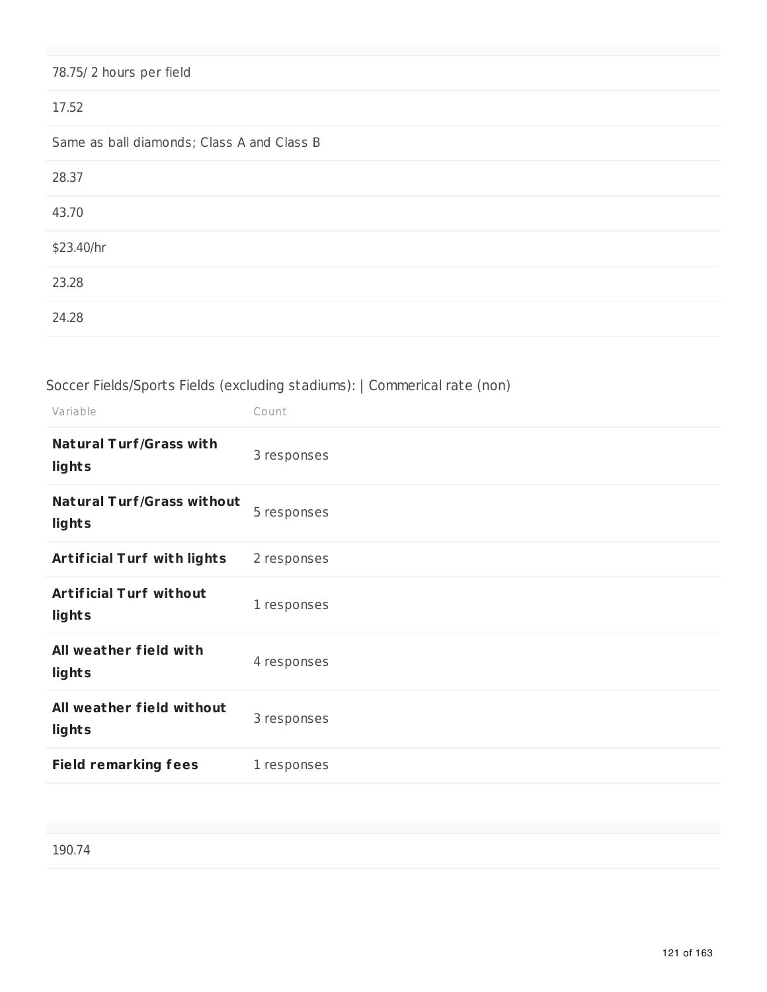# 78.75/ 2 hours per field 17.52 Same as ball diamonds; Class A and Class B 28.37 43.70 \$23.40/hr 23.28 24.28

### Soccer Fields/Sports Fields (excluding stadiums): | Commerical rate (non)

| Variable                                    | Count       |
|---------------------------------------------|-------------|
| <b>Natural Turf/Grass with</b><br>lights    | 3 responses |
| <b>Natural Turf/Grass without</b><br>lights | 5 responses |
| <b>Artificial Turf with lights</b>          | 2 responses |
| <b>Artificial Turf without</b><br>lights    | 1 responses |
| All weather field with<br>lights            | 4 responses |
| All weather field without<br>lights         | 3 responses |
| <b>Field remarking fees</b>                 | 1 responses |
|                                             |             |

190.74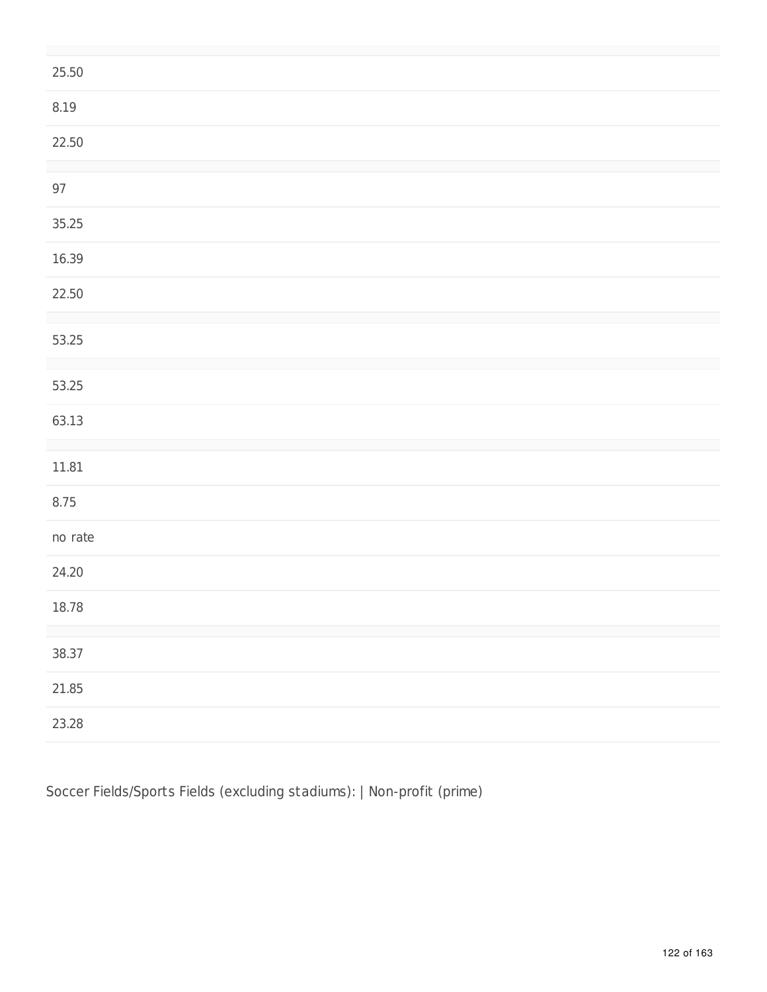| 25.50   |
|---------|
| 8.19    |
| 22.50   |
| $97\,$  |
| 35.25   |
| 16.39   |
| 22.50   |
| 53.25   |
| 53.25   |
| 63.13   |
| 11.81   |
| 8.75    |
| no rate |
| 24.20   |
| 18.78   |
| 38.37   |
| 21.85   |
| 23.28   |

Soccer Fields/Sports Fields (excluding stadiums): | Non-profit (prime)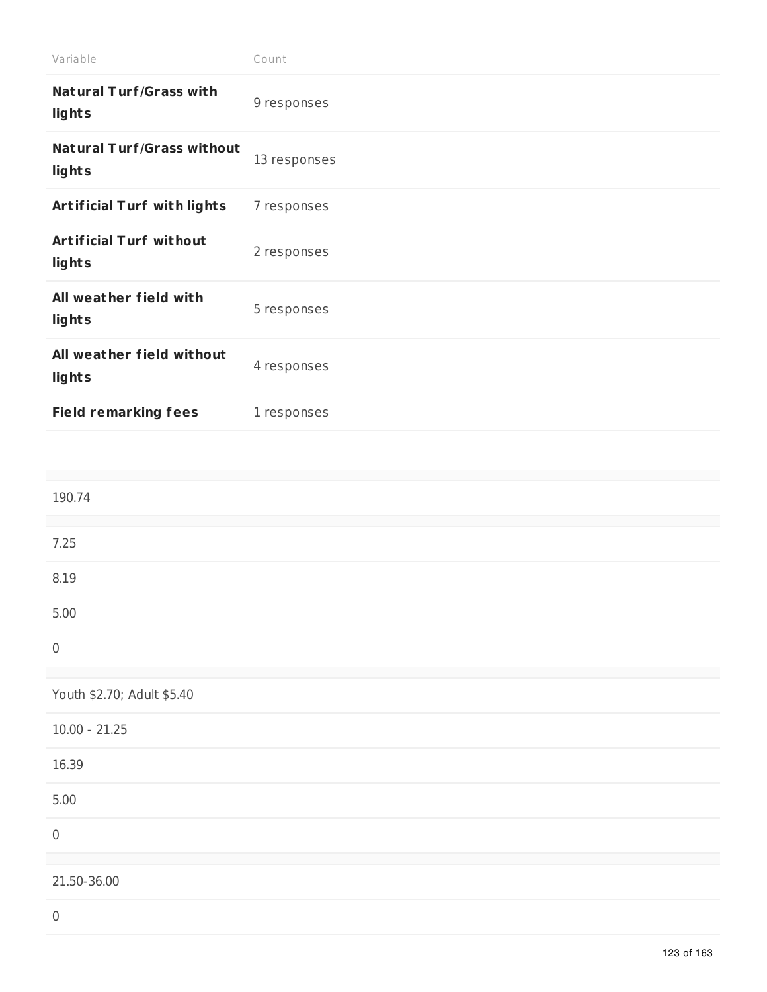| Variable                                    | Count        |
|---------------------------------------------|--------------|
| <b>Natural Turf/Grass with</b><br>lights    | 9 responses  |
| <b>Natural Turf/Grass without</b><br>lights | 13 responses |
| <b>Artificial Turf with lights</b>          | 7 responses  |
| <b>Artificial Turf without</b><br>lights    | 2 responses  |
| All weather field with<br>lights            | 5 responses  |
| All weather field without<br>lights         | 4 responses  |
| <b>Field remarking fees</b>                 | 1 responses  |
|                                             |              |

| 190.74                     |  |
|----------------------------|--|
|                            |  |
| 7.25                       |  |
| 8.19                       |  |
| 5.00                       |  |
|                            |  |
|                            |  |
| Youth \$2.70; Adult \$5.40 |  |
| $10.00 - 21.25$            |  |
| 16.39                      |  |
| 5.00                       |  |
|                            |  |
|                            |  |
| 21.50-36.00                |  |
|                            |  |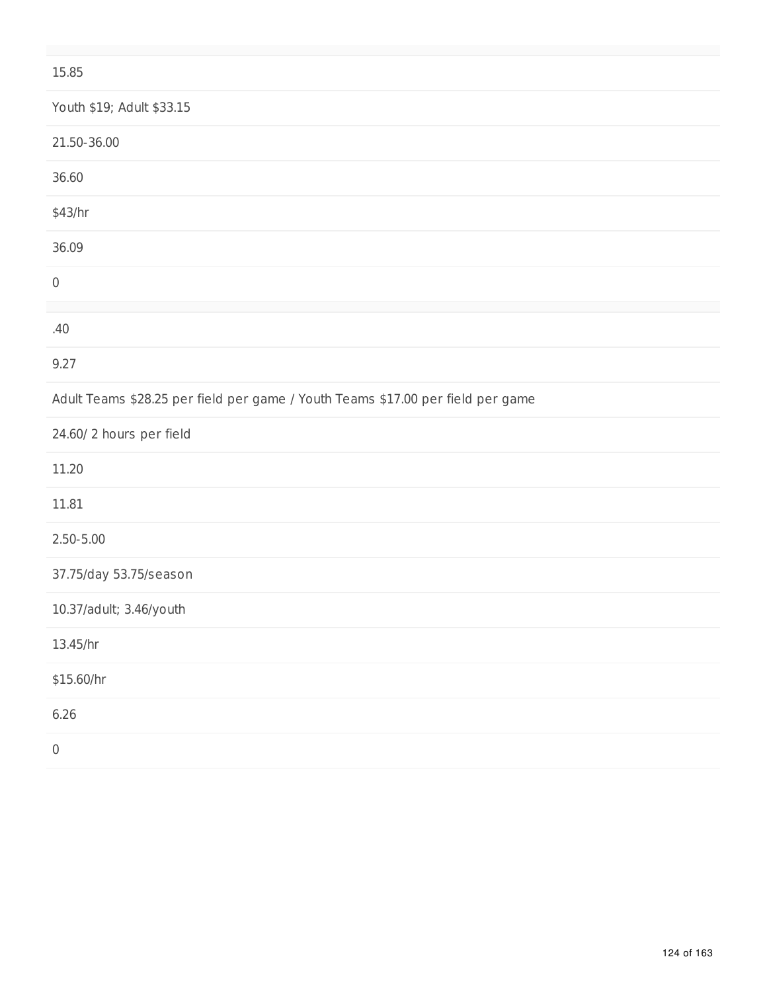### 15.85

| Youth \$19; Adult \$33.15                                                       |
|---------------------------------------------------------------------------------|
| 21.50-36.00                                                                     |
| 36.60                                                                           |
| \$43/hr                                                                         |
| 36.09                                                                           |
| $\mathsf{0}$                                                                    |
| .40                                                                             |
| 9.27                                                                            |
| Adult Teams \$28.25 per field per game / Youth Teams \$17.00 per field per game |
| 24.60/2 hours per field                                                         |
| 11.20                                                                           |
| 11.81                                                                           |
| $2.50 - 5.00$                                                                   |
| 37.75/day 53.75/season                                                          |
| 10.37/adult; 3.46/youth                                                         |
| 13.45/hr                                                                        |
| \$15.60/hr                                                                      |
| 6.26                                                                            |
| $\,0\,$                                                                         |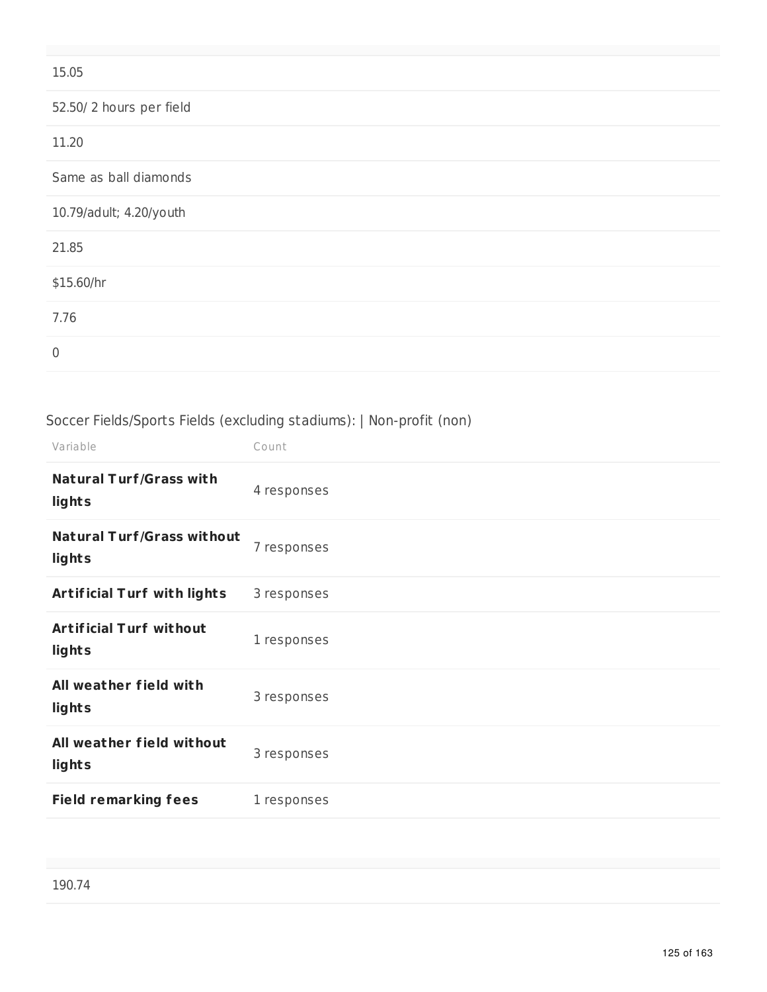| 15.05                   |  |
|-------------------------|--|
| 52.50/2 hours per field |  |
| 11.20                   |  |
| Same as ball diamonds   |  |
| 10.79/adult; 4.20/youth |  |
| 21.85                   |  |
| \$15.60/hr              |  |
| 7.76                    |  |
| $\mathbf 0$             |  |

# Soccer Fields/Sports Fields (excluding stadiums): | Non-profit (non)

| Variable                                    | Count       |
|---------------------------------------------|-------------|
| <b>Natural Turf/Grass with</b><br>lights    | 4 responses |
| <b>Natural Turf/Grass without</b><br>lights | 7 responses |
| <b>Artificial Turf with lights</b>          | 3 responses |
| <b>Artificial Turf without</b><br>lights    | 1 responses |
| All weather field with<br>lights            | 3 responses |
| All weather field without<br>lights         | 3 responses |
| <b>Field remarking fees</b>                 | 1 responses |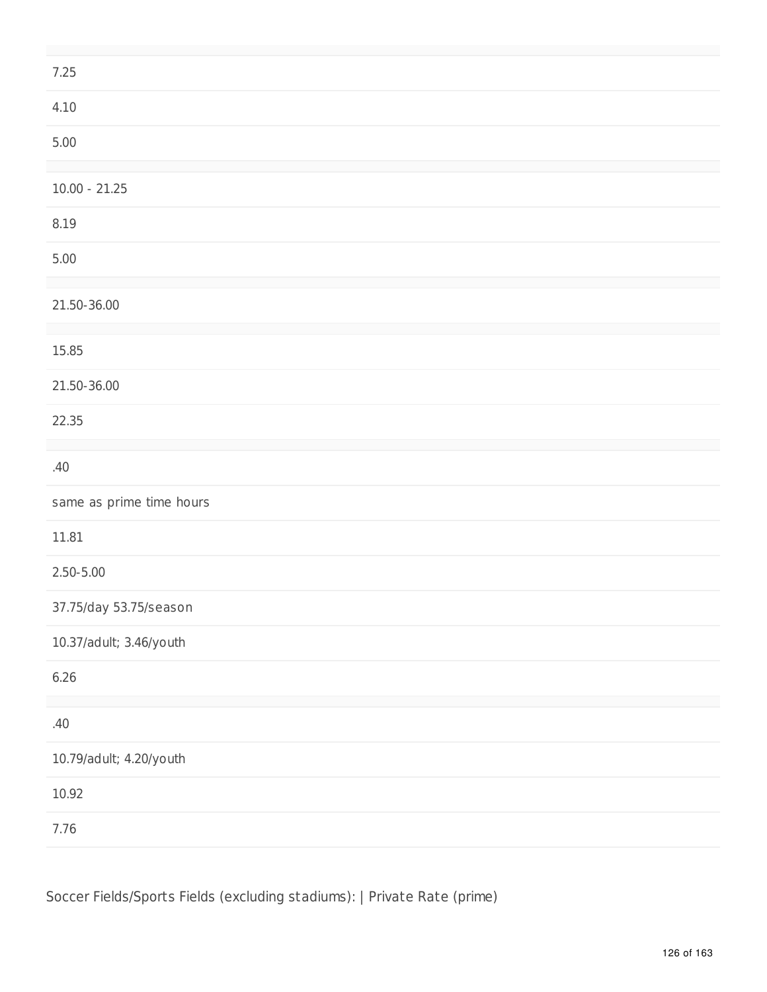| 7.25                     |
|--------------------------|
| 4.10                     |
| $5.00$                   |
| $10.00 - 21.25$          |
| 8.19                     |
| $5.00$                   |
| 21.50-36.00              |
| 15.85                    |
| 21.50-36.00              |
| 22.35                    |
| .40                      |
| same as prime time hours |
| 11.81                    |
| $2.50 - 5.00$            |
| 37.75/day 53.75/season   |
| 10.37/adult; 3.46/youth  |
| 6.26                     |
| .40                      |
| 10.79/adult; 4.20/youth  |
| 10.92                    |
| 7.76                     |

Soccer Fields/Sports Fields (excluding stadiums): | Private Rate (prime)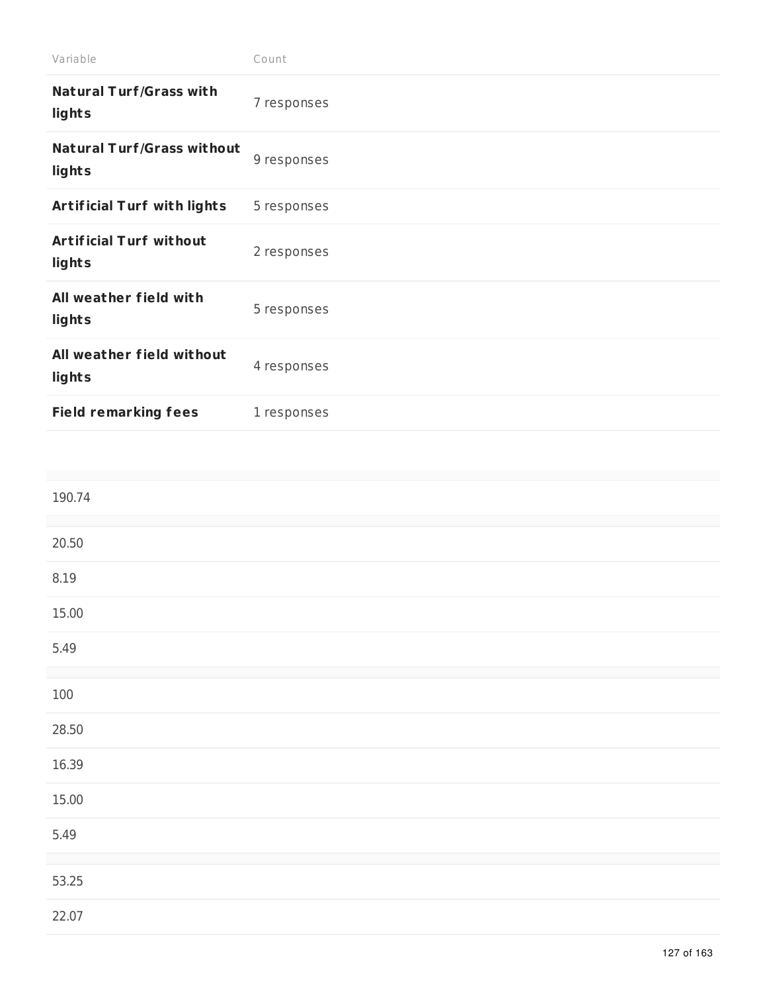| Variable                                    | Count       |
|---------------------------------------------|-------------|
| <b>Natural Turf/Grass with</b><br>lights    | 7 responses |
| <b>Natural Turf/Grass without</b><br>lights | 9 responses |
| <b>Artificial Turf with lights</b>          | 5 responses |
| <b>Artificial Turf without</b><br>lights    | 2 responses |
| All weather field with<br>lights            | 5 responses |
| All weather field without<br>lights         | 4 responses |
| <b>Field remarking fees</b>                 | 1 responses |

| 190.74  |  |
|---------|--|
| 20.50   |  |
| 8.19    |  |
| 15.00   |  |
| 5.49    |  |
| $100\,$ |  |
| 28.50   |  |
| 16.39   |  |
| 15.00   |  |
| 5.49    |  |
| 53.25   |  |
| 22.07   |  |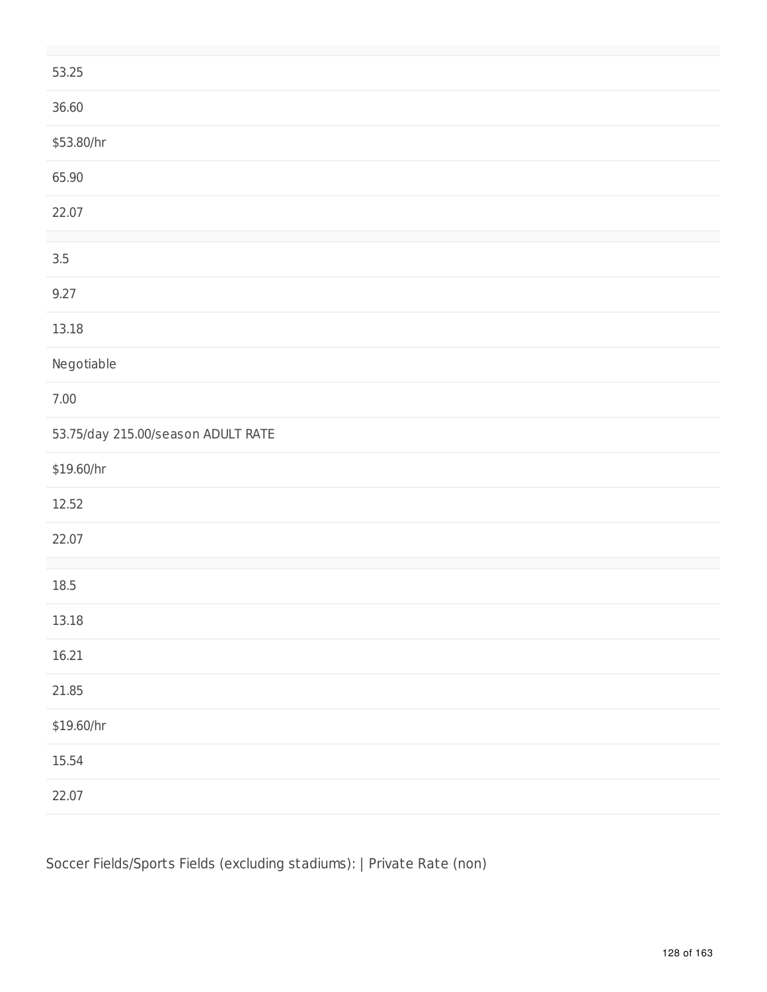| 53.25                              |
|------------------------------------|
| 36.60                              |
| \$53.80/hr                         |
| 65.90                              |
| 22.07                              |
| $3.5\,$                            |
| 9.27                               |
| 13.18                              |
| Negotiable                         |
| $7.00\,$                           |
| 53.75/day 215.00/season ADULT RATE |
| \$19.60/hr                         |
| 12.52                              |
| 22.07                              |
| $18.5\,$                           |
| 13.18                              |
| 16.21                              |
| 21.85                              |
| \$19.60/hr                         |
| 15.54                              |
| 22.07                              |

Soccer Fields/Sports Fields (excluding stadiums): | Private Rate (non)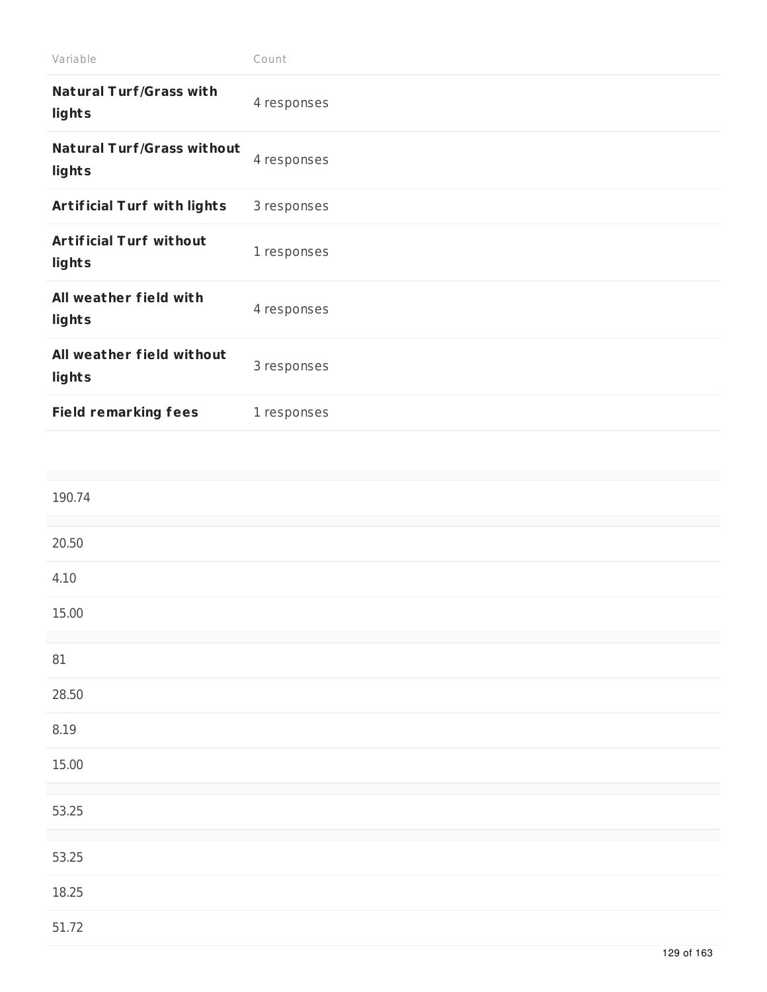| Variable                                    | Count       |
|---------------------------------------------|-------------|
| <b>Natural Turf/Grass with</b><br>lights    | 4 responses |
| <b>Natural Turf/Grass without</b><br>lights | 4 responses |
| <b>Artificial Turf with lights</b>          | 3 responses |
| <b>Artificial Turf without</b><br>lights    | 1 responses |
| All weather field with<br>lights            | 4 responses |
| All weather field without<br>lights         | 3 responses |
| <b>Field remarking fees</b>                 | 1 responses |

| 190.74 |  |  |
|--------|--|--|
| 20.50  |  |  |
| 4.10   |  |  |
| 15.00  |  |  |
| $81\,$ |  |  |
| 28.50  |  |  |
| 8.19   |  |  |
| 15.00  |  |  |
| 53.25  |  |  |
| 53.25  |  |  |
| 18.25  |  |  |
| 51.72  |  |  |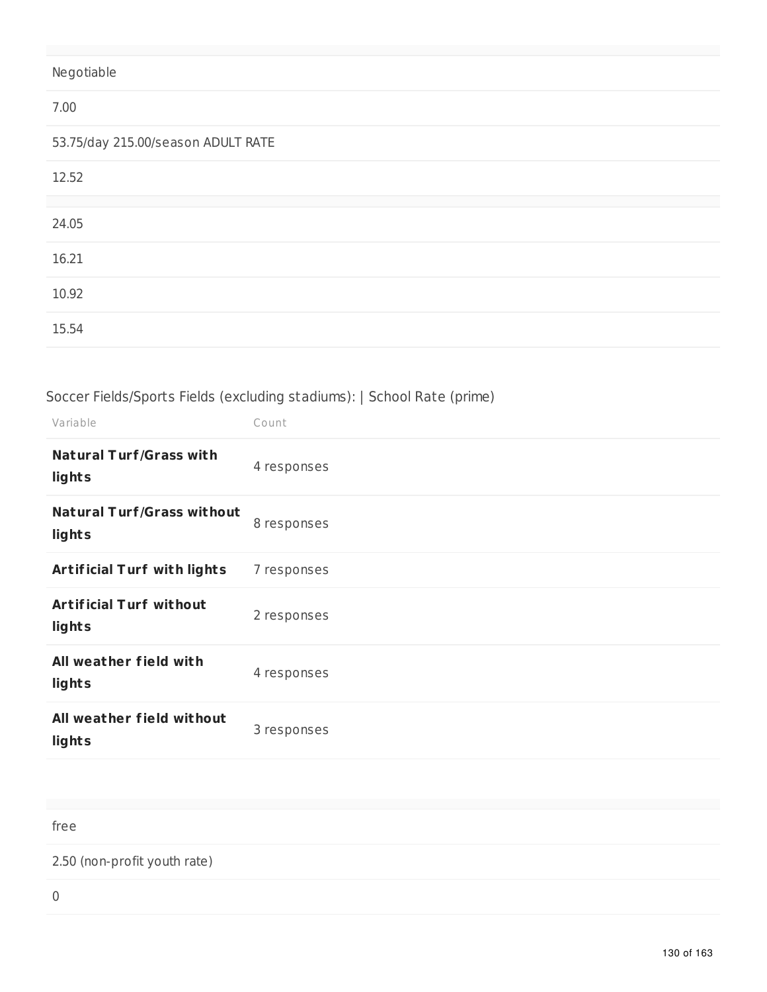# Negotiable

#### 7.00

53.75/day 215.00/season ADULT RATE

| 12.52 |  |
|-------|--|
|       |  |
| 24.05 |  |
|       |  |
| 16.21 |  |
|       |  |
| 10.92 |  |
|       |  |
| 15.54 |  |

# Soccer Fields/Sports Fields (excluding stadiums): | School Rate (prime)

| Variable                                    | Count       |
|---------------------------------------------|-------------|
| <b>Natural Turf/Grass with</b><br>lights    | 4 responses |
| <b>Natural Turf/Grass without</b><br>lights | 8 responses |
| <b>Artificial Turf with lights</b>          | 7 responses |
| <b>Artificial Turf without</b><br>lights    | 2 responses |
| All weather field with<br>lights            | 4 responses |
| All weather field without<br>lights         | 3 responses |

free

2.50 (non-profit youth rate)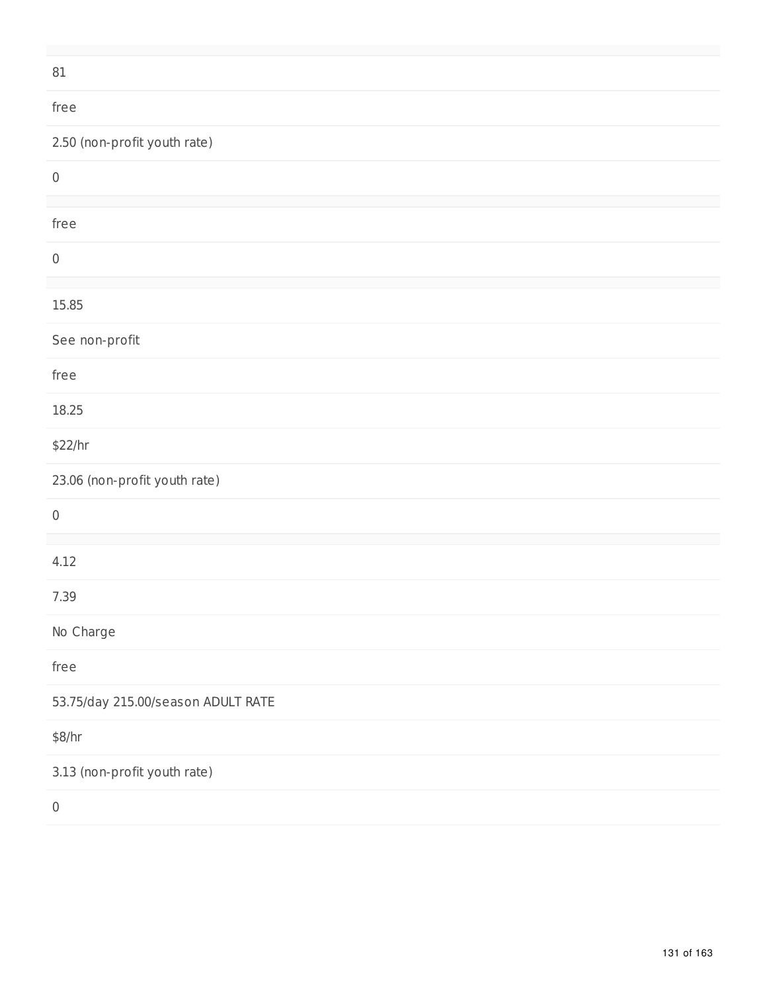| $81\,$                             |
|------------------------------------|
| free                               |
| 2.50 (non-profit youth rate)       |
| $\boldsymbol{0}$                   |
| free                               |
| $\,0\,$                            |
| 15.85                              |
| See non-profit                     |
| free                               |
| 18.25                              |
| \$22/hr                            |
| 23.06 (non-profit youth rate)      |
| $\boldsymbol{0}$                   |
| 4.12                               |
| 7.39                               |
| No Charge                          |
| free                               |
| 53.75/day 215.00/season ADULT RATE |
| \$8/hr                             |
| 3.13 (non-profit youth rate)       |
| $\,0\,$                            |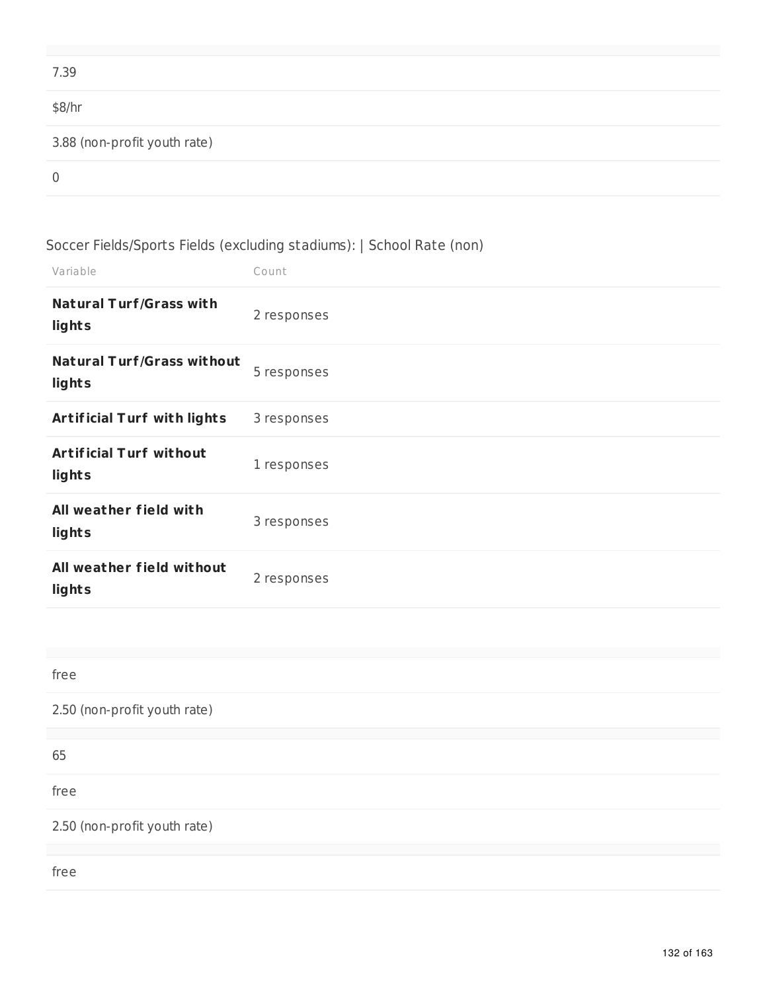| 7.39                         |
|------------------------------|
| \$8/hr                       |
| 3.88 (non-profit youth rate) |
| $\overline{0}$               |

# Soccer Fields/Sports Fields (excluding stadiums): | School Rate (non)

| Variable                                    | Count       |
|---------------------------------------------|-------------|
| <b>Natural Turf/Grass with</b><br>lights    | 2 responses |
| <b>Natural Turf/Grass without</b><br>lights | 5 responses |
| <b>Artificial Turf with lights</b>          | 3 responses |
| <b>Artificial Turf without</b><br>lights    | 1 responses |
| All weather field with<br>lights            | 3 responses |
| All weather field without<br>lights         | 2 responses |
|                                             |             |

| free                         |
|------------------------------|
| 2.50 (non-profit youth rate) |
|                              |
| 65                           |
| free                         |
| 2.50 (non-profit youth rate) |
|                              |
| free                         |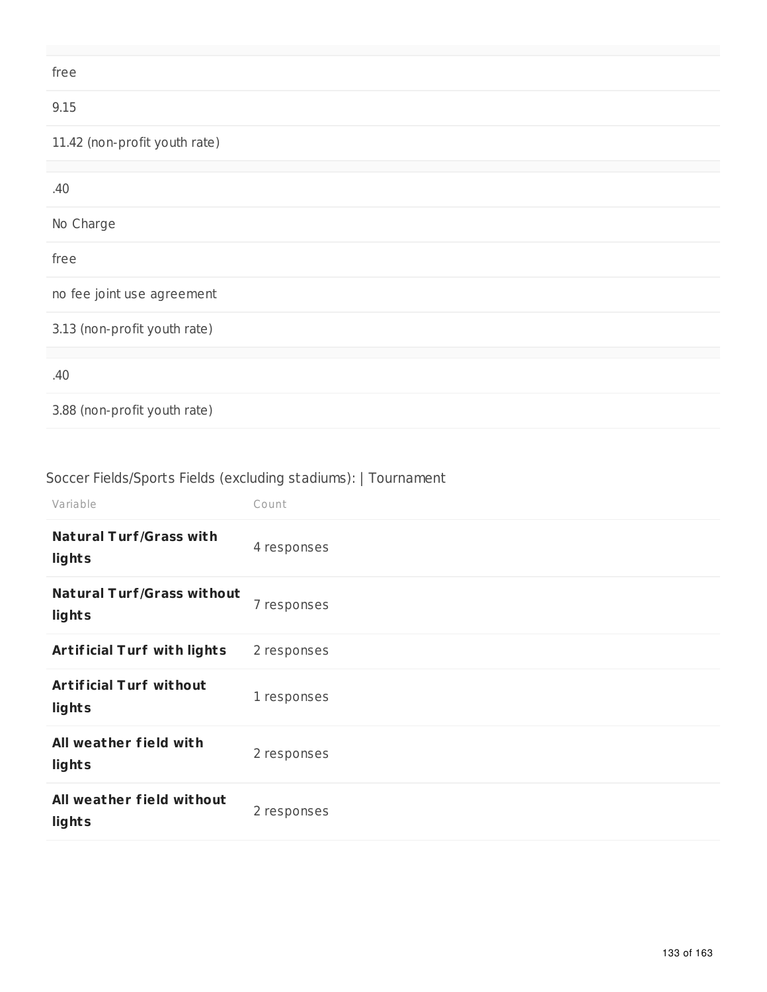| free                          |
|-------------------------------|
| 9.15                          |
| 11.42 (non-profit youth rate) |
|                               |
| .40                           |
| No Charge                     |
| free                          |
| no fee joint use agreement    |
| 3.13 (non-profit youth rate)  |
|                               |
| .40                           |
| 3.88 (non-profit youth rate)  |

# Soccer Fields/Sports Fields (excluding stadiums): | Tournament

| Variable                                    | Count       |
|---------------------------------------------|-------------|
| <b>Natural Turf/Grass with</b><br>lights    | 4 responses |
| <b>Natural Turf/Grass without</b><br>lights | 7 responses |
| <b>Artificial Turf with lights</b>          | 2 responses |
| <b>Artificial Turf without</b><br>lights    | 1 responses |
| All weather field with<br>lights            | 2 responses |
| All weather field without<br>lights         | 2 responses |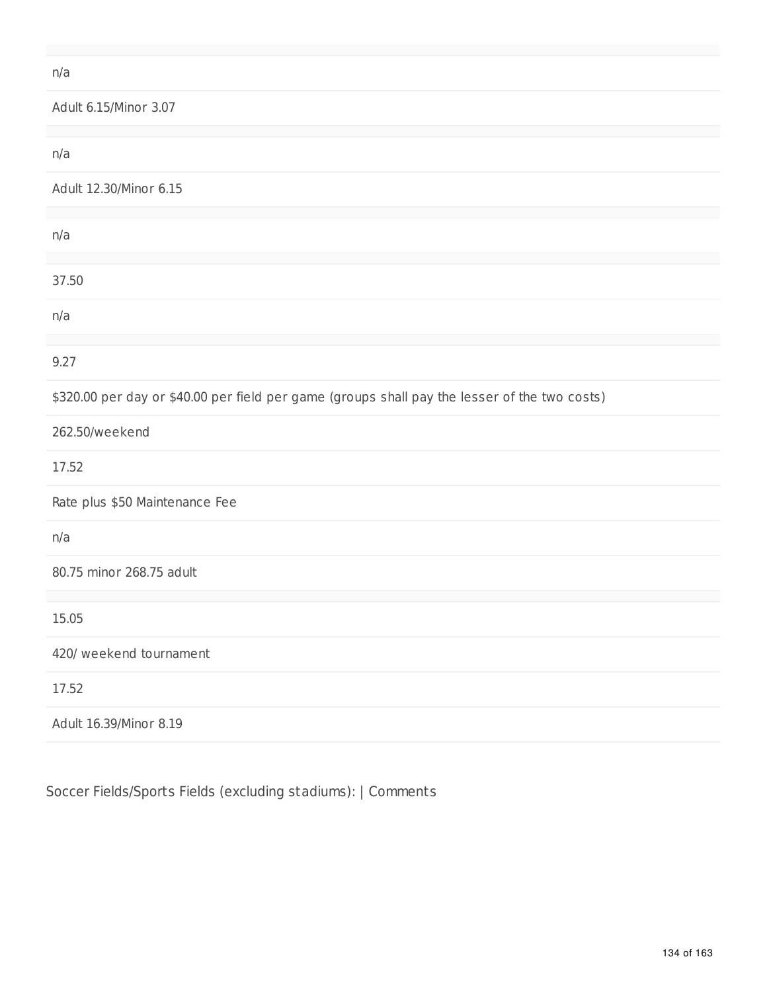### n/a

Adult 6.15/Minor 3.07

| n/a                                                                                           |
|-----------------------------------------------------------------------------------------------|
| Adult 12.30/Minor 6.15                                                                        |
|                                                                                               |
| n/a                                                                                           |
|                                                                                               |
| 37.50                                                                                         |
| n/a                                                                                           |
|                                                                                               |
| 9.27                                                                                          |
|                                                                                               |
| \$320.00 per day or \$40.00 per field per game (groups shall pay the lesser of the two costs) |
|                                                                                               |
| 262.50/weekend                                                                                |
| 17.52                                                                                         |
|                                                                                               |
| Rate plus \$50 Maintenance Fee                                                                |
|                                                                                               |
| n/a                                                                                           |
| 80.75 minor 268.75 adult                                                                      |
|                                                                                               |
|                                                                                               |
| 15.05                                                                                         |
|                                                                                               |
| 420/ weekend tournament                                                                       |
|                                                                                               |
| 17.52                                                                                         |
|                                                                                               |
| Adult 16.39/Minor 8.19                                                                        |
|                                                                                               |

Soccer Fields/Sports Fields (excluding stadiums): | Comments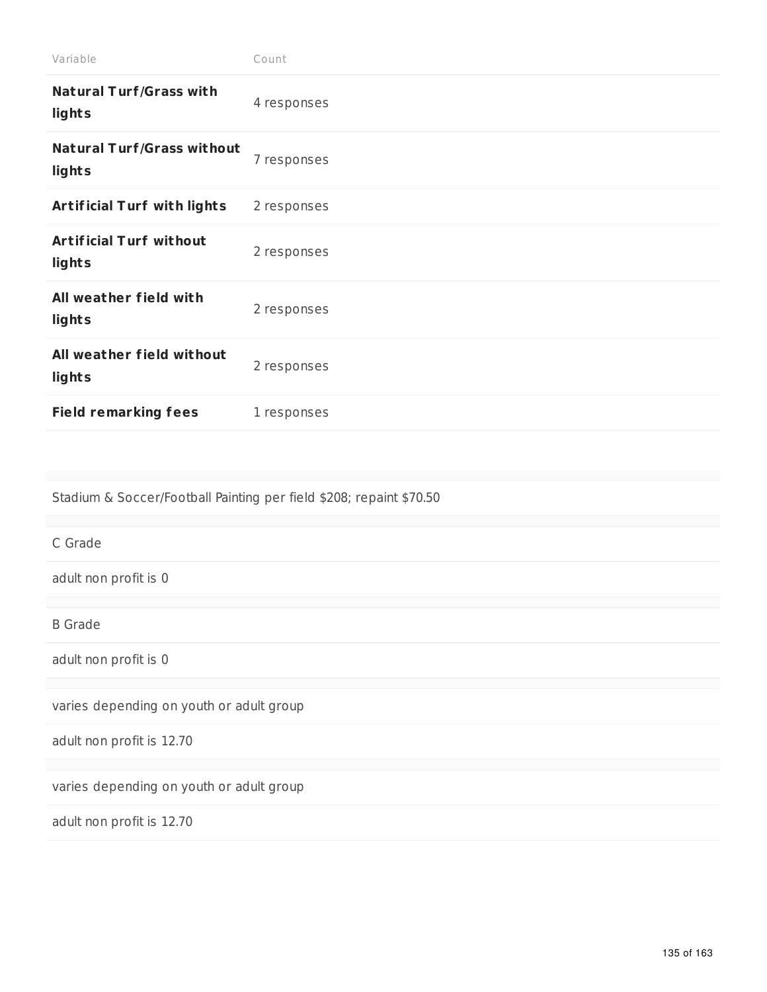| Variable                                    | Count       |
|---------------------------------------------|-------------|
| <b>Natural Turf/Grass with</b><br>lights    | 4 responses |
| <b>Natural Turf/Grass without</b><br>lights | 7 responses |
| <b>Artificial Turf with lights</b>          | 2 responses |
| <b>Artificial Turf without</b><br>lights    | 2 responses |
| All weather field with<br>lights            | 2 responses |
| All weather field without<br>lights         | 2 responses |
| <b>Field remarking fees</b>                 | 1 responses |

Stadium & Soccer/Football Painting per field \$208; repaint \$70.50

C Grade

adult non profit is 0

B Grade

adult non profit is 0

varies depending on youth or adult group

adult non profit is 12.70

varies depending on youth or adult group

adult non profit is 12.70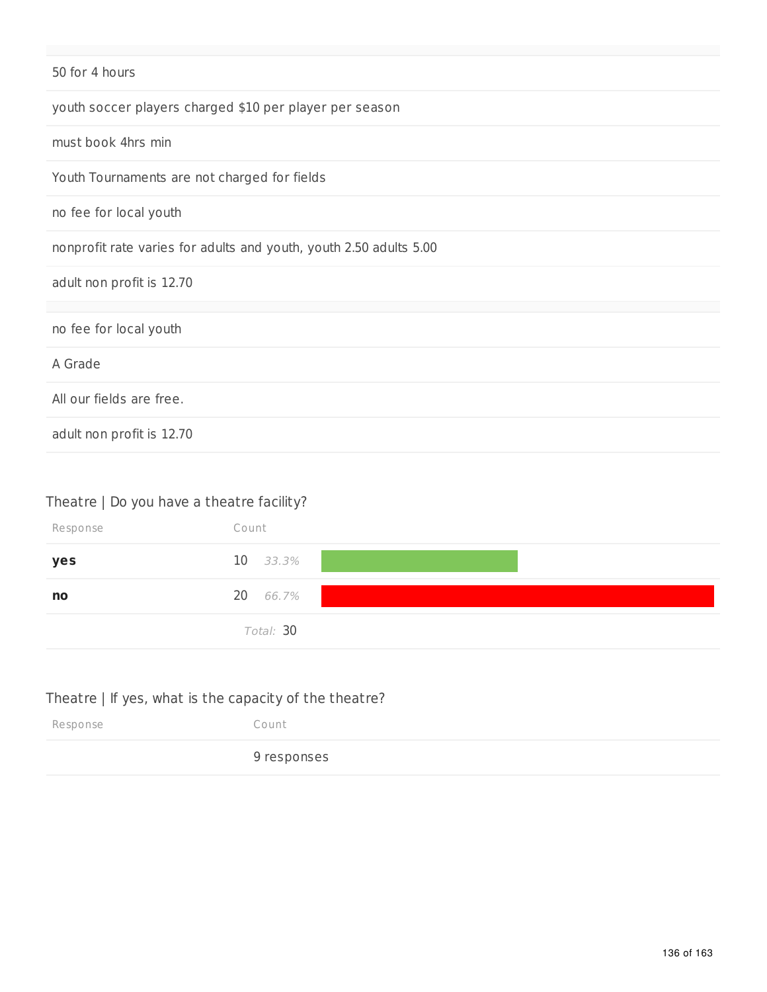| 50 for 4 hours                                                     |
|--------------------------------------------------------------------|
| youth soccer players charged \$10 per player per season            |
| must book 4hrs min                                                 |
| Youth Tournaments are not charged for fields                       |
| no fee for local youth                                             |
| nonprofit rate varies for adults and youth, youth 2.50 adults 5.00 |
| adult non profit is 12.70                                          |
| no fee for local youth                                             |
| A Grade                                                            |
| All our fields are free.                                           |
| adult non profit is 12.70                                          |

# Theatre | Do you have a theatre facility?

| Response | Count      |
|----------|------------|
| yes      | $10$ 33.3% |
| no       | 20 66.7%   |
|          | Total: 30  |

# Theatre | If yes, what is the capacity of the theatre?

| Response | Count       |
|----------|-------------|
|          | 9 responses |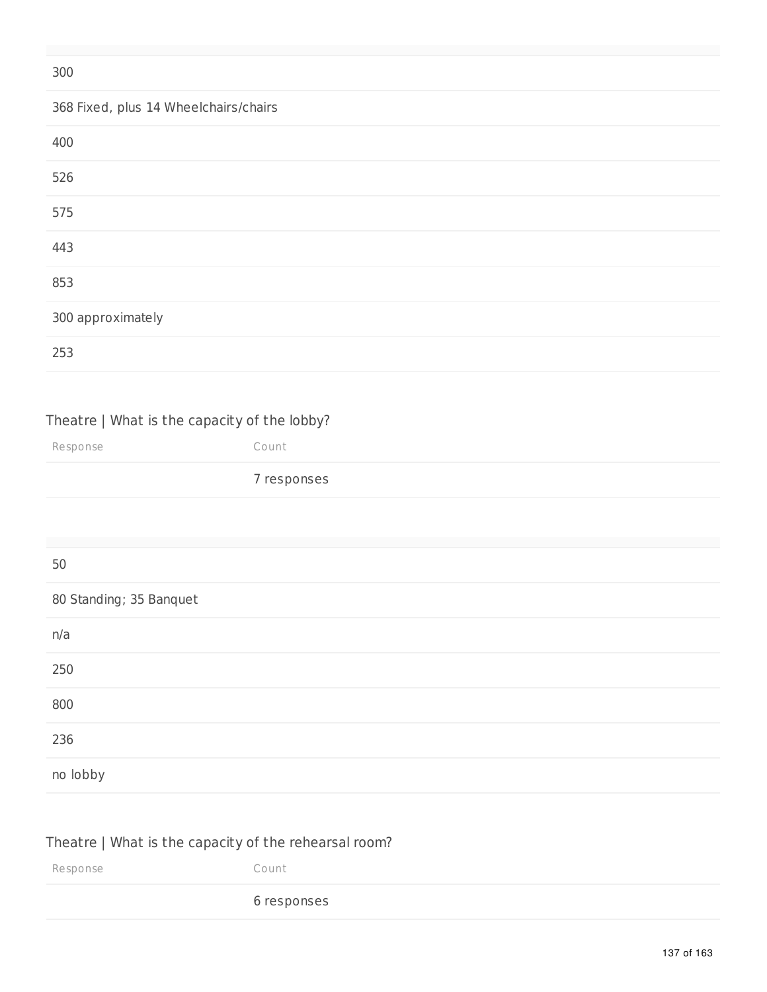| 300                                   |
|---------------------------------------|
| 368 Fixed, plus 14 Wheelchairs/chairs |
| 400                                   |
| 526                                   |
| 575                                   |
| 443                                   |
| 853                                   |
| 300 approximately                     |
| 253                                   |

### Theatre | What is the capacity of the lobby?

Response Count

### responses

#### 

#### Standing; 35 Banquet

| n/a      |  |
|----------|--|
| 250      |  |
| 800      |  |
| 236      |  |
| no lobby |  |

### Theatre | What is the capacity of the rehearsal room?

Response Count responses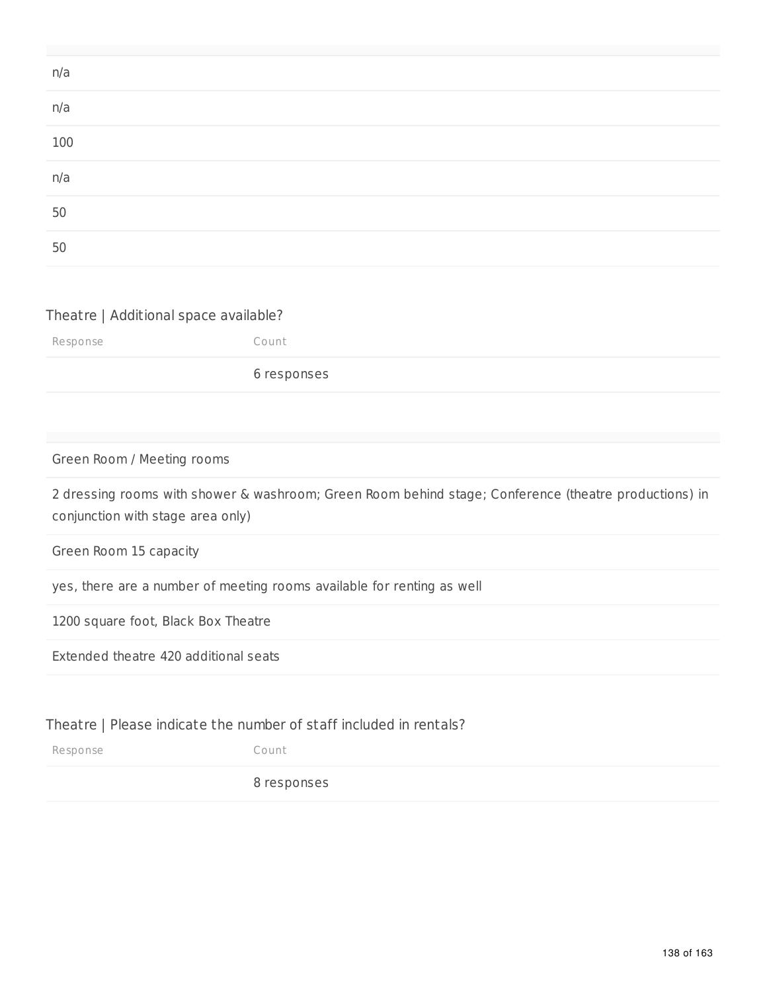#### Theatre | Additional space available?

Response Count 6 responses

Green Room / Meeting rooms

2 dressing rooms with shower & washroom; Green Room behind stage; Conference (theatre productions) in conjunction with stage area only)

Green Room 15 capacity

yes, there are a number of meeting rooms available for renting as well

1200 square foot, Black Box Theatre

Extended theatre 420 additional seats

#### Theatre | Please indicate the number of staff included in rentals?

Response Count

8 responses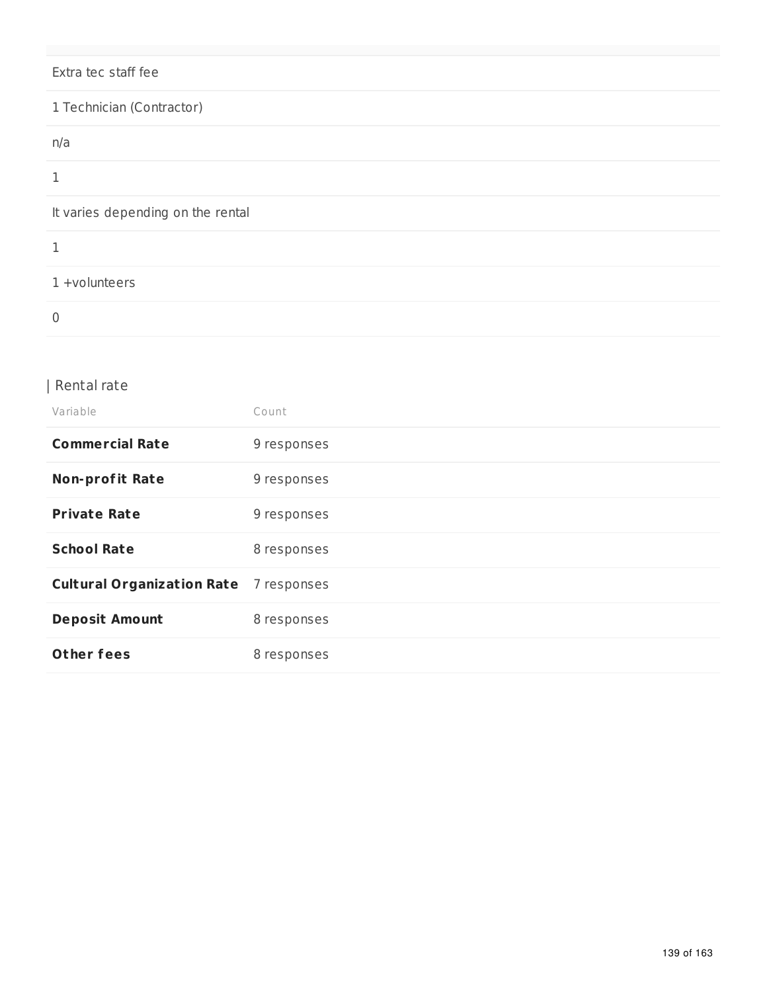## Extra tec staff fee

| 1 Technician (Contractor)         |
|-----------------------------------|
| n/a                               |
| 1                                 |
| It varies depending on the rental |
|                                   |
| 1 +volunteers                     |
| 0                                 |

### | Rental rate

| Variable                                      | Count       |
|-----------------------------------------------|-------------|
| <b>Commercial Rate</b>                        | 9 responses |
| <b>Non-profit Rate</b>                        | 9 responses |
| <b>Private Rate</b>                           | 9 responses |
| <b>School Rate</b>                            | 8 responses |
| <b>Cultural Organization Rate</b> 7 responses |             |
| <b>Deposit Amount</b>                         | 8 responses |
| Other fees                                    | 8 responses |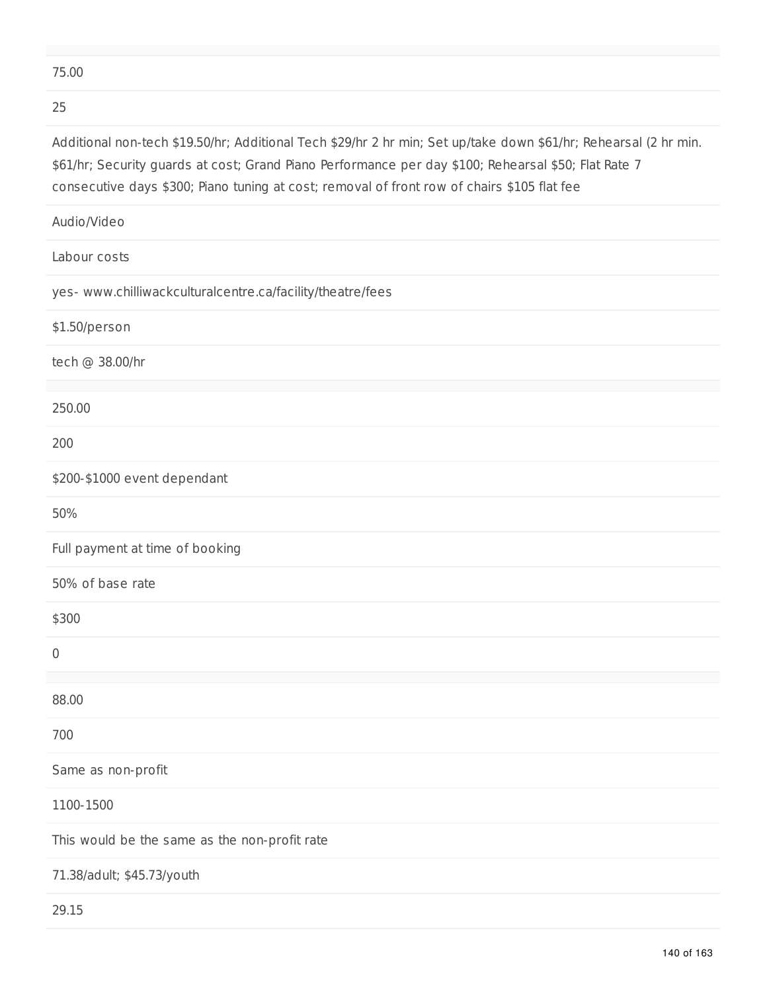#### 75.00

#### 25

Additional non-tech \$19.50/hr; Additional Tech \$29/hr 2 hr min; Set up/take down \$61/hr; Rehearsal (2 hr min. \$61/hr; Security guards at cost; Grand Piano Performance per day \$100; Rehearsal \$50; Flat Rate 7 consecutive days \$300; Piano tuning at cost; removal of front row of chairs \$105 flat fee

| Audio/Video                                                |
|------------------------------------------------------------|
| Labour costs                                               |
| yes- www.chilliwackculturalcentre.ca/facility/theatre/fees |
| \$1.50/person                                              |
| tech @ 38.00/hr                                            |
| 250.00                                                     |
| 200                                                        |
| \$200-\$1000 event dependant                               |
| 50%                                                        |
| Full payment at time of booking                            |
| 50% of base rate                                           |
| \$300                                                      |
| $\mathbf 0$                                                |
| 88.00                                                      |
| 700                                                        |
| Same as non-profit                                         |
| 1100-1500                                                  |
| This would be the same as the non-profit rate              |
| 71.38/adult; \$45.73/youth                                 |
| 29.15                                                      |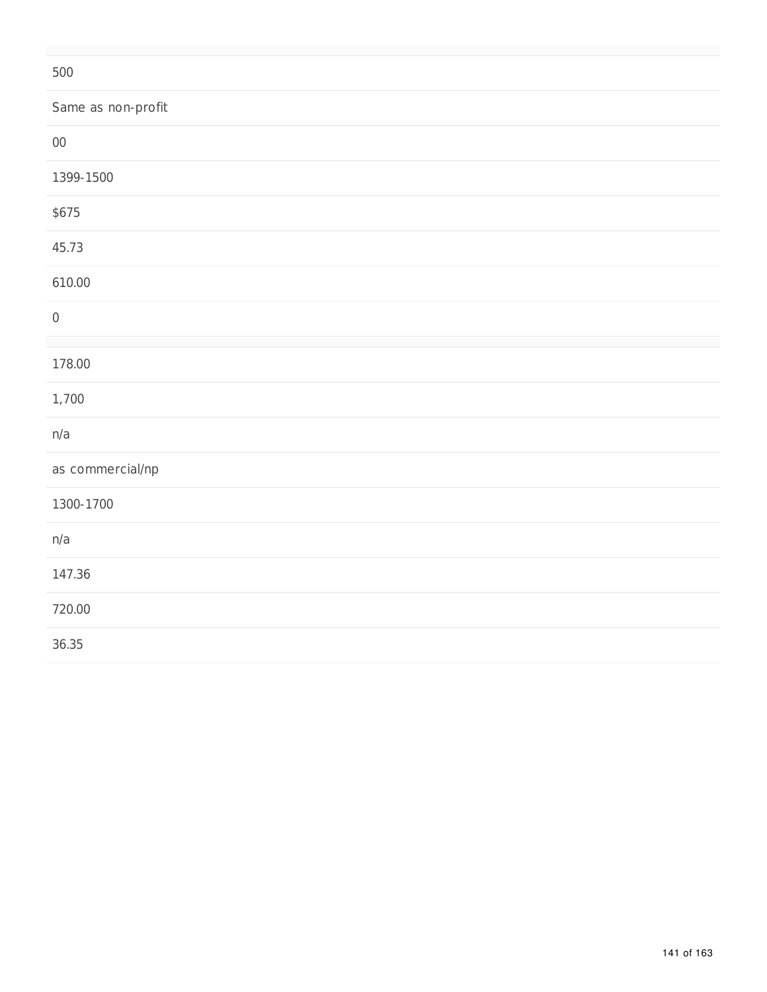| 500                |
|--------------------|
| Same as non-profit |
| ${\bf 00}$         |
| 1399-1500          |
| \$675              |
| 45.73              |
| 610.00             |
| $\mathbf 0$        |
| 178.00             |
| 1,700              |
| n/a                |
| as commercial/np   |
| 1300-1700          |
| n/a                |
| 147.36             |
| 720.00             |
| 36.35              |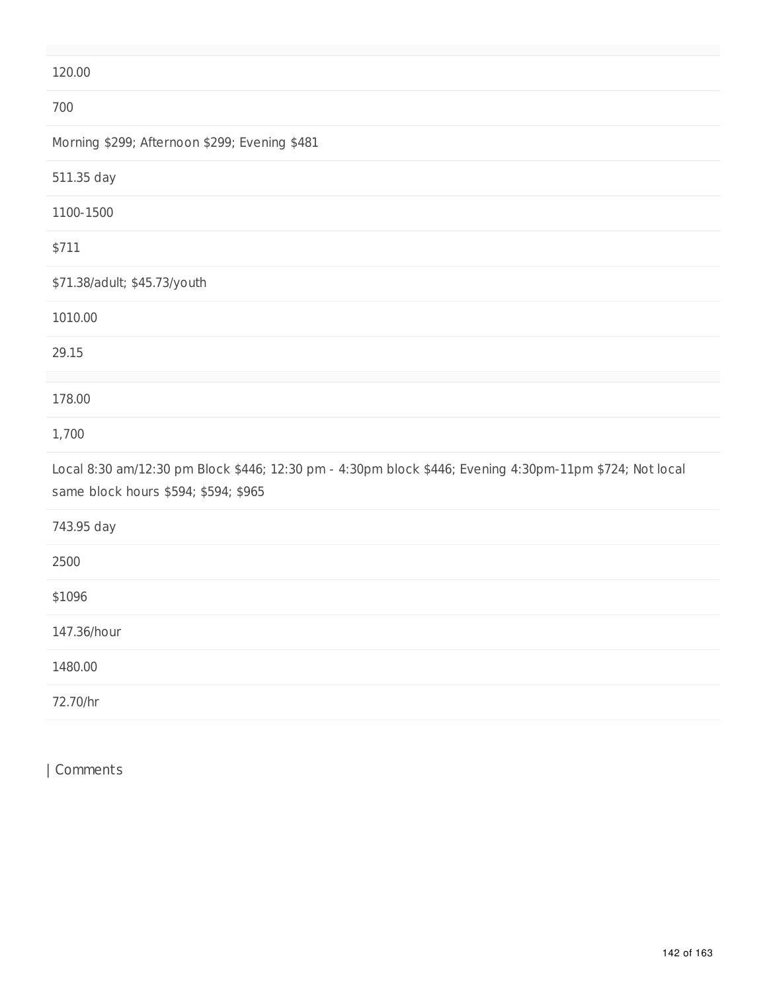### 120.00

| 700                                                                                                                                             |
|-------------------------------------------------------------------------------------------------------------------------------------------------|
| Morning \$299; Afternoon \$299; Evening \$481                                                                                                   |
| 511.35 day                                                                                                                                      |
| 1100-1500                                                                                                                                       |
| \$711                                                                                                                                           |
| \$71.38/adult; \$45.73/youth                                                                                                                    |
| 1010.00                                                                                                                                         |
| 29.15                                                                                                                                           |
| 178.00                                                                                                                                          |
| 1,700                                                                                                                                           |
| Local 8:30 am/12:30 pm Block \$446; 12:30 pm - 4:30pm block \$446; Evening 4:30pm-11pm \$724; Not local<br>same block hours \$594; \$594; \$965 |
| 743.95 day                                                                                                                                      |
| 2500                                                                                                                                            |
| \$1096                                                                                                                                          |
| 147.36/hour                                                                                                                                     |
| 1480.00                                                                                                                                         |
| 72.70/hr                                                                                                                                        |

| Comments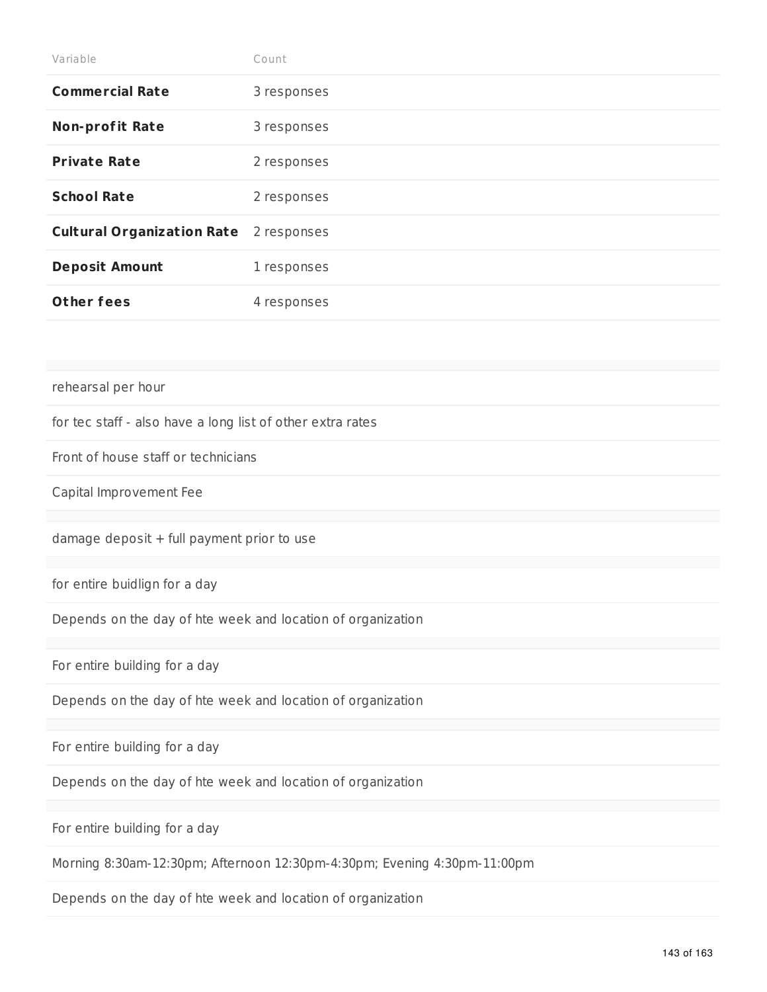| Variable                                                   | Count       |  |  |  |
|------------------------------------------------------------|-------------|--|--|--|
| <b>Commercial Rate</b>                                     | 3 responses |  |  |  |
| <b>Non-profit Rate</b>                                     | 3 responses |  |  |  |
| <b>Private Rate</b>                                        | 2 responses |  |  |  |
| <b>School Rate</b>                                         | 2 responses |  |  |  |
| <b>Cultural Organization Rate</b>                          | 2 responses |  |  |  |
| <b>Deposit Amount</b>                                      | 1 responses |  |  |  |
| <b>Other fees</b>                                          | 4 responses |  |  |  |
|                                                            |             |  |  |  |
|                                                            |             |  |  |  |
| rehearsal per hour                                         |             |  |  |  |
| for tec staff - also have a long list of other extra rates |             |  |  |  |
| Front of house staff or technicians                        |             |  |  |  |
| Capital Improvement Fee                                    |             |  |  |  |
|                                                            |             |  |  |  |
| damage deposit + full payment prior to use                 |             |  |  |  |
|                                                            |             |  |  |  |
| for entire buidlign for a day                              |             |  |  |  |

Depends on the day of hte week and location of organization

For entire building for a day

Depends on the day of hte week and location of organization

For entire building for a day

Depends on the day of hte week and location of organization

For entire building for a day

Morning 8:30am-12:30pm; Afternoon 12:30pm-4:30pm; Evening 4:30pm-11:00pm

Depends on the day of hte week and location of organization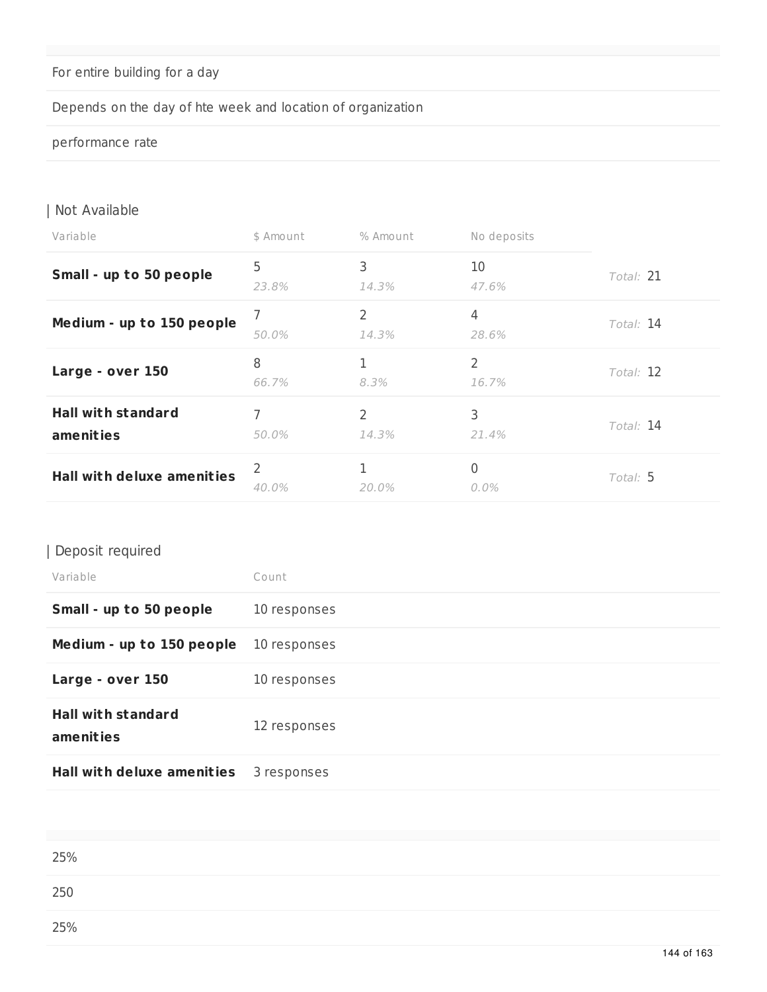# For entire building for a day

# Depends on the day of hte week and location of organization

#### performance rate

### | Not Available

| Variable                               | \$ Amount  | % Amount   | No deposits             |           |
|----------------------------------------|------------|------------|-------------------------|-----------|
| Small - up to 50 people                | 5<br>23.8% | 3<br>14.3% | 10<br>47.6%             | Total: 21 |
| Medium - up to 150 people              | 7<br>50.0% | 2<br>14.3% | 4<br>28.6%              | Total: 14 |
| Large - over 150                       | 8<br>66.7% | 8.3%       | $\overline{2}$<br>16.7% | Total: 12 |
| <b>Hall with standard</b><br>amenities | 7<br>50.0% | 2<br>14.3% | 3<br>21.4%              | Total: 14 |
| <b>Hall with deluxe amenities</b>      | 2<br>40.0% | 20.0%      | 0<br>0.0%               | Total: 5  |

### | Deposit required

| Variable                               | Count        |
|----------------------------------------|--------------|
| Small - up to 50 people                | 10 responses |
| Medium - up to 150 people              | 10 responses |
| Large - over 150                       | 10 responses |
| <b>Hall with standard</b><br>amenities | 12 responses |
| <b>Hall with deluxe amenities</b>      | 3 responses  |

| 25% |  |  |  |
|-----|--|--|--|
| 250 |  |  |  |
| 25% |  |  |  |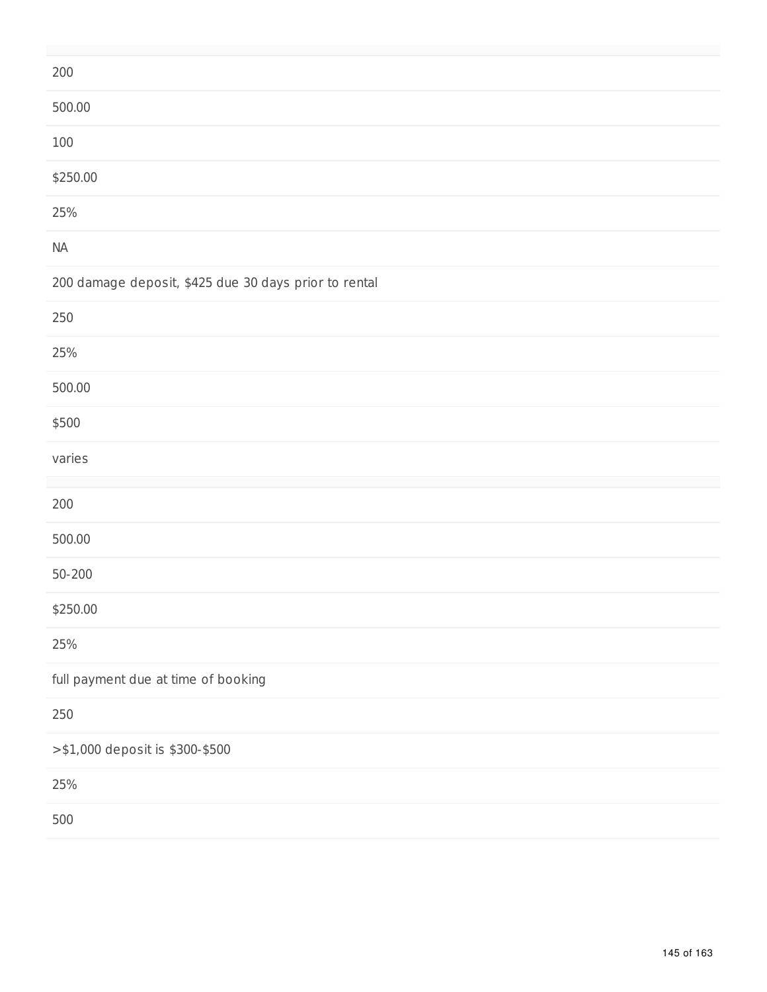| 200                                                   |
|-------------------------------------------------------|
| 500.00                                                |
| 100                                                   |
| \$250.00                                              |
| 25%                                                   |
| $\sf NA$                                              |
| 200 damage deposit, \$425 due 30 days prior to rental |
| $250\,$                                               |
| 25%                                                   |
| 500.00                                                |
| \$500                                                 |
| varies                                                |
| 200                                                   |
| 500.00                                                |
| $50 - 200$                                            |
| \$250.00                                              |
| 25%                                                   |
| full payment due at time of booking                   |
| $250\,$                                               |
| >\$1,000 deposit is \$300-\$500                       |
| 25%                                                   |
| 500                                                   |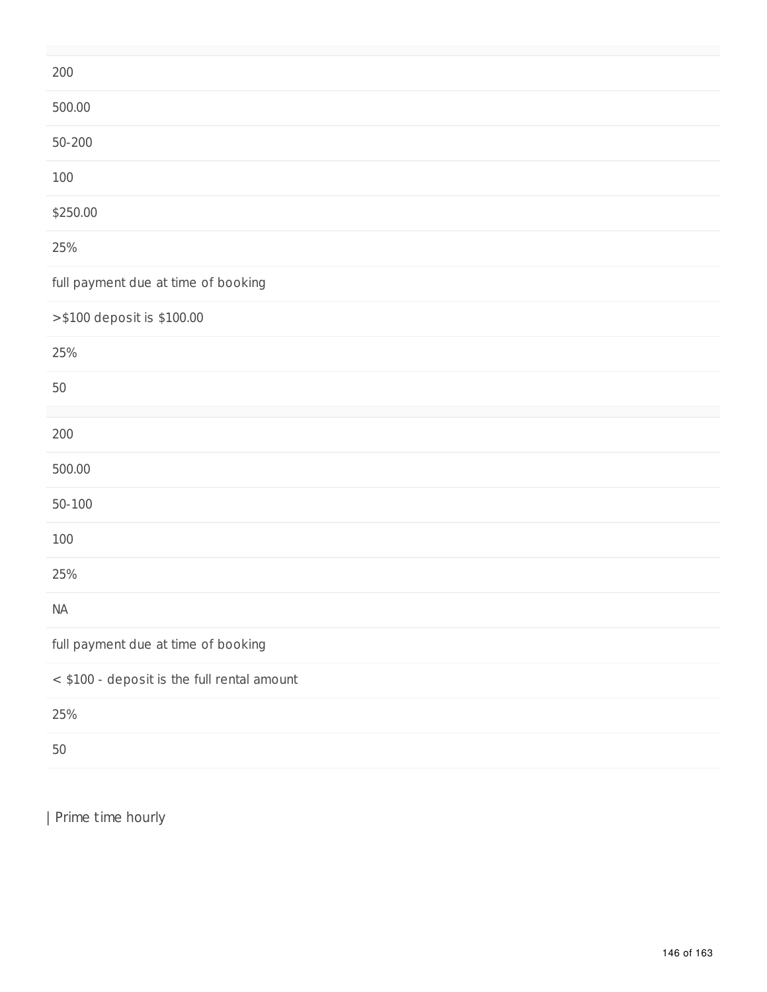| 200                                         |
|---------------------------------------------|
| 500.00                                      |
| $50 - 200$                                  |
| 100                                         |
| \$250.00                                    |
| 25%                                         |
| full payment due at time of booking         |
| >\$100 deposit is \$100.00                  |
| 25%                                         |
| 50                                          |
| $200\,$                                     |
| 500.00                                      |
| $50 - 100$                                  |
| 100                                         |
| 25%                                         |
| <b>NA</b>                                   |
| full payment due at time of booking         |
| < \$100 - deposit is the full rental amount |
| 25%                                         |
| 50                                          |

| Prime time hourly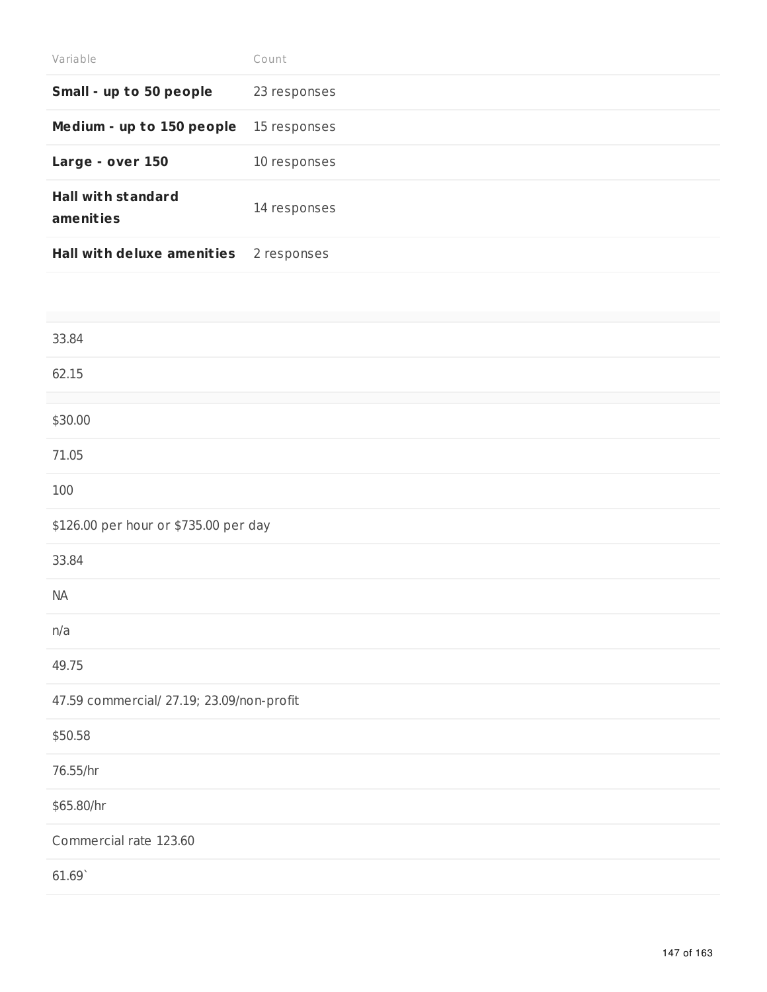| Variable                               | Count        |
|----------------------------------------|--------------|
| Small - up to 50 people                | 23 responses |
| Medium - up to 150 people              | 15 responses |
| Large - over 150                       | 10 responses |
| <b>Hall with standard</b><br>amenities | 14 responses |
| <b>Hall with deluxe amenities</b>      | 2 responses  |

| 33.84                                     |
|-------------------------------------------|
| 62.15                                     |
|                                           |
| \$30.00                                   |
| 71.05                                     |
| 100                                       |
| \$126.00 per hour or \$735.00 per day     |
| 33.84                                     |
| NA                                        |
| n/a                                       |
| 49.75                                     |
| 47.59 commercial/ 27.19; 23.09/non-profit |
| \$50.58                                   |
| 76.55/hr                                  |
| \$65.80/hr                                |
| Commercial rate 123.60                    |
| 61.69                                     |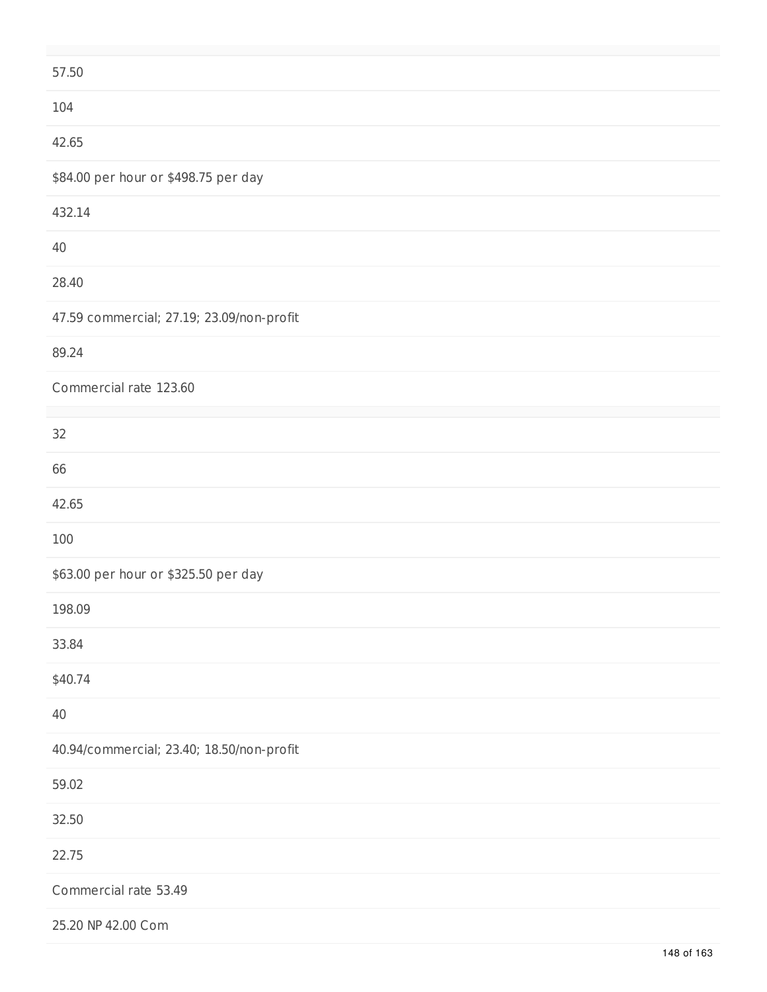| 57.50                                     |
|-------------------------------------------|
| 104                                       |
| 42.65                                     |
| \$84.00 per hour or \$498.75 per day      |
| 432.14                                    |
| 40                                        |
| 28.40                                     |
| 47.59 commercial; 27.19; 23.09/non-profit |
| 89.24                                     |
| Commercial rate 123.60                    |
| 32                                        |
| 66                                        |
| 42.65                                     |
| 100                                       |
| \$63.00 per hour or \$325.50 per day      |
| 198.09                                    |
| 33.84                                     |
| \$40.74                                   |
| 40                                        |
| 40.94/commercial; 23.40; 18.50/non-profit |
| 59.02                                     |
| 32.50                                     |
| 22.75                                     |
| Commercial rate 53.49                     |
| 25.20 NP 42.00 Com                        |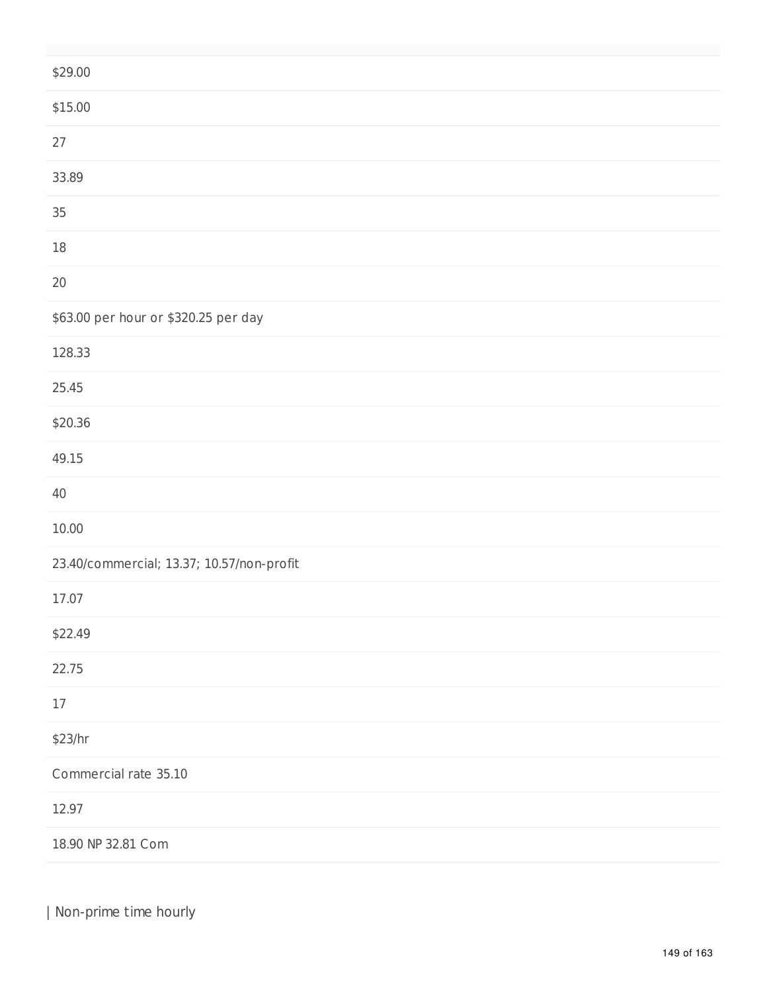| \$29.00                                   |
|-------------------------------------------|
| \$15.00                                   |
| 27                                        |
| 33.89                                     |
| 35                                        |
| $18\,$                                    |
| $20\,$                                    |
| \$63.00 per hour or \$320.25 per day      |
| 128.33                                    |
| 25.45                                     |
| \$20.36                                   |
| 49.15                                     |
| $40\,$                                    |
| 10.00                                     |
| 23.40/commercial; 13.37; 10.57/non-profit |
| 17.07                                     |
| \$22.49                                   |
| 22.75                                     |
| $17\,$                                    |
| \$23/hr                                   |
| Commercial rate 35.10                     |
| 12.97                                     |
| 18.90 NP 32.81 Com                        |

| Non-prime time hourly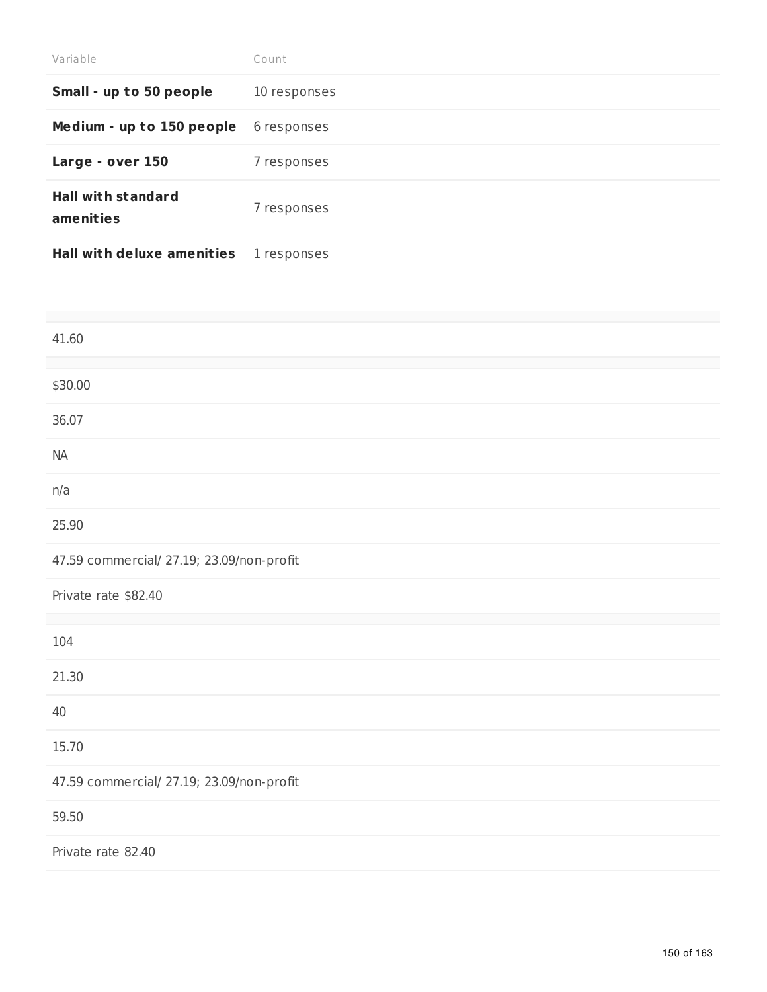| Variable                               | Count        |
|----------------------------------------|--------------|
| Small - up to 50 people                | 10 responses |
| Medium - up to 150 people              | 6 responses  |
| Large - over 150                       | 7 responses  |
| <b>Hall with standard</b><br>amenities | 7 responses  |
| <b>Hall with deluxe amenities</b>      | 1 responses  |

| 41.60                                     |
|-------------------------------------------|
|                                           |
| \$30.00                                   |
| 36.07                                     |
| <b>NA</b>                                 |
| n/a                                       |
| 25.90                                     |
| 47.59 commercial/ 27.19; 23.09/non-profit |
| Private rate \$82.40                      |
|                                           |
| 104                                       |
| 21.30                                     |
| 40                                        |
| 15.70                                     |
| 47.59 commercial/ 27.19; 23.09/non-profit |
| 59.50                                     |
| Private rate 82.40                        |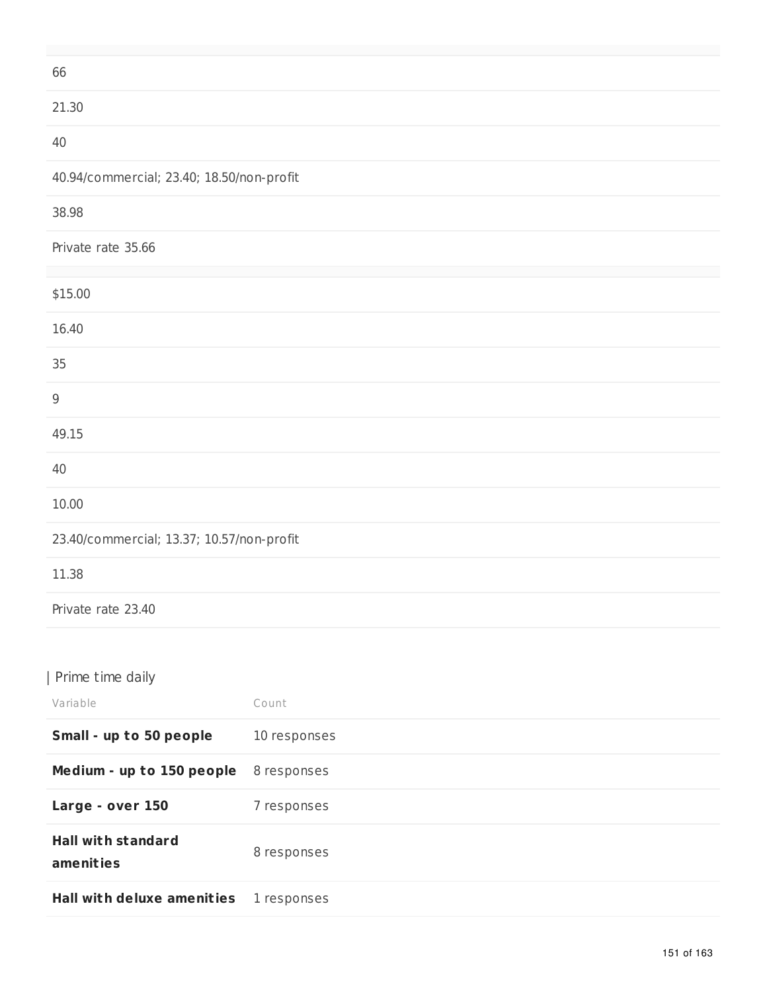| 66                                        |
|-------------------------------------------|
| 21.30                                     |
| $40\,$                                    |
| 40.94/commercial; 23.40; 18.50/non-profit |
| 38.98                                     |
| Private rate 35.66                        |
| \$15.00                                   |
| 16.40                                     |
| 35                                        |
| $\boldsymbol{9}$                          |
| 49.15                                     |
| $40\,$                                    |
| 10.00                                     |
| 23.40/commercial; 13.37; 10.57/non-profit |
| 11.38                                     |
| Private rate 23.40                        |
|                                           |

## | Prime time daily

| Variable                               | Count        |
|----------------------------------------|--------------|
| Small - up to 50 people                | 10 responses |
| Medium - up to 150 people              | 8 responses  |
| Large - over 150                       | 7 responses  |
| <b>Hall with standard</b><br>amenities | 8 responses  |
| <b>Hall with deluxe amenities</b>      | 1 responses  |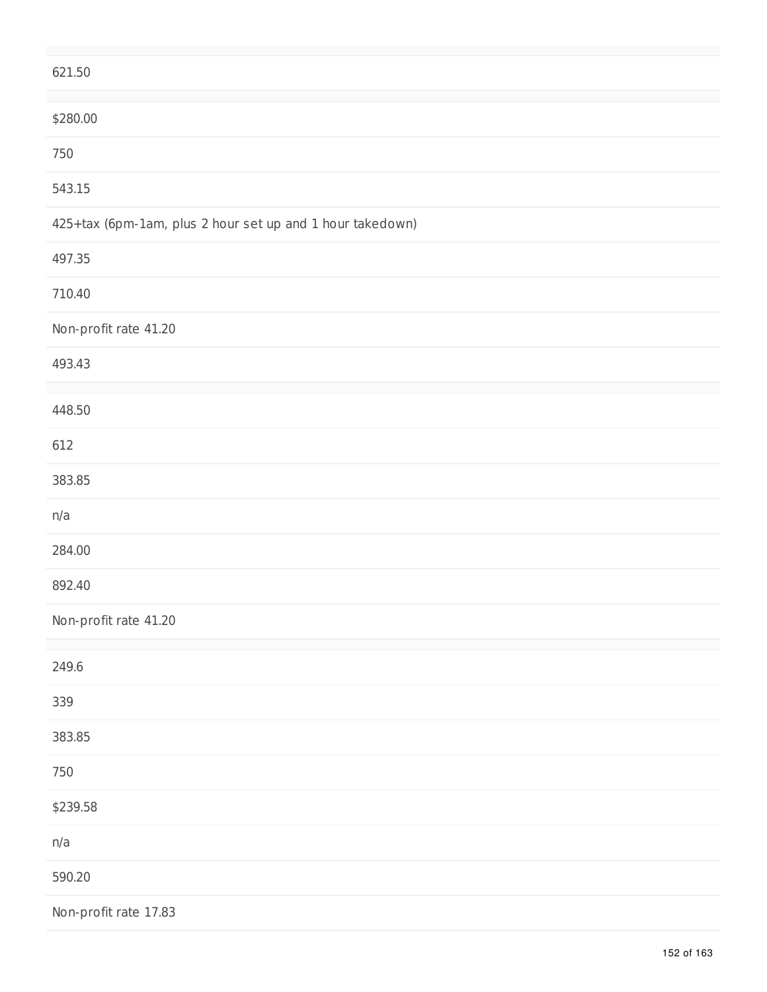| 621.50                                                    |
|-----------------------------------------------------------|
| \$280.00                                                  |
| 750                                                       |
| 543.15                                                    |
| 425+tax (6pm-1am, plus 2 hour set up and 1 hour takedown) |
| 497.35                                                    |
| 710.40                                                    |
| Non-profit rate 41.20                                     |
| 493.43                                                    |
| 448.50                                                    |
| 612                                                       |
| 383.85                                                    |
| n/a                                                       |
| 284.00                                                    |
| 892.40                                                    |
| Non-profit rate 41.20                                     |
| 249.6                                                     |
| 339                                                       |
| 383.85                                                    |
| 750                                                       |
| \$239.58                                                  |
| n/a                                                       |
| 590.20                                                    |
| Non-profit rate 17.83                                     |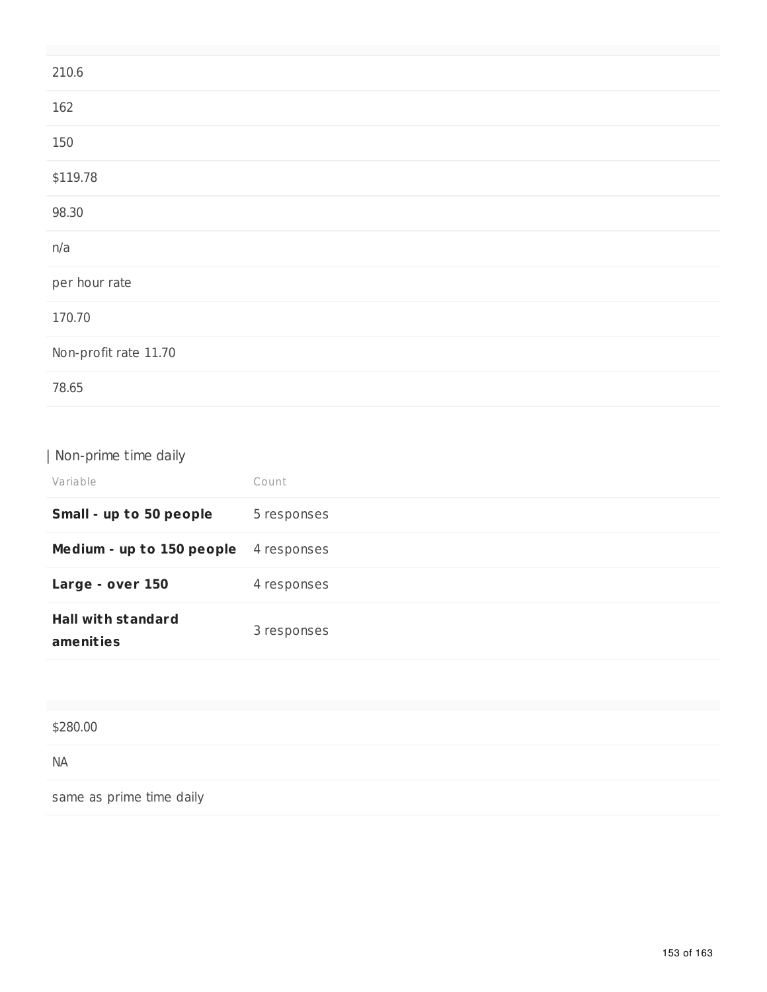| 210.6                 |  |  |
|-----------------------|--|--|
| 162                   |  |  |
| 150                   |  |  |
| \$119.78              |  |  |
| 98.30                 |  |  |
| n/a                   |  |  |
| per hour rate         |  |  |
| 170.70                |  |  |
| Non-profit rate 11.70 |  |  |
| 78.65                 |  |  |

| Non-prime time daily                   |             |
|----------------------------------------|-------------|
| Variable                               | Count       |
| Small - up to 50 people                | 5 responses |
| Medium - up to 150 people              | 4 responses |
| Large - over 150                       | 4 responses |
| <b>Hall with standard</b><br>amenities | 3 responses |
|                                        |             |

| \$280.00                 |  |
|--------------------------|--|
| <b>NA</b>                |  |
| same as prime time daily |  |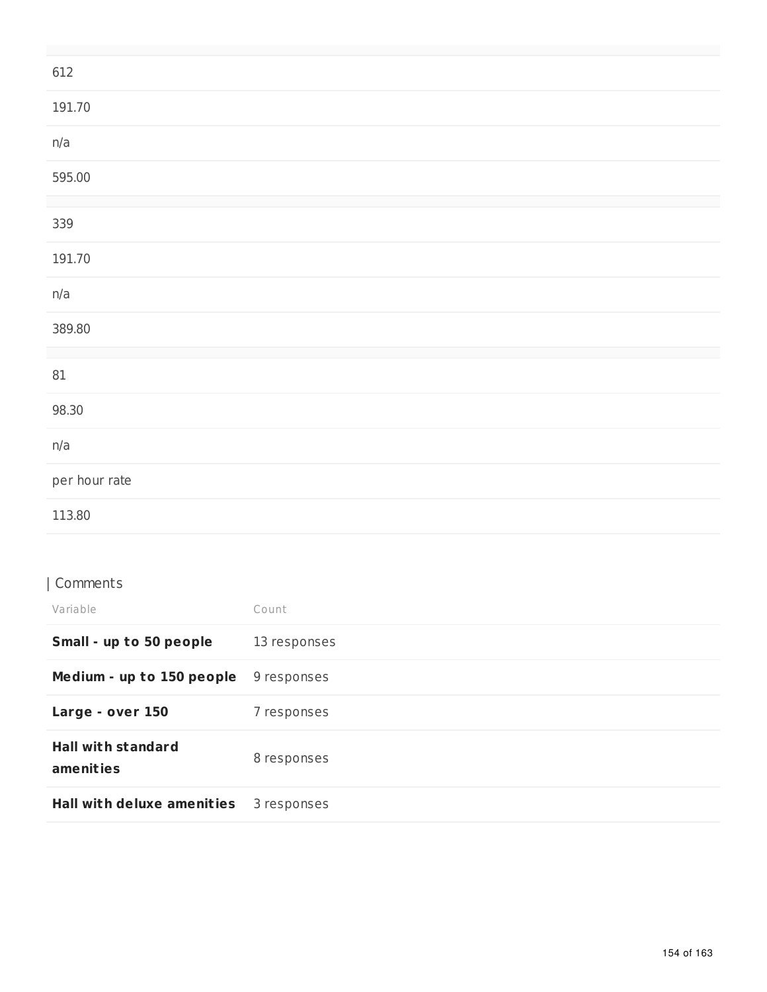| 612           |
|---------------|
| 191.70        |
| n/a           |
| 595.00        |
|               |
| 339           |
| 191.70        |
| n/a           |
| 389.80        |
|               |
| $81\,$        |
| 98.30         |
| n/a           |
| per hour rate |
| 113.80        |

# | Comments

| Variable                               | Count        |
|----------------------------------------|--------------|
| Small - up to 50 people                | 13 responses |
| Medium - up to 150 people              | 9 responses  |
| Large - over 150                       | 7 responses  |
| <b>Hall with standard</b><br>amenities | 8 responses  |
| <b>Hall with deluxe amenities</b>      | 3 responses  |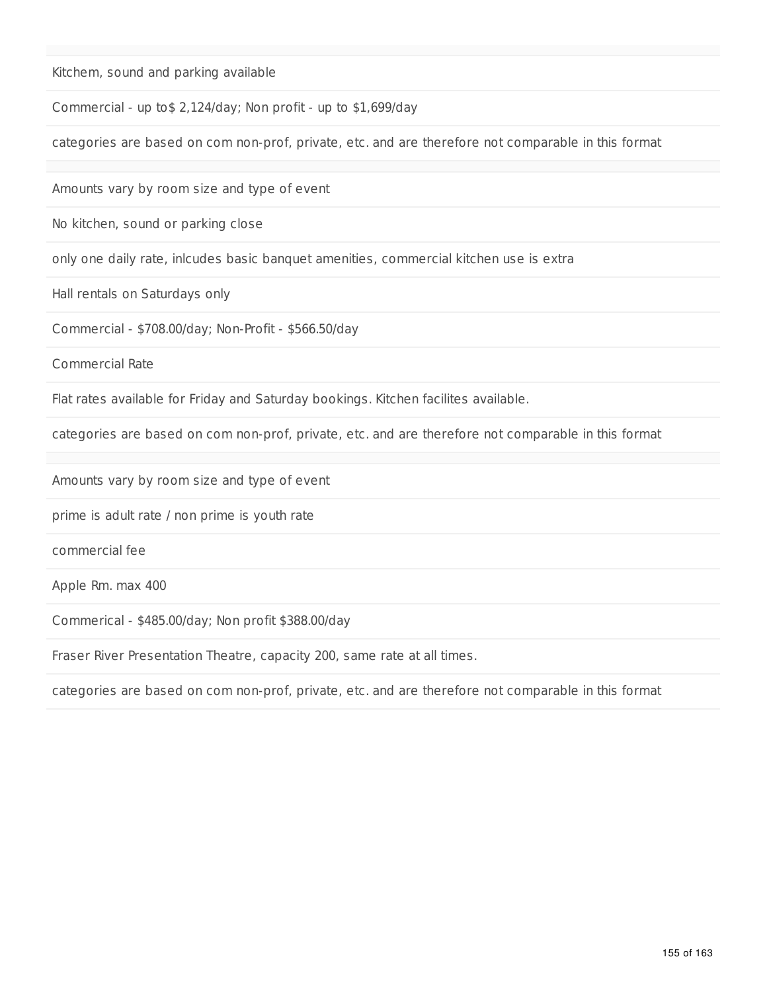Kitchem, sound and parking available

Commercial - up to\$ 2,124/day; Non profit - up to \$1,699/day

categories are based on com non-prof, private, etc. and are therefore not comparable in this format

Amounts vary by room size and type of event

No kitchen, sound or parking close

only one daily rate, inlcudes basic banquet amenities, commercial kitchen use is extra

Hall rentals on Saturdays only

Commercial - \$708.00/day; Non-Profit - \$566.50/day

Commercial Rate

Flat rates available for Friday and Saturday bookings. Kitchen facilites available.

categories are based on com non-prof, private, etc. and are therefore not comparable in this format

Amounts vary by room size and type of event

prime is adult rate / non prime is youth rate

commercial fee

Apple Rm. max 400

Commerical - \$485.00/day; Non profit \$388.00/day

Fraser River Presentation Theatre, capacity 200, same rate at all times.

categories are based on com non-prof, private, etc. and are therefore not comparable in this format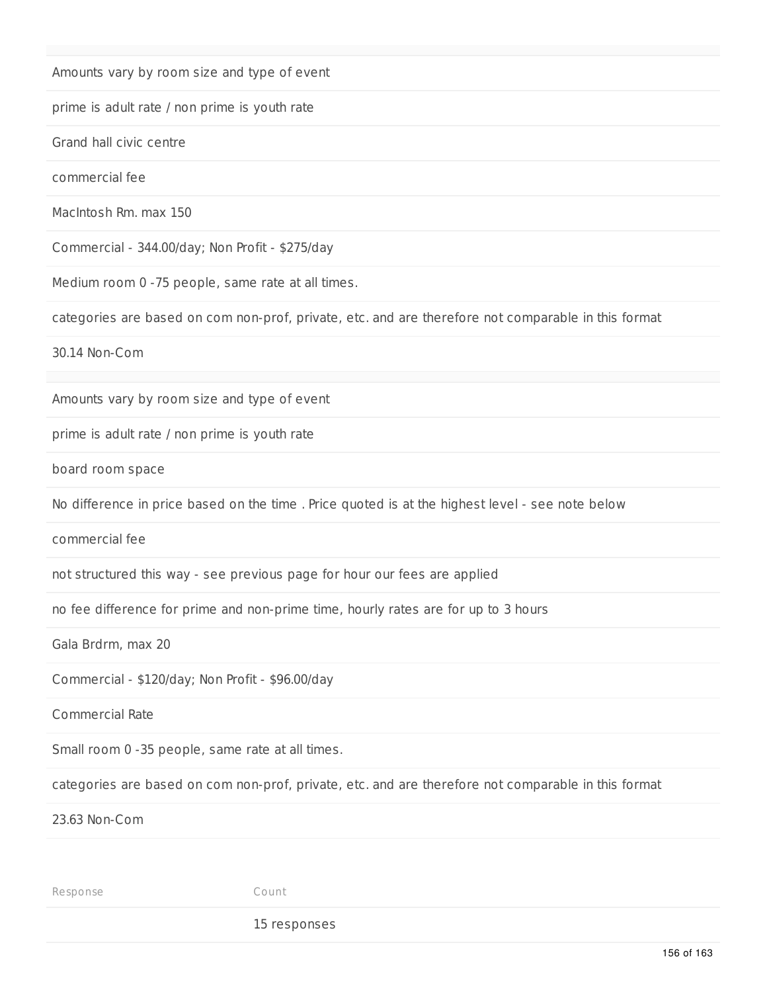Amounts vary by room size and type of event

prime is adult rate / non prime is youth rate

Grand hall civic centre

commercial fee

MacIntosh Rm. max 150

Commercial - 344.00/day; Non Profit - \$275/day

Medium room 0 -75 people, same rate at all times.

categories are based on com non-prof, private, etc. and are therefore not comparable in this format

30.14 Non-Com

Amounts vary by room size and type of event

prime is adult rate / non prime is youth rate

board room space

No difference in price based on the time . Price quoted is at the highest level - see note below

commercial fee

not structured this way - see previous page for hour our fees are applied

no fee difference for prime and non-prime time, hourly rates are for up to 3 hours

Gala Brdrm, max 20

Commercial - \$120/day; Non Profit - \$96.00/day

Commercial Rate

Small room 0 -35 people, same rate at all times.

categories are based on com non-prof, private, etc. and are therefore not comparable in this format

23.63 Non-Com

Response Count

15 responses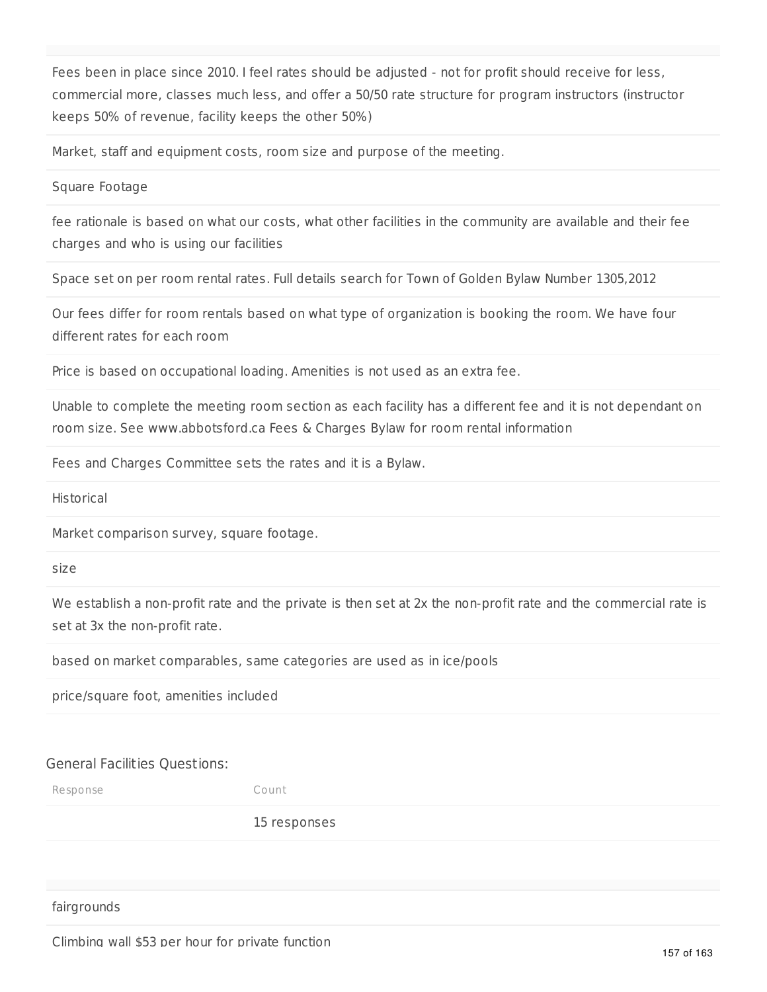Fees been in place since 2010. I feel rates should be adjusted - not for profit should receive for less, commercial more, classes much less, and offer a 50/50 rate structure for program instructors (instructor keeps 50% of revenue, facility keeps the other 50%)

Market, staff and equipment costs, room size and purpose of the meeting.

Square Footage

fee rationale is based on what our costs, what other facilities in the community are available and their fee charges and who is using our facilities

Space set on per room rental rates. Full details search for Town of Golden Bylaw Number 1305,2012

Our fees differ for room rentals based on what type of organization is booking the room. We have four different rates for each room

Price is based on occupational loading. Amenities is not used as an extra fee.

Unable to complete the meeting room section as each facility has a different fee and it is not dependant on room size. See www.abbotsford.ca Fees & Charges Bylaw for room rental information

Fees and Charges Committee sets the rates and it is a Bylaw.

Historical

Market comparison survey, square footage.

size

We establish a non-profit rate and the private is then set at 2x the non-profit rate and the commercial rate is set at 3x the non-profit rate.

based on market comparables, same categories are used as in ice/pools

price/square foot, amenities included

#### General Facilities Questions:

Response Count

15 responses

fairgrounds

Climbing wall \$53 per hour for private function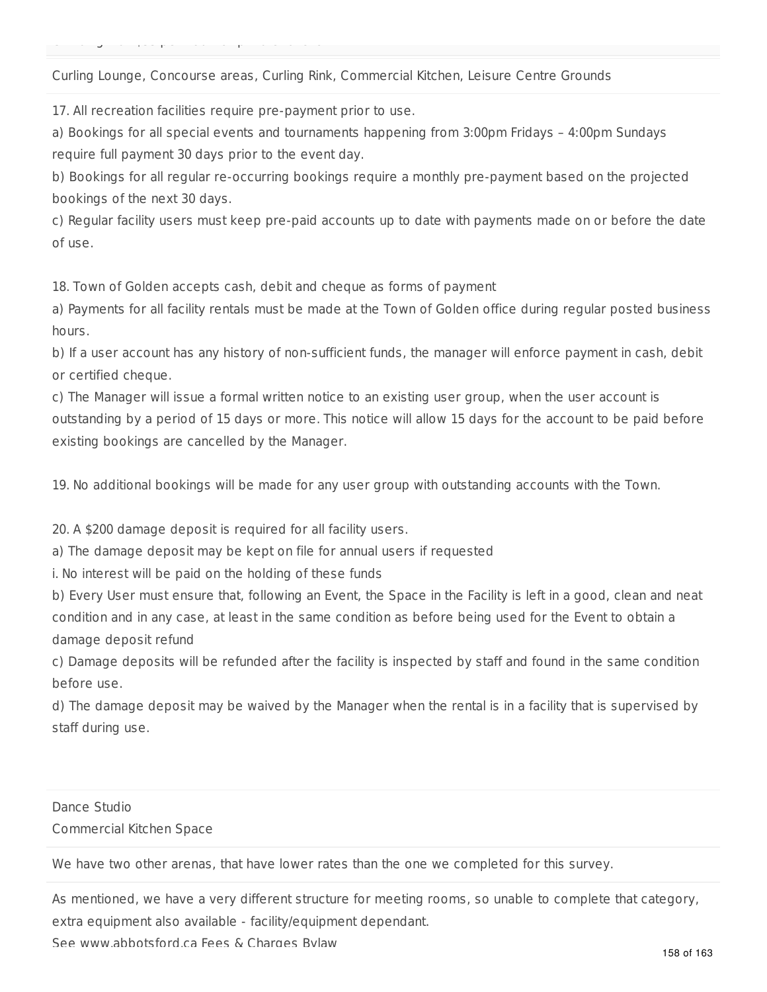Climbing wall \$53 per hour for private function

#### Curling Lounge, Concourse areas, Curling Rink, Commercial Kitchen, Leisure Centre Grounds

17. All recreation facilities require pre-payment prior to use.

a) Bookings for all special events and tournaments happening from 3:00pm Fridays – 4:00pm Sundays require full payment 30 days prior to the event day.

b) Bookings for all regular re-occurring bookings require a monthly pre-payment based on the projected bookings of the next 30 days.

c) Regular facility users must keep pre-paid accounts up to date with payments made on or before the date of use.

18. Town of Golden accepts cash, debit and cheque as forms of payment

a) Payments for all facility rentals must be made at the Town of Golden office during regular posted business hours.

b) If a user account has any history of non-sufficient funds, the manager will enforce payment in cash, debit or certified cheque.

c) The Manager will issue a formal written notice to an existing user group, when the user account is outstanding by a period of 15 days or more. This notice will allow 15 days for the account to be paid before existing bookings are cancelled by the Manager.

19. No additional bookings will be made for any user group with outstanding accounts with the Town.

20. A \$200 damage deposit is required for all facility users.

a) The damage deposit may be kept on file for annual users if requested

i. No interest will be paid on the holding of these funds

b) Every User must ensure that, following an Event, the Space in the Facility is left in a good, clean and neat condition and in any case, at least in the same condition as before being used for the Event to obtain a damage deposit refund

c) Damage deposits will be refunded after the facility is inspected by staff and found in the same condition before use.

d) The damage deposit may be waived by the Manager when the rental is in a facility that is supervised by staff during use.

### Dance Studio Commercial Kitchen Space

We have two other arenas, that have lower rates than the one we completed for this survey.

As mentioned, we have a very different structure for meeting rooms, so unable to complete that category, extra equipment also available - facility/equipment dependant.

See www.abbotsford.ca Fees & Charges Bylaw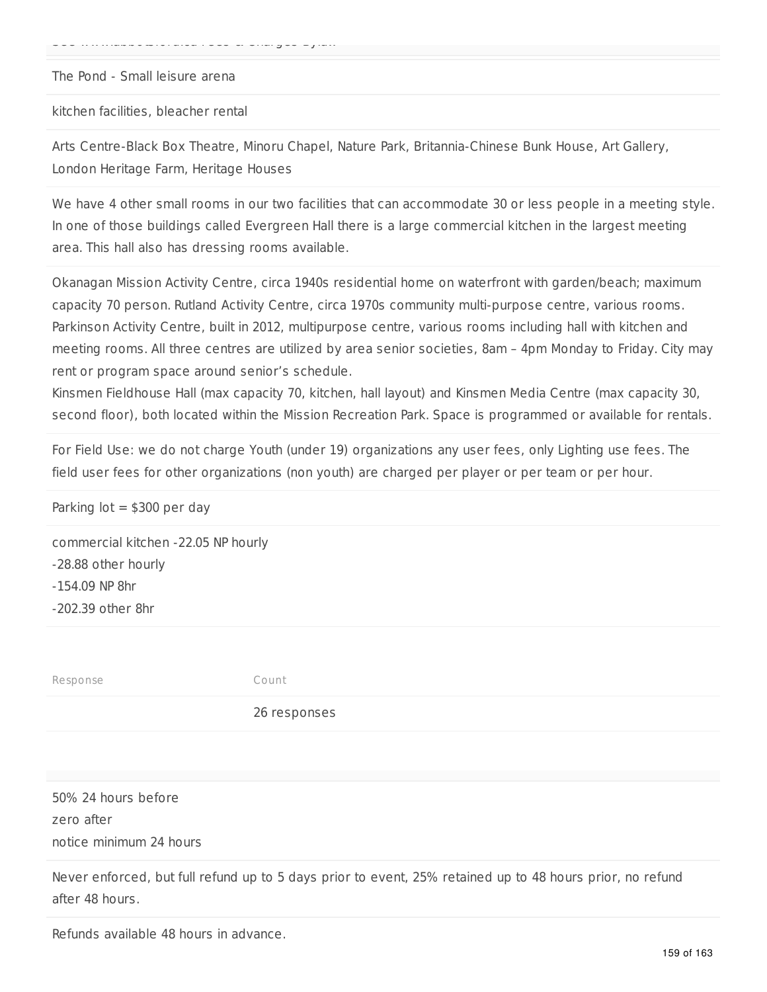The Pond - Small leisure arena

See www.abbotsford.ca Fees & Charges Bylaw

kitchen facilities, bleacher rental

Arts Centre-Black Box Theatre, Minoru Chapel, Nature Park, Britannia-Chinese Bunk House, Art Gallery, London Heritage Farm, Heritage Houses

We have 4 other small rooms in our two facilities that can accommodate 30 or less people in a meeting style. In one of those buildings called Evergreen Hall there is a large commercial kitchen in the largest meeting area. This hall also has dressing rooms available.

Okanagan Mission Activity Centre, circa 1940s residential home on waterfront with garden/beach; maximum capacity 70 person. Rutland Activity Centre, circa 1970s community multi-purpose centre, various rooms. Parkinson Activity Centre, built in 2012, multipurpose centre, various rooms including hall with kitchen and meeting rooms. All three centres are utilized by area senior societies, 8am – 4pm Monday to Friday. City may rent or program space around senior's schedule.

Kinsmen Fieldhouse Hall (max capacity 70, kitchen, hall layout) and Kinsmen Media Centre (max capacity 30, second floor), both located within the Mission Recreation Park. Space is programmed or available for rentals.

For Field Use: we do not charge Youth (under 19) organizations any user fees, only Lighting use fees. The field user fees for other organizations (non youth) are charged per player or per team or per hour.

Parking  $\text{lot} = $300 \text{ per day}$ commercial kitchen -22.05 NP hourly -28.88 other hourly -154.09 NP 8hr -202.39 other 8hr Response Count 26 responses

50% 24 hours before zero after notice minimum 24 hours

Never enforced, but full refund up to 5 days prior to event, 25% retained up to 48 hours prior, no refund after 48 hours.

Refunds available 48 hours in advance.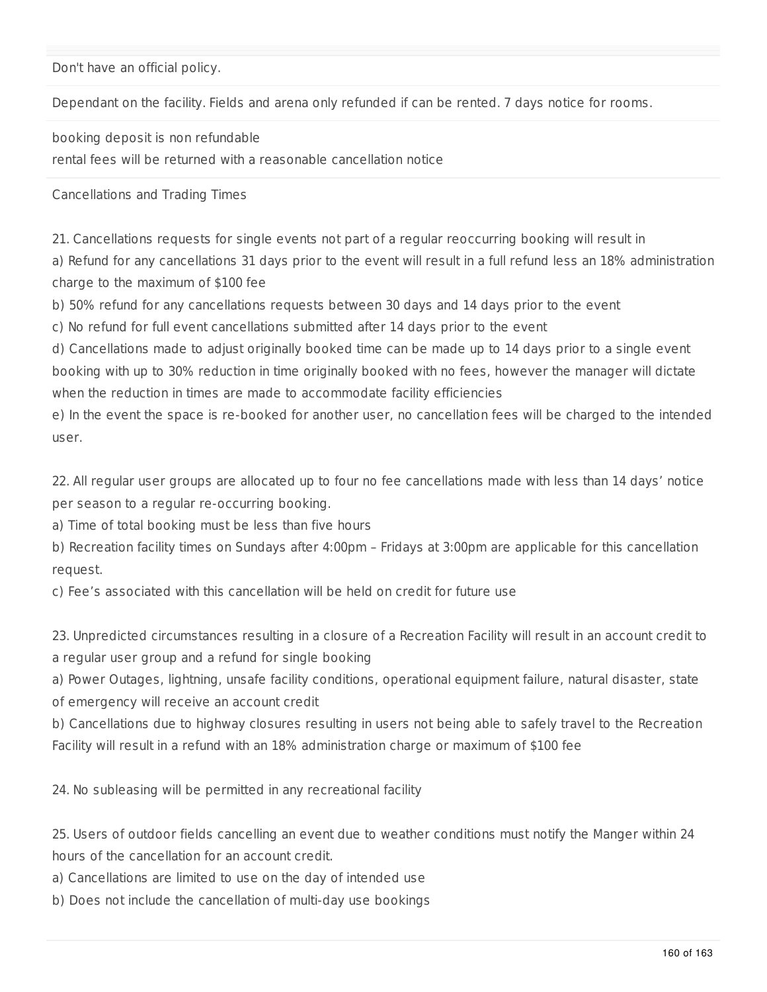Don't have an official policy.

Dependant on the facility. Fields and arena only refunded if can be rented. 7 days notice for rooms.

booking deposit is non refundable

rental fees will be returned with a reasonable cancellation notice

Cancellations and Trading Times

21. Cancellations requests for single events not part of a regular reoccurring booking will result in

a) Refund for any cancellations 31 days prior to the event will result in a full refund less an 18% administration charge to the maximum of \$100 fee

b) 50% refund for any cancellations requests between 30 days and 14 days prior to the event

c) No refund for full event cancellations submitted after 14 days prior to the event

d) Cancellations made to adjust originally booked time can be made up to 14 days prior to a single event booking with up to 30% reduction in time originally booked with no fees, however the manager will dictate when the reduction in times are made to accommodate facility efficiencies

e) In the event the space is re-booked for another user, no cancellation fees will be charged to the intended user.

22. All regular user groups are allocated up to four no fee cancellations made with less than 14 days' notice per season to a regular re-occurring booking.

a) Time of total booking must be less than five hours

b) Recreation facility times on Sundays after 4:00pm – Fridays at 3:00pm are applicable for this cancellation request.

c) Fee's associated with this cancellation will be held on credit for future use

23. Unpredicted circumstances resulting in a closure of a Recreation Facility will result in an account credit to a regular user group and a refund for single booking

a) Power Outages, lightning, unsafe facility conditions, operational equipment failure, natural disaster, state

of emergency will receive an account credit

b) Cancellations due to highway closures resulting in users not being able to safely travel to the Recreation Facility will result in a refund with an 18% administration charge or maximum of \$100 fee

24. No subleasing will be permitted in any recreational facility

25. Users of outdoor fields cancelling an event due to weather conditions must notify the Manger within 24 hours of the cancellation for an account credit.

a) Cancellations are limited to use on the day of intended use

b) Does not include the cancellation of multi-day use bookings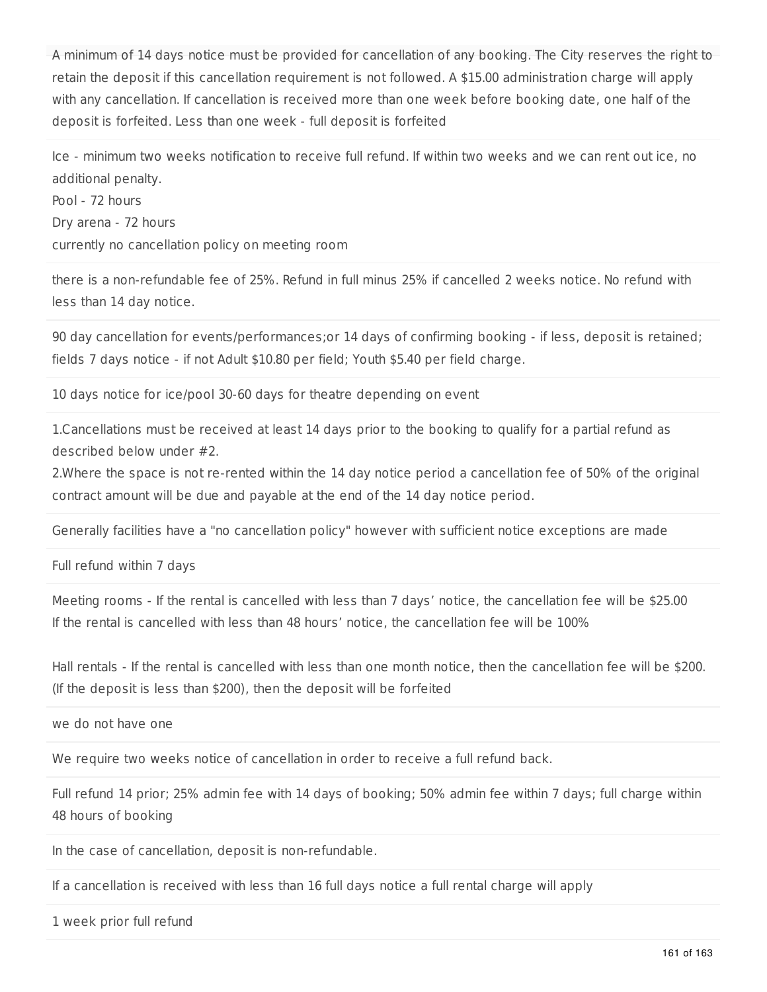A minimum of 14 days notice must be provided for cancellation of any booking. The City reserves the right to retain the deposit if this cancellation requirement is not followed. A \$15.00 administration charge will apply with any cancellation. If cancellation is received more than one week before booking date, one half of the deposit is forfeited. Less than one week - full deposit is forfeited

Ice - minimum two weeks notification to receive full refund. If within two weeks and we can rent out ice, no additional penalty.

Pool - 72 hours Dry arena - 72 hours currently no cancellation policy on meeting room

there is a non-refundable fee of 25%. Refund in full minus 25% if cancelled 2 weeks notice. No refund with less than 14 day notice.

90 day cancellation for events/performances;or 14 days of confirming booking - if less, deposit is retained; fields 7 days notice - if not Adult \$10.80 per field; Youth \$5.40 per field charge.

10 days notice for ice/pool 30-60 days for theatre depending on event

1.Cancellations must be received at least 14 days prior to the booking to qualify for a partial refund as described below under #2.

2.Where the space is not re-rented within the 14 day notice period a cancellation fee of 50% of the original contract amount will be due and payable at the end of the 14 day notice period.

Generally facilities have a "no cancellation policy" however with sufficient notice exceptions are made

Full refund within 7 days

Meeting rooms - If the rental is cancelled with less than 7 days' notice, the cancellation fee will be \$25.00 If the rental is cancelled with less than 48 hours' notice, the cancellation fee will be 100%

Hall rentals - If the rental is cancelled with less than one month notice, then the cancellation fee will be \$200. (If the deposit is less than \$200), then the deposit will be forfeited

we do not have one

We require two weeks notice of cancellation in order to receive a full refund back.

Full refund 14 prior; 25% admin fee with 14 days of booking; 50% admin fee within 7 days; full charge within 48 hours of booking

In the case of cancellation, deposit is non-refundable.

If a cancellation is received with less than 16 full days notice a full rental charge will apply

1 week prior full refund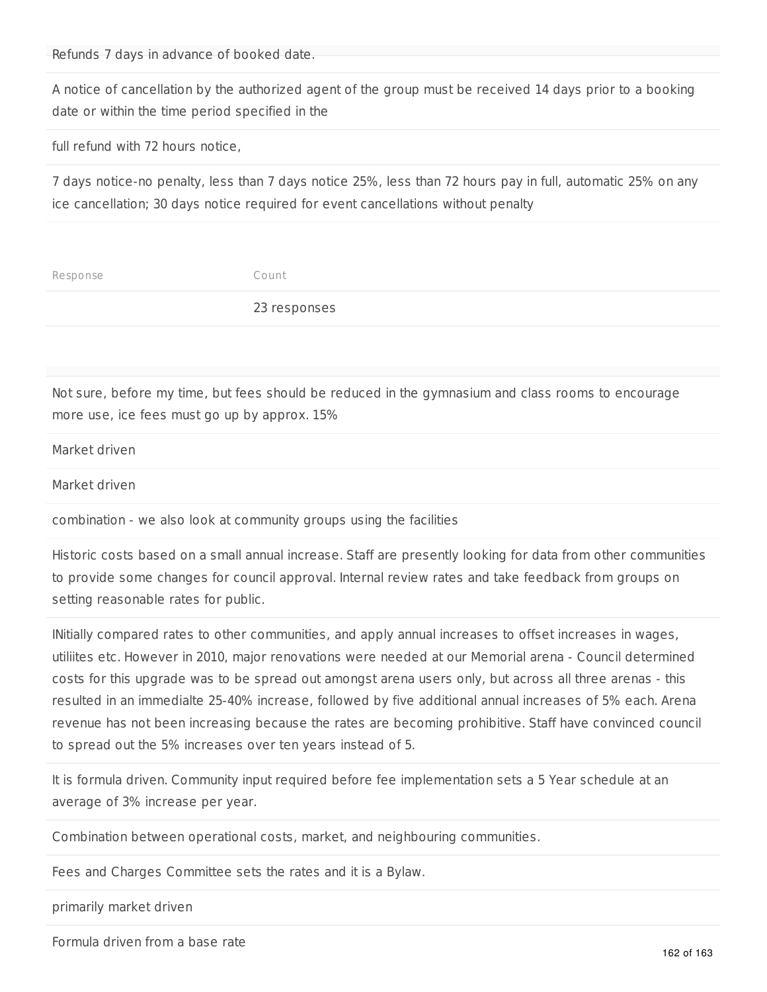Refunds 7 days in advance of booked date.

A notice of cancellation by the authorized agent of the group must be received 14 days prior to a booking date or within the time period specified in the

full refund with 72 hours notice,

7 days notice-no penalty, less than 7 days notice 25%, less than 72 hours pay in full, automatic 25% on any ice cancellation; 30 days notice required for event cancellations without penalty

| 23 responses |  |
|--------------|--|

Not sure, before my time, but fees should be reduced in the gymnasium and class rooms to encourage more use, ice fees must go up by approx. 15%

Market driven

Market driven

combination - we also look at community groups using the facilities

Historic costs based on a small annual increase. Staff are presently looking for data from other communities to provide some changes for council approval. Internal review rates and take feedback from groups on setting reasonable rates for public.

INitially compared rates to other communities, and apply annual increases to offset increases in wages, utiliites etc. However in 2010, major renovations were needed at our Memorial arena - Council determined costs for this upgrade was to be spread out amongst arena users only, but across all three arenas - this resulted in an immedialte 25-40% increase, followed by five additional annual increases of 5% each. Arena revenue has not been increasing because the rates are becoming prohibitive. Staff have convinced council to spread out the 5% increases over ten years instead of 5.

It is formula driven. Community input required before fee implementation sets a 5 Year schedule at an average of 3% increase per year.

Combination between operational costs, market, and neighbouring communities.

Fees and Charges Committee sets the rates and it is a Bylaw.

primarily market driven

Formula driven from a base rate